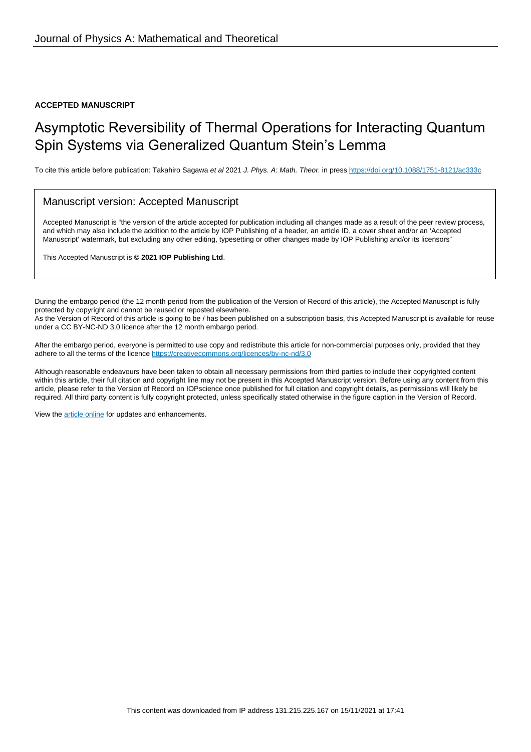#### **ACCEPTED MANUSCRIPT**

# Asymptotic Reversibility of Thermal Operations for Interacting Quantum Spin Systems via Generalized Quantum Stein's Lemma

To cite this article before publication: Takahiro Sagawa et al 2021 J. Phys. A: Math. Theor. in press <https://doi.org/10.1088/1751-8121/ac333c>

### Manuscript version: Accepted Manuscript

Accepted Manuscript is "the version of the article accepted for publication including all changes made as a result of the peer review process, and which may also include the addition to the article by IOP Publishing of a header, an article ID, a cover sheet and/or an 'Accepted Manuscript' watermark, but excluding any other editing, typesetting or other changes made by IOP Publishing and/or its licensors"

This Accepted Manuscript is **© 2021 IOP Publishing Ltd**.

During the embargo period (the 12 month period from the publication of the Version of Record of this article), the Accepted Manuscript is fully protected by copyright and cannot be reused or reposted elsewhere. As the Version of Record of this article is going to be / has been published on a subscription basis, this Accepted Manuscript is available for reuse under a CC BY-NC-ND 3.0 licence after the 12 month embargo period.

After the embargo period, everyone is permitted to use copy and redistribute this article for non-commercial purposes only, provided that they adhere to all the terms of the licence <https://creativecommons.org/licences/by-nc-nd/3.0>

Although reasonable endeavours have been taken to obtain all necessary permissions from third parties to include their copyrighted content within this article, their full citation and copyright line may not be present in this Accepted Manuscript version. Before using any content from this article, please refer to the Version of Record on IOPscience once published for full citation and copyright details, as permissions will likely be required. All third party content is fully copyright protected, unless specifically stated otherwise in the figure caption in the Version of Record.

View the [article online](https://doi.org/10.1088/1751-8121/ac333c) for updates and enhancements.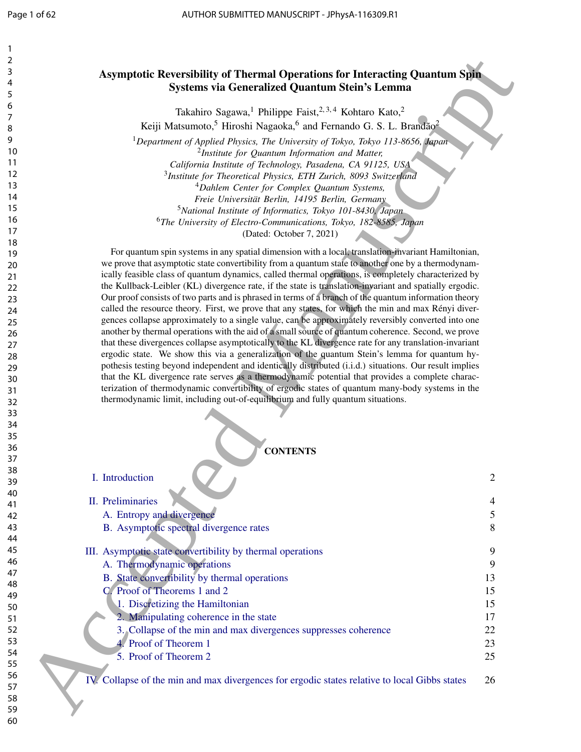## Asymptotic Reversibility of Thermal Operations for Interacting Quantum Spin Systems via Generalized Quantum Stein's Lemma

## **CONTENTS**

| 2  |                                                                                                         |                |
|----|---------------------------------------------------------------------------------------------------------|----------------|
| 3  | <b>Asymptotic Reversibility of Thermal Operations for Interacting Quantum Spin</b>                      |                |
| 4  |                                                                                                         |                |
| 5  | Systems via Generalized Quantum Stein's Lemma                                                           |                |
| 6  |                                                                                                         |                |
| 7  | Takahiro Sagawa, <sup>1</sup> Philippe Faist, <sup>2,3,4</sup> Kohtaro Kato, <sup>2</sup>               |                |
| 8  | Keiji Matsumoto, <sup>5</sup> Hiroshi Nagaoka, <sup>6</sup> and Fernando G. S. L. Brandão <sup>2</sup>  |                |
| 9  | <sup>1</sup> Department of Applied Physics, The University of Tokyo, Tokyo 113-8656, Japan              |                |
| 10 | <sup>2</sup> Institute for Quantum Information and Matter,                                              |                |
| 11 | California Institute of Technology, Pasadena, CA 91125, USA                                             |                |
| 12 | <sup>3</sup> Institute for Theoretical Physics, ETH Zurich, 8093 Switzerland                            |                |
| 13 | <sup>4</sup> Dahlem Center for Complex Quantum Systems,                                                 |                |
| 14 | Freie Universität Berlin, 14195 Berlin, Germany                                                         |                |
| 15 | <sup>5</sup> National Institute of Informatics, Tokyo 101-8430, Japan                                   |                |
| 16 | <sup>6</sup> The University of Electro-Communications, Tokyo, 182-8585, Japan                           |                |
| 17 |                                                                                                         |                |
| 18 | (Dated: October 7, 2021)                                                                                |                |
| 19 | For quantum spin systems in any spatial dimension with a local, translation-invariant Hamiltonian,      |                |
| 20 | we prove that asymptotic state convertibility from a quantum state to another one by a thermodynam-     |                |
| 21 | ically feasible class of quantum dynamics, called thermal operations, is completely characterized by    |                |
| 22 | the Kullback-Leibler (KL) divergence rate, if the state is translation-invariant and spatially ergodic. |                |
| 23 | Our proof consists of two parts and is phrased in terms of a branch of the quantum information theory   |                |
| 24 | called the resource theory. First, we prove that any states, for which the min and max Rényi diver-     |                |
| 25 | gences collapse approximately to a single value, can be approximately reversibly converted into one     |                |
| 26 | another by thermal operations with the aid of a small source of quantum coherence. Second, we prove     |                |
| 27 | that these divergences collapse asymptotically to the KL divergence rate for any translation-invariant  |                |
| 28 | ergodic state. We show this via a generalization of the quantum Stein's lemma for quantum hy-           |                |
| 29 | pothesis testing beyond independent and identically distributed (i.i.d.) situations. Our result implies |                |
| 30 | that the KL divergence rate serves as a thermodynamic potential that provides a complete charac-        |                |
| 31 | terization of thermodynamic convertibility of ergodic states of quantum many-body systems in the        |                |
| 32 | thermodynamic limit, including out-of-equilibrium and fully quantum situations.                         |                |
| 33 |                                                                                                         |                |
| 34 |                                                                                                         |                |
| 35 |                                                                                                         |                |
| 36 |                                                                                                         |                |
| 37 | <b>CONTENTS</b>                                                                                         |                |
| 38 |                                                                                                         |                |
| 39 | . Introduction                                                                                          | $\overline{c}$ |
| 40 |                                                                                                         |                |
| 41 | II. Preliminaries                                                                                       | 4              |
| 42 | A. Entropy and divergence                                                                               | 5              |
| 43 | B. Asymptotic spectral divergence rates                                                                 | 8              |
| 44 |                                                                                                         |                |
| 45 |                                                                                                         |                |
| 46 | III. Asymptotic state convertibility by thermal operations                                              | 9              |
| 47 | A. Thermodynamic operations                                                                             | 9              |
| 48 | B. State convertibility by thermal operations                                                           | 13             |
| 49 | C. Proof of Theorems 1 and 2                                                                            | 15             |
| 50 | 1. Discretizing the Hamiltonian                                                                         | 15             |
| 51 | 2. Manipulating coherence in the state                                                                  | 17             |
| 52 | 3. Collapse of the min and max divergences suppresses coherence                                         | 22             |
| 53 | Proof of Theorem 1                                                                                      | 23             |
| 54 |                                                                                                         |                |
| 55 | 5. Proof of Theorem 2                                                                                   | 25             |
| 56 |                                                                                                         |                |
| 57 | IV. Collapse of the min and max divergences for ergodic states relative to local Gibbs states           | 26             |
| 58 |                                                                                                         |                |
| 59 |                                                                                                         |                |
| 60 |                                                                                                         |                |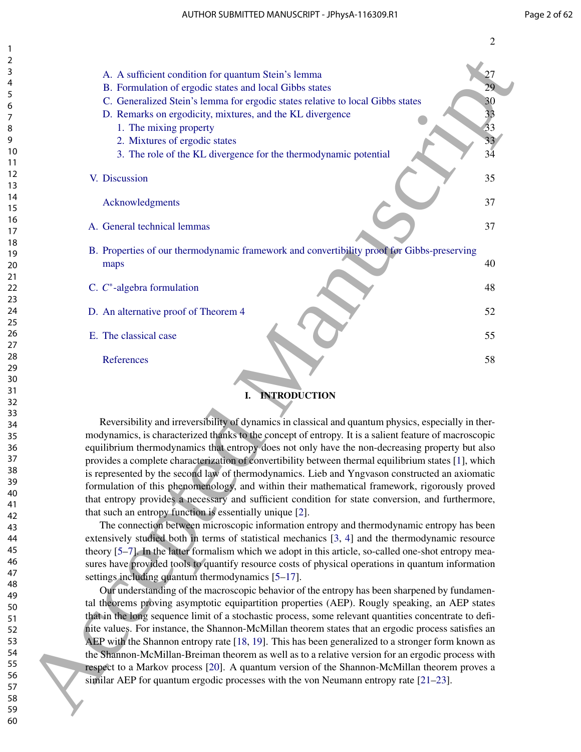| 2        |                                                                                                        |    |
|----------|--------------------------------------------------------------------------------------------------------|----|
| 3        | A. A sufficient condition for quantum Stein's lemma                                                    | 27 |
| 4        | B. Formulation of ergodic states and local Gibbs states                                                | 29 |
| 5        |                                                                                                        |    |
| 6        | C. Generalized Stein's lemma for ergodic states relative to local Gibbs states                         | 30 |
| 7        | D. Remarks on ergodicity, mixtures, and the KL divergence                                              | 33 |
| 8        | 1. The mixing property                                                                                 | 33 |
| 9        | 2. Mixtures of ergodic states                                                                          | 33 |
| 10       | 3. The role of the KL divergence for the thermodynamic potential                                       | 34 |
| 11       |                                                                                                        |    |
| 12       | V. Discussion                                                                                          | 35 |
| 13       |                                                                                                        |    |
| 14       |                                                                                                        | 37 |
| 15       | Acknowledgments                                                                                        |    |
| 16       |                                                                                                        |    |
| 17       | A. General technical lemmas                                                                            | 37 |
| 18       |                                                                                                        |    |
| 19       | B. Properties of our thermodynamic framework and convertibility proof for Gibbs-preserving             |    |
| 20       | maps                                                                                                   | 40 |
| 21       |                                                                                                        |    |
| 22       | C. $C^*$ -algebra formulation                                                                          | 48 |
| 23       |                                                                                                        |    |
| 24       | D. An alternative proof of Theorem 4                                                                   | 52 |
| 25       |                                                                                                        |    |
| 26       | E. The classical case                                                                                  | 55 |
| 27       |                                                                                                        |    |
| 28       | References                                                                                             | 58 |
| 29       |                                                                                                        |    |
| 30       |                                                                                                        |    |
| 31       | <b>INTRODUCTION</b><br>I.                                                                              |    |
| 32       |                                                                                                        |    |
| 33       |                                                                                                        |    |
| 34       | Reversibility and irreversibility of dynamics in classical and quantum physics, especially in ther-    |    |
| 35       | modynamics, is characterized thanks to the concept of entropy. It is a salient feature of macroscopic  |    |
| 36       | equilibrium thermodynamics that entropy does not only have the non-decreasing property but also        |    |
| 37       | provides a complete characterization of convertibility between thermal equilibrium states [1], which   |    |
| 38       | is represented by the second law of thermodynamics. Lieb and Yngvason constructed an axiomatic         |    |
| 39       | formulation of this phenomenology, and within their mathematical framework, rigorously proved          |    |
| 40       | that entropy provides a necessary and sufficient condition for state conversion, and furthermore,      |    |
| 41       | that such an entropy function is essentially unique [2].                                               |    |
| 42       | The connection between microscopic information entropy and thermodynamic entropy has been              |    |
| 43       |                                                                                                        |    |
| 44       | extensively studied both in terms of statistical mechanics [3, 4] and the thermodynamic resource       |    |
| 45       | theory [5–7]. In the latter formalism which we adopt in this article, so-called one-shot entropy mea-  |    |
| 46       | sures have provided tools to quantify resource costs of physical operations in quantum information     |    |
| 47       | settings including quantum thermodynamics [5-17].                                                      |    |
| 48       | Our understanding of the macroscopic behavior of the entropy has been sharpened by fundamen-           |    |
| 49       | tal theorems proving asymptotic equipartition properties (AEP). Rougly speaking, an AEP states         |    |
| 50       | that in the long sequence limit of a stochastic process, some relevant quantities concentrate to defi- |    |
| 51       | nite values. For instance, the Shannon-McMillan theorem states that an ergodic process satisfies an    |    |
| 52       |                                                                                                        |    |
| 53       | AEP with the Shannon entropy rate [18, 19]. This has been generalized to a stronger form known as      |    |
| 54       | the Shannon-McMillan-Breiman theorem as well as to a relative version for an ergodic process with      |    |
| 55       | respect to a Markov process [20]. A quantum version of the Shannon-McMillan theorem proves a           |    |
| 56<br>57 | similar AEP for quantum ergodic processes with the von Neumann entropy rate $[21-23]$ .                |    |
| 58       |                                                                                                        |    |
| 59       |                                                                                                        |    |
| 60       |                                                                                                        |    |
|          |                                                                                                        |    |

## I. INTRODUCTION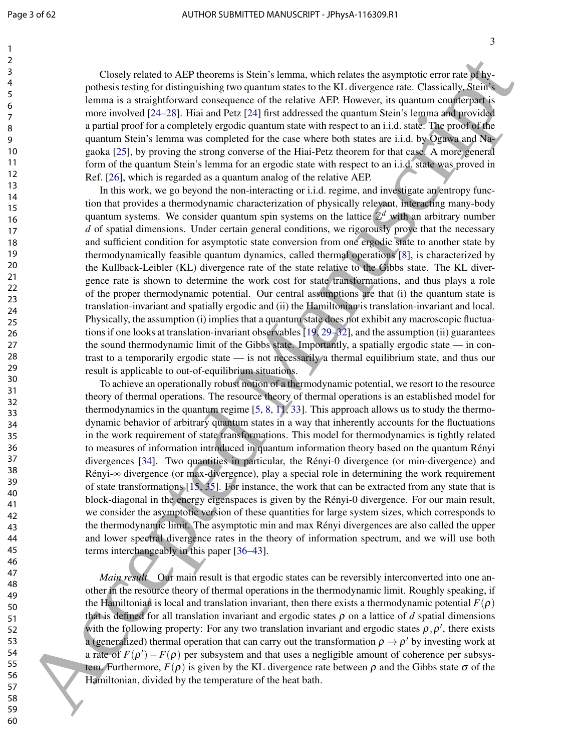Closely related to AEP theorems is Stein's lemma, which relates the asymptotic error rate of hypothesis testing for distinguishing two quantum states to the KL divergence rate. Classically, Stein's lemma is a straightforward consequence of the relative AEP. However, its quantum counterpart is more involved [24–28]. Hiai and Petz [24] first addressed the quantum Stein's lemma and provided a partial proof for a completely ergodic quantum state with respect to an i.i.d. state. The proof of the quantum Stein's lemma was completed for the case where both states are i.i.d. by Ogawa and Nagaoka [25], by proving the strong converse of the Hiai-Petz theorem for that case. A more general form of the quantum Stein's lemma for an ergodic state with respect to an i.i.d. state was proved in Ref. [26], which is regarded as a quantum analog of the relative AEP.

In this work, we go beyond the non-interacting or i.i.d. regime, and investigate an entropy function that provides a thermodynamic characterization of physically relevant, interacting many-body quantum systems. We consider quantum spin systems on the lattice  $\mathbb{Z}^d$  with an arbitrary number *d* of spatial dimensions. Under certain general conditions, we rigorously prove that the necessary and sufficient condition for asymptotic state conversion from one ergodic state to another state by thermodynamically feasible quantum dynamics, called thermal operations [8], is characterized by the Kullback-Leibler (KL) divergence rate of the state relative to the Gibbs state. The KL divergence rate is shown to determine the work cost for state transformations, and thus plays a role of the proper thermodynamic potential. Our central assumptions are that (i) the quantum state is translation-invariant and spatially ergodic and (ii) the Hamiltonian is translation-invariant and local. Physically, the assumption (i) implies that a quantum state does not exhibit any macroscopic fluctuations if one looks at translation-invariant observables [19, 29–32], and the assumption (ii) guarantees the sound thermodynamic limit of the Gibbs state. Importantly, a spatially ergodic state — in contrast to a temporarily ergodic state — is not necessarily a thermal equilibrium state, and thus our result is applicable to out-of-equilibrium situations. Cloody related to AEP theoretics is Social stands, which relates the sumptions curve of the properties of the sumption of the sumption of the sumption of the sumption of the sumption of the sumption of the sumption of the

To achieve an operationally robust notion of a thermodynamic potential, we resort to the resource theory of thermal operations. The resource theory of thermal operations is an established model for thermodynamics in the quantum regime  $[5, 8, 11, 33]$ . This approach allows us to study the thermodynamic behavior of arbitrary quantum states in a way that inherently accounts for the fluctuations in the work requirement of state transformations. This model for thermodynamics is tightly related to measures of information introduced in quantum information theory based on the quantum Rényi divergences [34]. Two quantities in particular, the Rényi-0 divergence (or min-divergence) and Rényi-∞ divergence (or max-divergence), play a special role in determining the work requirement of state transformations [15, 35]. For instance, the work that can be extracted from any state that is block-diagonal in the energy eigenspaces is given by the Rényi-0 divergence. For our main result, we consider the asymptotic version of these quantities for large system sizes, which corresponds to the thermodynamic limit. The asymptotic min and max Rényi divergences are also called the upper and lower spectral divergence rates in the theory of information spectrum, and we will use both terms interchangeably in this paper [36–43].

*Main result* Our main result is that ergodic states can be reversibly interconverted into one another in the resource theory of thermal operations in the thermodynamic limit. Roughly speaking, if the Hamiltonian is local and translation invariant, then there exists a thermodynamic potential  $F(\rho)$ that is defined for all translation invariant and ergodic states  $\rho$  on a lattice of *d* spatial dimensions with the following property: For any two translation invariant and ergodic states  $\rho, \rho'$ , there exists a (generalized) thermal operation that can carry out the transformation  $\rho \rightarrow \rho'$  by investing work at a rate of  $F(\rho') - F(\rho)$  per subsystem and that uses a negligible amount of coherence per subsystem. Furthermore, *F*(ρ) is given by the KL divergence rate between ρ and the Gibbs state σ of the Hamiltonian, divided by the temperature of the heat bath.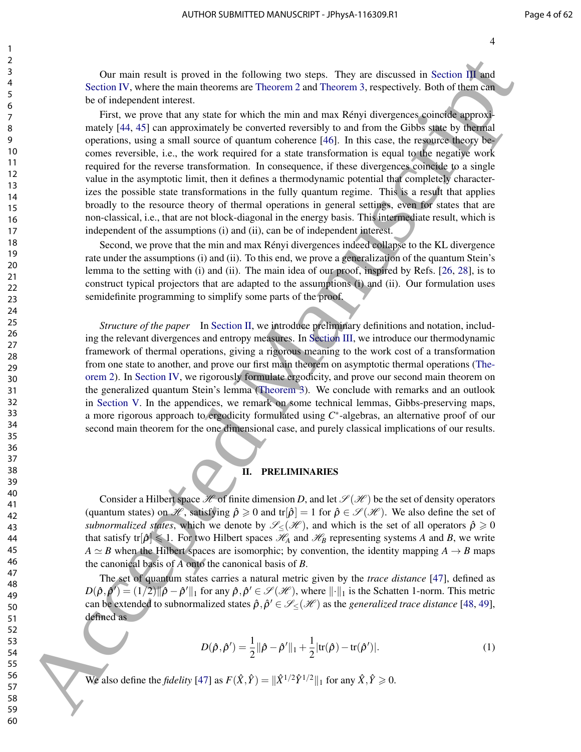Our main result is proved in the following two steps. They are discussed in Section III and Section IV, where the main theorems are Theorem 2 and Theorem 3, respectively. Both of them can be of independent interest.

First, we prove that any state for which the min and max Rényi divergences coincide approximately [44, 45] can approximately be converted reversibly to and from the Gibbs state by thermal operations, using a small source of quantum coherence [46]. In this case, the resource theory becomes reversible, i.e., the work required for a state transformation is equal to the negative work required for the reverse transformation. In consequence, if these divergences coincide to a single value in the asymptotic limit, then it defines a thermodynamic potential that completely characterizes the possible state transformations in the fully quantum regime. This is a result that applies broadly to the resource theory of thermal operations in general settings, even for states that are non-classical, i.e., that are not block-diagonal in the energy basis. This intermediate result, which is independent of the assumptions (i) and (ii), can be of independent interest. δ or main resolv is proved in the following two step. They are discussed in Stefans III contains the contains in the contains is equal to the contain of the contains in the control of the control of the control of the co

Second, we prove that the min and max Rényi divergences indeed collapse to the KL divergence rate under the assumptions (i) and (ii). To this end, we prove a generalization of the quantum Stein's lemma to the setting with (i) and (ii). The main idea of our proof, inspired by Refs. [26, 28], is to construct typical projectors that are adapted to the assumptions (i) and (ii). Our formulation uses semidefinite programming to simplify some parts of the proof.

*Structure of the paper* In Section II, we introduce preliminary definitions and notation, including the relevant divergences and entropy measures. In Section III, we introduce our thermodynamic framework of thermal operations, giving a rigorous meaning to the work cost of a transformation from one state to another, and prove our first main theorem on asymptotic thermal operations (Theorem 2). In Section IV, we rigorously formulate ergodicity, and prove our second main theorem on the generalized quantum Stein's lemma (Theorem 3). We conclude with remarks and an outlook in Section V. In the appendices, we remark on some technical lemmas, Gibbs-preserving maps, a more rigorous approach to ergodicity formulated using C<sup>\*</sup>-algebras, an alternative proof of our second main theorem for the one dimensional case, and purely classical implications of our results.

#### II. PRELIMINARIES

Consider a Hilbert space  $\mathcal H$  of finite dimension *D*, and let  $\mathcal S(\mathcal H)$  be the set of density operators (quantum states) on H, satisfying  $\hat{\rho} \ge 0$  and tr $|\hat{\rho}| = 1$  for  $\hat{\rho} \in \mathcal{S}(\mathcal{H})$ . We also define the set of *subnormalized states*, which we denote by  $\mathcal{S}_{\leq}(\mathcal{H})$ , and which is the set of all operators  $\hat{\rho} \geq 0$ that satisfy tr $[\hat{\rho}] \leq 1$ . For two Hilbert spaces  $\mathcal{H}_{A}$  and  $\mathcal{H}_{B}$  representing systems *A* and *B*, we write  $A \simeq B$  when the Hilbert spaces are isomorphic; by convention, the identity mapping  $A \rightarrow B$  maps the canonical basis of *A* onto the canonical basis of *B*.

The set of quantum states carries a natural metric given by the *trace distance* [47], defined as  $D(\hat{\rho}, \hat{\rho}') = (1/2) ||\hat{\rho} - \hat{\rho}'||_1$  for any  $\hat{\rho}, \hat{\rho}' \in \mathscr{S}(\mathscr{H})$ , where  $||\cdot||_1$  is the Schatten 1-norm. This metric can be extended to subnormalized states  $\hat{\rho}, \hat{\rho}' \in \mathscr{S}_{\leq}(\mathscr{H})$  as the *generalized trace distance* [48, 49], defined as

$$
D(\hat{\rho}, \hat{\rho}') = \frac{1}{2} ||\hat{\rho} - \hat{\rho}'||_1 + \frac{1}{2} |\text{tr}(\hat{\rho}) - \text{tr}(\hat{\rho}')|.
$$
 (1)

We also define the *fidelity* [47] as  $F(\hat{X}, \hat{Y}) = ||\hat{X}^{1/2}\hat{Y}^{1/2}||_1$  for any  $\hat{X}, \hat{Y} \ge 0$ .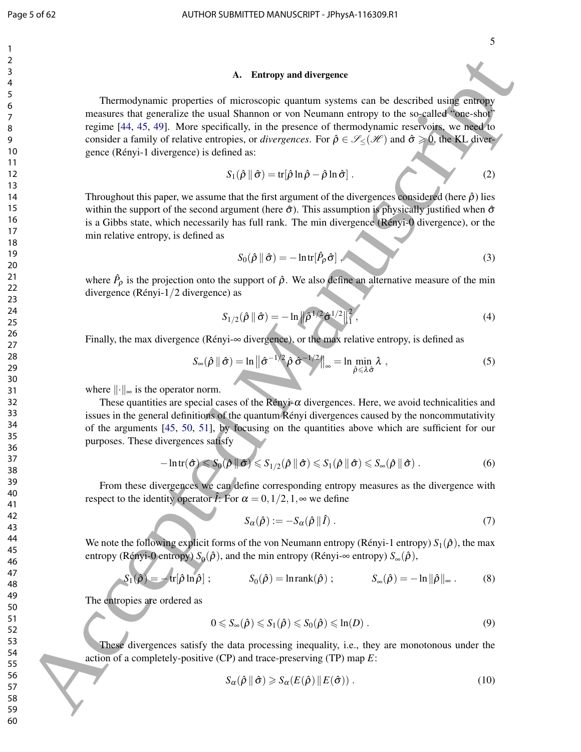#### A. Entropy and divergence

Thermodynamic properties of microscopic quantum systems can be described using entropy measures that generalize the usual Shannon or von Neumann entropy to the so-called "one-shot" regime [44, 45, 49]. More specifically, in the presence of thermodynamic reservoirs, we need to consider a family of relative entropies, or *divergences*. For  $\hat{\rho} \in \mathcal{S}(\mathcal{H})$  and  $\hat{\sigma} \geq 0$ , the KL divergence (Rényi-1 divergence) is defined as: A. Entropy and divergence of the started variety and divergence of  $\theta$  Accepted Manuscript (i.e., the particular control in the started Manuscript (i.e., the particular control in the started Manuscript (i.e., the partic

$$
S_1(\hat{\rho} \parallel \hat{\sigma}) = \text{tr}[\hat{\rho} \ln \hat{\rho} - \hat{\rho} \ln \hat{\sigma}]. \tag{2}
$$

Throughout this paper, we assume that the first argument of the divergences considered (here  $\hat{\rho}$ ) lies within the support of the second argument (here  $\hat{\sigma}$ ). This assumption is physically justified when  $\hat{\sigma}$ is a Gibbs state, which necessarily has full rank. The min divergence (Rényi-0 divergence), or the min relative entropy, is defined as

$$
S_0(\hat{\rho} \parallel \hat{\sigma}) = -\ln \text{tr}[\hat{P}_\rho \hat{\sigma}], \qquad (3)
$$

where  $\hat{P}_{\rho}$  is the projection onto the support of  $\hat{\rho}$ . We also define an alternative measure of the min divergence (Rényi-1/2 divergence) as

$$
S_{1/2}(\hat{\rho} \parallel \hat{\sigma}) = -\ln \left\| \hat{\rho}^{1/2} \hat{\sigma}^{1/2} \right\|_{1}^{2},\tag{4}
$$

Finally, the max divergence (Rényi-∞ divergence), or the max relative entropy, is defined as

$$
S_{\infty}(\hat{\rho} \parallel \hat{\sigma}) = \ln \left\| \hat{\sigma}^{-1/2} \hat{\rho} \hat{\sigma}^{-1/2} \right\|_{\infty} = \ln \min_{\hat{\rho} \le \lambda \hat{\sigma}} \lambda , \qquad (5)
$$

where  $\|\cdot\|_{\infty}$  is the operator norm.

These quantities are special cases of the Rényi- $\alpha$  divergences. Here, we avoid technicalities and issues in the general definitions of the quantum Rényi divergences caused by the noncommutativity of the arguments [45, 50, 51], by focusing on the quantities above which are sufficient for our purposes. These divergences satisfy

$$
-\ln tr(\hat{\sigma}) \leq S_0(\hat{\rho} \|\hat{\sigma}) \leq S_{1/2}(\hat{\rho} \|\hat{\sigma}) \leq S_1(\hat{\rho} \|\hat{\sigma}) \leq S_{\infty}(\hat{\rho} \|\hat{\sigma}). \tag{6}
$$

From these divergences we can define corresponding entropy measures as the divergence with respect to the identity operator  $\hat{I}$ : For  $\alpha = 0, 1/2, 1, \infty$  we define

$$
S_{\alpha}(\hat{\rho}) := -S_{\alpha}(\hat{\rho} \|\hat{I}) \,. \tag{7}
$$

We note the following explicit forms of the von Neumann entropy (Rényi-1 entropy)  $S_1(\hat{\rho})$ , the max entropy (Rényi-0 entropy)  $S_0(\hat{\rho})$ , and the min entropy (Rényi-∞ entropy)  $S_{\infty}(\hat{\rho})$ ,

$$
S_1(\hat{\rho}) = -\operatorname{tr}[\hat{\rho}\ln\hat{\rho}]; \qquad S_0(\hat{\rho}) = \ln \operatorname{rank}(\hat{\rho}); \qquad S_\infty(\hat{\rho}) = -\ln \|\hat{\rho}\|_\infty. \qquad (8)
$$

The entropies are ordered as

$$
0 \leqslant S_{\infty}(\hat{\rho}) \leqslant S_1(\hat{\rho}) \leqslant S_0(\hat{\rho}) \leqslant \ln(D) . \tag{9}
$$

These divergences satisfy the data processing inequality, i.e., they are monotonous under the action of a completely-positive (CP) and trace-preserving (TP) map *E*:

$$
S_{\alpha}(\hat{\rho} \parallel \hat{\sigma}) \ge S_{\alpha}(E(\hat{\rho}) \parallel E(\hat{\sigma})). \tag{10}
$$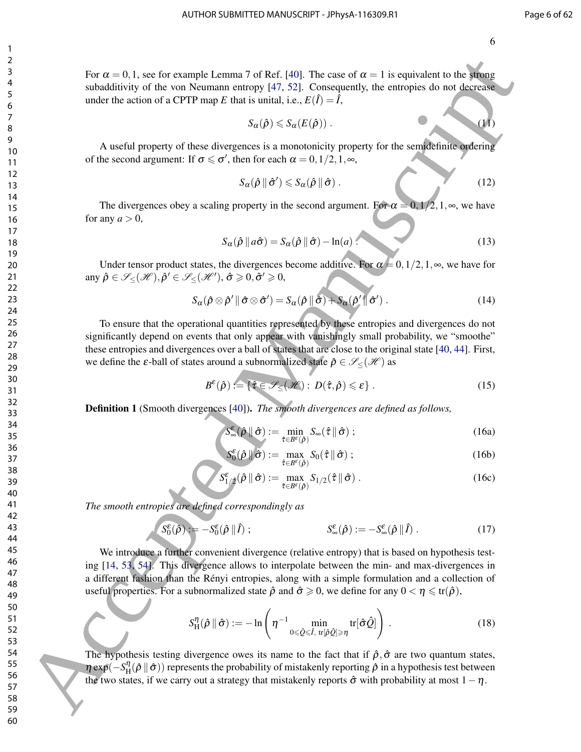For  $\alpha = 0, 1$ , see for example Lemma 7 of Ref. [40]. The case of  $\alpha = 1$  is equivalent to the strong subadditivity of the von Neumann entropy [47, 52]. Consequently, the entropies do not decrease under the action of a CPTP map *E* that is unital, i.e.,  $E(\hat{I}) = \hat{I}$ ,

$$
S_{\alpha}(\hat{\rho}) \leqslant S_{\alpha}(E(\hat{\rho})) \,. \tag{11}
$$

A useful property of these divergences is a monotonicity property for the semidefinite ordering of the second argument: If  $\sigma \le \sigma'$ , then for each  $\alpha = 0, 1/2, 1, \infty$ ,

$$
S_{\alpha}(\hat{\rho} \parallel \hat{\sigma}') \leqslant S_{\alpha}(\hat{\rho} \parallel \hat{\sigma}) \,. \tag{12}
$$

The divergences obey a scaling property in the second argument. For  $\alpha = 0, 1/2, 1, \infty$ , we have for any  $a > 0$ ,

$$
S_{\alpha}(\hat{\rho} \parallel a\hat{\sigma}) = S_{\alpha}(\hat{\rho} \parallel \hat{\sigma}) - \ln(a). \qquad (13)
$$

Under tensor product states, the divergences become additive. For  $\alpha = 0, 1/2, 1, \infty$ , we have for any  $\hat{\rho} \in \mathcal{S}_{\leq}(\mathcal{H}), \hat{\rho}' \in \mathcal{S}_{\leq}(\mathcal{H}'), \hat{\sigma} \geqslant 0, \hat{\sigma}' \geqslant 0,$ 

$$
S_{\alpha}(\hat{\rho}\otimes\hat{\rho}'\|\hat{\sigma}\otimes\hat{\sigma}')=S_{\alpha}(\hat{\rho}\|\hat{\sigma})+S_{\alpha}(\hat{\rho}'\|\hat{\sigma}')\ .
$$
 (14)

To ensure that the operational quantities represented by these entropies and divergences do not significantly depend on events that only appear with vanishingly small probability, we "smoothe" these entropies and divergences over a ball of states that are close to the original state [40, 44]. First, we define the  $\varepsilon$ -ball of states around a subnormalized state  $\hat{\rho} \in \mathcal{S}_{\leq}(\mathcal{H})$  as

$$
B^{\varepsilon}(\hat{\rho}) := \{ \hat{\tau} \in \mathcal{S}_{\leq}(\mathcal{H}) : D(\hat{\tau}, \hat{\rho}) \leq \varepsilon \} . \tag{15}
$$

Definition 1 (Smooth divergences [40]). *The smooth divergences are defined as follows,*

$$
S_{\infty}^{\varepsilon}(\hat{\rho} \|\hat{\sigma}) := \min_{\hat{\tau} \in B^{\varepsilon}(\hat{\rho})} S_{\infty}(\hat{\tau} \|\hat{\sigma}) ; \qquad (16a)
$$

$$
S_0^{\varepsilon}(\hat{\rho} \|\hat{\sigma}) := \max_{\hat{\tau} \in B^{\varepsilon}(\hat{\rho})} S_0(\hat{\tau} \|\hat{\sigma}) ; \qquad (16b)
$$

$$
S_1^{\varepsilon}(\hat{\rho} \parallel \hat{\sigma}) := \max_{\hat{\tau} \in B^{\varepsilon}(\hat{\rho})} S_{1/2}(\hat{\tau} \parallel \hat{\sigma}) . \tag{16c}
$$

*The smooth entropies are defined correspondingly as*

$$
S_0^{\varepsilon}(\hat{\rho}) := -S_0^{\varepsilon}(\hat{\rho} \, \| \, \hat{I}) ; \qquad S_{\infty}^{\varepsilon}(\hat{\rho}) := -S_{\infty}^{\varepsilon}(\hat{\rho} \, \| \, \hat{I}) . \qquad (17)
$$

We introduce a further convenient divergence (relative entropy) that is based on hypothesis testing [14, 53, 54]. This divergence allows to interpolate between the min- and max-divergences in a different fashion than the Rényi entropies, along with a simple formulation and a collection of useful properties. For a subnormalized state  $\hat{\rho}$  and  $\hat{\sigma} \geq 0$ , we define for any  $0 < \eta \leq \text{tr}(\hat{\rho})$ , For  $u = 0, 1,$  as the central lateration of Ref. (49). The case of  $u = 1$  is equivalently of the simulation of the simulation of the simulation of the simulation of the simulation of the simulation of the simulation of th

$$
S_{\mathrm{H}}^{\eta}(\hat{\rho} \parallel \hat{\sigma}) := -\ln \left( \eta^{-1} \min_{0 \leq \hat{Q} \leq \hat{I}, \ \mathrm{tr}[\hat{\rho} \hat{Q}] \geq \eta} \mathrm{tr}[\hat{\sigma} \hat{Q}] \right) . \tag{18}
$$

The hypothesis testing divergence owes its name to the fact that if  $\hat{\rho}, \hat{\sigma}$  are two quantum states, η exp(−*S* η  $H(\hat{\rho} \|\hat{\sigma})$ ) represents the probability of mistakenly reporting  $\hat{\rho}$  in a hypothesis test between the two states, if we carry out a strategy that mistakenly reports  $\hat{\sigma}$  with probability at most  $1-\eta$ .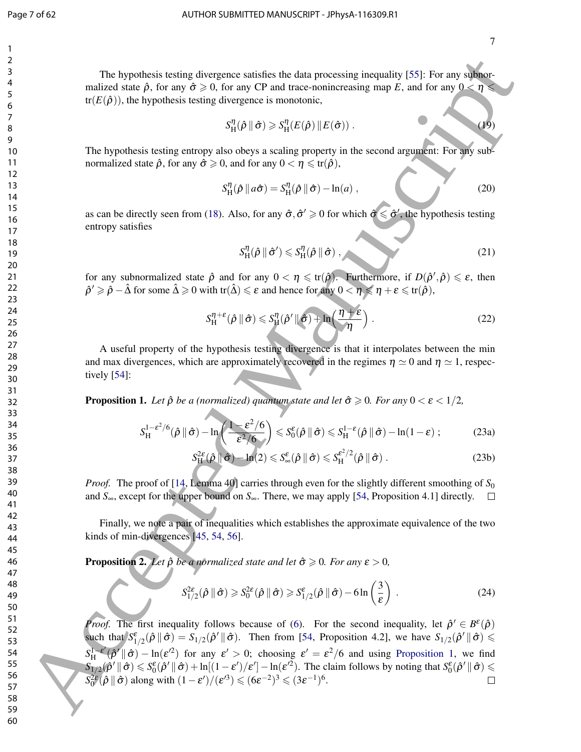7

The hypothesis testing divergence satisfies the data processing inequality [55]: For any subnormalized state  $\hat{\rho}$ , for any  $\hat{\sigma} \ge 0$ , for any CP and trace-nonincreasing map *E*, and for any  $0 < \eta$  $tr(E(\hat{\rho}))$ , the hypothesis testing divergence is monotonic,

$$
S_{\mathrm{H}}^{\eta}(\hat{\rho} \parallel \hat{\sigma}) \geqslant S_{\mathrm{H}}^{\eta}(E(\hat{\rho}) \parallel E(\hat{\sigma})). \tag{19}
$$

The hypothesis testing entropy also obeys a scaling property in the second argument: For any subnormalized state  $\hat{\rho}$ , for any  $\hat{\sigma} \geq 0$ , and for any  $0 < \eta \leq \text{tr}(\hat{\rho})$ ,

$$
S_H^{\eta}(\hat{\rho} \parallel a\hat{\sigma}) = S_H^{\eta}(\hat{\rho} \parallel \hat{\sigma}) - \ln(a) , \qquad (20)
$$

as can be directly seen from (18). Also, for any  $\hat{\sigma}, \hat{\sigma}' \ge 0$  for which  $\hat{\sigma} \le \hat{\sigma}'$ , the hypothesis testing entropy satisfies

$$
S_H^{\eta}(\hat{\rho} \parallel \hat{\sigma}') \leqslant S_H^{\eta}(\hat{\rho} \parallel \hat{\sigma}), \qquad (21)
$$

for any subnormalized state  $\hat{\rho}$  and for any  $0 < \eta \leq \text{tr}(\hat{\rho})$ . Furthermore, if  $D(\hat{\rho}', \hat{\rho}) \leq \varepsilon$ , then  $\hat{\rho}^{\prime} \geqslant \hat{\rho} - \hat{\Delta}$  for some  $\hat{\Delta} \geqslant 0$  with tr $(\hat{\Delta}) \leqslant \varepsilon$  and hence for any  $0 < \eta \leqslant \eta + \varepsilon \leqslant \text{tr}(\hat{\rho}),$ 

$$
S_{\mathrm{H}}^{\eta+\varepsilon}(\hat{\rho} \parallel \hat{\sigma}) \leqslant S_{\mathrm{H}}^{\eta}(\hat{\rho}' \parallel \hat{\sigma}) + \ln\left(\frac{\eta+\varepsilon}{\eta}\right). \tag{22}
$$

A useful property of the hypothesis testing divergence is that it interpolates between the min and max divergences, which are approximately recovered in the regimes  $\eta \simeq 0$  and  $\eta \simeq 1$ , respectively [54]:

**Proposition 1.** Let  $\hat{\rho}$  be a (normalized) quantum state and let  $\hat{\sigma} \ge 0$ . For any  $0 < \varepsilon < 1/2$ ,

$$
S_H^{1-\varepsilon^2/6}(\hat{\rho} \|\hat{\sigma}) - \ln\left(\frac{1-\varepsilon^2/6}{\varepsilon^2/6}\right) \leqslant S_0^{\varepsilon}(\hat{\rho} \|\hat{\sigma}) \leqslant S_H^{1-\varepsilon}(\hat{\rho} \|\hat{\sigma}) - \ln(1-\varepsilon) ; \tag{23a}
$$

$$
S_{\mathbf{H}}^{2\epsilon}(\hat{\rho} \|\hat{\sigma}) - \ln(2) \leqslant S_{\infty}^{\epsilon}(\hat{\rho} \|\hat{\sigma}) \leqslant S_{\mathbf{H}}^{\epsilon^2/2}(\hat{\rho} \|\hat{\sigma}) . \tag{23b}
$$

*Proof.* The proof of [14, Lemma 40] carries through even for the slightly different smoothing of  $S_0$ and  $S_{\infty}$ , except for the upper bound on  $S_{\infty}$ . There, we may apply [54, Proposition 4.1] directly.  $\square$ 

Finally, we note a pair of inequalities which establishes the approximate equivalence of the two kinds of min-divergences [45, 54, 56].

**Proposition 2.** *Let*  $\hat{\rho}$  *be a normalized state and let*  $\hat{\sigma} \ge 0$ *. For any*  $\epsilon > 0$ *,* 

$$
S_{1/2}^{2\varepsilon}(\hat{\rho} \parallel \hat{\sigma}) \geqslant S_0^{2\varepsilon}(\hat{\rho} \parallel \hat{\sigma}) \geqslant S_{1/2}^{\varepsilon}(\hat{\rho} \parallel \hat{\sigma}) - 6\ln\left(\frac{3}{\varepsilon}\right) \,. \tag{24}
$$

*Proof.* The first inequality follows because of (6). For the second inequality, let  $\hat{\rho}' \in B^{\varepsilon}(\hat{\rho})$ such that  $S_{1/2}^{\epsilon}(\hat{\rho} \|\hat{\sigma}) = S_{1/2}(\hat{\rho}' \|\hat{\sigma})$ . Then from [54, Proposition 4.2], we have  $S_{1/2}(\hat{\rho}' \|\hat{\sigma}) \leq$  $S^{1-\varepsilon'}_{\rm H}$  $\lim_{\delta \to 0+} \frac{1-\epsilon'}{2} \left( \frac{\partial^2}{\partial t^2} \right)$  for any  $\epsilon' > 0$ ; choosing  $\epsilon' = \epsilon^2/6$  and using Proposition 1, we find  $\int S_{1/2}(\hat{\rho}^{\prime} \parallel \hat{\sigma}) \leqslant S_0^{\varepsilon}(\hat{\rho}^{\prime} \parallel \hat{\sigma}) + \ln[(1-\varepsilon^{\prime})/\varepsilon^{\prime}] - \ln(\varepsilon^{\prime 2})$ . The claim follows by noting that  $S_0^{\varepsilon}(\hat{\rho}^{\prime} \parallel \hat{\sigma}) \leqslant$  $S_0^{2\epsilon}(\hat{\rho} \|\hat{\sigma})$  along with  $(1 - \epsilon')/(\epsilon'^3) \leqslant (6\epsilon^{-2})^3 \leqslant (3\epsilon^{-1})^6$ . The hypothesis testing divergance surisfies the data possessing inequality [55]: For see when<br>  $\alpha^2 E_1(\beta)$  and  $\beta$  and  $\beta$  on the sure of  $\alpha^2 E_2(\beta)$  (i) and  $\alpha^2 E_3(\beta)$  (i) and  $\alpha^2 E_4(\beta)$  (i) and  $\alpha^2 E_5(\beta)$  (i)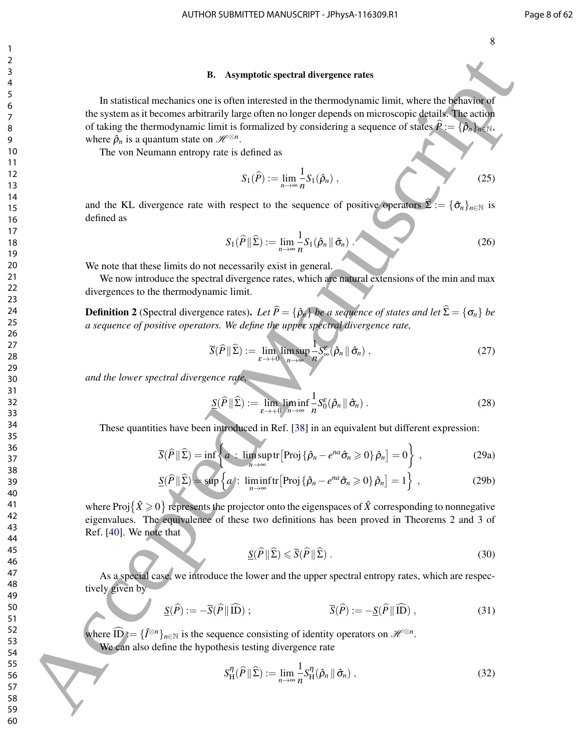#### B. Asymptotic spectral divergence rates

In statistical mechanics one is often interested in the thermodynamic limit, where the behavior of the system as it becomes arbitrarily large often no longer depends on microscopic details. The action of taking the thermodynamic limit is formalized by considering a sequence of states  $\hat{P} := {\bar{\rho}}_n\}_{n \in \mathbb{N}}$ , where  $\hat{\rho}_n$  is a quantum state on  $\mathscr{H}^{\otimes n}$ . 6. Asymptotic spectral divergence rates<br> **6** Accepted Manuscriptic spectral divergence rates<br>
the system in a formula in the constraint pole in the comparison in the intermediate of the spectral of the spectral of the spe

The von Neumann entropy rate is defined as

$$
S_1(\widehat{P}) := \lim_{n \to \infty} \frac{1}{n} S_1(\widehat{\rho}_n) , \qquad (25)
$$

and the KL divergence rate with respect to the sequence of positive operators  $\Sigma := {\hat{\sigma}_n}_{n \in \mathbb{N}}$  is defined as

$$
S_1(\widehat{P} \| \widehat{\Sigma}) := \lim_{n \to \infty} \frac{1}{n} S_1(\widehat{\rho}_n \| \widehat{\sigma}_n).
$$
 (26)

We note that these limits do not necessarily exist in general.

We now introduce the spectral divergence rates, which are natural extensions of the min and max divergences to the thermodynamic limit.

**Definition 2** (Spectral divergence rates). Let  $\hat{P} = {\hat{\rho}_n}$  be a sequence of states and let  $\hat{\Sigma} = {\sigma_n}$  be *a sequence of positive operators. We define the upper spectral divergence rate,*

$$
\overline{S}(\widehat{P} \| \widehat{\Sigma}) := \lim_{\varepsilon \to +0} \limsup_{n \to \infty} \frac{1}{n} S_{\infty}^{\varepsilon}(\hat{\rho}_n \| \hat{\sigma}_n), \qquad (27)
$$

*and the lower spectral divergence rate,*

$$
\underline{S}(\widehat{P} \| \widehat{\Sigma}) := \lim_{\varepsilon \to +0} \liminf_{n \to \infty} \frac{1}{n} S_0^{\varepsilon}(\hat{\rho}_n \| \hat{\sigma}_n) . \tag{28}
$$

These quantities have been introduced in Ref. [38] in an equivalent but different expression:

$$
\overline{S}(\widehat{P} \| \widehat{\Sigma}) = \inf \left\{ a : \limsup_{n \to \infty} \text{tr} \left[ \text{Proj} \left\{ \widehat{\rho}_n - e^{na} \widehat{\sigma}_n \geq 0 \right\} \widehat{\rho}_n \right] = 0 \right\},\tag{29a}
$$

$$
\underline{S}(\widehat{P} \| \widehat{\Sigma}) = \sup \left\{ a : \liminf_{n \to \infty} \text{tr} \left[ \text{Proj} \left\{ \widehat{\rho}_n - e^{na} \widehat{\sigma}_n \geq 0 \right\} \widehat{\rho}_n \right] = 1 \right\} , \tag{29b}
$$

where Proj $\{\hat{X}\geq 0\}$  represents the projector onto the eigenspaces of  $\hat{X}$  corresponding to nonnegative eigenvalues. The equivalence of these two definitions has been proved in Theorems 2 and 3 of Ref. [40]. We note that

$$
\underline{S}(\widehat{P} \| \widehat{\Sigma}) \leqslant \overline{S}(\widehat{P} \| \widehat{\Sigma}) . \tag{30}
$$

As a special case, we introduce the lower and the upper spectral entropy rates, which are respectively given by

$$
\underline{S}(\widehat{P}) := -\overline{S}(\widehat{P} \|\widehat{ID}) ; \qquad \overline{S}(\widehat{P}) := -\underline{S}(\widehat{P} \|\widehat{ID}) , \qquad (31)
$$

where  $\widehat{\mathbf{ID}} := \{\hat{I}^{\otimes n}\}_{n \in \mathbb{N}}$  is the sequence consisting of identity operators on  $\mathcal{H}^{\otimes n}$ . We can also define the hypothesis testing divergence rate

$$
S_{\mathrm{H}}^{\eta}(\widehat{P} \| \widehat{\Sigma}) := \lim_{n \to \infty} \frac{1}{n} S_{\mathrm{H}}^{\eta}(\widehat{\rho}_n \| \widehat{\sigma}_n), \qquad (32)
$$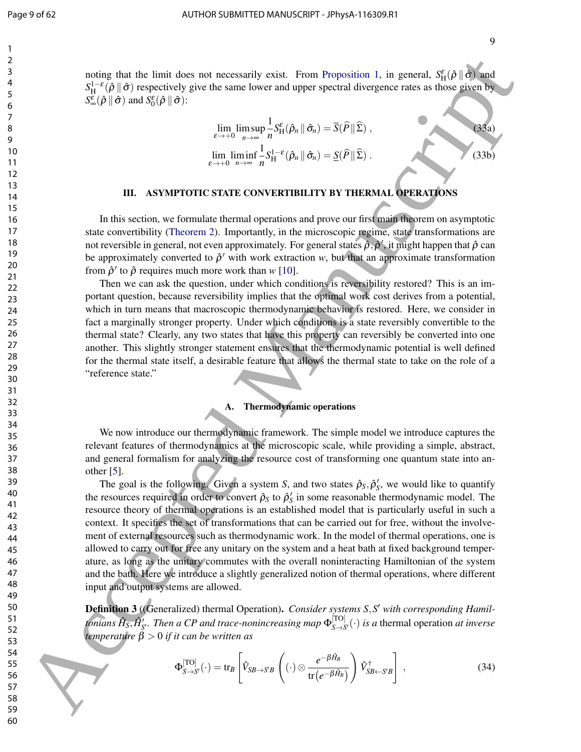noting that the limit does not necessarily exist. From Proposition 1, in general,  $S_H^{\varepsilon}(\hat{\rho} \|\hat{\sigma})$  and  $S_H^{1-\epsilon}(\hat{\rho} \|\hat{\sigma})$  respectively give the same lower and upper spectral divergence rates as those given by  $S^{\varepsilon}_{\infty}(\hat{\rho} \|\hat{\sigma})$  and  $S^{\varepsilon}_{0}(\hat{\rho} \|\hat{\sigma})$ :

$$
\lim_{\varepsilon \to +0} \limsup_{n \to \infty} \frac{1}{n} S_H^{\varepsilon}(\hat{\rho}_n \| \hat{\sigma}_n) = \overline{S}(\hat{P} \| \hat{\Sigma}),
$$
\n
$$
\lim_{\varepsilon \to +0} \liminf_{n \to \infty} \frac{1}{n} S_H^{1-\varepsilon}(\hat{\rho}_n \| \hat{\sigma}_n) = \underline{S}(\hat{P} \| \hat{\Sigma}).
$$
\n(33b)

#### III. ASYMPTOTIC STATE CONVERTIBILITY BY THERMAL OPERATIONS

In this section, we formulate thermal operations and prove our first main theorem on asymptotic state convertibility (Theorem 2). Importantly, in the microscopic regime, state transformations are not reversible in general, not even approximately. For general states  $\hat{\rho}, \hat{\rho}',$  it might happen that  $\hat{\rho}$  can be approximately converted to  $\hat{\rho}'$  with work extraction  $w$ , but that an approximate transformation from  $\hat{\rho}'$  to  $\hat{\rho}$  requires much more work than  $w$  [10].

Then we can ask the question, under which conditions is reversibility restored? This is an important question, because reversibility implies that the optimal work cost derives from a potential, which in turn means that macroscopic thermodynamic behavior is restored. Here, we consider in fact a marginally stronger property. Under which conditions is a state reversibly convertible to the thermal state? Clearly, any two states that have this property can reversibly be converted into one another. This slightly stronger statement ensures that the thermodynamic potential is well defined for the thermal state itself, a desirable feature that allows the thermal state to take on the role of a "reference state."

#### A. Thermodynamic operations

We now introduce our thermodynamic framework. The simple model we introduce captures the relevant features of thermodynamics at the microscopic scale, while providing a simple, abstract, and general formalism for analyzing the resource cost of transforming one quantum state into another [5].

The goal is the following. Given a system *S*, and two states  $\hat{\rho}_S$ ,  $\hat{\rho}'_S$ , we would like to quantify the resources required in order to convert  $\hat{\rho}_S$  to  $\hat{\rho}'_S$  in some reasonable thermodynamic model. The resource theory of thermal operations is an established model that is particularly useful in such a context. It specifies the set of transformations that can be carried out for free, without the involvement of external resources such as thermodynamic work. In the model of thermal operations, one is allowed to carry out for free any unitary on the system and a heat bath at fixed background temperature, as long as the unitary commutes with the overall noninteracting Hamiltonian of the system and the bath. Here we introduce a slightly generalized notion of thermal operations, where different input and output systems are allowed. Solida due the basis of the normal constantly exist. From Proposition 1, in general,  $S_{1/2}^*(\rho)$  (3)  $S_{2/2}^*(\rho)$  (3)  $S_{3/2}^*(\rho)$  (3)  $S_{4/2}^*(\rho)$  (3)  $S_{4/2}^*(\rho)$  (3)  $S_{4/2}^*(\rho)$  (3)  $S_{4/2}^*(\rho)$  (3)  $S_{4/2}^*(\$ 

Definition 3 ((Generalized) thermal Operation). *Consider systems S,S' with corresponding Hamil* $t$ onians  $\hat{H}_S, \hat{H}'_S$ . Then a CP and trace-nonincreasing map  $\Phi_{S \to S}^{[{\rm TO}]}$  $\int_{S \to S'}^{S}(\cdot)$  *is a* thermal operation *at inverse temperature* β > 0 *if it can be written as*

$$
\Phi_{S \to S'}^{[TO]}(\cdot) = \text{tr}_B \left[ \hat{V}_{SB \to S'B} \left( (\cdot) \otimes \frac{e^{-\beta \hat{H}_B}}{\text{tr}(e^{-\beta \hat{H}_B})} \right) \hat{V}_{SB \leftarrow S'B}^{\dagger} \right], \qquad (34)
$$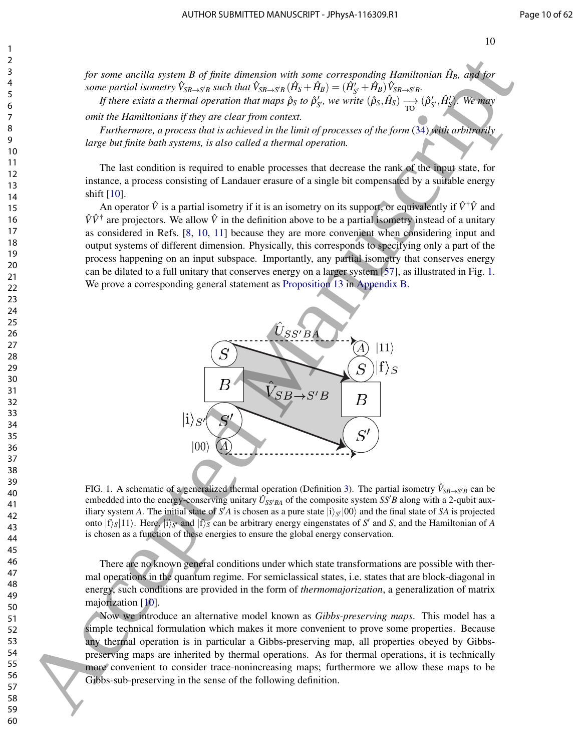*for some ancilla system B of finite dimension with some corresponding Hamiltonian*  $\hat{H}_B$ *, and for* some partial isometry  $\hat{V}_{SB\to S'B}$  such that  $\hat{V}_{SB\to S'B}(\hat{H}_S+\hat{H}_B)=(\hat{H}'_{S'}+\hat{H}_B)\hat{V}_{SB\to S'B}.$ 

*If there exists a thermal operation that maps*  $\hat{\rho}_S$  *to*  $\hat{\rho}'_{S'}$ *, we write*  $(\hat{\rho}_S, \hat{H}_S) \rightarrow (\hat{\rho}'_{S'}, \hat{H}'_S)$ *. We may omit the Hamiltonians if they are clear from context.*

*Furthermore, a process that is achieved in the limit of processes of the form* (34) *with arbitrarily large but finite bath systems, is also called a thermal operation.*

The last condition is required to enable processes that decrease the rank of the input state, for instance, a process consisting of Landauer erasure of a single bit compensated by a suitable energy shift [10].

An operator  $\hat{V}$  is a partial isometry if it is an isometry on its support, or equivalently if  $\hat{V}^{\dagger}\hat{V}$  and  $\hat{V}\hat{V}^{\dagger}$  are projectors. We allow  $\hat{V}$  in the definition above to be a partial isometry instead of a unitary as considered in Refs. [8, 10, 11] because they are more convenient when considering input and output systems of different dimension. Physically, this corresponds to specifying only a part of the process happening on an input subspace. Importantly, any partial isometry that conserves energy can be dilated to a full unitary that conserves energy on a larger system [57], as illustrated in Fig. 1. We prove a corresponding general statement as Proposition 13 in Appendix B.



FIG. 1. A schematic of a generalized thermal operation (Definition 3). The partial isometry  $\hat{V}_{SB\to S'B}$  can be embedded into the energy-conserving unitary  $\hat{U}_{SS'BA}$  of the composite system  $SS'B$  along with a 2-qubit auxiliary system *A*. The initial state of *S'A* is chosen as a pure state  $|i\rangle_{S'}|00\rangle$  and the final state of *SA* is projected onto  $|f\rangle_S|11\rangle$ . Here,  $|i\rangle_{S'}$  and  $|f\rangle_S$  can be arbitrary energy eingenstates of *S'* and *S*, and the Hamiltonian of *A* is chosen as a function of these energies to ensure the global energy conservation.

There are no known general conditions under which state transformations are possible with thermal operations in the quantum regime. For semiclassical states, i.e. states that are block-diagonal in energy, such conditions are provided in the form of *thermomajorization*, a generalization of matrix majorization [10].

Now we introduce an alternative model known as *Gibbs-preserving maps*. This model has a simple technical formulation which makes it more convenient to prove some properties. Because any thermal operation is in particular a Gibbs-preserving map, all properties obeyed by Gibbspreserving maps are inherited by thermal operations. As for thermal operations, it is technically more convenient to consider trace-nonincreasing maps; furthermore we allow these maps to be Gibbs-sub-preserving in the sense of the following definition.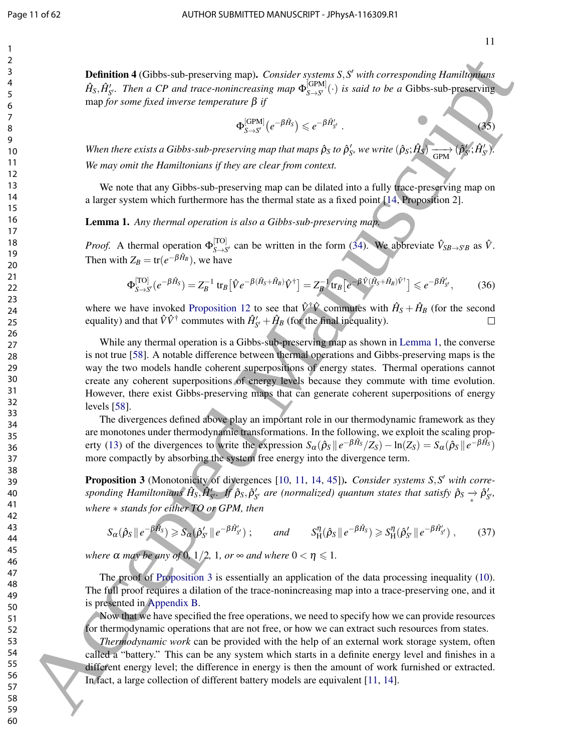11

 $\sim$  (35)

Definition 4 (Gibbs-sub-preserving map). *Consider systems S,S' with corresponding Hamiltonians*  $\hat{H}_S, \hat{H}'_{S'}$ . Then a CP and trace-nonincreasing map  $\Phi_{S \to S'}^{[\text{GPM}]}$  $S \rightarrow S'$ <sup>(c)</sup> *is said to be a* Gibbs-sub-preserving map *for some fixed inverse temperature* β *if*

$$
\Phi_{S \to S'}^{\text{[GPM]}}\big(e^{-\beta \hat H_S}\big) \leqslant e^{-\beta \hat H'_{S'}}
$$

*When there exists a Gibbs-sub-preserving map that maps*  $\hat{\rho}_S$  *to*  $\hat{\rho}'_S$ *, we write*  $(\hat{\rho}_S; \hat{H}_S) \longrightarrow$ GPM  $(\boldsymbol{\hat{\rho}} % {\phi \boldsymbol{\hat{\rho}}})$  $\prime$ *S*  $\hat{H}'_{\mathrm{S}}$ *S* 0)*. We may omit the Hamiltonians if they are clear from context.*

We note that any Gibbs-sub-preserving map can be dilated into a fully trace-preserving map on a larger system which furthermore has the thermal state as a fixed point [14, Proposition 2].

Lemma 1. *Any thermal operation is also a Gibbs-sub-preserving map.*

*Proof.* A thermal operation  $\Phi_{S \to S}^{[TO]}$  $\int_{S\to S'}^{[10]}$  can be written in the form (34). We abbreviate  $\hat{V}_{SB\to S'B}$  as  $\hat{V}$ . Then with  $Z_B = \text{tr}(e^{-\beta H_B})$ , we have −β*H*ˆ

$$
\Phi_{S \to S'}^{[TO]}(e^{-\beta \hat{H}_S}) = Z_B^{-1} \operatorname{tr}_B \left[ \hat{V} e^{-\beta (\hat{H}_S + \hat{H}_B)} \hat{V}^{\dagger} \right] = Z_B^{-1} \operatorname{tr}_B \left[ e^{-\beta \hat{V} (\hat{H}_S + \hat{H}_B) \hat{V}^{\dagger}} \right] \leqslant e^{-\beta \hat{H}'_{S'}},\tag{36}
$$

where we have invoked Proposition 12 to see that  $\hat{V}^{\dagger}\hat{V}$  commutes with  $\hat{H}_{S} + \hat{H}_{B}$  (for the second equality) and that  $\hat{V}\hat{V}^{\dagger}$  commutes with  $\hat{H}_{S'}' + \hat{H}_B$  (for the final inequality).

While any thermal operation is a Gibbs-sub-preserving map as shown in Lemma 1, the converse is not true [58]. A notable difference between thermal operations and Gibbs-preserving maps is the way the two models handle coherent superpositions of energy states. Thermal operations cannot create any coherent superpositions of energy levels because they commute with time evolution. However, there exist Gibbs-preserving maps that can generate coherent superpositions of energy levels [58]. **2.4**<br> **Definition** 4 GOD be subspressiving rangs. Consider and can if sell the sell the selling term in the consider and the selling of  $\theta_1 E_2$ . The selling of  $\theta_2 E_1$  is the selling of  $\theta_3 E_2$  is the selling of  $\$ 

The divergences defined above play an important role in our thermodynamic framework as they are monotones under thermodynamic transformations. In the following, we exploit the scaling property (13) of the divergences to write the expression  $S_\alpha(\hat{\rho}_S || e^{-\beta \hat{H}_S}/Z_S) - \ln(Z_S) = S_\alpha(\hat{\rho}_S || e^{-\beta \hat{H}_S})$ more compactly by absorbing the system free energy into the divergence term.

Proposition 3 (Monotonicity of divergences [10, 11, 14, 45]). *Consider systems S,S' with corresponding Hamiltonians*  $\hat{H}_S, \hat{H}'_S$ . If  $\hat{\rho}_S, \hat{\rho}'_{S'}$  are (normalized) quantum states that satisfy  $\hat{\rho}_S \to \hat{\rho}'_{S'}$ , *where* ∗ *stands for either TO or GPM, then*

$$
S_{\alpha}(\hat{\rho}_S \parallel e^{-\beta \hat{H}_S}) \geq S_{\alpha}(\hat{\rho}'_{S'} \parallel e^{-\beta \hat{H}'_{S'}}); \quad \text{and} \quad S_{\mathcal{H}}^{\eta}(\hat{\rho}_S \parallel e^{-\beta \hat{H}_S}) \geq S_{\mathcal{H}}^{\eta}(\hat{\rho}'_{S'} \parallel e^{-\beta \hat{H}'_{S'}}), \quad (37)
$$

*where*  $\alpha$  *may be any of* 0*,* 1/2*,* 1*, or*  $\infty$  *and where*  $0 < \eta \le 1$ *.* 

The proof of Proposition 3 is essentially an application of the data processing inequality (10). The full proof requires a dilation of the trace-nonincreasing map into a trace-preserving one, and it is presented in Appendix B.

Now that we have specified the free operations, we need to specify how we can provide resources for thermodynamic operations that are not free, or how we can extract such resources from states.

*Thermodynamic work* can be provided with the help of an external work storage system, often called a "battery." This can be any system which starts in a definite energy level and finishes in a different energy level; the difference in energy is then the amount of work furnished or extracted. In fact, a large collection of different battery models are equivalent [11, 14].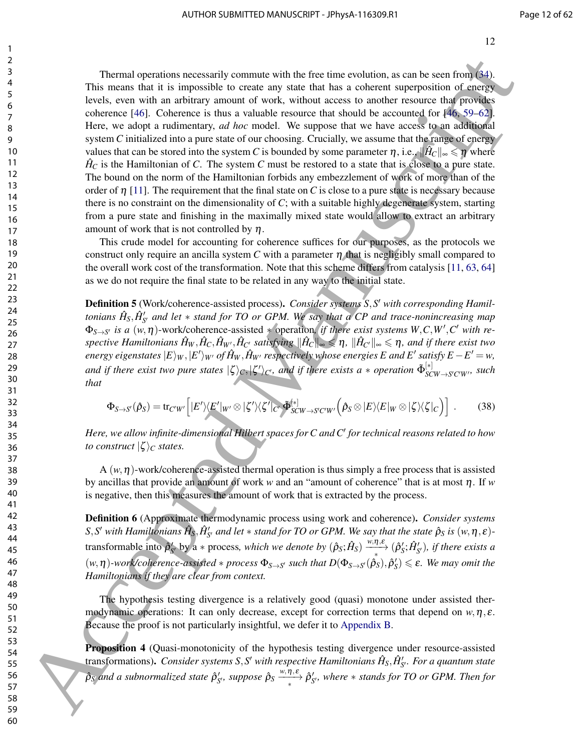Thermal operations necessarily commute with the free time evolution, as can be seen from (34). This means that it is impossible to create any state that has a coherent superposition of energy levels, even with an arbitrary amount of work, without access to another resource that provides coherence [46]. Coherence is thus a valuable resource that should be accounted for [46, 59–62]. Here, we adopt a rudimentary, *ad hoc* model. We suppose that we have access to an additional system *C* initialized into a pure state of our choosing. Crucially, we assume that the range of energy values that can be stored into the system *C* is bounded by some parameter  $\eta$ , i.e.,  $\|\hat{H}_C\|_{\infty} \leq \eta$  where  $\hat{H}_C$  is the Hamiltonian of *C*. The system *C* must be restored to a state that is close to a pure state. The bound on the norm of the Hamiltonian forbids any embezzlement of work of more than of the order of  $\eta$  [11]. The requirement that the final state on *C* is close to a pure state is necessary because there is no constraint on the dimensionality of *C*; with a suitable highly degenerate system, starting from a pure state and finishing in the maximally mixed state would allow to extract an arbitrary amount of work that is not controlled by  $\eta$ . Thermal equations necessarily constrain with the fore time solution, as one be seen free different and the subsect of the subsect of the subsect of the subsect of the subsect of the subsect of the subsect of the subsect o

This crude model for accounting for coherence suffices for our purposes, as the protocols we construct only require an ancilla system C with a parameter  $\eta$  that is negligibly small compared to the overall work cost of the transformation. Note that this scheme differs from catalysis [11, 63, 64] as we do not require the final state to be related in any way to the initial state.

Definition 5 (Work/coherence-assisted process). Consider systems S, S' with corresponding Hamil $t$ onians  $\hat{H}_S, \hat{H}_{S'}'$  and let  $*$  stand for TO or GPM. We say that a CP and trace-nonincreasing map  $\Phi_{S \to S'}$  *is a*  $(w, \eta)$ -work/coherence-assisted  $*$  operation, *if there exist systems W,C,W',C' with re* $s$ pective Hamiltonians  $\hat{H}_W, \hat{H}_C, \hat{H}_{W'}, \hat{H}_{C'}$  satisfying  $\|\hat{H}_C\|_\infty \leqslant \eta$ ,  $\|\hat{H}_{C'}\|_\infty \leqslant \eta$ , and if there exist two energy eigenstates  $|E\rangle_{W}, |E'\rangle_{W'}$  of  $\hat{H}_W, \hat{H}_{W'}$  respectively whose energies  $E$  and  $E'$  satisfy  $E-E' = w,$ and if there exist two pure states  $|\zeta\rangle_C, |\zeta'\rangle_{C'}$ , and if there exists a  $*$  operation  $\tilde{\Phi}_{SC}^{[*]}$  $\int_{S}^{\lfloor \mathcal{F} \rfloor}$  *SCW* $\rightarrow$ *S'C'W'*, *Such that*

$$
\Phi_{S \to S'}(\hat{\rho}_S) = \text{tr}_{C'W'} \Big[ |E'\rangle\langle E'|_{W'} \otimes |\zeta'\rangle\langle \zeta'|_{C'} \tilde{\Phi}_{SCW \to S'C'W'}^{[*]} \Big(\hat{\rho}_S \otimes |E\rangle\langle E|_{W} \otimes |\zeta\rangle\langle \zeta|_{C}\Big) \Big] \ . \tag{38}
$$

*Here, we allow infinite-dimensional Hilbert spaces for C and C*<sup>0</sup> *for technical reasons related to how to construct*  $|\zeta\rangle_C$  *states.* 

A  $(w, \eta)$ -work/coherence-assisted thermal operation is thus simply a free process that is assisted by ancillas that provide an amount of work *w* and an "amount of coherence" that is at most η. If *w* is negative, then this measures the amount of work that is extracted by the process.

Definition 6 (Approximate thermodynamic process using work and coherence). *Consider systems*  $S$ , $S'$  with Hamiltonians  $\hat{H}_S$ , $\hat{H}'_{S'}$  and let  $*$  stand for TO or GPM. We say that the state  $\hat{\rho}_S$  is  $(w,\eta,\varepsilon)$ transformable into  $\hat{\rho}'_{S}$  by a  $*$  process, which we denote by  $(\hat{\rho}_S; \hat{H}_S) \xrightarrow[} \hat{\rho}'_S; \hat{H}'_S)$ , if there exists a  $(w, \eta)$ -work/coherence-assisted  $*$  process  $\Phi_{S\to S'}$  such that  $D(\Phi_{S\to S'}(\hat{\rho}_S), \hat{\rho}'_S) \leq \varepsilon$ . We may omit the *Hamiltonians if they are clear from context.*

The hypothesis testing divergence is a relatively good (quasi) monotone under assisted thermodynamic operations: It can only decrease, except for correction terms that depend on  $w, \eta, \varepsilon$ . Because the proof is not particularly insightful, we defer it to Appendix B.

Proposition 4 (Quasi-monotonicity of the hypothesis testing divergence under resource-assisted transformations). *Consider systems* S,S' with respective Hamiltonians  $\hat{H}_S$ ,  $\hat{H}'_{S'}$ . For a quantum state  $\hat{\rho}_S$  and a subnormalized state  $\hat{\rho}'_{S'}$ , suppose  $\hat{\rho}_S \xrightarrow{w,\eta,\varepsilon} \hat{\rho}'_{S'}$ , where  $*$  stands for TO or GPM. Then for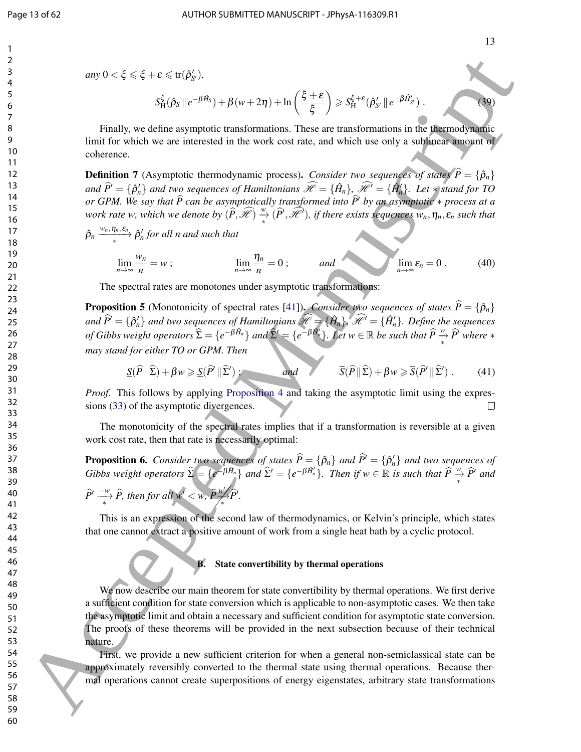$$
any 0 < \xi \leq \xi + \varepsilon \leq \operatorname{tr}(\hat{\rho}_{S'}').
$$

$$
S_{\mathrm{H}}^{\xi}(\hat{\rho}_S \parallel e^{-\beta \hat{H}_S}) + \beta (w + 2\eta) + \ln \left( \frac{\xi + \varepsilon}{\xi} \right) \geqslant S_{\mathrm{H}}^{\xi + \varepsilon}(\hat{\rho}'_{S'} \parallel e^{-\beta \hat{H}'_{S'}}). \tag{39}
$$

Finally, we define asymptotic transformations. These are transformations in the thermodynamic limit for which we are interested in the work cost rate, and which use only a sublinear amount of coherence.

**Definition 7** (Asymptotic thermodynamic process). *Consider two sequences of states*  $\hat{P} = {\hat{\rho}_n}$  $and \ \widehat{P} = {\hat{p}'_n}$  *and two sequences of Hamiltonians*  $\widehat{\mathcal{H}} = {\hat{H}_n}$ ,  $\widehat{\mathcal{H}}' = {\hat{H}'_n}$ . Let  $*$  *stand for TO or GPM. We say that*  $\widehat{P}$  *can be asymptotically transformed into*  $\widehat{P}$  *by an asymptotic*  $*$  *process at a work rate w, which we denote by*  $(\widehat{P}, \widehat{\mathscr{H}}) \overset{w}{\twoheadrightarrow} (\widehat{P}', \widehat{\mathscr{H}}')$ , if there exists sequences  $w_n, \eta_n, \varepsilon_n$  such that

 $\hat{\rho}_n \xrightarrow{w_n, \eta_n, \varepsilon_n} \hat{\rho}'_n$  for all n and such that

$$
\lim_{n \to \infty} \frac{w_n}{n} = w \; ; \qquad \lim_{n \to \infty} \frac{\eta_n}{n} = 0 \; ; \qquad \text{and} \qquad \lim_{n \to \infty} \varepsilon_n = 0 \; . \tag{40}
$$

The spectral rates are monotones under asymptotic transformations:

**Proposition 5** (Monotonicity of spectral rates [41]). *Consider two sequences of states*  $\hat{P} = {\hat{\rho}_n}$  $and \hat{P}' = {\hat{\rho}'_n}$  *and two sequences of Hamiltonians*  $\mathscr{H} = {\hat{H}_n}$ ,  $\hat{\mathscr{H}}' = {\hat{H}'_n}$ . Define the sequences *of Gibbs weight operators*  $\widehat{\Sigma} = \{e^{-\widehat{\beta} \hat{H}_n}\}\$  and  $\widehat{\Sigma}' = \{e^{-\widehat{\beta} \hat{H}_n'}\}\$ . Let  $w \in \mathbb{R}$  be such that  $\widehat{P} \stackrel{w}{\rightarrow} \widehat{P}'$  where  $*$ *may stand for either TO or GPM. Then*

$$
\underline{S}(\widehat{P} \| \widehat{\Sigma}) + \beta w \ge \underline{S}(\widehat{P}' \| \widehat{\Sigma}') ; \qquad \text{and} \qquad \overline{S}(\widehat{P} \| \widehat{\Sigma}) + \beta w \ge \overline{S}(\widehat{P}' \| \widehat{\Sigma}') . \tag{41}
$$

*Proof.* This follows by applying Proposition 4 and taking the asymptotic limit using the expressions (33) of the asymptotic divergences.

The monotonicity of the spectral rates implies that if a transformation is reversible at a given work cost rate, then that rate is necessarily optimal:

**Proposition 6.** *Consider two sequences of states*  $\hat{P} = {\hat{\rho}_n}$  *and*  $\hat{P}' = {\hat{\rho}'_n}$  *and two sequences of Gibbs weight operators*  $\widehat{\Sigma} = \{e^{-\beta \hat{H}_n}\}\$ and  $\widehat{\Sigma}' = \{e^{-\beta \hat{H}_n'}\}\$ . Then if  $w \in \mathbb{R}$  is such that  $\widehat{P} \stackrel{w}{\rightarrow} \widehat{P}'$  and  $\widehat{P}^{\prime} \longrightarrow \widehat{P}$ , then for all  $w^{\prime} < w$ ,  $\widehat{P}_{\frown}^W$  $\frac{w'}{>}$   $\widehat{P}'$ .

This is an expression of the second law of thermodynamics, or Kelvin's principle, which states that one cannot extract a positive amount of work from a single heat bath by a cyclic protocol.

#### B. State convertibility by thermal operations

We now describe our main theorem for state convertibility by thermal operations. We first derive a sufficient condition for state conversion which is applicable to non-asymptotic cases. We then take the asymptotic limit and obtain a necessary and sufficient condition for asymptotic state conversion. The proofs of these theorems will be provided in the next subsection because of their technical nature.  $\Delta = \frac{1}{2}$  Accepted Manuscript Constrainers and the constrainers of Kolan accepted Manuscript Constrainers and the constrainers are the constrainers and the constrainers are the constrainers are the constrainers are the

First, we provide a new sufficient criterion for when a general non-semiclassical state can be approximately reversibly converted to the thermal state using thermal operations. Because thermal operations cannot create superpositions of energy eigenstates, arbitrary state transformations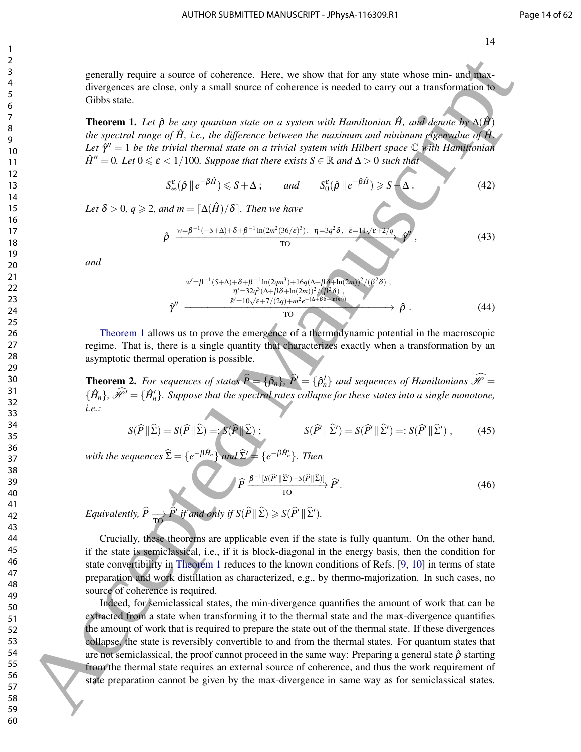generally require a source of coherence. Here, we show that for any state whose min- and maxdivergences are close, only a small source of coherence is needed to carry out a transformation to Gibbs state.

**Theorem 1.** Let  $\hat{\rho}$  be any quantum state on a system with Hamiltonian  $\hat{H}$ , and denote by  $\Delta(\hat{H})$ *the spectral range of*  $\hat{H}$ , *i.e., the difference between the maximum and minimum eigenvalue of*  $\hat{H}$ . Let  $\hat{\gamma}$ <sup>*''*</sup> = 1 *be the trivial thermal state on a trivial system with Hilbert space*  $\mathbb C$  *with Hamiltonian*  $\hat{H}'' = 0$ *. Let*  $0 \le \varepsilon < 1/100$ *. Suppose that there exists*  $S \in \mathbb{R}$  *and*  $\Delta > 0$  *such that* 

$$
S_{\infty}^{\varepsilon}(\hat{\rho} \parallel e^{-\beta \hat{H}}) \leq S + \Delta \, ; \qquad \text{and} \qquad S_{0}^{\varepsilon}(\hat{\rho} \parallel e^{-\beta \hat{H}}) \geq S - \Delta \, . \tag{42}
$$

*Let*  $\delta > 0$ *, q*  $\geq 2$ *, and m* =  $\lceil \Delta(\hat{H})/\delta \rceil$ *. Then we have* 

$$
\hat{\rho} \xrightarrow{w=\beta^{-1}(-S+\Delta)+\delta+\beta^{-1}\ln(2m^2(36/\epsilon)^3), \quad \eta=3q^2\delta, \quad \bar{\epsilon}=11\sqrt{\epsilon+2/q}, \quad \hat{\gamma}^{\mu}, \tag{43}
$$

*and*

$$
\hat{\gamma}^{\prime\prime} \xrightarrow{\text{ } \vec{b}^{\prime\prime}=\beta^{-1}(S+\Delta)+\delta+\beta^{-1}\ln(2qm^3)+16q(\Delta+\beta\delta+\ln(2m))^2/(\beta^2\delta) , \newline \hat{\gamma}^{\prime\prime} \xrightarrow{\tilde{\epsilon}^{\prime}=10\sqrt{\epsilon}+7/(2q)+m^2e^{-(\Delta+\beta\delta+\ln(m))}} \hat{\rho} . \tag{44}
$$

Theorem 1 allows us to prove the emergence of a thermodynamic potential in the macroscopic regime. That is, there is a single quantity that characterizes exactly when a transformation by an asymptotic thermal operation is possible.

**Theorem 2.** *For sequences of states*  $\hat{P} = {\hat{\rho}_n}$ ,  $\hat{P} = {\hat{\rho}'_n}$  *and sequences of Hamiltonians*  $\hat{\mathcal{H}} =$  $\{\hat{H}_n\}$ ,  $\hat{\mathcal{H}}' = \{\hat{H}'_n\}$ . Suppose that the spectral rates collapse for these states into a single monotone, *i.e.:*

$$
\underline{S}(\widehat{P} \| \widehat{\Sigma}) = \overline{S}(\widehat{P} \| \widehat{\Sigma}) =: \mathcal{S}(\widehat{P} \| \widehat{\Sigma}) ; \qquad \qquad \underline{S}(\widehat{P} \| \widehat{\Sigma}') = \overline{S}(\widehat{P} \| \widehat{\Sigma}') =: S(\widehat{P} \| \widehat{\Sigma}') , \qquad (45)
$$

*with the sequences*  $\widehat{\Sigma} = \{e^{-\beta \hat{H}_n}\}$  *and*  $\widehat{\Sigma}' = \{e^{-\beta \hat{H}'_n}\}$ *. Then* 

$$
\hat{P} \xrightarrow{\beta^{-1}[S(\hat{P}^\prime||\hat{\Sigma}') - S(\hat{P}||\hat{\Sigma})]} \hat{P}.
$$
\n(46)

*Equivalently,*  $\widehat{P} \xrightarrow[\text{TO}]{\widehat{P}'}$  *if and only if*  $S(\widehat{P} \| \widehat{\Sigma}) \geqslant S(\widehat{P}' \| \widehat{\Sigma}')$ .

Crucially, these theorems are applicable even if the state is fully quantum. On the other hand, if the state is semiclassical, i.e., if it is block-diagonal in the energy basis, then the condition for state convertibility in Theorem 1 reduces to the known conditions of Refs. [9, 10] in terms of state preparation and work distillation as characterized, e.g., by thermo-majorization. In such cases, no source of coherence is required.

Indeed, for semiclassical states, the min-divergence quantifies the amount of work that can be extracted from a state when transforming it to the thermal state and the max-divergence quantifies the amount of work that is required to prepare the state out of the thermal state. If these divergences collapse, the state is reversibly convertible to and from the thermal states. For quantum states that are not semiclassical, the proof cannot proceed in the same way: Preparing a general state  $\hat{\rho}$  starting from the thermal state requires an external source of coherence, and thus the work requirement of state preparation cannot be given by the max-divergence in same way as for semiclassical states. Excellent vegities a normoto of coherence. Here, we show that for any state whose raise and solven in the specific of the specific of the specific of the specific of the specific of the specific of the specific of the spe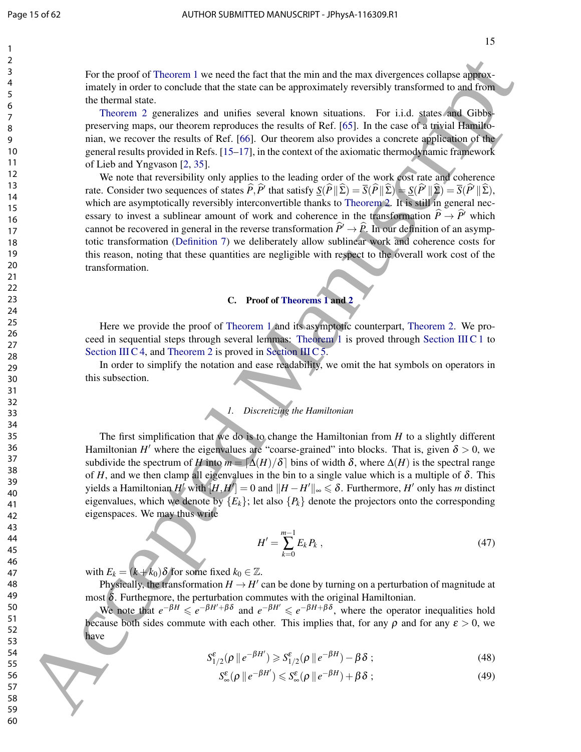15

For the proof of Theorem 1 we need the fact that the min and the max divergences collapse approximately in order to conclude that the state can be approximately reversibly transformed to and from the thermal state.

Theorem 2 generalizes and unifies several known situations. For i.i.d. states and Gibbspreserving maps, our theorem reproduces the results of Ref. [65]. In the case of a trivial Hamiltonian, we recover the results of Ref. [66]. Our theorem also provides a concrete application of the general results provided in Refs. [15–17], in the context of the axiomatic thermodynamic framework of Lieb and Yngvason [2, 35].

We note that reversibility only applies to the leading order of the work cost rate and coherence rate. Consider two sequences of states  $\hat{P}, \hat{P}$ <sup>t</sup> that satisfy  $\underline{S}(\hat{P} \| \hat{\Sigma}) = \overline{S}(\hat{P} \| \hat{\Sigma}) = \overline{S}(\hat{P} \| \hat{\Sigma}) = \overline{S}(\hat{P} \| \hat{\Sigma})$ , which are asymptotically reversibly interconvertible thanks to Theorem 2. It is still in general necessary to invest a sublinear amount of work and coherence in the transformation  $\hat{P} \rightarrow \hat{P}$ <sup>b</sup> which cannot be recovered in general in the reverse transformation  $\hat{P} \rightarrow \hat{P}$ . In our definition of an asymptotic transformation (Definition 7) we deliberately allow sublinear work and coherence costs for this reason, noting that these quantities are negligible with respect to the overall work cost of the transformation. For the proof of Theorem 1 we used the fact that the min and the energy excellence excellence in the samely notice that is also associated that is also associated manuscript in the samely precision of the samely precision

#### C. Proof of Theorems 1 and 2

Here we provide the proof of Theorem 1 and its asymptotic counterpart, Theorem 2. We proceed in sequential steps through several lemmas: Theorem 1 is proved through Section III C 1 to Section III C 4, and Theorem 2 is proved in Section III C 5.

In order to simplify the notation and ease readability, we omit the hat symbols on operators in this subsection.

*1. Discretizing the Hamiltonian*

The first simplification that we do is to change the Hamiltonian from *H* to a slightly different Hamiltonian *H'* where the eigenvalues are "coarse-grained" into blocks. That is, given  $\delta > 0$ , we subdivide the spectrum of *H* into  $m = \lfloor \Delta(H)/\delta \rfloor$  bins of width  $\delta$ , where  $\Delta(H)$  is the spectral range of *H*, and we then clamp all eigenvalues in the bin to a single value which is a multiple of  $\delta$ . This yields a Hamiltonian *H'* with  $[H,H'] = 0$  and  $\|H - H'\|_{\infty} \leqslant \delta$ . Furthermore, *H'* only has *m* distinct eigenvalues, which we denote by  ${E_k}$ ; let also  ${P_k}$  denote the projectors onto the corresponding eigenspaces. We may thus write

$$
H' = \sum_{k=0}^{m-1} E_k P_k \,, \tag{47}
$$

with  $E_k = (k + k_0) \delta$  for some fixed  $k_0 \in \mathbb{Z}$ .

Physically, the transformation  $H \to H'$  can be done by turning on a perturbation of magnitude at most  $δ$ . Furthermore, the perturbation commutes with the original Hamiltonian.

We note that  $e^{-\beta H} \leq e^{-\beta H' + \beta \delta}$  and  $e^{-\beta H'} \leq e^{-\beta H + \beta \delta}$ , where the operator inequalities hold because both sides commute with each other. This implies that, for any  $\rho$  and for any  $\varepsilon > 0$ , we have

$$
S_{1/2}^{\varepsilon}(\rho \parallel e^{-\beta H'}) \geq S_{1/2}^{\varepsilon}(\rho \parallel e^{-\beta H}) - \beta \delta ; \qquad (48)
$$

$$
S_{\infty}^{\varepsilon}(\rho \, \| \, e^{-\beta H'}) \leqslant S_{\infty}^{\varepsilon}(\rho \, \| \, e^{-\beta H}) + \beta \, \delta \; ; \tag{49}
$$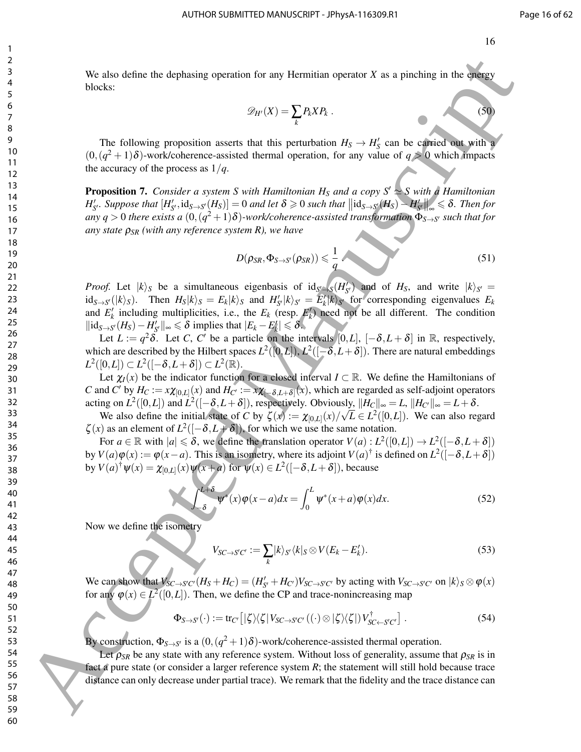We also define the dephasing operation for any Hermitian operator *X* as a pinching in the energy blocks:

$$
\mathscr{D}_{H'}(X) = \sum_{k} P_k X P_k \,. \tag{50}
$$

The following proposition asserts that this perturbation  $H_S \to H'_S$  can be carried out with a  $(0, (q<sup>2</sup>+1)\delta)$ -work/coherence-assisted thermal operation, for any value of  $q > 0$  which impacts the accuracy of the process as  $1/q$ .

**Proposition 7.** *Consider a system S with Hamiltonian H<sub>S</sub> and a copy S'*  $\approx$  S with a Hamiltonian  $H'_{S'}$ . Suppose that  $[H'_{S'}, id_{S \to S'}(H_S)] = 0$  and let  $\delta \geq 0$  such that  $||id_{S \to S'}(H_S) - H'_{S'}||_{\infty} \leq \delta$ . Then for  $a$ ny  $q > 0$  there exists a  $(0, (q^2 + 1)\delta)$ -work/coherence-assisted transformation  $\Phi_{S \to S'}$  such that for *any state* ρ*SR (with any reference system R), we have*

$$
D(\rho_{SR}, \Phi_{S \to S'}(\rho_{SR})) \leqslant \frac{1}{q}
$$
\n<sup>(51)</sup>

*Proof.* Let  $|k\rangle_S$  be a simultaneous eigenbasis of  $id_{S\rightarrow S}(H'_{S'})$  and of  $H_S$ , and write  $|k\rangle_{S'} =$  $\text{id}_{S\to S'}(|k\rangle_S)$ . Then  $H_S|k\rangle_S = E_k|k\rangle_S$  and  $H'_{S'}|k\rangle_{S'} = E'_k|k\rangle_{S'}$  for corresponding eigenvalues  $E_k$ and  $E'_k$  including multiplicities, i.e., the  $E_k$  (resp.  $E'_k$ ) need not be all different. The condition  $\|\text{id}_{S\rightarrow S'}(H_S) - H'_{S'}\|_{\infty} \le \delta \text{ implies that } |E_k - E'_k| \le \delta.$ 36 Me also dethos the dephasing operation for any Hermitian operator X as a placking in the degree<br>
fields.<br>
69  $\sqrt{8}$  The Editorius proposition assets that this permutation  $H_1 \rightarrow H_2$  can be equivalent as a placking<br>
10

Let  $L := q^2 \delta$ . Let *C*, *C'* be a particle on the intervals [0,*L*],  $[-\delta, L + \delta]$  in R, respectively, which are described by the Hilbert spaces  $L^2([0,L]), L^2([-\delta, L+\delta]).$  There are natural embeddings  $L^2([0,L]) \subset L^2([-\delta, L+\delta]) \subset L^2(\mathbb{R}).$ 

Let  $\chi_I(x)$  be the indicator function for a closed interval  $I \subset \mathbb{R}$ . We define the Hamiltonians of *C* and *C*<sup> $\prime$ </sup> by  $H_C := x \chi_{[0,L]}(x)$  and  $H_{C'} := x \chi_{[-\delta, L+\delta]}(x)$ , which are regarded as self-adjoint operators acting on  $L^2([0,L])$  and  $L^2([-\delta, L+\delta])$ , respectively. Obviously,  $||H_C||_{\infty} = L$ ,  $||H_C||_{\infty} = L+\delta$ .

We also define the initial state of *C* by  $\zeta(x) := \chi_{[0,L]}(x)/\sqrt{L} \in L^2([0,L])$ . We can also regard  $\zeta(x)$  as an element of  $L^2([-\delta, L+\delta])$ , for which we use the same notation.

For  $a \in \mathbb{R}$  with  $|a| \leq \delta$ , we define the translation operator  $V(a): L^2([0,L]) \to L^2([-\delta, L+\delta])$ by  $V(a)\varphi(x) := \varphi(x-a)$ . This is an isometry, where its adjoint  $V(a)^\dagger$  is defined on  $L^2([-\delta, L+\delta])$ by  $V(a)^\dagger \psi(x) = \chi_{[0,L]}(x) \psi(x+a)$  for  $\psi(x) \in L^2([-\delta, L+\delta])$ , because

$$
\int_{-\delta}^{\tilde{L}+\delta} \psi^*(x)\varphi(x-a)dx = \int_0^L \psi^*(x+a)\varphi(x)dx.
$$
 (52)

Now we define the isometry

$$
V_{SC \to S'C'} := \sum_{k} |k\rangle_{S'} \langle k|_{S} \otimes V(E_{k} - E'_{k}). \tag{53}
$$

We can show that  $V_{SC\to SC'}(H_S + H_C) = (H'_{S'} + H_{C'})V_{SC\to SC'}$  by acting with  $V_{SC\to SC'}$  on  $|k\rangle_S \otimes \varphi(x)$ for any  $\varphi(x) \in L^2([0,L])$ . Then, we define the CP and trace-nonincreasing map

$$
\Phi_{S \to S'}(\cdot) := \text{tr}_{C'}\left[|\zeta\rangle\langle\zeta|V_{SC \to S'C'}((\cdot) \otimes |\zeta\rangle\langle\zeta|)V_{SC \gets S'C'}^{\dagger}\right].
$$
\n(54)

By construction,  $\Phi_{S \to S'}$  is a  $(0, (q^2+1)\delta)$ -work/coherence-assisted thermal operation.

Let  $\rho_{SR}$  be any state with any reference system. Without loss of generality, assume that  $\rho_{SR}$  is in fact a pure state (or consider a larger reference system *R*; the statement will still hold because trace distance can only decrease under partial trace). We remark that the fidelity and the trace distance can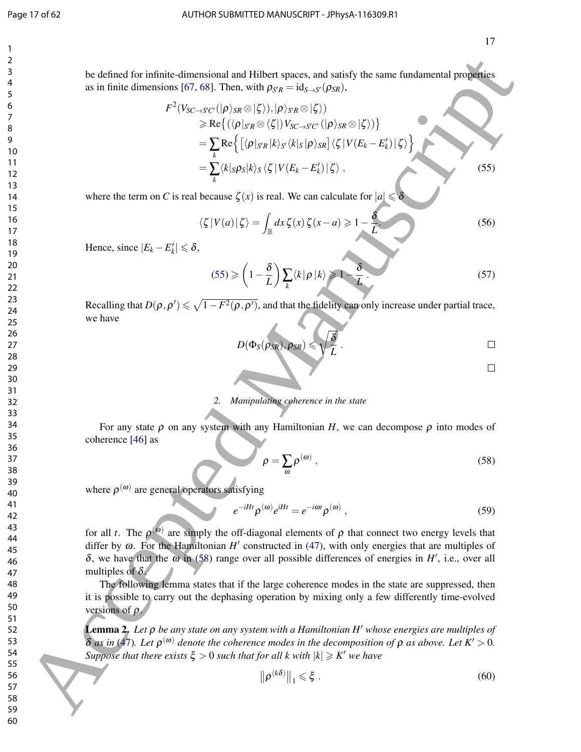#### Page 17 of 62 AUTHOR SUBMITTED MANUSCRIPT - JPhysA-116309.R1

be defined for infinite-dimensional and Hilbert spaces, and satisfy the same fundamental properties as in finite dimensions [67, 68]. Then, with  $\rho_{S'R} = id_{S \to S'}(\rho_{SR})$ ,

*F* 2 (*VSC*→*<sup>S</sup>* <sup>0</sup>*C*<sup>0</sup>(|ρi*SR* ⊗|ζ i),|ρi*<sup>S</sup>* <sup>0</sup>*<sup>R</sup>* ⊗|ζ i) > Re (hρ|*<sup>S</sup>* <sup>0</sup>*<sup>R</sup>* ⊗ hζ |)*VSC*→*<sup>S</sup>* <sup>0</sup>*C*<sup>0</sup> (|ρi*SR* ⊗|ζ i) <sup>=</sup> ∑ *k* Renhρ|*<sup>S</sup>* <sup>0</sup>*<sup>R</sup>* |*k*i*<sup>S</sup>* <sup>0</sup>h*k*|*<sup>S</sup>* |ρi*SR* hζ |*V*(*E<sup>k</sup>* −*E* 0 *k* )|ζ i o <sup>=</sup> ∑ *k* h*k*|*S*ρ*S*|*k*i*<sup>S</sup>* hζ |*V*(*E<sup>k</sup>* −*E* 0 *k* )|ζ i , (55) 60 Accepted Manuscript

where the term on *C* is real because  $\zeta(x)$  is real. We can calculate for  $|a| \leq \delta$ 

$$
\langle \zeta | V(a) | \zeta \rangle = \int_{\mathbb{R}} dx \, \zeta(x) \, \zeta(x - a) \ge 1 - \frac{\delta}{L} \tag{56}
$$

Hence, since  $|E_k - E'_k| \le \delta$ ,

$$
(55) \geqslant \left(1 - \frac{\delta}{L}\right) \sum_{k} \langle k | \rho | k \rangle \geqslant 1 - \frac{\delta}{L} \tag{57}
$$

Recalling that  $D(\rho, \rho') \leq \sqrt{1 - F^2(\rho, \rho')}$ , and that the fidelity can only increase under partial trace, we have

$$
D(\Phi_S(\rho_{SR}), \rho_{SR}) \leqslant \sqrt{\frac{\delta}{L}} \ .
$$

#### *2. Manipulating coherence in the state*

For any state  $\rho$  on any system with any Hamiltonian *H*, we can decompose  $\rho$  into modes of coherence [46] as

$$
\rho = \sum_{\omega} \rho^{(\omega)} \,, \tag{58}
$$

where  $\rho^{(\omega)}$  are general operators satisfying

$$
e^{-iHt}\rho^{(\omega)}e^{iHt} = e^{-i\omega t}\rho^{(\omega)},\qquad(59)
$$

for all *t*. The  $\rho^{(0)}$  are simply the off-diagonal elements of  $\rho$  that connect two energy levels that differ by  $\omega$ . For the Hamiltonian  $H'$  constructed in (47), with only energies that are multiples of  $\delta$ , we have that the  $\omega$  in (58) range over all possible differences of energies in *H'*, i.e., over all multiples of  $\delta$ .

The following lemma states that if the large coherence modes in the state are suppressed, then it is possible to carry out the dephasing operation by mixing only a few differently time-evolved versions of  $\rho$ .

**Lemma** 2. Let *ρ* be any state on any system with a Hamiltonian H' whose energies are multiples of  $δ$  *as in* (47). Let  $ρ<sup>(ω)</sup>$  denote the coherence modes in the decomposition of  $ρ$  *as above. Let*  $K' > 0$ . *Suppose that there exists*  $\xi > 0$  *such that for all k with*  $|k| \geq K'$  we have

$$
\left\| \rho^{(k\delta)} \right\|_1 \leqslant \xi \ . \tag{60}
$$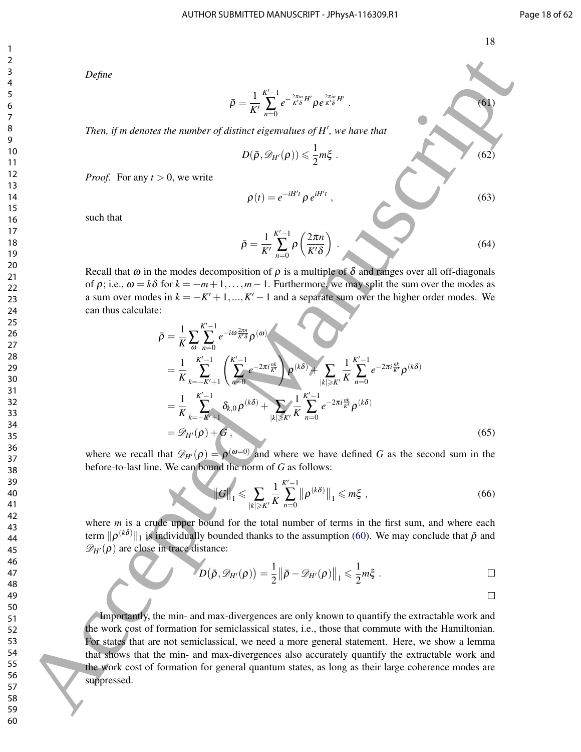*Define*

$$
\bar{\rho} = \frac{1}{K'} \sum_{n=0}^{K'-1} e^{-\frac{2\pi in}{K'\delta}H'} \rho e^{\frac{2\pi in}{K'\delta}H'}.
$$
\n(61)

Then, if m denotes the number of distinct eigenvalues of H<sup>'</sup>, we have that

$$
D(\bar{\rho}, \mathscr{D}_{H'}(\rho)) \leq \frac{1}{2}m\xi \tag{62}
$$

 $\rho(t) = e^{-iH't} \rho e^{iH't}$ 

*Proof.* For any  $t > 0$ , we write

such that

$$
\bar{\rho} = \frac{1}{K'} \sum_{n=0}^{K'-1} \rho\left(\frac{2\pi n}{K'\delta}\right) \,. \tag{64}
$$

 $,$  (63)

Recall that  $\omega$  in the modes decomposition of  $\rho$  is a multiple of  $\delta$  and ranges over all off-diagonals of  $\rho$ ; i.e.,  $\omega = k\delta$  for  $k = -m+1,\ldots,m-1$ . Furthermore, we may split the sum over the modes as a sum over modes in  $k = -K' + 1, ..., K' - 1$  and a separate sum over the higher order modes. We can thus calculate:

ρ¯ = 1 *K* ∑ω *K* <sup>0</sup>−1 ∑ *n*=0 *e* −*i*ω 2π*n <sup>K</sup>*0<sup>δ</sup> ρ (ω) = 1 *K K* <sup>0</sup>−1 ∑ *k*=−*K*0+1 *K* <sup>0</sup>−1 ∑ *n*=0 *e* −2π*i nk K*0 ! ρ (*k*δ) <sup>+</sup> ∑ |*k*|>*K*<sup>0</sup> 1 *K K* <sup>0</sup>−1 ∑ *n*=0 *e* −2π*i nk <sup>K</sup>*<sup>0</sup> ρ (*k*δ) = 1 *K K* <sup>0</sup>−1 ∑ *k*=−*K*0+1 δ*k*,0 ρ (*k*δ) <sup>+</sup> ∑ |*k*|>*K*<sup>0</sup> 1 *K K* <sup>0</sup>−1 ∑ *n*=0 *e* −2π*i nk <sup>K</sup>*<sup>0</sup> ρ (*k*δ) = D*H*<sup>0</sup>(ρ) +*G* , (65) 60 Accepted Manuscript

where we recall that  $\mathscr{D}_{H}(\rho) = \rho^{(\omega=0)}$  and where we have defined *G* as the second sum in the before-to-last line. We can bound the norm of *G* as follows:

$$
\|G\|_{1} \leq \sum_{|k| \geq K'} \frac{1}{K} \sum_{n=0}^{K'-1} \left\| \rho^{(k\delta)} \right\|_{1} \leq m\xi \tag{66}
$$

where *m* is a crude upper bound for the total number of terms in the first sum, and where each term  $\|\rho^{(k\delta)}\|_1$  is individually bounded thanks to the assumption (60). We may conclude that  $\bar{\rho}$  and  $\mathscr{D}_{H}(\rho)$  are close in trace distance:

$$
D(\bar{\rho}, \mathscr{D}_{H'}(\rho)) = \frac{1}{2} \|\bar{\rho} - \mathscr{D}_{H'}(\rho)\|_1 \leq \frac{1}{2} m \xi \ .
$$

Importantly, the min- and max-divergences are only known to quantify the extractable work and the work cost of formation for semiclassical states, i.e., those that commute with the Hamiltonian. For states that are not semiclassical, we need a more general statement. Here, we show a lemma that shows that the min- and max-divergences also accurately quantify the extractable work and the work cost of formation for general quantum states, as long as their large coherence modes are suppressed.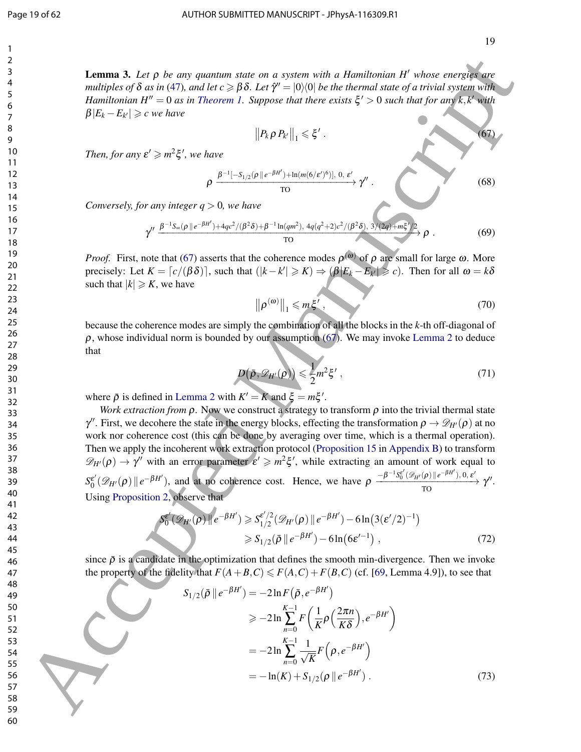#### Page 19 of 62 AUTHOR SUBMITTED MANUSCRIPT - JPhysA-116309.R1

**Lemma 3.** Let ρ be any quantum state on a system with a Hamiltonian H<sup>'</sup> whose energies are  $m$ ultiples of  $\delta$  as in (47), and let  $c\geqslant\beta\delta.$  Let  $\hat\gamma'=|0\rangle\langle 0|$  be the thermal state of a trivial system with *Hamiltonian H<sup>n</sup>* = 0 *as in Theorem 1. Suppose that there exists*  $\xi' > 0$  *such that for any*  $k, k'$  with  $\beta |E_k - E_{k'}| \geqslant c$  we have

$$
\|P_k \rho P_{k'}\|_1 \leqslant \xi' \,. \tag{67}
$$

*Then, for any*  $\varepsilon' \geq m^2 \xi'$ , we have

$$
\rho \xrightarrow{\beta^{-1}[-S_{1/2}(\rho \parallel e^{-\beta H'}) + \ln(m(6/\varepsilon')^6)], 0, \varepsilon' \atop \text{TO}} \gamma''.
$$
 (68)

*Conversely, for any integer q* > 0*, we have*

$$
\gamma'' \xrightarrow{\beta^{-1} S_{\infty}(\rho \|e^{-\beta H'}) + 4qc^2/(\beta^2 \delta) + \beta^{-1} \ln(qm^2), \ 4q(q^2+2)c^2/(\beta^2 \delta), \ 3/(2q) + m\xi')/2} \rho . \tag{69}
$$

*Proof.* First, note that (67) asserts that the coherence modes  $\rho^{(\omega)}$  of  $\rho$  are small for large  $\omega$ . More  $\text{precisely: Let } K = \lceil c/(\beta \delta) \rceil$ , such that  $(|k - k'| \geq k) \Rightarrow (\beta | E_k - E_{k'} | \geq c)$ . Then for all  $\omega = k \delta$ such that  $|k| \geqslant K$ , we have

$$
\left\|\rho^{(\omega)}\right\|_{1} \leqslant m\xi',\tag{70}
$$

because the coherence modes are simply the combination of all the blocks in the *k*-th off-diagonal of  $\rho$ , whose individual norm is bounded by our assumption (67). We may invoke Lemma 2 to deduce that

$$
D(\bar{\rho}, \mathscr{D}_{H'}(\rho)) \leqslant \frac{1}{2}m^2\xi', \qquad (71)
$$

where  $\bar{\rho}$  is defined in Lemma 2 with  $K' = K$  and  $\xi = m\xi'$ .

*Work extraction from*  $\rho$ . Now we construct a strategy to transform  $\rho$  into the trivial thermal state  $\gamma''$ . First, we decohere the state in the energy blocks, effecting the transformation  $\rho \to \mathscr{D}_{H'}(\rho)$  at no work nor coherence cost (this can be done by averaging over time, which is a thermal operation). Then we apply the incoherent work extraction protocol (Proposition 15 in Appendix B) to transform  $\mathscr{D}_{H}(\rho) \to \gamma''$  with an error parameter  $\varepsilon' \geq m^2 \xi'$ , while extracting an amount of work equal to  $S_0^{\varepsilon'}$  $\mathcal{E}'(\mathscr{D}_{H'}(\rho) \| e^{-\beta H'})$ , and at no coherence cost. Hence, we have  $\rho \frac{-\beta^{-1} S_0^{\varepsilon'}(\mathscr{D}_{H'}(\rho) \| e^{-\beta H'}), 0, \varepsilon'}{\text{TO}} \gamma''$ . Using Proposition 2, observe that **1. Let**  $p$  be one goalizes apply on a system with a Homological H' whose entrarching the properties of  $Q$  accepted  $\beta$  that  $\beta$  is  $\beta$  the  $\beta$  for  $\beta$  is  $\beta$  that  $\beta$  is  $\beta$  that  $\beta$  is  $\beta$  that  $\beta$  is  $\beta$ 

$$
S_0^{\epsilon'}(\mathcal{D}_{H'}(\rho)) \| e^{-\beta H'} \ge S_{1/2}^{\epsilon'/2}(\mathcal{D}_{H'}(\rho)) \| e^{-\beta H'} \rangle - 6\ln(3(\epsilon'/2)^{-1})
$$
  

$$
\ge S_{1/2}(\bar{\rho} \| e^{-\beta H'}) - 6\ln(6\epsilon'^{-1}), \qquad (72)
$$

since  $\bar{\rho}$  is a candidate in the optimization that defines the smooth min-divergence. Then we invoke the property of the fidelity that  $F(A+B,C) \le F(A,C) + F(B,C)$  (cf. [69, Lemma 4.9]), to see that

$$
S_{1/2}(\bar{\rho} \parallel e^{-\beta H'}) = -2\ln F(\bar{\rho}, e^{-\beta H'})
$$
  
\n
$$
\geq -2\ln \sum_{n=0}^{K-1} F\left(\frac{1}{K}\rho\left(\frac{2\pi n}{K\delta}\right), e^{-\beta H'}\right)
$$
  
\n
$$
= -2\ln \sum_{n=0}^{K-1} \frac{1}{\sqrt{K}} F\left(\rho, e^{-\beta H'}\right)
$$
  
\n
$$
= -\ln(K) + S_{1/2}(\rho \parallel e^{-\beta H'}) . \tag{73}
$$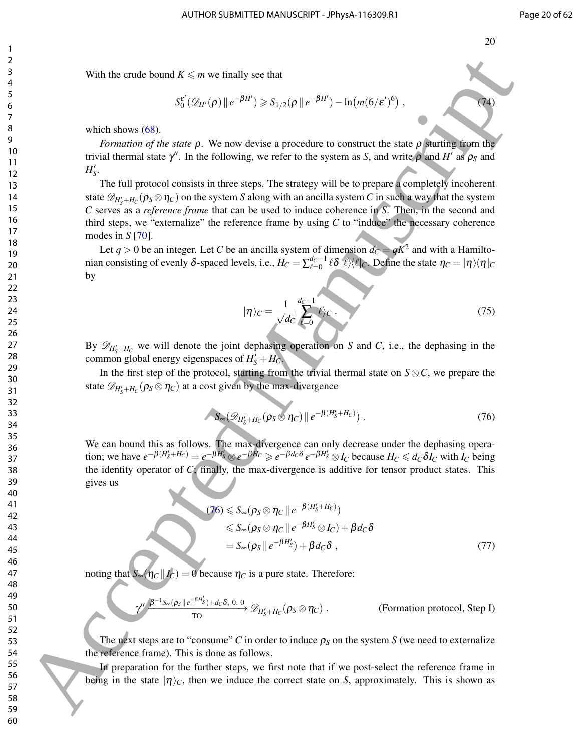With the crude bound  $K \leq m$  we finally see that

$$
S_0^{\varepsilon'}(\mathscr{D}_{H'}(\rho)\|e^{-\beta H'})\geqslant S_{1/2}(\rho\|e^{-\beta H'})-\ln(m(6/\varepsilon')^6)\,,\tag{74}
$$

which shows  $(68)$ .

*Formation of the state*  $\rho$ . We now devise a procedure to construct the state  $\rho$  starting from the trivial thermal state  $\gamma'$ . In the following, we refer to the system as *S*, and write  $\rho$  and *H'* as  $\rho_S$  and  $H'_{S}$ .

The full protocol consists in three steps. The strategy will be to prepare a completely incoherent state  $\mathscr{D}_{H_S'+H_C}(\rho_S\otimes \eta_C)$  on the system *S* along with an ancilla system *C* in such a way that the system *C* serves as a *reference frame* that can be used to induce coherence in *S*. Then, in the second and third steps, we "externalize" the reference frame by using *C* to "induce" the necessary coherence modes in *S* [70]. With the crossing of scale is that is entired with the entropy in the state point of the state point of the state point of the state point of the state point of the state point of the state point of the state point of the

Let  $q > 0$  be an integer. Let *C* be an ancilla system of dimension  $d_C = qK^2$  and with a Hamiltonian consisting of evenly δ-spaced levels, i.e.,  $H_C = \sum_{\ell=0}^{d_C-1} \ell \delta |\ell\rangle\langle\ell|_C$ . Define the state  $\eta_C = |\eta\rangle\langle\eta|_C$ by

$$
|\eta\rangle_C = \frac{1}{\sqrt{dc}} \sum_{\ell=0}^{dc-1} |\ell\rangle_C \tag{75}
$$

By  $\mathscr{D}_{H'_{S}+H_{C}}$  we will denote the joint dephasing operation on *S* and *C*, i.e., the dephasing in the common global energy eigenspaces of  $H'_{S} + H_{C}$ .

In the first step of the protocol, starting from the trivial thermal state on  $S \otimes C$ , we prepare the state  $\mathscr{D}_{H'_{S}+H_{C}}(\rho_{S}\otimes\eta_{C})$  at a cost given by the max-divergence

$$
\int S_{\infty}(\mathscr{D}_{H'_{S}+H_{C}}(\rho_{S}\otimes \eta_{C})\|e^{-\beta(H'_{S}+H_{C})})\,. \tag{76}
$$

We can bound this as follows. The max-divergence can only decrease under the dephasing operation; we have  $e^{-\beta(H'_S+H_C)} = e^{-\beta H'_S} \otimes e^{-\beta H_C} \ge e^{-\beta d_C \delta} e^{-\beta H'_S} \otimes I_C$  because  $H_C \le d_C \delta I_C$  with  $I_C$  being the identity operator of *C*; finally, the max-divergence is additive for tensor product states. This gives us

$$
(76) \leq S_{\infty}(\rho_S \otimes \eta_C \parallel e^{-\beta(H'_S + H_C)})
$$
  
\n
$$
\leq S_{\infty}(\rho_S \otimes \eta_C \parallel e^{-\beta H'_S} \otimes I_C) + \beta d_C \delta
$$
  
\n
$$
= S_{\infty}(\rho_S \parallel e^{-\beta H'_S}) + \beta d_C \delta , \qquad (77)
$$

noting that  $S_{\infty}(\eta_C || I_C) = 0$  because  $\eta_C$  is a pure state. Therefore:

$$
\gamma' \xrightarrow{\beta^{-1}S_{\infty}(\rho_S \parallel e^{-\beta H_S'}) + d_C \delta, 0, 0} \mathscr{D}_{H_S'+H_C}(\rho_S \otimes \eta_C).
$$
 (Formation protocol, Step I)

The next steps are to "consume" *C* in order to induce  $\rho_S$  on the system *S* (we need to externalize the reference frame). This is done as follows.

In preparation for the further steps, we first note that if we post-select the reference frame in being in the state  $|\eta\rangle_c$ , then we induce the correct state on *S*, approximately. This is shown as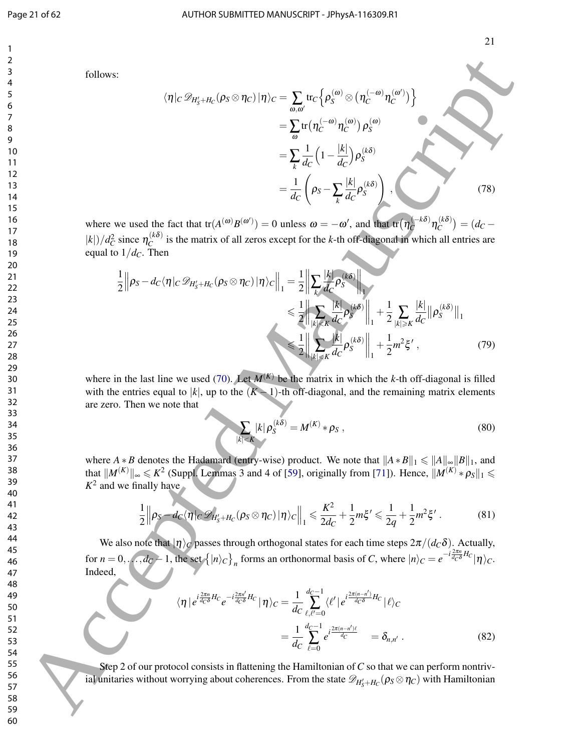hη|*<sup>C</sup>* D*H*<sup>0</sup> *<sup>S</sup>*+*H<sup>C</sup>* (ρ*<sup>S</sup>* <sup>⊗</sup>η*C*)|ηi*<sup>C</sup>* <sup>=</sup> ∑ ω,ω<sup>0</sup> tr*C* n ρ (ω) *<sup>S</sup>* ⊗ η (−ω) *C* η (ω 0 ) *C* o <sup>=</sup> ∑<sup>ω</sup> tr η (−ω) *C* η (ω) *C* ρ (ω) *S* <sup>=</sup> ∑ *k* 1 *dC* 1− |*k*| *dC* ρ (*k*δ) *S* = 1 *dC* <sup>ρ</sup>*<sup>S</sup>* <sup>−</sup>∑ *k* |*k*| *dC* ρ (*k*δ) *S* ! , (78) 60 Accepted Manuscript

where we used the fact that  $tr(A^{(\omega)}B^{(\omega')}) = 0$  unless  $\omega = -\omega'$ , and that  $tr(\eta_C^{(-k\delta)})$  $\int_{C}^{(-k\delta)} \eta_C^{(k\delta)}$  $\binom{k\,0}{C}$  =  $(d_C |k|$ *)*/ $d_C^2$  since  $\eta_C^{(k\delta)}$  $\alpha_C^{(k0)}$  is the matrix of all zeros except for the *k*-th off-diagonal in which all entries are equal to  $1/d<sub>C</sub>$ . Then

$$
\frac{1}{2} \left\| \rho_S - d_C \langle \eta |_{C} \mathcal{D}_{H'_S + H_C}(\rho_S \otimes \eta_C) | \eta \rangle_C \right\|_1 = \frac{1}{2} \left\| \sum_k \frac{|k|}{d_C} \rho_S^{(k\delta)} \right\|_1
$$
  

$$
\leq \frac{1}{2} \left\| \sum_{|k| \leq K} \frac{|k|}{d_C} \rho_S^{(k\delta)} \right\|_1 + \frac{1}{2} \sum_{|k| \geq K} \frac{|k|}{d_C} \left\| \rho_S^{(k\delta)} \right\|_1
$$
  

$$
\leq \frac{1}{2} \left\| \sum_{|k| \leq K} \frac{|k|}{d_C} \rho_S^{(k\delta)} \right\|_1 + \frac{1}{2} m^2 \xi', \qquad (79)
$$

where in the last line we used (70). Let  $M^{(K)}$  be the matrix in which the *k*-th off-diagonal is filled with the entries equal to | $k$ |, up to the  $(K-1)$ -th off-diagonal, and the remaining matrix elements are zero. Then we note that

$$
\sum_{|k| < K} |k| \, \rho_S^{(k\delta)} = M^{(K)} * \rho_S \,,\tag{80}
$$

where *A*  $*$  *B* denotes the Hadamard (entry-wise) product. We note that  $||A * B||_1 \le ||A||_{\infty}||B||_1$ , and that  $||M^{(K)}||_{\infty} \leq k^2$  (Suppl. Lemmas 3 and 4 of [59], originally from [71]). Hence,  $||M^{(K)} * \rho_S||_1 \leq$  $K^2$  and we finally have

$$
\frac{1}{2}\left\|\rho_S - d_C\langle \eta|_C \mathscr{D}_{H'_S + H_C}(\rho_S \otimes \eta_C) | \eta \rangle_C \right\|_1 \leq \frac{K^2}{2d_C} + \frac{1}{2}m\xi' \leq \frac{1}{2q} + \frac{1}{2}m^2\xi' \,. \tag{81}
$$

We also note that  $|\eta\rangle_C$  passes through orthogonal states for each time steps  $2\pi/(d_C\delta)$ . Actually, for  $n = 0, \ldots, d_C - 1$ , the set  $\left\{ |n\rangle_C \right\}_n$  forms an orthonormal basis of *C*, where  $|n\rangle_C = e^{-i\frac{2\pi n}{d_C \delta}H_C}|\eta\rangle_C$ . Indeed,

$$
\langle \eta | e^{i\frac{2\pi n}{d_C \delta} H_C} e^{-i\frac{2\pi n'}{d_C \delta} H_C} | \eta \rangle_C = \frac{1}{d_C} \sum_{\ell,\ell'=0}^{d_C-1} \langle \ell' | e^{i\frac{2\pi (n-n')}{d_C \delta} H_C} | \ell \rangle_C
$$

$$
= \frac{1}{d_C} \sum_{\ell=0}^{d_C-1} e^{i\frac{2\pi (n-n')\ell}{d_C}} = \delta_{n,n'}.
$$
(82)

Step 2 of our protocol consists in flattening the Hamiltonian of*C* so that we can perform nontrivial unitaries without worrying about coherences. From the state  $\mathscr{D}_{H_S'+H_C}(\rho_S\otimes\eta_C)$  with Hamiltonian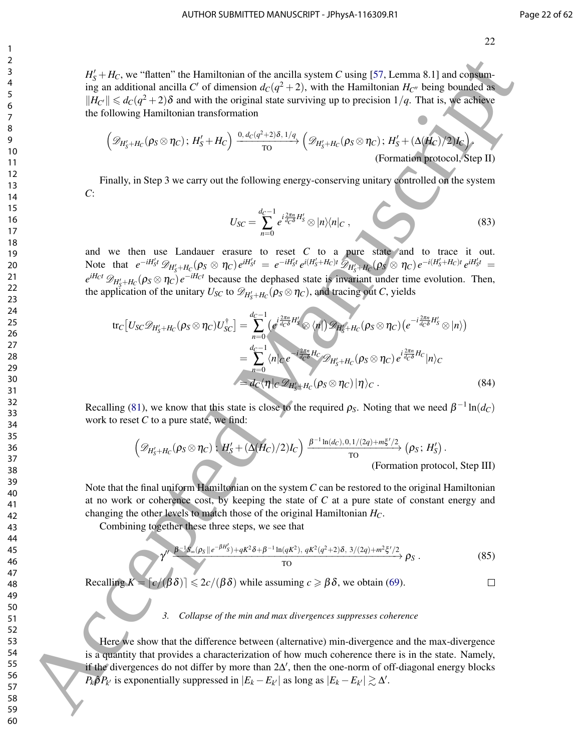$H_S' + H_C$ , we "flatten" the Hamiltonian of the ancilla system *C* using [57, Lemma 8.1] and consuming an additional ancilla C' of dimension  $d_C(q^2+2)$ , with the Hamiltonian  $H_{C}$ <sup>0</sup> being bounded as  $||H_C|| \leq d_C(q^2+2)\delta$  and with the original state surviving up to precision 1/*q*. That is, we achieve the following Hamiltonian transformation

$$
\left(\mathscr{D}_{H'_{S}+H_{C}}(\rho_{S}\otimes\eta_{C});H'_{S}+H_{C}\right)\xrightarrow{\mathbf{0},d_{C}(q^{2}+2)\delta,\mathbf{1}/q}\left(\mathscr{D}_{H'_{S}+H_{C}}(\rho_{S}\otimes\eta_{C});H'_{S}+(\Delta(H'_{C})/2)I_{C}\right),\tag{Formation protocol, Step II}
$$

Finally, in Step 3 we carry out the following energy-conserving unitary controlled on the system *C*:

$$
U_{SC} = \sum_{n=0}^{d_C-1} e^{i\frac{2\pi n}{d_C \delta} H_S'} \otimes |n\rangle\langle n|_C , \qquad (83)
$$

and we then use Landauer erasure to reset  $C$  to a pure state and to trace it out. Note that  $e^{-iH'_St} \mathcal{D}_{H'_S+H_C}(\rho_S \otimes \eta_C) e^{iH'_St} = e^{-iH'_St} e^{i(H'_S+H_C)t} \mathcal{D}_{H'_S+H_C}(\rho_S \otimes \eta_C) e^{-i(H'_S+H_C)t} e^{iH'_St} =$  $e^{iH_C t} \mathscr{D}_{H'_S + H_C}(\rho_S \otimes \eta_C) e^{-iH_C t}$  because the dephased state is invariant under time evolution. Then, the application of the unitary  $U_{SC}$  to  $\mathscr{D}_{H'_{S}+H_{C}}(\rho_{S}\otimes\eta_{C})$ , and tracing out *C*, yields

tr*C* -*USC*D*H*<sup>0</sup> *<sup>S</sup>*+*H<sup>C</sup>* (ρ*<sup>S</sup>* ⊗η*C*)*U* † *SC* = *dC*−1 ∑ *n*=0 *e i* 2π*n dC*δ *H* 0 *<sup>S</sup>* ⊗ h*n*| D*H*<sup>0</sup> *<sup>S</sup>*+*H<sup>C</sup>* (ρ*<sup>S</sup>* ⊗η*C*) *e* −*i* 2π*n dC*δ *H* 0 *<sup>S</sup>* ⊗|*n*i = *dC*−1 ∑ *n*=0 h*n*|*<sup>C</sup> e* −*i* 2π*n dC*δ *<sup>H</sup><sup>C</sup>* <sup>D</sup>*H*<sup>0</sup> *<sup>S</sup>*+*H<sup>C</sup>* (ρ*<sup>S</sup>* ⊗η*C*) *e i* 2π*n dC*δ *H<sup>C</sup>* |*n*i*<sup>C</sup>* = *dC*hη|*<sup>C</sup>* D*H*<sup>0</sup> *<sup>S</sup>*+*H<sup>C</sup>* (ρ*<sup>S</sup>* ⊗η*C*)|ηi*<sup>C</sup>* . (84) 60 Accepted Manuscript

Recalling (81), we know that this state is close to the required  $\rho_S$ . Noting that we need  $\beta^{-1} \ln(d_C)$ work to reset *C* to a pure state, we find:

$$
\left(\mathcal{D}_{H'_S+H_C}(\rho_S \otimes \eta_C)\,;\,\frac{H'_S + (\Delta(H_C)/2)I_C}{H'_S}\right) \xrightarrow{\beta^{-1}\ln(d_C),0,1/(2q) + m\zeta'/2} (\rho_S\,;\,H'_S).
$$
\n(Formation protocol, Step III)

Note that the final uniform Hamiltonian on the system *C* can be restored to the original Hamiltonian at no work or coherence cost, by keeping the state of *C* at a pure state of constant energy and changing the other levels to match those of the original Hamiltonian *HC*.

Combining together these three steps, we see that

$$
\gamma^{\prime\prime} \xrightarrow{\beta^{-1}S_{\infty}(\rho_S \parallel e^{-\beta H_S'}) + qK^2 \delta + \beta^{-1} \ln(qK^2), \ qK^2(q^2+2)\delta, \ 3/(2q) + m^2 \xi'/2} \rho_S. \tag{85}
$$

Recalling  $K = \lceil c/(\beta \delta) \rceil \leqslant 2c/(\beta \delta)$  while assuming  $c \geqslant \beta \delta$ , we obtain (69).

# *3. Collapse of the min and max divergences suppresses coherence*

Here we show that the difference between (alternative) min-divergence and the max-divergence is a quantity that provides a characterization of how much coherence there is in the state. Namely, if the divergences do not differ by more than  $2\Delta'$ , then the one-norm of off-diagonal energy blocks  $P_k \hat{\rho} P_{k'}$  is exponentially suppressed in  $|E_k - E_{k'}|$  as long as  $|E_k - E_{k'}| \gtrsim \Delta'$ .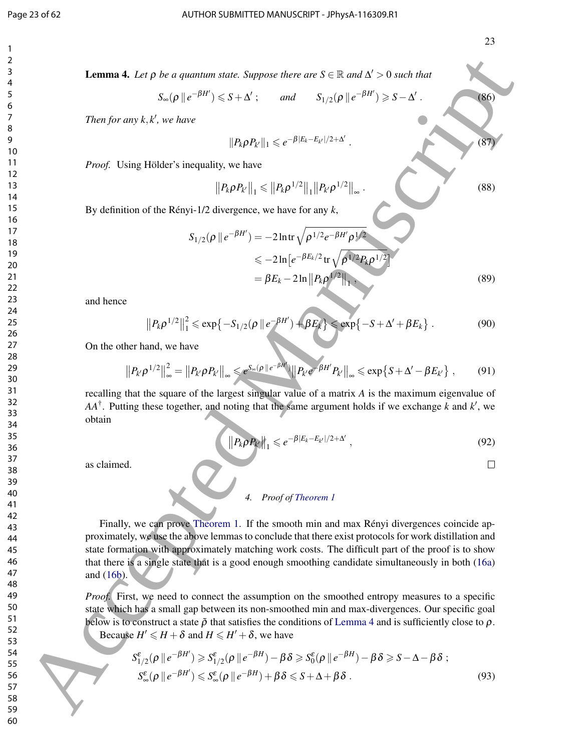. (86)

.  $(87)$ 

**Lemma 4.** Let  $\rho$  be a quantum state. Suppose there are  $S \in \mathbb{R}$  and  $\Delta' > 0$  such that

$$
S_{\infty}(\rho \parallel e^{-\beta H'}) \leqslant S + \Delta'; \quad \text{and} \quad S_{1/2}(\rho \parallel e^{-\beta H'}) \geqslant S - \Delta'
$$

*Then for any k,k', we have* 

$$
||P_k\rho P_{k'}||_1 \leqslant e^{-\beta|E_k-E_{k'}|/2+\Delta'}
$$

*Proof.* Using Hölder's inequality, we have

$$
||P_{k}\rho P_{k'}||_{1} \leq ||P_{k}\rho^{1/2}||_{1}||P_{k'}\rho^{1/2}||_{\infty}.
$$
\n(88)

By definition of the Rényi-1/2 divergence, we have for any *k*,

$$
S_{1/2}(\rho \parallel e^{-\beta H'}) = -2 \ln \text{tr} \sqrt{\rho^{1/2} e^{-\beta H'} \rho^{1/2}}
$$
  
\n
$$
\leq -2 \ln \left[ e^{-\beta E_k/2} \text{tr} \sqrt{\rho^{1/2} P_k \rho^{1/2}} \right]
$$
  
\n
$$
= \beta E_k - 2 \ln \| P_k \rho^{1/2} \|_1,
$$
\n(89)

and hence

$$
||P_k \rho^{1/2}||_1^2 \le \exp\{-S_{1/2}(\rho \, || \, e^{-\beta H'}) + \beta E_k\} \le \exp\{-S + \Delta' + \beta E_k\} \,. \tag{90}
$$

On the other hand, we have

$$
||P_{k'}\rho^{1/2}||_{\infty}^2=||P_{k'}\rho P_{k'}||_{\infty}\leq e^{S_{\infty}(\rho||e^{-\beta H'})}||P_{k'}e^{-\beta H'}P_{k'}||_{\infty}\leq \exp\left\{S+\Delta'-\beta E_{k'}\right\},\qquad(91)
$$

recalling that the square of the largest singular value of a matrix *A* is the maximum eigenvalue of  $AA^{\dagger}$ . Putting these together, and noting that the same argument holds if we exchange *k* and *k*<sup>'</sup>, we obtain

$$
\left\|P_k\rho P_{k'}\right\|_1 \leqslant e^{-\beta|E_k-E_{k'}|/2+\Delta'},\tag{92}
$$

as claimed.

#### *4. Proof of Theorem 1*

Finally, we can prove Theorem 1. If the smooth min and max Rényi divergences coincide approximately, we use the above lemmas to conclude that there exist protocols for work distillation and state formation with approximately matching work costs. The difficult part of the proof is to show that there is a single state that is a good enough smoothing candidate simultaneously in both (16a) and (16b). **1. Example 4.** Let p be a guarante asset suppose is dete and  $S \subseteq S$  and  $S' \geq S$ . Now there  $S \subseteq S$  and  $S' \geq S'$ . Now the space is  $S_{1/2}(p|e^{-\beta N^2}) \leq S \leq N$ .<br>
Then for an  $k_x R'$  we have<br>  $\mathbb{E}[P(P|\mathbf{f})] \leq C \int_0^{\infty} |R(p$ 

*Proof.* First, we need to connect the assumption on the smoothed entropy measures to a specific state which has a small gap between its non-smoothed min and max-divergences. Our specific goal below is to construct a state  $\tilde{\rho}$  that satisfies the conditions of Lemma 4 and is sufficiently close to  $\rho$ . Because  $H' \leq H + \delta$  and  $H \leq H' + \delta$ , we have

$$
S_{1/2}^{\varepsilon}(\rho \parallel e^{-\beta H'}) \geqslant S_{1/2}^{\varepsilon}(\rho \parallel e^{-\beta H}) - \beta \delta \geqslant S_{0}^{\varepsilon}(\rho \parallel e^{-\beta H}) - \beta \delta \geqslant S - \Delta - \beta \delta ;
$$
  

$$
S_{\infty}^{\varepsilon}(\rho \parallel e^{-\beta H'}) \leqslant S_{\infty}^{\varepsilon}(\rho \parallel e^{-\beta H}) + \beta \delta \leqslant S + \Delta + \beta \delta .
$$
 (93)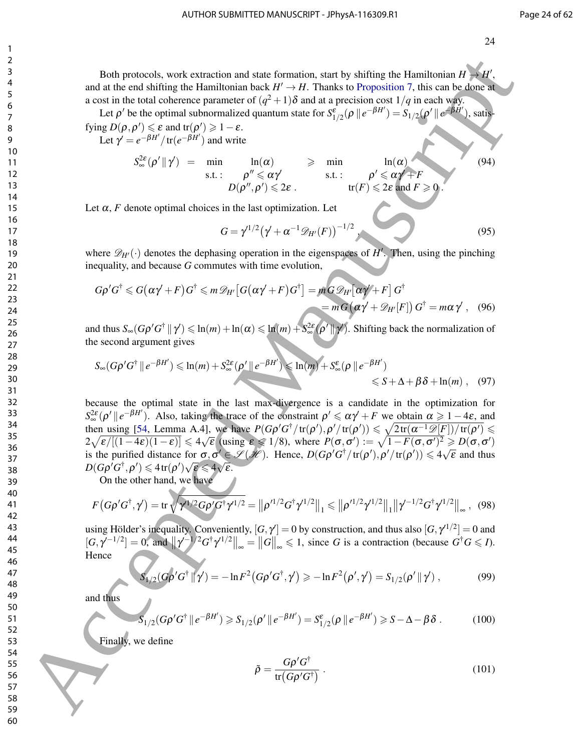Both protocols, work extraction and state formation, start by shifting the Hamiltonian  $H \rightarrow H'$ , and at the end shifting the Hamiltonian back  $H' \to H$ . Thanks to Proposition 7, this can be done at a cost in the total coherence parameter of  $(q^2+1)\delta$  and at a precision cost  $1/q$  in each way.

Let  $\rho'$  be the optimal subnormalized quantum state for  $S^{\varepsilon}_{1/2}(\rho \, \| \, e^{-\beta H'}) = S_{1/2}(\rho' \, \| \, e^{-\beta H'})$ , satis-

fying  $D(\rho, \rho') \leq \varepsilon$  and tr $(\rho') \geq 1 - \varepsilon$ . Let  $\gamma' = e^{-\beta H'} / tr(e^{-\beta H'})$  and write

$$
S_{\infty}^{2\varepsilon}(\rho' \|\gamma') = \min_{\text{s.t. : } \rho'' \leq \alpha\gamma' \text{ s.t. : } \rho'' \leq \alpha\gamma' \text{ s.t. : } \rho' \leq \alpha\gamma' + F
$$
  

$$
D(\rho'', \rho') \leq 2\varepsilon \text{ . } \text{ tr}(F) \leq 2\varepsilon \text{ and } F \geq 0.
$$
 (94)

Let  $\alpha$ , *F* denote optimal choices in the last optimization. Let

$$
G = \gamma^{1/2} (\gamma' + \alpha^{-1} \mathscr{D}_{H'}(F))^{-1/2},
$$
\n(95)

where  $\mathscr{D}_{H'}(\cdot)$  denotes the dephasing operation in the eigenspaces of  $H'$ . Then, using the pinching inequality, and because *G* commutes with time evolution,

$$
G\rho'G^{\dagger} \leq G(\alpha\gamma' + F)G^{\dagger} \leq m\mathscr{D}_{H'}[G(\alpha\gamma' + F)G^{\dagger}] = mG\mathscr{D}_{H'}[\alpha\gamma' + F]G^{\dagger}
$$
  
=  $mG(\alpha\gamma' + \mathscr{D}_{H'}[F])G^{\dagger} = m\alpha\gamma'$ , (96)

and thus  $S_\infty(G\rho' G^\dagger \, \| \, \gamma') \leqslant \ln(m) + \ln(\alpha) \leqslant \ln(m) + S_\infty^{2\varepsilon}(\rho' \, \| \, \gamma')$ . Shifting back the normalization of the second argument gives

$$
S_{\infty}(G\rho'G^{\dagger} \parallel e^{-\beta H'}) \le \ln(m) + S_{\infty}^{2\varepsilon}(\rho' \parallel e^{-\beta H'}) \le \ln(m) + S_{\infty}^{\varepsilon}(\rho \parallel e^{-\beta H'}) \le S + \Delta + \beta \delta + \ln(m), \quad (97)
$$

because the optimal state in the last max-divergence is a candidate in the optimization for  $S_{\infty}^{2\varepsilon}(\rho' || e^{-\beta H'})$ . Also, taking the trace of the constraint  $\rho' \leq \alpha \gamma' + F$  we obtain  $\alpha \geq 1-4\varepsilon$ , and then using [54, Lemma A.4], we have  $P(G\rho'G^{\dagger}/tr(\rho'), \rho'/tr(\rho')) \leq \sqrt{2tr(\alpha^{-1}\mathcal{D}[F])/tr(\rho')} \leq$ then using [54, Lemma A.4], we have  $P(\Phi \Phi') \cap P(\Phi) = \sqrt{2\pi(\mathcal{U} - \mathcal{D}[F])}/\mathcal{U}(P) = 2\sqrt{\mathcal{E}/[(1-4\mathcal{E})(1-\mathcal{E})]} \leq 4\sqrt{\mathcal{E}}$  (using  $\mathcal{E} \leq 1/8$ ), where  $P(\sigma, \sigma') := \sqrt{1-F(\sigma, \sigma')^2} \geq D(\sigma, \sigma')$ is the purified distance for  $\sigma, \sigma' \in \mathcal{S}(\mathcal{H})$ . Hence,  $D(G\rho'G^{\dagger}/\text{tr}(\rho'), \rho'/\text{tr}(\rho')) \leq 4\sqrt{\varepsilon}$  and thus  $D(G \rho' G^\dagger, \rho') \leqslant 4 \operatorname{tr}(\rho') \sqrt{\varepsilon} \leqslant 4 \sqrt{\varepsilon}.$ Both protocols, weak critical<br>
is a start formula in the set  $H = H$ . Hall also the particular formula in the set of the set of the set of the set of the set of the set of the set of the set of the set of the set of the set

On the other hand, we have

$$
F\left(G\rho'G^{\dagger},\gamma'\right)=\text{tr}\,\sqrt{\gamma^{1/2}G\rho'G^{\dagger}\gamma'^{1/2}}=\left\|\rho'^{1/2}G^{\dagger}\gamma'^{1/2}\right\|_{1}\leqslant\left\|\rho'^{1/2}\gamma'^{1/2}\right\|_{1}\left\|\gamma'^{-1/2}G^{\dagger}\gamma'^{1/2}\right\|_{\infty},\tag{98}
$$

using Hölder's inequality. Conveniently,  $[G, \gamma'] = 0$  by construction, and thus also  $[G, \gamma'^{1/2}] = 0$  and  $[G, \gamma^{-1/2}] = 0$ , and  $\|\gamma^{-1/2}G^{\dagger}\gamma^{1/2}\|_{\infty} = \|G\|_{\infty} \leq 1$ , since *G* is a contraction (because  $G^{\dagger}G \leq I$ ). **Hence** 

$$
S_{1/2}(G\rho'G^{\dagger} \| \gamma') = -\ln F^2(G\rho'G^{\dagger}, \gamma') \ge -\ln F^2(\rho', \gamma') = S_{1/2}(\rho' \| \gamma'), \qquad (99)
$$

and thus

$$
S_{1/2}(G\rho'G^{\dagger} \parallel e^{-\beta H'}) \geq S_{1/2}(\rho' \parallel e^{-\beta H'}) = S_{1/2}^{\varepsilon}(\rho \parallel e^{-\beta H'}) \geq S - \Delta - \beta \delta. \tag{100}
$$

Finally, we define

$$
\tilde{\rho} = \frac{G\rho' G^{\dagger}}{\text{tr}(G\rho' G^{\dagger})} \,. \tag{101}
$$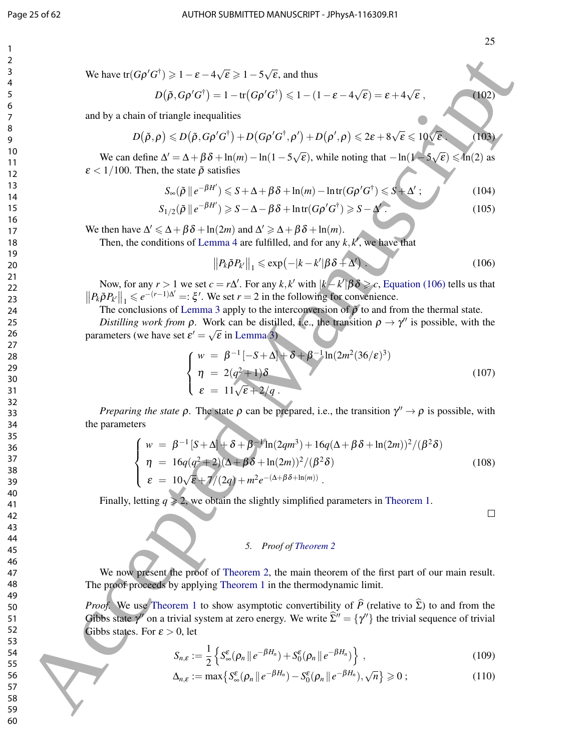$^{\prime}102$ 

$$
D(\tilde{\rho}, G\rho' G^{\dagger}) = 1 - \text{tr}(G\rho' G^{\dagger}) \leq 1 - (1 - \varepsilon - 4\sqrt{\varepsilon}) = \varepsilon + 4\sqrt{\varepsilon} ,
$$

and by a chain of triangle inequalities

$$
D(\tilde{\rho}, \rho) \leq D(\tilde{\rho}, G\rho' G^{\dagger}) + D(G\rho' G^{\dagger}, \rho') + D(\rho', \rho) \leq 2\varepsilon + 8\sqrt{\varepsilon} \leq 10\sqrt{\varepsilon}.
$$
 (103)

We can define  $\Delta' = \Delta + \beta \delta + \ln(m) - \ln(1 - 5\sqrt{m})$  $\overline{\epsilon}$ ), while noting that  $-\ln(1-5)$  $\sqrt{\varepsilon}$ )  $\leqslant$  ln(2) as  $\epsilon$  < 1/100. Then, the state  $\tilde{\rho}$  satisfies

$$
S_{\infty}(\tilde{\rho} \parallel e^{-\beta H'}) \leqslant S + \Delta + \beta \delta + \ln(m) - \ln \text{tr}(G\rho' G^{\dagger}) \leqslant S + \Delta'; \qquad (104)
$$

$$
S_{1/2}(\tilde{\rho} \parallel e^{-\beta H'}) \ge S - \Delta - \beta \delta + \ln \text{tr}(G\rho' G^{\dagger}) \ge S - \Delta'.
$$
 (105)

We then have  $\Delta' \leq \Delta + \beta \delta + \ln(2m)$  and  $\Delta' \geq \Delta + \beta \delta + \ln(m)$ .

Then, the conditions of Lemma 4 are fulfilled, and for any  $k$ ,  $k'$ , we have that

$$
||P_k\tilde{\rho}P_{k'}||_1 \leqslant \exp\left(-|k-k'|\beta\delta+\Delta'\right). \tag{106}
$$

Now, for any  $r > 1$  we set  $c = r\Delta'$ . For any  $k, k'$  with  $|k - k'| \beta \delta \geq c$ , Equation (106) tells us that  $||P_k\tilde{\rho}P_{k'}||_1 \leq e^{-(r-1)\Delta'} =: \xi'.$  We set  $r = 2$  in the following for convenience.

The conclusions of Lemma 3 apply to the interconversion of  $\tilde{\rho}$  to and from the thermal state.

*Distilling work from*  $\rho$ . Work can be distilled, i.e., the transition  $\rho \to \gamma''$  is possible, with the parameters (we have set  $\varepsilon' = \sqrt{\varepsilon}$  in Lemma 3)

$$
\begin{cases}\n w = \beta^{-1} [-S + \Delta] + \delta + \beta^{-1} \ln(2m^2 (36/\epsilon)^3) \\
 \eta = 2(q^2 + 1)\delta \\
 \epsilon = 11\sqrt{\epsilon} + 2/q.\n\end{cases}
$$
\n(107)

*Preparing the state*  $\rho$ . The state  $\rho$  can be prepared, i.e., the transition  $\gamma'' \to \rho$  is possible, with the parameters

We have tr(Gρ'G<sup>+</sup>) ≥ 1 – ε – 4√ε ≥ 1 – 5√ε, and thus  
\n
$$
D(\beta, G\rho'G^+) = 1 - tr(G\rho'G^+) ≤ 1 – (1 – ε – 4√ε) – ε + 4√ε ,
$$
\nand by a chain of triangle inequalities  
\n
$$
D(\beta, \rho) ≤ D(\beta, G\rho'G^+) + D(G\rho'G^+) + D(\rho' \rho) ≤ 2e + 8\sqrt{ε} ≤ 10\sqrt{ε}.
$$
\nand by a chain of triangle inequalities  
\n
$$
D(\beta, \rho) ≤ D(\beta, G\rho'G^+) + D(G\rho'G^+) + D(\rho' \rho) ≤ 2e + 8\sqrt{ε} ≤ 10\sqrt{ε}.
$$
\nWe can define  $\Delta' = \Delta + \beta \delta + \ln(m) - \ln(1 - 5\sqrt{ε})$ , while noting that  $- \ln(1 - 5\sqrt{ε}) ≤ \ln(2)$  as  
\n $ε < 1/100$ . Then, the state  $\beta$  satisfies  
\n
$$
S = (\beta || e^{-\beta H^+}) ≤ 5 - \Delta - \beta \delta + \ln(tr(\rho'G^+) ≥ 5 - \Delta^{k/2}).
$$
\n(104)  
\n11  
\n12  
\n13  
\n14  
\n15  
\n16  
\n17  
\n18  
\n19  
\n10  
\n10  
\n11  
\n11  
\n12  
\n13  
\n14  
\n15  
\n16  
\n17  
\n18  
\n19  
\n10  
\n10  
\n11  
\n12  
\n13  
\n14  
\n15  
\n16  
\n17  
\n18  
\n19  
\n10  
\n10  
\n11  
\n12  
\n13  
\n14  
\n15  
\n16  
\n17  
\n18  
\n19  
\n10  
\n10  
\n11  
\n12  
\n13  
\n14  
\n15  
\n16  
\n17  
\n18  
\n19  
\n10  
\n10  
\n11  
\n12  
\n13  
\n14  
\n15  
\n16  
\n17  
\n18  
\n19  
\n10  
\n11  
\n12  
\n13  
\n14  
\n15  
\n1

Finally, letting  $q \ge 2$ , we obtain the slightly simplified parameters in Theorem 1.

#### *5. Proof of Theorem 2*

We now present the proof of Theorem 2, the main theorem of the first part of our main result. The proof proceeds by applying Theorem 1 in the thermodynamic limit.

*Proof.* We use Theorem 1 to show asymptotic convertibility of  $\hat{P}$  (relative to  $\hat{\Sigma}$ ) to and from the Gibbs state  $\gamma''$  on a trivial system at zero energy. We write  $\hat{\Sigma}'' = {\gamma''}$  the trivial sequence of trivial Gibbs states. For  $\varepsilon > 0$ , let

$$
S_{n,\varepsilon} := \frac{1}{2} \left\{ S_{\infty}^{\varepsilon}(\rho_n \parallel e^{-\beta H_n}) + S_0^{\varepsilon}(\rho_n \parallel e^{-\beta H_n}) \right\} ,\qquad(109)
$$

$$
\Delta_{n,\varepsilon} := \max \left\{ S_{\infty}^{\varepsilon}(\rho_n \, \| \, e^{-\beta H_n}) - S_0^{\varepsilon}(\rho_n \, \| \, e^{-\beta H_n}), \sqrt{n} \right\} \geqslant 0 \, ; \tag{110}
$$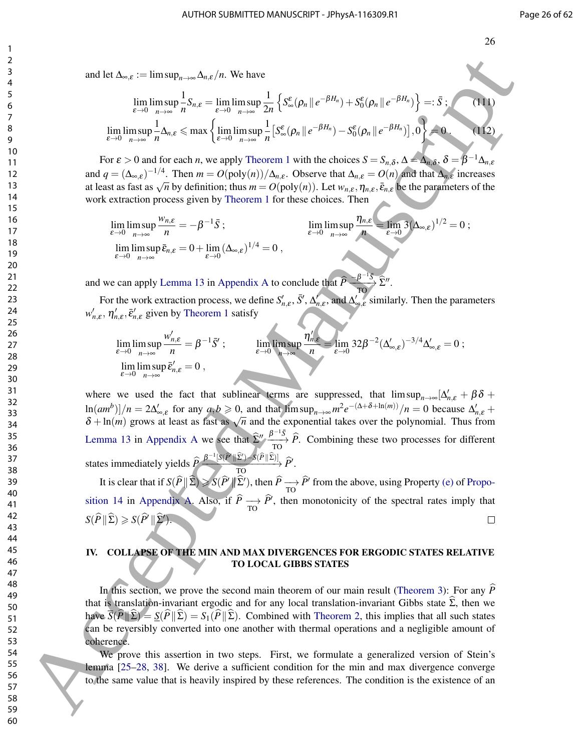and let  $\Delta_{\infty,\varepsilon} := \limsup_{n \to \infty} \Delta_{n,\varepsilon}/n$ . We have

$$
\lim_{\varepsilon \to 0} \limsup_{n \to \infty} \frac{1}{n} S_{n,\varepsilon} = \lim_{\varepsilon \to 0} \limsup_{n \to \infty} \frac{1}{2n} \left\{ S_{\infty}^{\varepsilon}(\rho_n \, \| \, e^{-\beta H_n}) + S_0^{\varepsilon}(\rho_n \, \| \, e^{-\beta H_n}) \right\} =: \bar{S} ; \qquad (11)
$$
\n
$$
\lim_{\varepsilon \to 0} \limsup_{n \to \infty} \frac{1}{n} \Delta_{n,\varepsilon} \leq \max \left\{ \lim_{\varepsilon \to 0} \limsup_{n \to \infty} \frac{1}{n} \left[ S_{\infty}^{\varepsilon}(\rho_n \, \| \, e^{-\beta H_n}) - S_0^{\varepsilon}(\rho_n \, \| \, e^{-\beta H_n}) \right], 0 \right\} = 0 . \qquad (112)
$$

For  $\varepsilon > 0$  and for each *n*, we apply Theorem 1 with the choices  $S = S_{n,\delta}$ ,  $\Delta = \Delta_{n,\delta}$ ,  $\delta = \beta^{-1} \Delta_{n,\varepsilon}$ and  $q = (\Delta_{\infty,\varepsilon})^{-1/4}$ . Then  $m = O(\text{poly}(n))/\Delta_{n,\varepsilon}$ . Observe that  $\Delta_{n,\varepsilon} = O(n)$  and that  $\Delta_{n,\varepsilon}$  increases and  $q = (\Delta_{\infty, \varepsilon})$ . Then  $m = O(\text{poly}(n))/\Delta_{n, \varepsilon}$ . Observe that  $\Delta_{n, \varepsilon} = O(n)$  and that  $\Delta_{n, \varepsilon}$  increases at least as fast as  $\sqrt{n}$  by definition; thus  $m = O(\text{poly}(n))$ . Let  $w_{n, \varepsilon}, \eta_{n, \varepsilon}, \bar{\varepsilon}_{n, \varepsilon}$  be the work extraction process given by Theorem 1 for these choices. Then

$$
\lim_{\varepsilon \to 0} \limsup_{n \to \infty} \frac{w_{n,\varepsilon}}{n} = -\beta^{-1} \bar{S} ; \qquad \lim_{\varepsilon \to 0} \limsup_{n \to \infty} \frac{\eta_{n,\varepsilon}}{n} = \lim_{\varepsilon \to 0} 3 (\Delta_{\infty,\varepsilon})^{1/2} = 0 ;
$$
  

$$
\lim_{\varepsilon \to 0} \limsup_{n \to \infty} \bar{\varepsilon}_{n,\varepsilon} = 0 + \lim_{\varepsilon \to 0} (\Delta_{\infty,\varepsilon})^{1/4} = 0 ,
$$

and we can apply Lemma 13 in Appendix A to conclude that  $\hat{P} \xrightarrow[TO] {\widehat{D}} \hat{\Sigma}''$ .

For the work extraction process, we define  $S'_{n,\varepsilon}$ ,  $\bar{S}'$ ,  $\Delta'_{n,\varepsilon}$ , and  $\Delta'_{\infty,\varepsilon}$  similarly. Then the parameters  $w'_{n,\varepsilon}$ ,  $\eta'_{n,\varepsilon}$ ,  $\bar{\varepsilon}'_{n,\varepsilon}$  given by Theorem 1 satisfy

$$
\lim_{\varepsilon \to 0} \limsup_{n \to \infty} \frac{w'_{n,\varepsilon}}{n} = \beta^{-1} \bar{S}' ; \qquad \lim_{\varepsilon \to 0} \limsup_{n \to \infty} \frac{\eta'_{n,\varepsilon}}{n} = \lim_{\varepsilon \to 0} 32 \beta^{-2} (\Delta'_{\infty,\varepsilon})^{-3/4} \Delta'_{\infty,\varepsilon} = 0 ;
$$
\n
$$
\lim_{\varepsilon \to 0} \limsup_{n \to \infty} \bar{\varepsilon}'_{n,\varepsilon} = 0 ,
$$

where we used the fact that sublinear terms are suppressed, that  $\limsup_{n\to\infty} [\Delta'_{n,\varepsilon} + \beta \delta +$  $\ln(am^b)/n = 2\Delta'_{\infty,\varepsilon}$  for any  $a,b \ge 0$ , and that  $\limsup_{n \to \infty} m^2 e^{-(\Delta + \delta + \ln(m))}/n = 0$  because  $\Delta'_{n,\varepsilon}$  +  $\delta + \ln(m)$  grows at least as fast as  $\sqrt{n}$  and the exponential takes over the polynomial. Thus from Lemma 13 in Appendix A we see that  $\hat{\Sigma}'' \frac{\beta^{-1}\bar{S}}{\tau_0} \hat{P}$ . Combining these two processes for different states immediately yields  $\widehat{P}\xrightarrow{\beta^{-1}[S(\widehat{P}||\widehat{\Sigma}')-S(\widehat{P}||\widehat{\Sigma})]}\widehat{P}'$ . and let  $\Delta_{n,q}$  (manuscript)  $\frac{1}{n} \sum_{i=1}^{n} \sum_{j=1}^{n} \sum_{j=1}^{n} \sum_{j=1}^{n} \sum_{j=1}^{n} \sum_{j=1}^{n} \sum_{j=1}^{n} \sum_{j=1}^{n} \sum_{j=1}^{n} \sum_{j=1}^{n} \sum_{j=1}^{n} \sum_{j=1}^{n} \sum_{j=1}^{n} \sum_{j=1}^{n} \sum_{j=1}^{n} \sum_{j=1}^{n} \sum_{j=1}^{n} \sum_{j=1}^{n} \sum_{$ 

It is clear that if  $S(\hat{P} \| \hat{\Sigma}) \ge S(\hat{P} \| \hat{\Sigma}')$ , then  $\hat{P} \longrightarrow \hat{P}'$  from the above, using Property (e) of Proposition 14 in Appendix A. Also, if  $\hat{P} \rightarrow \hat{P}'$ , then monotonicity of the spectral rates imply that  $S(\widehat{P} \|\widehat{\Sigma}) \geqslant S(\widehat{P}' \|\widehat{\Sigma}').$ 

### IV. COLLAPSE OF THE MIN AND MAX DIVERGENCES FOR ERGODIC STATES RELATIVE TO LOCAL GIBBS STATES

In this section, we prove the second main theorem of our main result (Theorem 3): For any  $\hat{P}$ that is translation-invariant ergodic and for any local translation-invariant Gibbs state  $\Sigma$ , then we have  $\overline{S(P||\Sigma)} = \overline{S(P||\Sigma)} = S_1(P||\Sigma)$ . Combined with Theorem 2, this implies that all such states can be reversibly converted into one another with thermal operations and a negligible amount of coherence.

We prove this assertion in two steps. First, we formulate a generalized version of Stein's lemma [25–28, 38]. We derive a sufficient condition for the min and max divergence converge to the same value that is heavily inspired by these references. The condition is the existence of an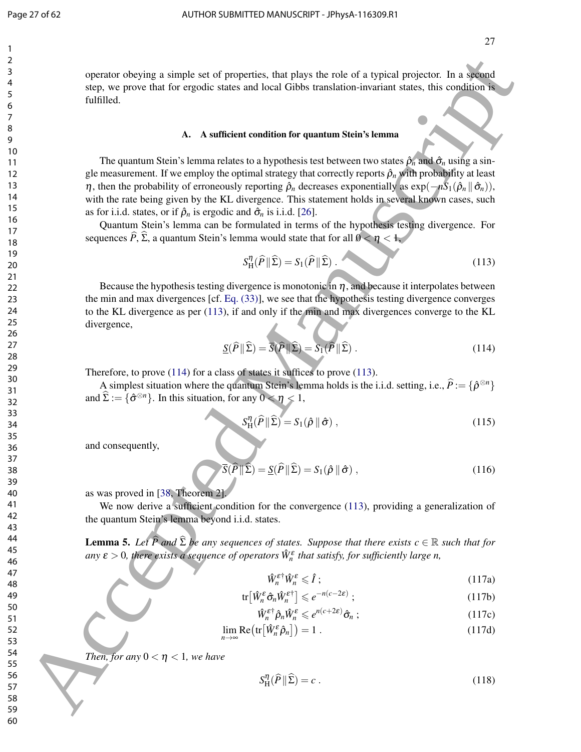operator obeying a simple set of properties, that plays the role of a typical projector. In a second step, we prove that for ergodic states and local Gibbs translation-invariant states, this condition is fulfilled.

#### A. A sufficient condition for quantum Stein's lemma

The quantum Stein's lemma relates to a hypothesis test between two states  $\hat{\rho}_n$  and  $\hat{\sigma}_n$  using a single measurement. If we employ the optimal strategy that correctly reports  $\hat{\rho}_n$  with probability at least  $\eta$ , then the probability of erroneously reporting  $\hat{\rho}_n$  decreases exponentially as  $\exp(-nS_1(\hat{\rho}_n \| \hat{\sigma}_n))$ , with the rate being given by the KL divergence. This statement holds in several known cases, such as for i.i.d. states, or if  $\hat{\rho}_n$  is ergodic and  $\hat{\sigma}_n$  is i.i.d. [26]. Solution of exploration of exploration for a play the role of a typical polycine, then define the space of a space of a space of a space of a space of a space of a space of a space of a space of a space of a space of a s

Quantum Stein's lemma can be formulated in terms of the hypothesis testing divergence. For sequences  $\hat{P}$ ,  $\hat{\Sigma}$ , a quantum Stein's lemma would state that for all  $0 < \eta < 1$ ,

$$
S_H^{\eta}(\widehat{P} \| \widehat{\Sigma}) = S_1(\widehat{P} \| \widehat{\Sigma}). \tag{113}
$$

Because the hypothesis testing divergence is monotonic in  $\eta$ , and because it interpolates between the min and max divergences [cf. Eq. (33)], we see that the hypothesis testing divergence converges to the KL divergence as per (113), if and only if the min and max divergences converge to the KL divergence,

$$
\underline{S}(\widehat{P} \| \widehat{\Sigma}) = \overline{S}(\widehat{P} \| \widehat{\Sigma}) = S_1(\widehat{P} \| \widehat{\Sigma}).
$$
\n(114)

Therefore, to prove (114) for a class of states it suffices to prove (113).

A simplest situation where the quantum Stein's lemma holds is the i.i.d. setting, i.e.,  $\hat{P} := \{ \hat{\rho}^{\otimes n} \}$ and  $\widehat{\Sigma} := {\widehat{\sigma}}^{\otimes n}$ . In this situation, for any  $0 \le \eta \le 1$ ,

$$
S_{\mathrm{H}}^{\eta}(\widehat{P} \| \widehat{\Sigma}) = S_1(\widehat{\rho} \| \widehat{\sigma}), \qquad (115)
$$

and consequently,

$$
\overline{S}(\widehat{P} \| \widehat{\Sigma}) = \underline{S}(\widehat{P} \| \widehat{\Sigma}) = S_1(\widehat{\rho} \| \widehat{\sigma}), \qquad (116)
$$

as was proved in [38, Theorem 2].

We now derive a sufficient condition for the convergence (113), providing a generalization of the quantum Stein's lemma beyond i.i.d. states.

**Lemma 5.** Let  $\widehat{P}$  and  $\widehat{\Sigma}$  be any sequences of states. Suppose that there exists  $c \in \mathbb{R}$  such that for any  $\varepsilon > 0$ , there exists a sequence of operators  $\hat{W}^{\varepsilon}_n$  that satisfy, for sufficiently large n,

$$
\hat{W}_n^{\varepsilon^+} \hat{W}_n^{\varepsilon} \leqslant \hat{I} \tag{117a}
$$

$$
\text{tr}\left[\hat{W}_n^{\varepsilon}\hat{\sigma}_n\hat{W}_n^{\varepsilon^+}\right] \leqslant e^{-n(c-2\varepsilon)}\tag{117b}
$$

$$
\hat{W}_n^{\varepsilon^+} \hat{\rho}_n \hat{W}_n^{\varepsilon} \leqslant e^{n(c+2\varepsilon)} \hat{\sigma}_n ; \qquad (117c)
$$

$$
\lim_{n \to \infty} \text{Re}\big(\text{tr}\big[\hat{W}_n^{\varepsilon}\hat{\rho}_n\big]\big) = 1\ .
$$
\n(117d)

*Then, for any*  $0 < \eta < 1$ *, we have* 

$$
S_{\rm H}^{\eta}(\widehat{P} \| \widehat{\Sigma}) = c \ . \tag{118}
$$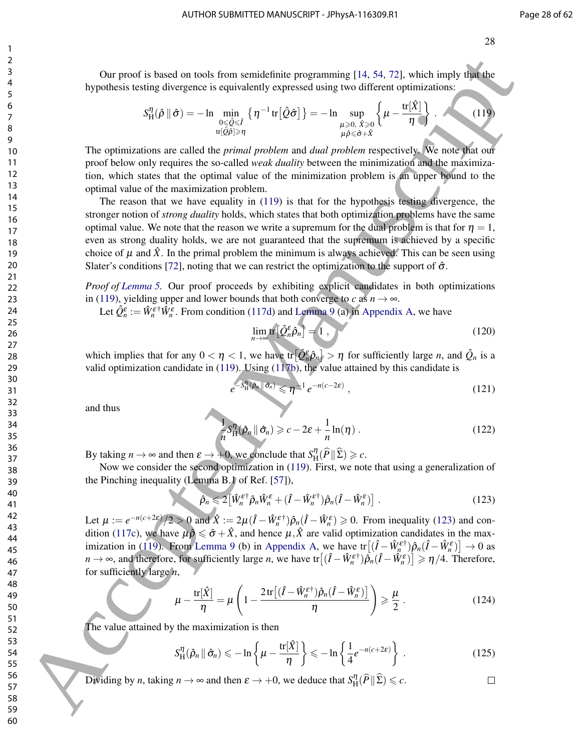28

Our proof is based on tools from semidefinite programming [14, 54, 72], which imply that the hypothesis testing divergence is equivalently expressed using two different optimizations:

$$
S_{\mathrm{H}}^{\eta}(\hat{\rho} \parallel \hat{\sigma}) = -\ln \min_{\substack{0 \leq \hat{Q} \leq \hat{I} \\ \operatorname{tr}[\hat{Q}\hat{\rho}] \geq \eta}} \left\{ \eta^{-1} \operatorname{tr}[\hat{Q}\hat{\sigma}] \right\} = -\ln \sup_{\substack{\mu \geq 0, \ \hat{X} \geq 0 \\ \mu \hat{\rho} \leq \hat{\sigma} + \hat{X}}} \left\{ \mu - \frac{\operatorname{tr}[\hat{X}]}{\eta} \right\}.
$$
 (119)

The optimizations are called the *primal problem* and *dual problem* respectively. We note that our proof below only requires the so-called *weak duality* between the minimization and the maximization, which states that the optimal value of the minimization problem is an upper bound to the optimal value of the maximization problem.

The reason that we have equality in (119) is that for the hypothesis testing divergence, the stronger notion of *strong duality* holds, which states that both optimization problems have the same optimal value. We note that the reason we write a supremum for the dual problem is that for  $\eta = 1$ , even as strong duality holds, we are not guaranteed that the supremum is achieved by a specific choice of  $\mu$  and  $\ddot{X}$ . In the primal problem the minimum is always achieved. This can be seen using Slater's conditions [72], noting that we can restrict the optimization to the support of  $\hat{\sigma}$ . δ Accept is based on toesi from semi-échine pogrammine [14, 54, 72], which imply the hypothasis by political spectra control in the spectra of the spectra of the spectra of the spectra of the spectra of the spectra of th

*Proof of Lemma 5.* Our proof proceeds by exhibiting explicit candidates in both optimizations in (119), yielding upper and lower bounds that both converge to *c* as  $n \to \infty$ .

Let  $\hat{Q}_n^{\varepsilon} := \hat{W}_n^{\varepsilon \dagger} \hat{W}_n^{\varepsilon}$ . From condition (117d) and Lemma 9 (a) in Appendix A, we have

$$
\lim_{n \to \infty} \text{tr} \left[ \hat{Q}_n^{\varepsilon} \hat{\rho}_n \right] = 1 , \qquad (120)
$$

which implies that for any  $0 < \eta < 1$ , we have  $tr[\hat{Q}_n^{\epsilon}\hat{\rho}_n] > \eta$  for sufficiently large *n*, and  $\hat{Q}_n$  is a valid optimization candidate in (119). Using (117b), the value attained by this candidate is

$$
e^{-S_{\mathcal{H}}^{\eta}(\hat{\rho}_n \|\hat{\sigma}_n)} \leqslant \eta^{-1} e^{-n(c-2\varepsilon)} , \qquad (121)
$$

and thus

$$
\frac{1}{n}S_{\mathrm{H}}^{\eta}(\hat{\rho}_n \parallel \hat{\sigma}_n) \geqslant c - 2\varepsilon + \frac{1}{n}\ln(\eta) \,. \tag{122}
$$

By taking  $n \to \infty$  and then  $\varepsilon \to +0$ , we conclude that  $S_{\rm H}^{\eta}$  $_{\rm H}^{\eta}(\widehat{P}\|\widehat{\Sigma}) \geqslant c.$ 

Now we consider the second optimization in (119). First, we note that using a generalization of the Pinching inequality (Lemma B.1 of Ref. [57]),

$$
\hat{\rho}_n \leq 2 \left[ \hat{W}_n^{\varepsilon \dagger} \hat{\rho}_n \hat{W}_n^{\varepsilon} + (\hat{I} - \hat{W}_n^{\varepsilon \dagger}) \hat{\rho}_n (\hat{I} - \hat{W}_n^{\varepsilon}) \right]. \tag{123}
$$

Let  $\mu := e^{-n(c+2\varepsilon)}/2 > 0$  and  $\hat{X} := 2\mu(\hat{I} - \hat{W}_n^{\varepsilon^+})\hat{\rho}_n(\hat{I} - \hat{W}_n^{\varepsilon}) \ge 0$ . From inequality (123) and condition (117c), we have  $\mu \hat{\rho} \leq \hat{\sigma} + \hat{X}$ , and hence  $\mu, \hat{X}$  are valid optimization candidates in the maximization in (119). From Lemma 9 (b) in Appendix A, we have  $tr[(\hat{I} - \hat{W}_n^{\epsilon\dagger})\hat{\rho}_n(\hat{I} - \hat{W}_n^{\epsilon})] \to 0$  as  $n \to \infty$ , and therefore, for sufficiently large *n*, we have  $\text{tr}\left[(\hat{I} - \hat{W}_n^{\varepsilon\dagger})\hat{\rho}_n(\hat{I} - \hat{W}_n^{\varepsilon})\right] \ge \eta/4$ . Therefore, for sufficiently large *n*,

$$
\mu - \frac{\text{tr}[\hat{X}]}{\eta} = \mu \left( 1 - \frac{2 \text{tr}[(\hat{I} - \hat{W}_n^{\varepsilon \dagger}) \hat{\rho}_n (\hat{I} - \hat{W}_n^{\varepsilon})]}{\eta} \right) \geqslant \frac{\mu}{2} \ . \tag{124}
$$

The value attained by the maximization is then

$$
S_{\mathrm{H}}^{\eta}(\hat{\rho}_n \, \|\, \hat{\sigma}_n) \leq -\ln\left\{\mu - \frac{\mathrm{tr}[\hat{X}]}{\eta}\right\} \leq -\ln\left\{\frac{1}{4}e^{-n(c+2\varepsilon)}\right\} \,.
$$

Dividing by *n*, taking  $n \to \infty$  and then  $\varepsilon \to +0$ , we deduce that  $S_{\text{H}}^{\eta}$  $_{\rm H}^{\eta}(\widehat{P}\|\widehat{\Sigma})\leqslant c.$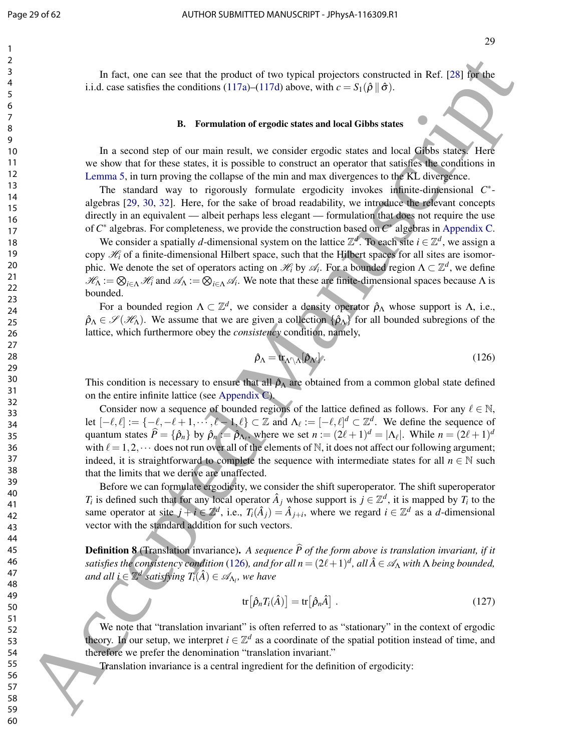In fact, one can see that the product of two typical projectors constructed in Ref. [28] for the i.i.d. case satisfies the conditions (117a)–(117d) above, with  $c = S_1(\hat{\rho} \parallel \hat{\sigma})$ .

#### B. Formulation of ergodic states and local Gibbs states

In a second step of our main result, we consider ergodic states and local Gibbs states. Here we show that for these states, it is possible to construct an operator that satisfies the conditions in Lemma 5, in turn proving the collapse of the min and max divergences to the KL divergence.

The standard way to rigorously formulate ergodicity invokes infinite-dimensional C<sup>\*</sup>algebras [29, 30, 32]. Here, for the sake of broad readability, we introduce the relevant concepts directly in an equivalent — albeit perhaps less elegant — formulation that does not require the use of *C* ∗ algebras. For completeness, we provide the construction based on *C* ∗ algebras in Appendix C.

We consider a spatially *d*-dimensional system on the lattice  $\mathbb{Z}^d$ . To each site  $i \in \mathbb{Z}^d$ , we assign a copy  $\mathcal{H}_i$  of a finite-dimensional Hilbert space, such that the Hilbert spaces for all sites are isomorphic. We denote the set of operators acting on  $\mathcal{H}_i$  by  $\mathcal{A}_i$ . For a bounded region  $\Lambda \subset \mathbb{Z}^d$ , we define  $\mathscr{H}_{\Lambda} := \bigotimes_{i \in \Lambda} \mathscr{H}_i$  and  $\mathscr{A}_{\Lambda} := \bigotimes_{i \in \Lambda} \mathscr{A}_i$ . We note that these are finite-dimensional spaces because  $\Lambda$  is bounded.

For a bounded region  $\Lambda \subset \mathbb{Z}^d$ , we consider a density operator  $\hat{\rho}_{\Lambda}$  whose support is  $\Lambda$ , i.e.,  $\rho_{\Lambda} \in \mathscr{S}(\mathscr{H}_{\Lambda})$ . We assume that we are given a collection  $\{\hat{\rho}_{\Lambda}\}\$  for all bounded subregions of the lattice, which furthermore obey the *consistency* condition, namely,

$$
\hat{\rho}_{\Lambda} = \text{tr}_{\Lambda' \setminus \Lambda} [\hat{\rho}_{\Lambda'}]. \tag{126}
$$

This condition is necessary to ensure that all  $\hat{\rho}_A$  are obtained from a common global state defined on the entire infinite lattice (see Appendix C).

Consider now a sequence of bounded regions of the lattice defined as follows. For any  $\ell \in \mathbb{N}$ , let  $[-\ell, \ell] := \{-\ell, -\ell + 1, \dots, \ell - 1, \ell\} \subset \mathbb{Z}$  and  $\Lambda_{\ell} := [-\ell, \ell]^d \subset \mathbb{Z}^d$ . We define the sequence of quantum states  $\hat{P} = {\hat{\rho}_n}$  by  $\hat{\rho}_n := \hat{\rho}_{\Lambda_\ell}$ , where we set  $n := (2\ell + 1)^d = |\Lambda_\ell|$ . While  $n = (2\ell + 1)^d$ with  $\ell = 1,2,\dots$  does not run over all of the elements of N, it does not affect our following argument; indeed, it is straightforward to complete the sequence with intermediate states for all  $n \in \mathbb{N}$  such that the limits that we derive are unaffected. 16 fact, one can see that the product of two veptical proximic contributed RAT (23) with<br>
i.i.d. case statistic inc conditions (1776)-(1778) above, with  $v = 3/3$  (8).<br>
F. *n.* second then of car multi-mean are producted m

Before we can formulate ergodicity, we consider the shift superoperator. The shift superoperator *T<sub>i</sub>* is defined such that for any local operator  $\hat{A}_j$  whose support is  $j \in \mathbb{Z}^d$ , it is mapped by *T<sub>i</sub>* to the same operator at site  $j + i \in \mathbb{Z}^d$ , i.e.,  $T_i(\hat{A}_j) = \hat{A}_{j+i}$ , where we regard  $i \in \mathbb{Z}^d$  as a *d*-dimensional vector with the standard addition for such vectors.

**Definition 8** (Translation invariance). A sequence  $\hat{P}$  of the form above is translation invariant, if it *satisfies the consistency condition* (126), and for all  $n = (2\ell+1)^d$ , all  $\hat{A} \in \mathscr{A}_\Lambda$  with  $\Lambda$  being bounded,  $i$  *and all i*  $\in \mathbb{Z}^d$  satisfying  $T_i(\hat{A}) \in \mathscr{A}_{\Lambda_l}$ , we have

$$
\text{tr}\big[\hat{\rho}_n T_i(\hat{A})\big] = \text{tr}\big[\hat{\rho}_n \hat{A}\big] \ . \tag{127}
$$

We note that "translation invariant" is often referred to as "stationary" in the context of ergodic theory. In our setup, we interpret  $i \in \mathbb{Z}^d$  as a coordinate of the spatial potition instead of time, and therefore we prefer the denomination "translation invariant."

Translation invariance is a central ingredient for the definition of ergodicity: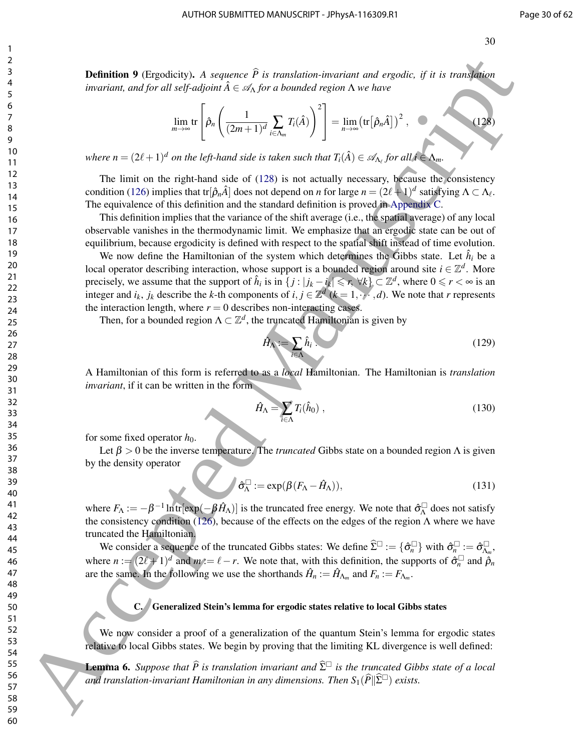**Definition 9** (Ergodicity). A sequence  $\widehat{P}$  is translation-invariant and ergodic, if it is translation *invariant, and for all self-adjoint*  $\hat{A} \in A_{\Lambda}$  *for a bounded region*  $\Lambda$  *we have* 

$$
\lim_{m \to \infty} \text{tr}\left[\hat{\rho}_n \left(\frac{1}{(2m+1)^d} \sum_{i \in \Lambda_m} T_i(\hat{A})\right)^2\right] = \lim_{n \to \infty} \left(\text{tr}\left[\hat{\rho}_n \hat{A}\right]\right)^2, \qquad (128)
$$

*where n* =  $(2\ell + 1)^d$  *on the left-hand side is taken such that*  $T_i(\hat{A}) \in \mathscr{A}_{\Lambda_\ell}$  *for all*  $i \in \Lambda_m$ *.* 

The limit on the right-hand side of (128) is not actually necessary, because the consistency condition (126) implies that tr $[\hat{\rho}_n \hat{A}]$  does not depend on *n* for large  $n = (2\ell+1)^d$  satisfying  $\Lambda \subset \Lambda_\ell$ . The equivalence of this definition and the standard definition is proved in Appendix C.

This definition implies that the variance of the shift average (i.e., the spatial average) of any local observable vanishes in the thermodynamic limit. We emphasize that an ergodic state can be out of equilibrium, because ergodicity is defined with respect to the spatial shift instead of time evolution.

We now define the Hamiltonian of the system which determines the Gibbs state. Let  $\hat{h}_i$  be a local operator describing interaction, whose support is a bounded region around site  $i \in \mathbb{Z}^d$ . More precisely, we assume that the support of  $\hat{h}_i$  is in  $\{j : |j_k - i_k| \leqslant r, \forall k\} \subset \mathbb{Z}^d$ , where  $0 \leqslant r < \infty$  is an integer and  $i_k$ ,  $j_k$  describe the *k*-th components of  $i, j \in \mathbb{Z}^d$  ( $k = 1, \dots, d$ ). We note that *r* represents the interaction length, where  $r = 0$  describes non-interacting cases. **2.4**<br> **Definition 9 (Expedicity)** A *nequence F* is *n* tomation related the expedicity of *n* is *n* tomation related Manuscript ( $\mathbf{A}$ ,  $\mathbf{B}$ )  $\mathbf{A}$ <br> **Accepted Manuscript (** $\mathbf{A}$ **,**  $\mathbf{B}$ **)**  $\mathbf{A}$  and

Then, for a bounded region  $\Lambda \subset \mathbb{Z}^d$ , the truncated Hamiltonian is given by

$$
\hat{H}_{\Lambda} := \sum_{i \in \Lambda} \hat{h}_i \tag{129}
$$

A Hamiltonian of this form is referred to as a *local* Hamiltonian. The Hamiltonian is *translation invariant*, if it can be written in the form

$$
\hat{H}_{\Lambda} = \sum_{i \in \Lambda} T_i(\hat{h}_0) , \qquad (130)
$$

for some fixed operator  $h_0$ .

Let  $\beta > 0$  be the inverse temperature. The *truncated* Gibbs state on a bounded region  $\Lambda$  is given by the density operator

$$
\hat{\sigma}_{\Lambda}^{\square} := \exp(\beta (F_{\Lambda} - \hat{H}_{\Lambda})), \tag{131}
$$

where  $F_A := -\beta^{-1} \ln \text{tr}[\exp(-\beta \hat{H}_A)]$  is the truncated free energy. We note that  $\hat{\sigma}_{A}^{\Box}$  $\frac{1}{\Lambda}$  does not satisfy the consistency condition (126), because of the effects on the edges of the region  $\Lambda$  where we have truncated the Hamiltonian.

We consider a sequence of the truncated Gibbs states: We define  $\widehat{\Sigma}^{\square} := {\{\hat{\sigma}}_n^{\square}\}\$  with  $\widehat{\sigma}_n^{\square}$  $\overset{\square}{n}:=\hat{\sigma}_{\Lambda_{k}}^{\square}$ Λ*m* , where  $n := (2\ell + 1)^d$  and  $m := \ell - r$ . We note that, with this definition, the supports of  $\hat{\sigma}_n^{\square}$  $\int_n$  and  $\hat{\rho}_n$ are the same. In the following we use the shorthands  $\hat{H}_n := \hat{H}_{\Lambda_m}$  and  $F_n := F_{\Lambda_m}$ .

# Generalized Stein's lemma for ergodic states relative to local Gibbs states

We now consider a proof of a generalization of the quantum Stein's lemma for ergodic states relative to local Gibbs states. We begin by proving that the limiting KL divergence is well defined:

**Lemma 6.** *Suppose that*  $\widehat{P}$  *is translation invariant and*  $\widehat{\Sigma}^{\square}$  *is the truncated Gibbs state of a local and translation-invariant Hamiltonian in any dimensions. Then*  $S_1(\widehat{P}||\widehat{\Sigma}^{\square})$  *exists.*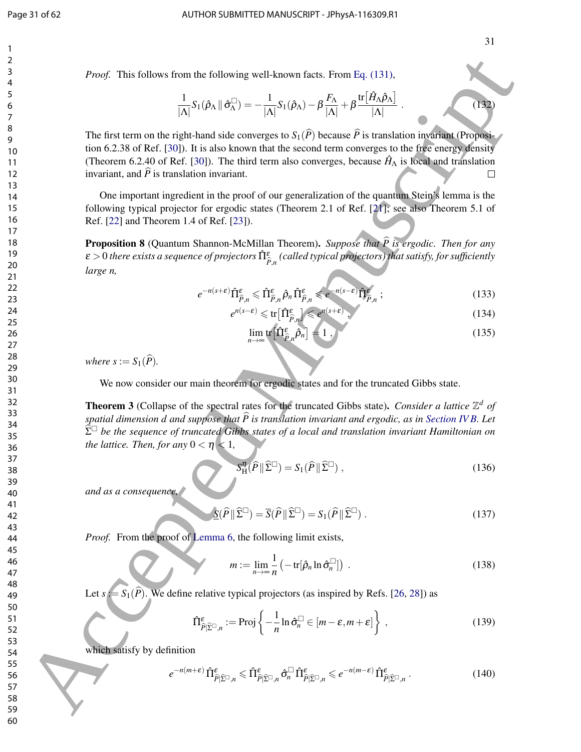*Proof.* This follows from the following well-known facts. From Eq. (131),

$$
\frac{1}{|\Lambda|}S_1(\hat{\rho}_\Lambda \|\hat{\sigma}_\Lambda^{\square}) = -\frac{1}{|\Lambda|}S_1(\hat{\rho}_\Lambda) - \beta \frac{F_\Lambda}{|\Lambda|} + \beta \frac{\text{tr}[\hat{H}_\Lambda \hat{\rho}_\Lambda]}{|\Lambda|}.
$$
 (132)

The first term on the right-hand side converges to  $S_1(\widehat{P})$  because  $\widehat{P}$  is translation invariant (Proposition 6.2.38 of Ref. [30]). It is also known that the second term converges to the free energy density (Theorem 6.2.40 of Ref. [30]). The third term also converges, because  $\hat{H}_{\Lambda}$  is local and translation invariant, and  $\hat{P}$  is translation invariant.

One important ingredient in the proof of our generalization of the quantum Stein's lemma is the following typical projector for ergodic states (Theorem 2.1 of Ref. [21]; see also Theorem 5.1 of Ref. [22] and Theorem 1.4 of Ref. [23]).

Proposition 8 (Quantum Shannon-McMillan Theorem). *Suppose that P is ergodic. Then for any* <sup>b</sup> ε > 0 *there exists a sequence of projectors* Πˆ <sup>ε</sup> *P*b,*n (called typical projectors) that satisfy, for sufficiently large n,*

$$
e^{-n(s+\varepsilon)}\hat{\Pi}^{\varepsilon}_{\hat{P},n} \leq \hat{\Pi}^{\varepsilon}_{\hat{P},n}\hat{\rho}_n\hat{\Pi}^{\varepsilon}_{\hat{P},n} \leqslant e^{-n(s-\varepsilon)}\hat{\Pi}^{\varepsilon}_{\hat{P},n};\tag{133}
$$

$$
e^{n(s-\varepsilon)} \leqslant \text{tr}\big[\hat{\Pi}^{\varepsilon}_{\hat{P},n}\big] \leqslant e^{n(s+\varepsilon)},\tag{134}
$$

$$
\lim_{n \to \infty} \text{tr} \left[ \hat{\Pi}_{\hat{P},n}^{\varepsilon} \hat{\rho}_n \right] = 1 \tag{135}
$$

*where*  $s := S_1(\widehat{P})$ *.* 

We now consider our main theorem for ergodic states and for the truncated Gibbs state.

**Theorem 3** (Collapse of the spectral rates for the truncated Gibbs state). *Consider a lattice*  $\mathbb{Z}^d$  *of spatial dimension d and suppose that*  $\widehat{P}$  *is translation invariant and ergodic, as in Section IV B. Let*  $\widehat{\Sigma}^{\square}$  be the sequence of truncated Gibbs states of a local and translation invariant Hamiltonian on *the lattice. Then, for any*  $0 < \eta < 1$ *,* **Find follows from the following well-known fact.** From Fig. (131),<br>  $\frac{1}{\sqrt{2}}S_1(\hat{\rho}_x) = \frac{1}{\sqrt{2}}S_1(\hat{\rho}_y) = \frac{1}{\sqrt{2}}\frac{1}{N}\left[\frac{1}{N}\sum_{i=1}^{N} \frac{1}{N}\sum_{j=1}^{N} \frac{1}{N}\sum_{j=1}^{N} \frac{1}{N}\sum_{j=1}^{N} \frac{1}{N}\sum_{j=1}^{N} \frac{1}{N}\sum_{j=$ 

$$
S_{\mathrm{H}}^{\eta}(\widehat{P} \| \widehat{\Sigma}^{\square}) = S_1(\widehat{P} \| \widehat{\Sigma}^{\square}), \qquad (136)
$$

*and as a consequence,*

$$
\underline{\mathbf{S}}(\widehat{P} \|\widehat{\Sigma}^{\square}) = \overline{\mathbf{S}}(\widehat{P} \|\widehat{\Sigma}^{\square}) = \mathbf{S}_1(\widehat{P} \|\widehat{\Sigma}^{\square}) . \tag{137}
$$

*Proof.* From the proof of Lemma 6, the following limit exists,

$$
m := \lim_{n \to \infty} \frac{1}{n} \left( -\operatorname{tr}[\hat{\rho}_n \ln \hat{\sigma}_n^{\square}] \right) \,. \tag{138}
$$

Let  $s := S_1(\widehat{P})$ . We define relative typical projectors (as inspired by Refs. [26, 28]) as

$$
\hat{\Pi}_{\hat{P}|\hat{\Sigma}^{\square},n}^{\varepsilon} := \text{Proj}\left\{-\frac{1}{n}\ln \hat{\sigma}_n^{\square} \in [m-\varepsilon, m+\varepsilon]\right\},\qquad(139)
$$

which satisfy by definition

$$
e^{-n(m+\varepsilon)}\,\hat{\Pi}^{\varepsilon}_{\hat{P}|\hat{\Sigma}^{\square},n} \leq \hat{\Pi}^{\varepsilon}_{\hat{P}|\hat{\Sigma}^{\square},n} \,\hat{\sigma}_n^{\square}\,\hat{\Pi}^{\varepsilon}_{\hat{P}|\hat{\Sigma}^{\square},n} \leq e^{-n(m-\varepsilon)}\,\hat{\Pi}^{\varepsilon}_{\hat{P}|\hat{\Sigma}^{\square},n} \,. \tag{140}
$$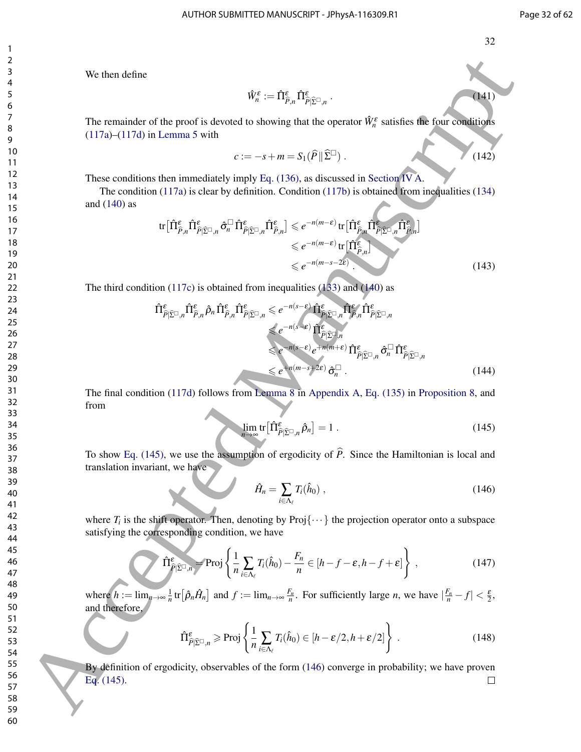$(141)$ 

We then define

$$
\hat{W}^{\varepsilon}_n := \hat{\Pi}^{\varepsilon}_{\hat{P},n} \, \hat{\Pi}^{\varepsilon}_{\hat{P}|\widehat{\Sigma}^{\square},n} \; .
$$

The remainder of the proof is devoted to showing that the operator  $\hat{W}_n^{\varepsilon}$  satisfies the four conditions (117a)–(117d) in Lemma 5 with

$$
c := -s + m = S_1(\widehat{P} \|\widehat{\Sigma}^{\square}) \tag{142}
$$

These conditions then immediately imply Eq. (136), as discussed in Section IV A.

The condition (117a) is clear by definition. Condition (117b) is obtained from inequalities (134) and (140) as

$$
\text{tr}\big[\hat{\Pi}^{\varepsilon}_{\hat{\rho},n}\hat{\Pi}^{\varepsilon}_{\hat{\rho}|\hat{\Sigma}^{\square},n}\hat{\sigma}_{n}^{\square}\hat{\Pi}^{\varepsilon}_{\hat{\rho}|\hat{\Sigma}^{\square},n}\hat{\Pi}^{\varepsilon}_{\hat{\rho},n}\big] \leq e^{-n(m-\varepsilon)} \text{tr}\big[\hat{\Pi}^{\varepsilon}_{\hat{\rho},n}\hat{\Pi}^{\varepsilon}_{\hat{\rho}|\hat{\Sigma}^{\square},n}\hat{\Pi}^{\varepsilon}_{\hat{\rho},n}\big] \leq e^{-n(m-\varepsilon)} \text{tr}\big[\hat{\Pi}^{\varepsilon}_{\hat{\rho},n}\big] \leq e^{-n(m-\varepsilon-2\varepsilon)} \cdot \text{tr}\big[\hat{\Pi}^{\varepsilon}_{\hat{\rho},n}\big] \leq e^{-n(m-\varepsilon-2\varepsilon)} \cdot \tag{143}
$$

The third condition (117c) is obtained from inequalities (133) and (140) as

We then define  
\n
$$
\hat{W}_{n}^{\#} := \hat{\Pi}_{F,n}^{\#} \hat{\Pi}_{F,\hat{U}^{\#},n}^{\#}
$$
\nThe remainder of the proof is devoted to showing that the operator  $\hat{W}_{n}^{\#}$  satisfies the four conditions  
\n(11/7a)-(117d) in Lemma 5 with  
\n
$$
C:=-s+m = S_{1}(\hat{P}|\hat{\Sigma}^{T})
$$
\n(142)  
\n11  
\nThe condition (117a) is clear by definition. Condition (117b) is obtained from inequalities (134)  
\nand (140) as  
\n
$$
tr[\hat{\Pi}_{F,n}^{\#} \hat{\Pi}_{F,\hat{U}^{\#},n}^{\#} \hat{\sigma}_{n}^{\#}] \hat{\Pi}_{F,\hat{U}^{\#},n}^{\#} \hat{\sigma}_{n}^{\#} \hat{\Pi}_{F,\hat{U}^{\#},n}^{\#} \hat{\sigma}_{n}^{\#}] \hat{\Pi}_{F,\hat{U}^{\#},n}^{\#} \hat{\Pi}_{F,\hat{U}^{\#},n}^{\#} \hat{\Pi}_{F,\hat{U}^{\#},n}^{\#} \hat{\Pi}_{F,\hat{U}^{\#},n}^{\#} \hat{\Pi}_{F,\hat{U}^{\#},n}^{\#} \hat{\Pi}_{F,\hat{U}^{\#},n}^{\#} \hat{\Pi}_{F,\hat{U}^{\#},n}^{\#} \hat{\Pi}_{F,\hat{U}^{\#},n}^{\#} \hat{\Pi}_{F,\hat{U}^{\#},n}^{\#} \hat{\Pi}_{F,\hat{U}^{\#},n}^{\#} \hat{\Pi}_{F,\hat{U}^{\#},n}^{\#} \hat{\Pi}_{F,\hat{U}^{\#},n}^{\#} \hat{\Pi}_{F,\hat{U}^{\#},n}^{\#} \hat{\Pi}_{F,\hat{U}^{\#},n}^{\#} \hat{\Pi}_{F,\hat{U}^{\#},n}^{\#} \hat{\Pi}_{F,\hat{U}^{\#},n}^{\#} \hat{\Pi}_{F,\hat{U}^{\#},n}^{\#} \hat{\Pi}_{F,\hat{U}^{\#},n}^{\#} \hat{\Pi}_{F,\hat{U}^{\#},n}^{\#} \hat{\Pi}_{F,\hat{U}^{\#},n}^{\#} \hat{\Pi}_{F,\hat{U}^{\#},n}^{\#} \hat{\Pi}_{F,\hat{U
$$

The final condition (117d) follows from Lemma 8 in Appendix A, Eq. (135) in Proposition 8, and from

$$
\lim_{n \to \infty} \text{tr} \left[ \hat{\Pi}^{\varepsilon}_{\hat{P} | \hat{\Sigma}^{\square}, n} \hat{\rho}_n \right] = 1 \tag{145}
$$

To show Eq. (145), we use the assumption of ergodicity of  $\hat{P}$ . Since the Hamiltonian is local and translation invariant, we have

$$
\hat{H}_n = \sum_{i \in \Lambda_\ell} T_i(\hat{h}_0) \;, \tag{146}
$$

where  $T_i$  is the shift operator. Then, denoting by  $Proj\{\cdots\}$  the projection operator onto a subspace satisfying the corresponding condition, we have

$$
\hat{\Pi}_{\hat{P}|\hat{\Sigma}^{\square},n}^{\varepsilon} = \text{Proj}\left\{\frac{1}{n}\sum_{i\in\Lambda_{\ell}}T_{i}(\hat{h}_{0}) - \frac{F_{n}}{n}\in[h-f-\varepsilon,h-f+\varepsilon]\right\},\tag{147}
$$

where  $h := \lim_{n \to \infty} \frac{1}{n} \text{tr} \left[ \hat{\rho}_n \hat{H}_n \right]$  and  $f := \lim_{n \to \infty} \frac{F_n}{n}$ . For sufficiently large *n*, we have  $\left| \frac{F_n}{n} - f \right| < \frac{\varepsilon}{2}$ , and therefore,

$$
\hat{\Pi}_{\hat{P}|\hat{\Sigma}^{\square},n}^{\varepsilon} \ge \text{Proj}\left\{\frac{1}{n}\sum_{i\in\Lambda_{\ell}}T_{i}(\hat{h}_{0})\in[h-\varepsilon/2,h+\varepsilon/2]\right\}.
$$
\n(148)

By definition of ergodicity, observables of the form (146) converge in probability; we have proven Eq. (145).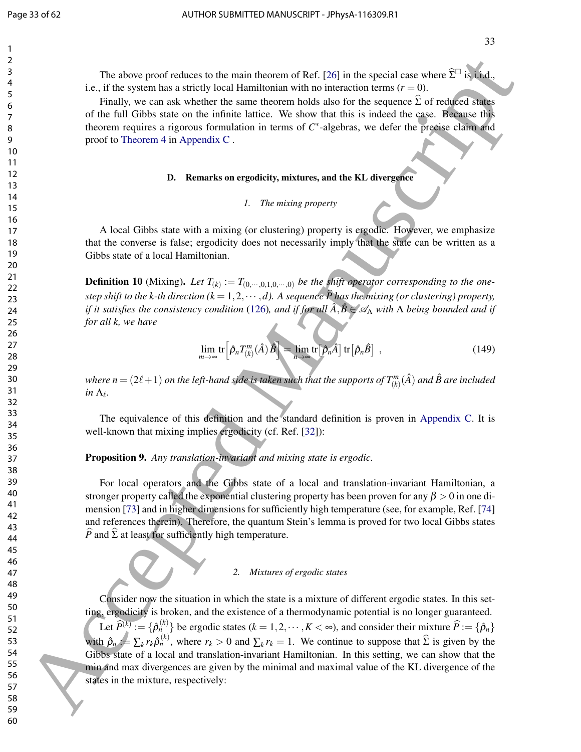The above proof reduces to the main theorem of Ref. [26] in the special case where  $\hat{\Sigma}^{\square}$  is i.i.d., i.e., if the system has a strictly local Hamiltonian with no interaction terms  $(r = 0)$ .

Finally, we can ask whether the same theorem holds also for the sequence  $\Sigma$  of reduced states of the full Gibbs state on the infinite lattice. We show that this is indeed the case. Because this theorem requires a rigorous formulation in terms of *C*<sup>∗</sup>-algebras, we defer the precise claim and proof to Theorem 4 in Appendix C .

#### D. Remarks on ergodicity, mixtures, and the KL divergence

#### *1. The mixing property*

A local Gibbs state with a mixing (or clustering) property is ergodic. However, we emphasize that the converse is false; ergodicity does not necessarily imply that the state can be written as a Gibbs state of a local Hamiltonian.

**Definition 10** (Mixing). Let  $T_{(k)} := T_{(0,\cdots,0,1,0,\cdots,0)}$  be the shift operator corresponding to the one*step shift to the k-th direction (k* = 1,2,  $\cdots$ ,*d). A sequence*  $\hat{P}$  has the mixing (*or clustering*) property, *if it satisfies the consistency condition* (126)*, and if for all*  $\hat{A}, \hat{B} \in \mathscr{A}_{\Lambda}$  with  $\Lambda$  *being bounded and if for all k, we have*

$$
\lim_{m \to \infty} \text{tr}\left[\hat{\rho}_n T_{(k)}^m(\hat{A})\hat{B}\right] = \lim_{n \to \infty} \text{tr}\left[\hat{\rho}_n \hat{A}\right] \text{tr}\left[\hat{\rho}_n \hat{B}\right] \tag{149}
$$

*where n* = (2 $\ell+1$ ) on the left-hand side is taken such that the supports of  $T_{(k)}^m(\hat{A})$  and  $\hat{B}$  are included *in*  $\Lambda_{\ell}$ .

The equivalence of this definition and the standard definition is proven in Appendix C. It is well-known that mixing implies ergodicity (cf. Ref. [32]):

Proposition 9. *Any translation-invariant and mixing state is ergodic.*

For local operators and the Gibbs state of a local and translation-invariant Hamiltonian, a stronger property called the exponential clustering property has been proven for any  $\beta > 0$  in one dimension [73] and in higher dimensions for sufficiently high temperature (see, for example, Ref. [74] and references therein). Therefore, the quantum Stein's lemma is proved for two local Gibbs states *P* and  $\Sigma$  at least for sufficiently high temperature.

#### *2. Mixtures of ergodic states*

Consider now the situation in which the state is a mixture of different ergodic states. In this setting, ergodicity is broken, and the existence of a thermodynamic potential is no longer guaranteed. Let  $\widehat{P}^{(k)} := \{ \widehat{P}_n^{(k)} \}$  be ergodic states  $(k = 1, 2, \dots, K < \infty)$ , and consider their mixture  $\widehat{P} := \{ \widehat{P}_n \}$ with  $\hat{\rho}_n := \sum_k r_k \hat{\rho}_n^{(k)}$ , where  $r_k > 0$  and  $\sum_k r_k = 1$ . We continue to suppose that  $\hat{\Sigma}$  is given by the Gibbs state of a local and translation-invariant Hamiltonian. In this setting, we can show that the min and max divergences are given by the minimal and maximal value of the KL divergence of the states in the mixture, respectively: The above proof reduces to the main favores of Ref. [26] in the space where  $\Sigma^2$  is the space of the space of Ref. (16) or the space of the space of the space of the space of the space of the space of the space of the s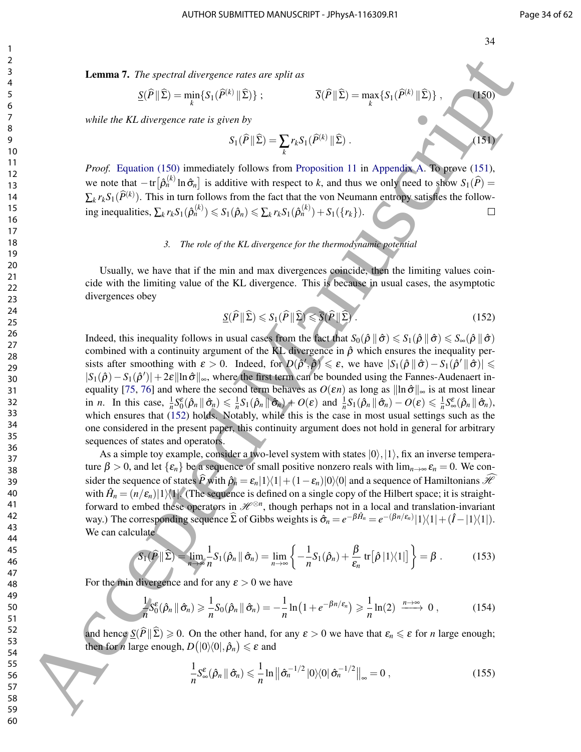Lemma 7. *The spectral divergence rates are split as*

$$
\underline{S}(\widehat{P} \| \widehat{\Sigma}) = \min_{k} \{ S_1(\widehat{P}^{(k)} \| \widehat{\Sigma}) \} ; \qquad \qquad \overline{S}(\widehat{P} \| \widehat{\Sigma}) = \max_{k} \{ S_1(\widehat{P}^{(k)} \| \widehat{\Sigma}) \} , \qquad (150)
$$

*while the KL divergence rate is given by*

$$
S_1(\widehat{P} \| \widehat{\Sigma}) = \sum_k r_k S_1(\widehat{P}^{(k)} \| \widehat{\Sigma}) .
$$
 (151)

*Proof.* Equation (150) immediately follows from Proposition 11 in Appendix A. To prove (151), we note that  $-\text{tr}\big[\hat{\rho}_n^{(k)}\ln \hat{\sigma}_n\big]$  is additive with respect to *k*, and thus we only need to show  $S_1(\hat{P}) =$  $\sum_{k} r_k S_1(\hat{P}^{(k)})$ . This in turn follows from the fact that the von Neumann entropy satisfies the follow- $\text{ing inequalities, } \sum_k r_k S_1(\hat{\rho}_n^{(k)}) \leqslant S_1(\hat{\rho}_n) \leqslant \sum_k r_k S_1(\hat{\rho}_n^{(k)}) + S_1(\{r_k\}).$ 

#### *3. The role of the KL divergence for the thermodynamic potential*

Usually, we have that if the min and max divergences coincide, then the limiting values coincide with the limiting value of the KL divergence. This is because in usual cases, the asymptotic divergences obey

$$
\underline{S}(\widehat{P} \| \widehat{\Sigma}) \leqslant S_1(\widehat{P} \| \widehat{\Sigma}) \leqslant \overline{S}(\widehat{P} \| \widehat{\Sigma}). \tag{152}
$$

Indeed, this inequality follows in usual cases from the fact that  $S_0(\hat{\rho} \|\hat{\sigma}) \leq S_1(\hat{\rho} \|\hat{\sigma}) \leq S_\infty(\hat{\rho} \|\hat{\sigma})$ combined with a continuity argument of the KL divergence in  $\hat{\rho}$  which ensures the inequality persists after smoothing with  $\varepsilon > 0$ . Indeed, for  $D(\hat{\rho}', \hat{\rho}) \leq \varepsilon$ , we have  $|S_1(\hat{\rho} \, \| \, \hat{\sigma}) - S_1(\hat{\rho}' \, \| \, \hat{\sigma})| \leq$  $|S_1(\hat{\rho}) - S_1(\hat{\rho}')| + 2\varepsilon \|\ln \hat{\sigma}\|_{\infty}$ , where the first term can be bounded using the Fannes-Audenaert inequality [75, 76] and where the second term behaves as  $O(\varepsilon n)$  as long as  $\|\ln \hat{\sigma}\|_{\infty}$  is at most linear in *n*. In this case,  $\frac{1}{n}S_0^{\varepsilon}(\hat{\rho}_n \|\hat{\sigma}_n) \leq \frac{1}{n}S_1(\hat{\rho}_n \|\hat{\sigma}_n) + O(\varepsilon)$  and  $\frac{1}{n}S_1(\hat{\rho}_n \|\hat{\sigma}_n) - O(\varepsilon) \leq \frac{1}{n}S_{\infty}^{\varepsilon}(\hat{\rho}_n \|\hat{\sigma}_n)$ , which ensures that (152) holds. Notably, while this is the case in most usual settings such as the one considered in the present paper, this continuity argument does not hold in general for arbitrary sequences of states and operators. **1.4.1.** The increase of the same of the same of the same of the same of the same of the same of the same of the same of the same of the same of the same of the same of the same of the same of the same of the same of the

As a simple toy example, consider a two-level system with states  $|0\rangle,|1\rangle$ , fix an inverse temperature  $\beta > 0$ , and let  $\{\varepsilon_n\}$  be a sequence of small positive nonzero reals with  $\lim_{n\to\infty} \varepsilon_n = 0$ . We consider the sequence of states  $\hat{P}$  with  $\hat{p}_n = \varepsilon_n |1\rangle\langle 1| + (1 - \varepsilon_n)|0\rangle\langle 0|$  and a sequence of Hamiltonians  $\hat{\mathcal{H}}$ with  $\hat{H}_n = (n/\varepsilon_n)|1\rangle\langle1|$ . (The sequence is defined on a single copy of the Hilbert space; it is straightforward to embed these operators in  $\mathcal{H}^{\otimes n}$ , though perhaps not in a local and translation-invariant way.) The corresponding sequence  $\hat{\Sigma}$  of Gibbs weights is  $\hat{\sigma}_n = e^{-\beta \hat{H}_n} = e^{-(\beta n/\varepsilon_n)}|1\rangle\langle1| + (\hat{I} - |1\rangle\langle1|).$ We can calculate

$$
S_1(\hat{P} \|\hat{\Sigma}) = \lim_{n \to \infty} \frac{1}{n} S_1(\hat{\rho}_n \|\hat{\sigma}_n) = \lim_{n \to \infty} \left\{ -\frac{1}{n} S_1(\hat{\rho}_n) + \frac{\beta}{\varepsilon_n} \operatorname{tr}[\hat{\rho} \, |1\rangle\langle 1|] \right\} = \beta \; . \tag{153}
$$

For the min divergence and for any  $\varepsilon > 0$  we have

$$
-\frac{1}{n}S_0^{\varepsilon}(\hat{\rho}_n \|\hat{\sigma}_n) \geq \frac{1}{n}S_0(\hat{\rho}_n \|\hat{\sigma}_n) = -\frac{1}{n}\ln\left(1 + e^{-\beta n/\varepsilon_n}\right) \geq \frac{1}{n}\ln(2) \xrightarrow{n \to \infty} 0,
$$
 (154)

and hence  $S(\hat{P} \| \hat{\Sigma}) \ge 0$ . On the other hand, for any  $\varepsilon > 0$  we have that  $\varepsilon_n \le \varepsilon$  for *n* large enough; then for *n* large enough,  $D(|0\rangle\langle0|, \hat{\rho}_n) \le \varepsilon$  and

$$
\frac{1}{n}S_{\infty}^{\varepsilon}(\hat{\rho}_n \|\hat{\sigma}_n) \leq \frac{1}{n}\ln\left\|\hat{\sigma}_n^{-1/2}\right|0\rangle\langle0|\,\hat{\sigma}_n^{-1/2}\right\|_{\infty}=0\,,\tag{155}
$$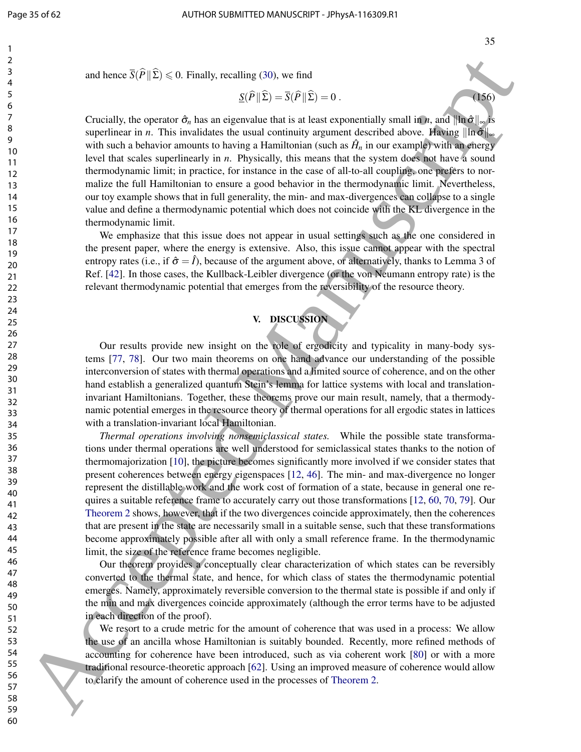and hence  $\overline{S}(\widehat{P} \| \widehat{\Sigma}) \le 0$ . Finally, recalling (30), we find

$$
\underline{S}(\widehat{P} \| \widehat{\Sigma}) = \overline{S}(\widehat{P} \| \widehat{\Sigma}) = 0.
$$
\n(156)

Crucially, the operator  $\hat{\sigma}_n$  has an eigenvalue that is at least exponentially small in *n*, and  $\|\ln \hat{\sigma}\|_{\infty}$  is superlinear in *n*. This invalidates the usual continuity argument described above. Having  $\|\ln \hat{\sigma}\|_{\infty}$ with such a behavior amounts to having a Hamiltonian (such as  $\hat{H}_n$  in our example) with an energy level that scales superlinearly in *n*. Physically, this means that the system does not have a sound thermodynamic limit; in practice, for instance in the case of all-to-all coupling, one prefers to normalize the full Hamiltonian to ensure a good behavior in the thermodynamic limit. Nevertheless, our toy example shows that in full generality, the min- and max-divergences can collapse to a single value and define a thermodynamic potential which does not coincide with the KL divergence in the thermodynamic limit.

We emphasize that this issue does not appear in usual settings such as the one considered in the present paper, where the energy is extensive. Also, this issue cannot appear with the spectral entropy rates (i.e., if  $\hat{\sigma} = \hat{I}$ ), because of the argument above, or alternatively, thanks to Lemma 3 of Ref. [42]. In those cases, the Kullback-Leibler divergence (or the von Neumann entropy rate) is the relevant thermodynamic potential that emerges from the reversibility of the resource theory.

# V. DISCUSSION

Our results provide new insight on the role of ergodicity and typicality in many-body systems [77, 78]. Our two main theorems on one hand advance our understanding of the possible interconversion of states with thermal operations and a limited source of coherence, and on the other hand establish a generalized quantum Stein's lemma for lattice systems with local and translationinvariant Hamiltonians. Together, these theorems prove our main result, namely, that a thermodynamic potential emerges in the resource theory of thermal operations for all ergodic states in lattices with a translation-invariant local Hamiltonian.

*Thermal operations involving nonsemiclassical states.* While the possible state transformations under thermal operations are well understood for semiclassical states thanks to the notion of thermomajorization [10], the picture becomes significantly more involved if we consider states that present coherences between energy eigenspaces [12, 46]. The min- and max-divergence no longer represent the distillable work and the work cost of formation of a state, because in general one requires a suitable reference frame to accurately carry out those transformations [12, 60, 70, 79]. Our Theorem 2 shows, however, that if the two divergences coincide approximately, then the coherences that are present in the state are necessarily small in a suitable sense, such that these transformations become approximately possible after all with only a small reference frame. In the thermodynamic limit, the size of the reference frame becomes negligible. and kears  $\hat{M}(\hat{E}) \leq 0$ . Finally, avoiding (30), we find<br>  $S(\hat{E})^2 = S(\hat{E})^2 = 0.6$ <br>
Sometically discussed Manuscripted Manuscripted Manuscripted Manuscripted Manuscripted Manuscripted Manuscripted Manuscripted Manuscr

Our theorem provides a conceptually clear characterization of which states can be reversibly converted to the thermal state, and hence, for which class of states the thermodynamic potential emerges. Namely, approximately reversible conversion to the thermal state is possible if and only if the min and max divergences coincide approximately (although the error terms have to be adjusted in each direction of the proof).

We resort to a crude metric for the amount of coherence that was used in a process: We allow the use of an ancilla whose Hamiltonian is suitably bounded. Recently, more refined methods of accounting for coherence have been introduced, such as via coherent work [80] or with a more traditional resource-theoretic approach [62]. Using an improved measure of coherence would allow to clarify the amount of coherence used in the processes of Theorem 2.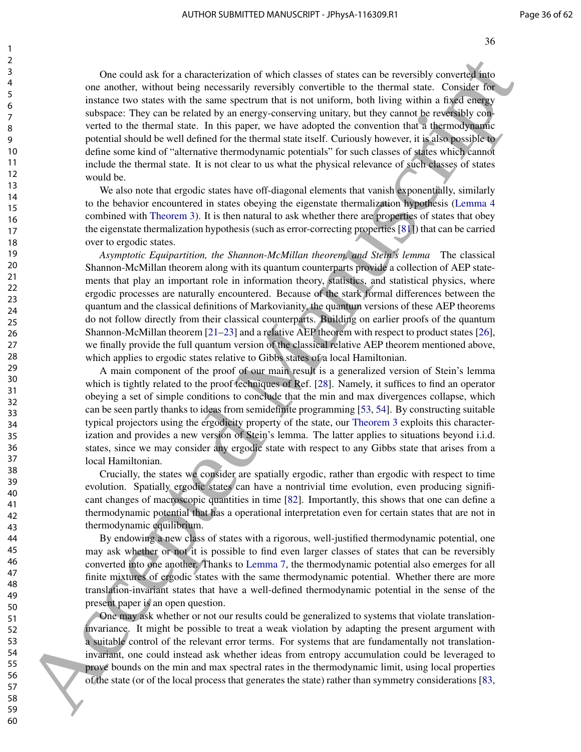One could ask for a characterization of which classes of states can be reversibly converted into one another, without being necessarily reversibly convertible to the thermal state. Consider for instance two states with the same spectrum that is not uniform, both living within a fixed energy subspace: They can be related by an energy-conserving unitary, but they cannot be reversibly converted to the thermal state. In this paper, we have adopted the convention that a thermodynamic potential should be well defined for the thermal state itself. Curiously however, it is also possible to define some kind of "alternative thermodynamic potentials" for such classes of states which cannot include the thermal state. It is not clear to us what the physical relevance of such classes of states would be. One could such for a characterization of which classes of stance can be reversibly covered also<br>the manuscript can be related by a resumpt powers of such a such as the standard of the could<br>be state with the standard of t

We also note that ergodic states have off-diagonal elements that vanish exponentially, similarly to the behavior encountered in states obeying the eigenstate thermalization hypothesis (Lemma 4 combined with Theorem 3). It is then natural to ask whether there are properties of states that obey the eigenstate thermalization hypothesis (such as error-correcting properties [81]) that can be carried over to ergodic states.

*Asymptotic Equipartition, the Shannon-McMillan theorem, and Stein's lemma* The classical Shannon-McMillan theorem along with its quantum counterparts provide a collection of AEP statements that play an important role in information theory, statistics, and statistical physics, where ergodic processes are naturally encountered. Because of the stark formal differences between the quantum and the classical definitions of Markovianity, the quantum versions of these AEP theorems do not follow directly from their classical counterparts. Building on earlier proofs of the quantum Shannon-McMillan theorem [21–23] and a relative AEP theorem with respect to product states [26], we finally provide the full quantum version of the classical relative AEP theorem mentioned above, which applies to ergodic states relative to Gibbs states of a local Hamiltonian.

A main component of the proof of our main result is a generalized version of Stein's lemma which is tightly related to the proof techniques of Ref. [28]. Namely, it suffices to find an operator obeying a set of simple conditions to conclude that the min and max divergences collapse, which can be seen partly thanks to ideas from semidefinite programming [53, 54]. By constructing suitable typical projectors using the ergodicity property of the state, our Theorem 3 exploits this characterization and provides a new version of Stein's lemma. The latter applies to situations beyond i.i.d. states, since we may consider any ergodic state with respect to any Gibbs state that arises from a local Hamiltonian.

Crucially, the states we consider are spatially ergodic, rather than ergodic with respect to time evolution. Spatially ergodic states can have a nontrivial time evolution, even producing significant changes of macroscopic quantities in time [82]. Importantly, this shows that one can define a thermodynamic potential that has a operational interpretation even for certain states that are not in thermodynamic equilibrium.

By endowing a new class of states with a rigorous, well-justified thermodynamic potential, one may ask whether or not it is possible to find even larger classes of states that can be reversibly converted into one another. Thanks to Lemma 7, the thermodynamic potential also emerges for all finite mixtures of ergodic states with the same thermodynamic potential. Whether there are more translation-invariant states that have a well-defined thermodynamic potential in the sense of the present paper is an open question.

One may ask whether or not our results could be generalized to systems that violate translationinvariance. It might be possible to treat a weak violation by adapting the present argument with a suitable control of the relevant error terms. For systems that are fundamentally not translationinvariant, one could instead ask whether ideas from entropy accumulation could be leveraged to prove bounds on the min and max spectral rates in the thermodynamic limit, using local properties of the state (or of the local process that generates the state) rather than symmetry considerations [83,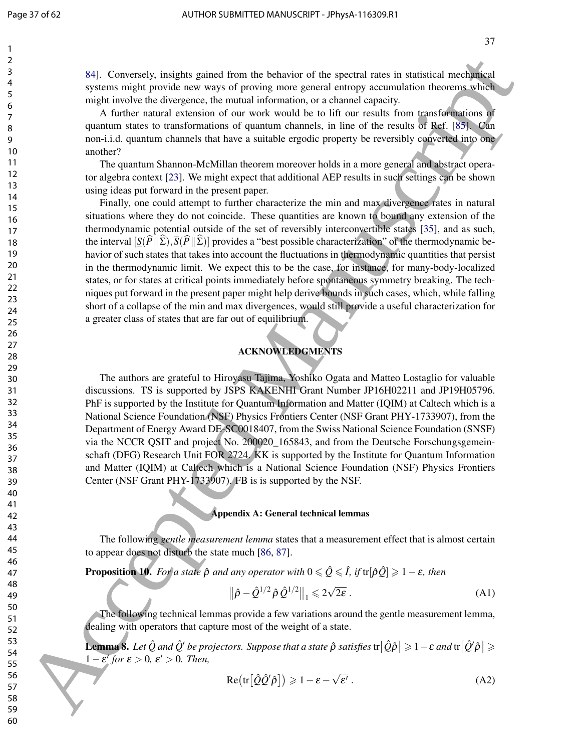84]. Conversely, insights gained from the behavior of the spectral rates in statistical mechanical systems might provide new ways of proving more general entropy accumulation theorems which might involve the divergence, the mutual information, or a channel capacity.

A further natural extension of our work would be to lift our results from transformations of quantum states to transformations of quantum channels, in line of the results of Ref. [85]. Can non-i.i.d. quantum channels that have a suitable ergodic property be reversibly converted into one another?

The quantum Shannon-McMillan theorem moreover holds in a more general and abstract operator algebra context [23]. We might expect that additional AEP results in such settings can be shown using ideas put forward in the present paper.

Finally, one could attempt to further characterize the min and max divergence rates in natural situations where they do not coincide. These quantities are known to bound any extension of the thermodynamic potential outside of the set of reversibly interconvertible states [35], and as such, the interval  $[S(P||\Sigma), \overline{S}(P||\Sigma)]$  provides a "best possible characterization" of the thermodynamic behavior of such states that takes into account the fluctuations in thermodynamic quantities that persist in the thermodynamic limit. We expect this to be the case, for instance, for many-body-localized states, or for states at critical points immediately before spontaneous symmetry breaking. The techniques put forward in the present paper might help derive bounds in such cases, which, while falling short of a collapse of the min and max divergences, would still provide a useful characterization for a greater class of states that are far out of equilibrium. 34. Conversely, insigher galaxies from the behavior of the spectral measurements in estimated measurements of the spectral measurements of the spectral measurements of the spectral measurements of the spectral measurement

### ACKNOWLEDGMENTS

The authors are grateful to Hiroyasu Tajima, Yoshiko Ogata and Matteo Lostaglio for valuable discussions. TS is supported by JSPS KAKENHI Grant Number JP16H02211 and JP19H05796. PhF is supported by the Institute for Quantum Information and Matter (IQIM) at Caltech which is a National Science Foundation (NSF) Physics Frontiers Center (NSF Grant PHY-1733907), from the Department of Energy Award DE-SC0018407, from the Swiss National Science Foundation (SNSF) via the NCCR QSIT and project No. 200020\_165843, and from the Deutsche Forschungsgemeinschaft (DFG) Research Unit FOR 2724. KK is supported by the Institute for Quantum Information and Matter (IQIM) at Caltech which is a National Science Foundation (NSF) Physics Frontiers Center (NSF Grant PHY-1733907). FB is is supported by the NSF.

#### Appendix A: General technical lemmas

The following *gentle measurement lemma* states that a measurement effect that is almost certain to appear does not disturb the state much [86, 87].

**Proposition 10.** *For a state*  $\hat{\rho}$  *and any operator with*  $0 \leq \hat{Q} \leq \hat{I}$ , *if* tr $|\hat{\rho}\hat{Q}| \geq 1 - \varepsilon$ , *then* 

$$
\|\hat{\rho} - \hat{\mathcal{Q}}^{1/2} \hat{\rho} \hat{\mathcal{Q}}^{1/2}\|_1 \leq 2\sqrt{2\varepsilon} \,. \tag{A1}
$$

The following technical lemmas provide a few variations around the gentle measurement lemma, dealing with operators that capture most of the weight of a state.

 ${\bf L}$ emma  ${\bf 8}.$  Let  $\hat{Q}$  and  $\hat{Q}'$  be projectors. Suppose that a state  $\hat{\rho}$  satisfies  $\text{tr}[\hat{Q}\hat{\rho}]\geqslant 1-\varepsilon$  and  $\text{tr}[\hat{Q}'\hat{\rho}]\geqslant 1$  $1 - \varepsilon'$  for  $\varepsilon > 0$ ,  $\varepsilon' > 0$ . Then,

$$
Re\big(\text{tr}\big[\hat{Q}\hat{Q}'\hat{\rho}\big]\big) \geqslant 1 - \varepsilon - \sqrt{\varepsilon'}\,. \tag{A2}
$$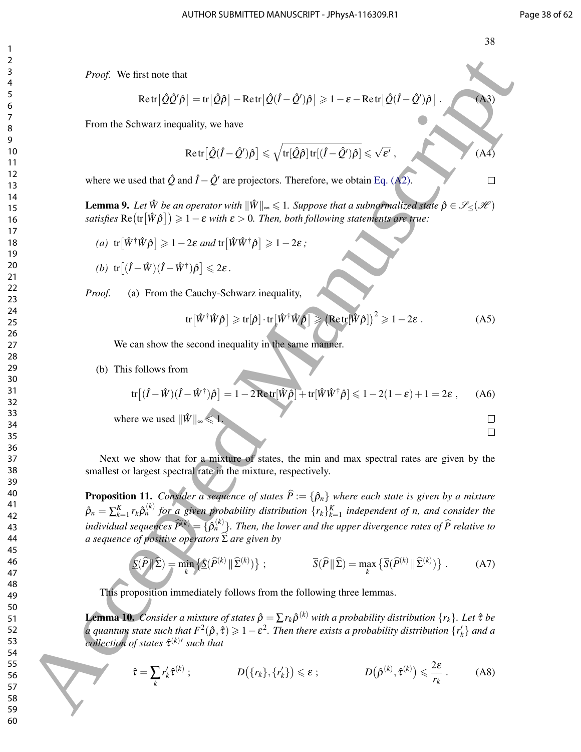$(A4)$ 

*Proof.* We first note that

$$
Retr[\hat{Q}\hat{Q}'\hat{\rho}] = tr[\hat{Q}\hat{\rho}] - Retr[\hat{Q}(\hat{I}-\hat{Q}')\hat{\rho}] \ge 1 - \varepsilon - Retr[\hat{Q}(\hat{I}-\hat{Q}')\hat{\rho}].
$$
 (A3)

From the Schwarz inequality, we have

$$
\text{Retr} \big[ \hat{\mathcal{Q}}(\hat{I} - \hat{\mathcal{Q}}')\hat{\rho} \big] \leqslant \sqrt{\text{tr}[\hat{\mathcal{Q}}\hat{\rho}]\, \text{tr} [(\hat{I} - \hat{\mathcal{Q}}')\hat{\rho}]} \leqslant \sqrt{\epsilon'} \;,
$$

where we used that  $\hat{Q}$  and  $\hat{I} - \hat{Q}'$  are projectors. Therefore, we obtain Eq. (A2).

**Lemma 9.** Let  $\hat{W}$  be an operator with  $\|\hat{W}\|_{\infty} \leq 1$ . Suppose that a subnormalized state  $\hat{\rho} \in \mathcal{S}_{<}(\mathcal{H})$  $satisfies \operatorname{Re}(\operatorname{tr}[\hat{W}\hat{\rho}]) \geqslant 1-\varepsilon$  with  $\varepsilon > 0$ . Then, both following statements are true:

(a) 
$$
\text{tr}[\hat{W}^{\dagger}\hat{W}\hat{\rho}] \ge 1 - 2\varepsilon
$$
 and  $\text{tr}[\hat{W}\hat{W}^{\dagger}\hat{\rho}] \ge 1 - 2\varepsilon$ ;

(b) 
$$
\text{tr}\left[ (\hat{I} - \hat{W})(\hat{I} - \hat{W}^{\dagger})\hat{\rho} \right] \leq 2\varepsilon
$$
.

*Proof.* (a) From the Cauchy-Schwarz inequality,

$$
\text{tr}\big[\hat{W}^{\dagger}\hat{W}\hat{\rho}\big]\geqslant\text{tr}[\hat{\rho}]\cdot\text{tr}\big[\hat{W}^{\dagger}\hat{W}\hat{\rho}\big]\geqslant\big(\text{Retr}[\hat{W}\hat{\rho}]\big)^{2}\geqslant 1-2\epsilon\;.\tag{A5}
$$

We can show the second inequality in the same manner.

#### (b) This follows from

$$
\text{tr}\big[\hat{I} - \hat{W}(\hat{I} - \hat{W}^{\dagger})\hat{\rho}\big] = 1 - 2\text{Retr}[\hat{W}\hat{\rho}] + \text{tr}[\hat{W}\hat{W}^{\dagger}\hat{\rho}] \le 1 - 2(1 - \varepsilon) + 1 = 2\varepsilon ,\qquad (A6)
$$

where we used  $\|\hat{W}\|_{\infty} \leqslant 1$ 

- 
- 

Next we show that for a mixture of states, the min and max spectral rates are given by the smallest or largest spectral rate in the mixture, respectively.

**Proposition 11.** *Consider a sequence of states*  $\hat{P} := {\hat{\rho}_n}$  *where each state is given by a mixture*  $\hat{\rho}_n = \sum_{k=1}^K r_k \hat{\rho}_n^{(k)}$  for a given probability distribution  $\{r_k\}_{k=1}^K$  independent of n, and consider the *individual sequences*  $\widehat{P}^{(k)} = \{\widehat{\rho}_n^{(k)}\}$ . Then, the lower and the upper divergence rates of  $\widehat{P}$  relative to *a sequence of positive operators*  $Σ$  *are given by* **Fixed** We first note that<br>
Here  $\frac{\partial f}{\partial y} = \ln(2y^2 - \ln 2x^2 \frac{\partial f}{\partial x} - \frac{\partial f}{\partial y} - \frac{\partial f}{\partial y} - \frac{\partial f}{\partial z} = -\ln \left(\frac{\partial f}{\partial x} - \frac{\partial f}{\partial y}\right)$ <br>
From this Schwarz inequality, we have<br>  $\text{Rer}^2\frac{\partial f}{\partial y} = \frac{\partial f}{\partial y} = \frac{\sqrt{\pi(\Delta y)^2 + (\Delta^2$ 

$$
\underline{S}(\widehat{P} \| \widehat{\Sigma}) = \min_{k} \left\{ \underline{S}(\widehat{P}^{(k)} \| \widehat{\Sigma}^{(k)}) \right\}; \qquad \qquad \overline{S}(\widehat{P} \| \widehat{\Sigma}) = \max_{k} \left\{ \overline{S}(\widehat{P}^{(k)} \| \widehat{\Sigma}^{(k)}) \right\}. \tag{A7}
$$

This proposition immediately follows from the following three lemmas.

Lemma 10. *Consider a mixture of states*  $\hat{\rho} = \sum r_k \hat{\rho}^{(k)}$  with a probability distribution  $\{r_k\}$ . Let  $\hat{\tau}$  be  $a$  quantum state such that  $F^2(\hat{\rho}, \hat{\tau}) \geqslant 1 - \varepsilon^2$ . Then there exists a probability distribution  $\{r'_k\}$  and a *collection of states* τˆ (*k*)0 *such that*

$$
\hat{\tau} = \sum_{k} r'_{k} \hat{\tau}^{(k)}; \qquad D(\{r_{k}\}, \{r'_{k}\}) \leqslant \varepsilon; \qquad D(\hat{\rho}^{(k)}, \hat{\tau}^{(k)}) \leqslant \frac{2\varepsilon}{r_{k}}. \qquad (A8)
$$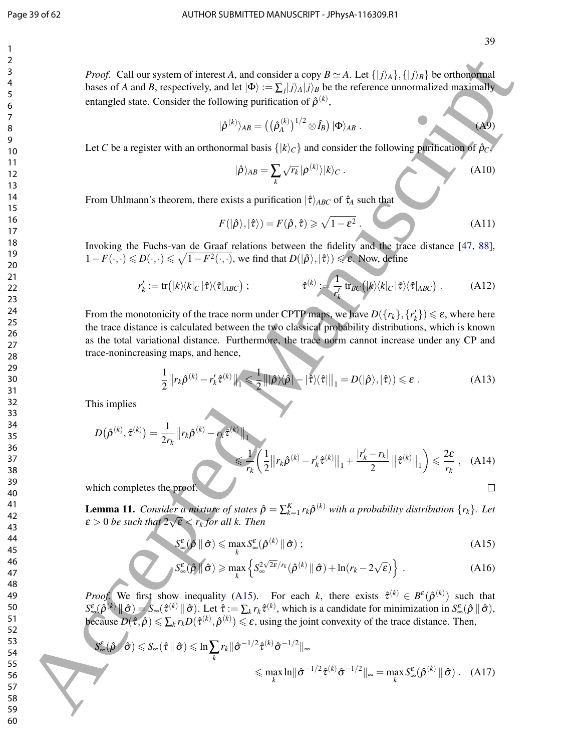#### Page 39 of 62 AUTHOR SUBMITTED MANUSCRIPT - JPhysA-116309.R1

*Proof.* Call our system of interest *A*, and consider a copy  $B \simeq A$ . Let  $\{|j\rangle_A\}, \{|j\rangle_B\}$  be orthonormal bases of *A* and *B*, respectively, and let  $|\Phi\rangle := \sum_j |j\rangle_A |j\rangle_B$  be the reference unnormalized maximally entangled state. Consider the following purification of  $\hat{\rho}^{(k)}$ ,

$$
|\hat{\rho}^{(k)}\rangle_{AB} = ((\hat{\rho}_A^{(k)})^{1/2} \otimes \hat{I}_B) |\Phi\rangle_{AB} .
$$
 (A9)

Let *C* be a register with an orthonormal basis  $\{ |k\rangle_C \}$  and consider the following purification of  $\hat{p}_C$ 

$$
|\hat{\rho}\rangle_{AB} = \sum_{k} \sqrt{r_k} |\rho^{(k)}\rangle |k\rangle_C . \tag{A10}
$$

From Uhlmann's theorem, there exists a purification  $|\hat{\tau}\rangle_{ABC}$  of  $\hat{\tau}_A$  such that

$$
F(|\hat{\rho}\rangle,|\hat{\tau}\rangle) = F(\hat{\rho},\hat{\tau}) \ge \sqrt{1-\varepsilon^2} \,. \tag{A11}
$$

Invoking the Fuchs-van de Graaf relations between the fidelity and the trace distance [47, 88],  $1-F(\cdot,\cdot)$  ≤  $D(\cdot,\cdot)$  ≤  $\sqrt{1-F^2(\cdot,\cdot)}$ , we find that  $D(|\hat{\rho}\rangle,|\hat{\tau}\rangle)$  ≤  $\varepsilon$ . Now, define

$$
r'_{k} := \text{tr}(|k\rangle\langle k|_{C}|\hat{\tau}\rangle\langle\hat{\tau}|_{ABC}) ; \qquad \hat{\tau}^{(k)} := \frac{1}{r'_{k}} \text{tr}_{BC}(|k\rangle\langle k|_{C}|\hat{\tau}\rangle\langle\hat{\tau}|_{ABC}) . \qquad (A12)
$$

From the monotonicity of the trace norm under CPTP maps, we have  $D({r_k},{r'_k}) \le \varepsilon$ , where here the trace distance is calculated between the two classical probability distributions, which is known as the total variational distance. Furthermore, the trace norm cannot increase under any CP and trace-nonincreasing maps, and hence,

$$
\frac{1}{2} \left\| r_k \hat{\rho}^{(k)} - r'_k \hat{\tau}^{(k)} \right\|_1 \leq \frac{1}{2} \left\| \left| \hat{\rho} \right\rangle \langle \hat{\rho} \right| - \left| \hat{\tau} \rangle \langle \hat{\tau} \right| \right\|_1 = D(\left| \hat{\rho} \rangle, \left| \hat{\tau} \rangle) \leq \varepsilon \,. \tag{A13}
$$

This implies

*D* ρˆ (*k*) , τˆ (*k*) = 1 2*r<sup>k</sup> <sup>r</sup>k*ρ<sup>ˆ</sup> (*k*) −*rk*τˆ (*k*) 1 6 1 *rk* 1 2 *<sup>r</sup>k*ρ<sup>ˆ</sup> (*k*) −*r* 0 *k* τˆ (*k*) 1 + |*r* 0 *<sup>k</sup>* −*rk*| 2 τˆ (*k*) 1 6 2ε *rk* , (A14) 60 Accepted Manuscript

which completes the proof.

**Lemma 11.** *Consider a mixture of states*  $\hat{\rho} = \sum_{k=1}^{K} r_k \hat{\rho}^{(k)}$  *with a probability distribution*  $\{r_k\}$ *. Let*  $\varepsilon > 0$  be such that  $2\sqrt{\varepsilon} < r_k$  for all k. Then

$$
S_{\infty}^{\varepsilon}(\hat{\rho} \parallel \hat{\sigma}) \leq \max_{k} S_{\infty}^{\varepsilon}(\hat{\rho}^{(k)} \parallel \hat{\sigma}) ;
$$
 (A15)

$$
S_{\infty}^{\varepsilon}(\hat{\rho} \|\hat{\sigma}) \geqslant \max_{k} \left\{ S_{\infty}^{2\sqrt{2\varepsilon}/r_{k}}(\hat{\rho}^{(k)} \|\hat{\sigma}) + \ln(r_{k} - 2\sqrt{\varepsilon}) \right\}.
$$
 (A16)

*Proof.* We first show inequality (A15). For each *k*, there exists  $\hat{\tau}^{(k)} \in B^{\varepsilon}(\hat{\rho}^{(k)})$  such that  $S_{\infty}^{\varepsilon}(\hat{\rho}^{(k)} \| \hat{\sigma}) = S_{\infty}(\hat{\tau}^{(k)} \| \hat{\sigma})$ . Let  $\hat{\tau} := \sum_{k} r_k \hat{\tau}^{(k)}$ , which is a candidate for minimization in  $S_{\infty}^{\varepsilon}(\hat{\rho} \| \hat{\sigma})$ , because  $D(\hat{\tau}, \hat{\rho}) \le \sum_{k} r_k D(\hat{\tau}^{(k)}, \hat{\rho}^{(k)}) \le \varepsilon$ , using the joint convexity of the trace distance. Then,

$$
S_{\infty}^{\varepsilon}(\hat{\rho} \|\hat{\sigma}) \leq S_{\infty}(\hat{\tau} \|\hat{\sigma}) \leq \ln \sum_{k} r_{k} \|\hat{\sigma}^{-1/2} \hat{\tau}^{(k)} \hat{\sigma}^{-1/2} \|_{\infty}
$$
  

$$
\leq \max_{k} \ln \|\hat{\sigma}^{-1/2} \hat{\tau}^{(k)} \hat{\sigma}^{-1/2} \|_{\infty} = \max_{k} S_{\infty}^{\varepsilon}(\hat{\rho}^{(k)} \|\hat{\sigma}) . \quad (A17)
$$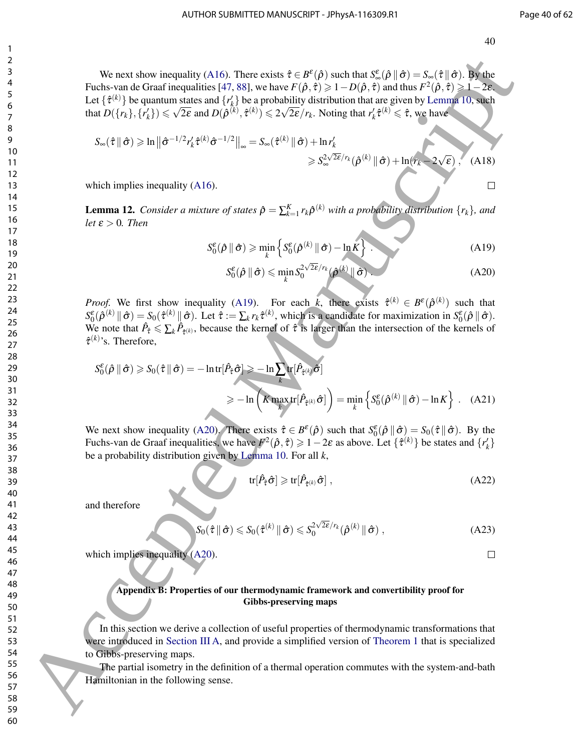We next show inequality (A16). There exists  $\hat{\tau} \in B^{\varepsilon}(\hat{\rho})$  such that  $S^{\varepsilon}_{\infty}(\hat{\rho} \|\hat{\sigma}) = S_{\infty}(\hat{\tau} \|\hat{\sigma})$ . By the Fuchs-van de Graaf inequalities [47, 88], we have  $F(\hat{\rho}, \hat{\tau}) \geq 1 - D(\hat{\rho}, \hat{\tau})$  and thus  $F^2(\hat{\rho}, \hat{\tau}) \geq 1 - 2\varepsilon$ . Let  $\{\hat{\tau}^{(k)}\}$  be quantum states and  $\{r_k^j\}$  be a probability distribution that are given by Lemma 10, such  $L(\{r_k\}, \{r'_k\}) \leqslant \sqrt{2\varepsilon}$  and  $D(\hat{\rho}^{(k)}, \hat{\tau}^{(k)}) \leqslant 2\sqrt{2\varepsilon}/r_k$ . Noting that  $r'_k \hat{\tau}^{(k)} \leqslant \hat{\tau}$ , we have

$$
S_{\infty}(\hat{\tau} \parallel \hat{\sigma}) \geqslant \ln \left\| \hat{\sigma}^{-1/2} r'_{k} \hat{\tau}^{(k)} \hat{\sigma}^{-1/2} \right\|_{\infty} = S_{\infty}(\hat{\tau}^{(k)} \parallel \hat{\sigma}) + \ln r'_{k}
$$
  
\$\geqslant S\_{\infty}^{2\sqrt{2\epsilon}/r\_{k}}(\hat{\rho}^{(k)} \parallel \hat{\sigma}) + \ln(r\_{k} - 2\sqrt{\epsilon}), \quad (A18)\$

which implies inequality (A16).

**Lemma 12.** Consider a mixture of states  $\hat{\rho} = \sum_{k=1}^{K} r_k \hat{\rho}^{(k)}$  with a probability distribution  $\{r_k\}$ , and *let*  $\varepsilon > 0$ *. Then* 

$$
S_0^{\varepsilon}(\hat{\rho} \parallel \hat{\sigma}) \geqslant \min_{k} \left\{ S_0^{\varepsilon}(\hat{\rho}^{(k)} \parallel \hat{\sigma}) - \ln K \right\} \tag{A19}
$$

$$
S_0^{\varepsilon}(\hat{\rho} \parallel \hat{\sigma}) \leqslant \min_{k} S_0^{2\sqrt{2\varepsilon}/r_k}(\hat{\rho}^{(k)} \parallel \hat{\sigma}). \tag{A20}
$$

*Proof.* We first show inequality (A19). For each *k*, there exists  $\hat{\tau}^{(k)} \in B^{\varepsilon}(\hat{\rho}^{(k)})$  such that  $S_0^{\varepsilon}(\hat{\rho}^{(k)} \| \hat{\sigma}) = S_0(\hat{\tau}^{(k)} \| \hat{\sigma})$ . Let  $\hat{\tau} := \sum_k r_k \hat{\tau}^{(k)}$ , which is a candidate for maximization in  $S_0^{\varepsilon}(\hat{\rho} \| \hat{\sigma})$ . We note that  $\hat{P}_{\hat{\tau}} \leq \sum_{k} \hat{P}_{\hat{\tau}^{(k)}}$ , because the kernel of  $\hat{\tau}$  is larger than the intersection of the kernels of  $\hat{\tau}^{(k)}$ 's. Therefore,

We next show inequality (A16). There exists 
$$
\hat{\tau} \in B^c(\hat{\rho})
$$
 such that  $S^c_{m}(\hat{\rho})$  if  $\hat{\tau} = \hat{\rho} \times \hat{\tau}$  and  $\hat{\tau} \times \hat{\tau}$  is the quadratic term  $\hat{\tau} \times \hat{\tau}$  (A15) and  $\hat{\tau} \times \hat{\tau}$  (B16) = B  
\nLet { $\hat{\tau}$ (B<sup>+</sup>) be quantum states and  $\hat{\tau}$ ( $\hat{\rho}$ ) be a probability distribution that are given by Lemma 610, when  
\n $S_m(\hat{\tau}||\hat{\sigma}) \geq \ln ||\hat{\sigma}^{-1/2}\hat{\tau}_k^*(\hat{\tau}||\hat{\sigma}) - \frac{1}{2}\ln ||\hat{\tau}_k^*(\hat{\tau}||\hat{\sigma})| \geq \frac{1}{2}\sqrt{2}(\hat{\tau}_k - 1/2)||_{\infty} = S_m(\hat{\tau}^{(k)}||\hat{\sigma}) + \ln \hat{\tau}_k^*(\hat{\tau}||\hat{\tau}_k^*(\hat{\tau}||\hat{\sigma}))$   
\n $\frac{1}{2}\sqrt{2}(\hat{\tau}||\hat{\sigma}) \geq \ln ||\hat{\sigma}^{-1/2}\hat{\tau}_k^*(\hat{\tau}||\hat{\sigma}) - \frac{1}{2}\ln ||\hat{\tau}_k^*(\hat{\tau}||\hat{\sigma})| + \ln \hat{\tau}_k^*(\hat{\tau}||\hat{\tau}_k^*(\hat{\tau}||\hat{\sigma}))$   
\n $\frac{1}{2}\sqrt{2}(\hat{\tau}||\hat{\sigma}) \geq \ln ||\hat{\tau}_k^*(\hat{\tau}||\hat{\sigma}) - \frac{1}{2}\ln ||\hat{\tau}_k^*(\hat{\tau}||\hat{\sigma}) - \frac{1}{2}\ln ||\hat{\tau}_k^*(\hat{\tau}||\hat{\sigma})| \geq \frac{1}{2}\ln ||\hat{\tau}_k^*(\hat{\tau}||\hat{\sigma}) - \frac{1}{2}\ln ||\hat{\tau}_k^*(\hat{\tau}||\hat{\sigma})| \geq \frac{1}{2}\ln ||\hat{\tau}_k^*(\hat{\tau}||\hat{\sigma}) - \frac{1}{2}\ln ||\hat{\tau}_k^*(\hat{\tau}||\hat{\sigma})| \geq \frac{1}{2}\ln ||\hat{\tau}_k^*(\hat{\tau}||\hat{\sigma})| \$ 

We next show inequality (A20). There exists  $\hat{\tau} \in B^{\varepsilon}(\hat{\rho})$  such that  $S_0^{\varepsilon}(\hat{\rho} \|\hat{\sigma}) = S_0(\hat{\tau} \|\hat{\sigma})$ . By the Fuchs-van de Graaf inequalities, we have  $F^2(\hat{\rho}, \hat{\tau}) \geq 1 - 2\varepsilon$  as above. Let  $\{\hat{\tau}^{(k)}\}$  be states and  $\{r'_k\}$ be a probability distribution given by Lemma 10. For all *k*,

$$
\text{tr}[\hat{P}_{\hat{\tau}}\hat{\sigma}] \geqslant \text{tr}[\hat{P}_{\hat{\tau}^{(k)}}\hat{\sigma}], \qquad (A22)
$$

and therefore

$$
S_0(\hat{\tau} \|\hat{\sigma}) \leq S_0(\hat{\tau}^{(k)} \|\hat{\sigma}) \leq S_0^{2\sqrt{2\varepsilon}/r_k}(\hat{\rho}^{(k)} \|\hat{\sigma}), \qquad (A23)
$$

which implies inequality (A20).

#### Appendix B: Properties of our thermodynamic framework and convertibility proof for Gibbs-preserving maps

In this section we derive a collection of useful properties of thermodynamic transformations that were introduced in Section III A, and provide a simplified version of Theorem 1 that is specialized to Gibbs-preserving maps.

The partial isometry in the definition of a thermal operation commutes with the system-and-bath Hamiltonian in the following sense.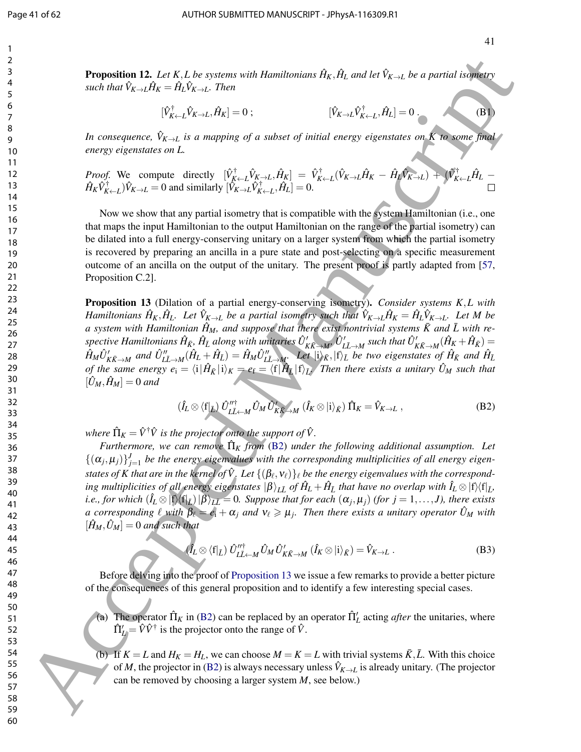**Proposition 12.** Let K, L be systems with Hamiltonians  $\hat{H}_K$ ,  $\hat{H}_L$  and let  $\hat{V}_{K\to L}$  be a partial isometry  $s$ *uch that*  $\hat{V}_{K\rightarrow L}\hat{H}_{K} = \hat{H}_{L}\hat{V}_{K\rightarrow L}$ *. Then* 

$$
[\hat{V}_{K \leftarrow L}^{\dagger} \hat{V}_{K \rightarrow L}, \hat{H}_K] = 0; \qquad [\hat{V}_{K \rightarrow L} \hat{V}_{K \leftarrow L}^{\dagger}, \hat{H}_L] = 0. \qquad (B1)
$$

*In consequence,*  $\hat{V}_{K\to L}$  *is a mapping of a subset of initial energy eigenstates on K to some final energy eigenstates on L.*

*Proof.* We compute directly 
$$
[\hat{V}_{K \leftarrow L}^{\dagger} \hat{V}_{K \rightarrow L}, \hat{H}_{K}] = \hat{V}_{K \leftarrow L}^{\dagger} (\hat{V}_{K \rightarrow L} \hat{H}_{K} - \hat{H}_{L} \hat{V}_{K \rightarrow L}) + (\hat{V}_{K \leftarrow L}^{\dagger} \hat{H}_{L} - \hat{H}_{K} \hat{V}_{K \leftarrow L}^{\dagger}) \hat{V}_{K \rightarrow L} = 0
$$
 and similarly  $[\hat{V}_{K \rightarrow L} \hat{V}_{K \leftarrow L}^{\dagger}, \hat{H}_{L}] = 0$ .

Now we show that any partial isometry that is compatible with the system Hamiltonian (i.e., one that maps the input Hamiltonian to the output Hamiltonian on the range of the partial isometry) can be dilated into a full energy-conserving unitary on a larger system from which the partial isometry is recovered by preparing an ancilla in a pure state and post-selecting on a specific measurement outcome of an ancilla on the output of the unitary. The present proof is partly adapted from [57, Proposition C.2].

Proposition 13 (Dilation of a partial energy-conserving isometry). *Consider systems K*,*L with* Hamiltonians  $\hat{H}_K, \hat{H}_L$ . Let  $\hat{V}_{K\to L}$  be a partial isometry such that  $\hat{V}_{K\to L}\hat{H}_K = \hat{H}_L\hat{V}_{K\to L}$ . Let M be *a* system with Hamiltonian  $\hat{H}_M$ , and suppose that there exist nontrivial systems  $\bar{K}$  and  $\bar{L}$  with respective Hamiltonians  $\hat{H}_{\bar{K}},\hat{H}_{\bar{L}}$  along with unitaries  $\hat{U}'_{K\bar{K}\to M'}\hat{U}'_{L\bar{L}\to M}$  such that  $\hat{U}'_{K\bar{K}\to M}(\hat{H}_K+\hat{H}_{\bar{K}})=$  $\hat{H}_M \hat{U}'_{K\bar{K}\to M}$  and  $\hat{U}''_{L\bar{L}\to M}(\hat{H}_L+\hat{H}_{\bar{L}})=\hat{H}_M \hat{U}''_{L\bar{L}\to M}$ . Let  $\ket{\mathrm{i}}_{\bar{K}},\ket{\mathrm{f}}_{\bar{L}}$  be two eigenstates of  $\hat{H}_{\bar{K}}$  and  $\hat{H}_{\bar{L}}$ *of the same energy*  $e_i = \langle i | \hat{H}_{\bar{K}} | i \rangle_K = e_f = \langle f | \hat{H}_{\bar{L}} | f \rangle_{\bar{L}}$ *. Then there exists a unitary*  $\hat{U}_M$  *such that*  $[\hat{U}_M, \hat{H}_M] = 0$  and **Proposition 12.** Let  $K_L$  be a press with Henchconson  $R_R$ ,  $R_R$  and let  $\hat{V}_R$  a let  $R_R$  and continues the specific of  $R_R$ . Let  $\hat{V}_R$  and  $\hat{V}_R$  are the specific of  $\hat{V}_R$ ,  $\hat{V}_R$  and  $\hat{V}_R$  are  $\hat{V}_R$ ,

$$
(\hat{I}_L \otimes \langle f|_{\bar{L}}) \hat{U}_{L\bar{L}+M}^{\prime\prime \dagger} \hat{U}_M \hat{U}_{K\bar{K}+M}^{\prime} (\hat{I}_K \otimes |i\rangle_{\bar{K}}) \hat{\Pi}_K = \hat{V}_{K \to L} ,
$$
 (B2)

where  $\hat{\Pi}_K = \hat{V}^\dagger \hat{V}$  is the projector onto the support of  $\hat{V}$ .

*Furthermore, we can remove*  $\hat{\Pi}_K$  *from* (B2) *under the following additional assumption. Let*  $\{(\alpha_j, \mu_j)\}_{j=1}^J$  be the energy eigenvalues with the corresponding multiplicities of all energy eigenstates of  $K$  that are in the kernel of  $\hat{V}$ . Let  $\{(\beta_\ell, \mathsf{v}_\ell)\}_\ell$  be the energy eigenvalues with the correspond- $\int$  *ing multiplicities of all energy eigenstates*  $\ket{\beta}_{L\bar L}$  *of*  $\hat H_L+\hat H_{\bar L}$  *that have no overlap with*  $\hat I_L\otimes\ket{\hat f}\bra{\hat f_L}$ *i.e., for which*  $(\hat{I}_L \otimes |f\rangle\langle f|_{\bar{L}})|\beta\rangle_{\bar{L}\bar{L}} = 0$ . Suppose that for each  $(\alpha_j, \mu_j)$  (for  $j = 1, \ldots, J$ ), there exists *a* corresponding  $\ell$  with  $\beta_{\ell} = e_i + \alpha_j$  and  $v_{\ell} \ge \mu_j$ . Then there exists a unitary operator  $\hat{U}_M$  with  $[\hat{H}_M, \hat{U}_M] = 0$  and such that

$$
(\hat{I}_L \otimes \langle f|_{\bar{L}}) \; \hat{U}_{L\bar{L}+M}^{\prime\prime \dagger} \; \hat{U}_M \; \hat{U}_{K\bar{K}\to M}^{\prime} \; (\hat{I}_K \otimes |i\rangle_{\bar{K}}) = \hat{V}_{K\to L} \; . \tag{B3}
$$

Before delving into the proof of Proposition 13 we issue a few remarks to provide a better picture of the consequences of this general proposition and to identify a few interesting special cases.

(a) The operator  $\hat{\Pi}_K$  in (B2) can be replaced by an operator  $\hat{\Pi}'_L$  acting *after* the unitaries, where  $\hat{\Pi}'_L = \hat{V}\hat{V}^{\dagger}$  is the projector onto the range of  $\hat{V}$ .

(b) If  $K = L$  and  $H_K = H_L$ , we can choose  $M = K = L$  with trivial systems  $\bar{K}, \bar{L}$ . With this choice of *M*, the projector in (B2) is always necessary unless  $\hat{V}_{K\to L}$  is already unitary. (The projector can be removed by choosing a larger system *M*, see below.)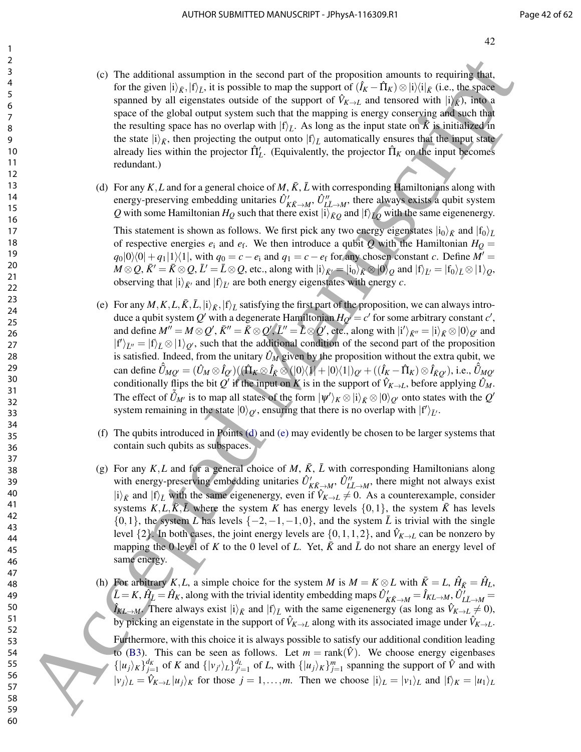- (c) The additional assumption in the second part of the proposition amounts to requiring that, for the given  $|i\rangle_{\bar{K}}$ ,  $|f\rangle_{\bar{L}}$ , it is possible to map the support of  $(\hat{I}_K - \hat{\Pi}_K) \otimes |i\rangle\langle i|_{\bar{K}}$  (i.e., the space spanned by all eigenstates outside of the support of  $\hat{V}_{K\to L}$  and tensored with  $|i\rangle_{\vec{k}}$ ), into a space of the global output system such that the mapping is energy conserving and such that the resulting space has no overlap with  $|f\rangle$ <sub>*L*</sub>. As long as the input state on  $\overline{K}$  is initialized in the state  $|i\rangle_{\bar{K}}$ , then projecting the output onto  $|f\rangle_{\bar{L}}$  automatically ensures that the input state already lies within the projector  $\hat{\Pi}'_L$ . (Equivalently, the projector  $\hat{\Pi}_K$  on the input becomes redundant.)
- (d) For any  $K, L$  and for a general choice of  $M, \overline{K}, \overline{L}$  with corresponding Hamiltonians along with energy-preserving embedding unitaries  $\hat{U}'_{K\bar{K}\to M}$ ,  $\hat{U}''_{L\bar{L}\to M}$ , there always exists a qubit system  $Q$  with some Hamiltonian  $H_Q$  such that there exist  $|i\rangle_{\bar{K}Q}$  and  $|f\rangle_{\bar{L}Q}$  with the same eigenenergy.

This statement is shown as follows. We first pick any two energy eigenstates  $|i_0\rangle_{\bar{K}}$  and  $|f_0\rangle_{\bar{L}}$ of respective energies  $e_i$  and  $e_f$ . We then introduce a qubit *Q* with the Hamiltonian  $H_Q =$  $q_0|0\rangle\langle0|+q_1|1\rangle\langle1|$ , with  $q_0 = c - e_i$  and  $q_1 = c - e_f$  for any chosen constant *c*. Define  $M' =$  $M \otimes Q$ ,  $\bar{K}' = \bar{K} \otimes Q$ ,  $\bar{L}' = \bar{L} \otimes Q$ , etc., along with  $|i\rangle_{\bar{K}'} = |i_0\rangle_{\bar{K}} \otimes |0\rangle_Q$  and  $|f\rangle_{\bar{L}'} = |f_0\rangle_{\bar{L}} \otimes |1\rangle_Q$ , observing that  $|i\rangle_{\bar{K}'}$  and  $|f\rangle_{\bar{L}'}$  are both energy eigenstates with energy *c*.

- (e) For any  $M, K, L, \overline{K}, \overline{L}, |i\rangle_{\overline{K}}, |f\rangle_{\overline{L}}$  satisfying the first part of the proposition, we can always introduce a qubit system  $Q'$  with a degenerate Hamiltonian  $H_{Q'} = c'$  for some arbitrary constant  $c'$ , and define  $M''=M\otimes Q',\bar K''=\bar K\otimes Q',\bar L''=\bar L\otimes Q',$  etc., along with  $|i'\rangle_{\bar K''}=|i\rangle_{\bar K}\otimes |0\rangle_{Q'}$  and  $|f'\rangle_{\bar{L}''}=|f\rangle_{\bar{L}}\otimes|1\rangle_{Q'}$ , such that the additional condition of the second part of the proposition is satisfied. Indeed, from the unitary  $\hat{U}_M$  given by the proposition without the extra qubit, we  $\hat{U}_{MQ} = (\hat{U}_M \otimes \hat{I}_{Q'})((\hat{\Pi}_K \otimes \hat{I}_{\bar{K}} \otimes (|0\rangle\langle 1|+|0\rangle\langle 1|)_{Q'} + ((\hat{I}_K - \hat{\Pi}_K) \otimes \hat{I}_{\bar{K}Q'}),$  i.e.,  $\hat{U}_{MQ'}$ conditionally flips the bit  $Q'$  if the input on K is in the support of  $\hat{V}_{K\to L}$ , before applying  $\hat{U}_M$ . The effect of  $\tilde{U}_{M'}$  is to map all states of the form  $|\psi'\rangle_K \otimes |i\rangle_{\bar{K}} \otimes |0\rangle_{Q'}$  onto states with the  $Q'$ system remaining in the state  $|0\rangle_{Q'}$ , ensuring that there is no overlap with  $|f'\rangle_{\bar{L}'}$ . 60 The additional assumption in the accord part of the proposition amounts to require from<br>for the accepted Manuscript ( $b_0 = 1$ ,  $b_0 = 0$ ) and  $b_0 = 0$ ) and  $b_0 = 0$  and  $b_0 = 0$  and  $b_0 = 0$  and  $b_0 = 0$  and  $b_0 = 0$  an
	- (f) The qubits introduced in Points (d) and (e) may evidently be chosen to be larger systems that contain such qubits as subspaces.
	- (g) For any  $K, L$  and for a general choice of  $M, K, \bar{L}$  with corresponding Hamiltonians along with energy-preserving embedding unitaries  $\hat{U}'_{K\bar{K}\to M}$ ,  $\hat{U}''_{L\bar{L}\to M}$ , there might not always exist  $|i\rangle_{\bar{K}}$  and  $|f\rangle_{\bar{L}}$  with the same eigenenergy, even if  $\hat{V}_{K\to L} \neq 0$ . As a counterexample, consider systems  $K, L, \overline{K}, \overline{L}$  where the system K has energy levels  $\{0, 1\}$ , the system  $\overline{K}$  has levels  $\{0,1\}$ , the system *L* has levels  $\{-2,-1,-1,0\}$ , and the system  $\bar{L}$  is trivial with the single level  $\{2\}$ . In both cases, the joint energy levels are  $\{0,1,1,2\}$ , and  $\hat{V}_{K\rightarrow L}$  can be nonzero by mapping the 0 level of *K* to the 0 level of *L*. Yet,  $\bar{K}$  and  $\bar{L}$  do not share an energy level of same energy.
	- (h) For arbitrary *K*,*L*, a simple choice for the system *M* is  $M = K \otimes L$  with  $\bar{K} = L$ ,  $\hat{H}_{\bar{K}} = \hat{H}_L$ ,  $\hat{L} = K$ ,  $\hat{H}_{\hat{L}} = \hat{H}_K$ , along with the trivial identity embedding maps  $\hat{U}'_{K\bar{K}\to M} = \hat{I}_{KL\to M}$ ,  $\hat{U}'_{L\bar{L}\to M} =$  $\hat{I}_{KL \to M}$ . There always exist  $|i\rangle_{\bar{K}}$  and  $|f\rangle_{\bar{L}}$  with the same eigenenergy (as long as  $\hat{V}_{K \to L} \neq 0$ ), by picking an eigenstate in the support of  $\hat{V}_{K\to L}$  along with its associated image under  $\hat{V}_{K\to L}$ .

Furthermore, with this choice it is always possible to satisfy our additional condition leading to (B3). This can be seen as follows. Let  $m = \text{rank}(\hat{V})$ . We choose energy eigenbases  $\{|u_j\rangle_K\}_{j=1}^{d_K}$  of K and  $\{|v_{j'}\rangle_L\}_{j'=1}^{d_L}$  of L, with  $\{|u_j\rangle_K\}_{j=1}^m$  spanning the support of  $\hat{V}$  and with  $|v_i\rangle_L = \hat{V}_{K \to L} |u_i\rangle_K$  for those  $j = 1, \ldots, m$ . Then we choose  $|i_i\rangle_L = |v_1\rangle_L$  and  $|f\rangle_K = |u_1\rangle_L$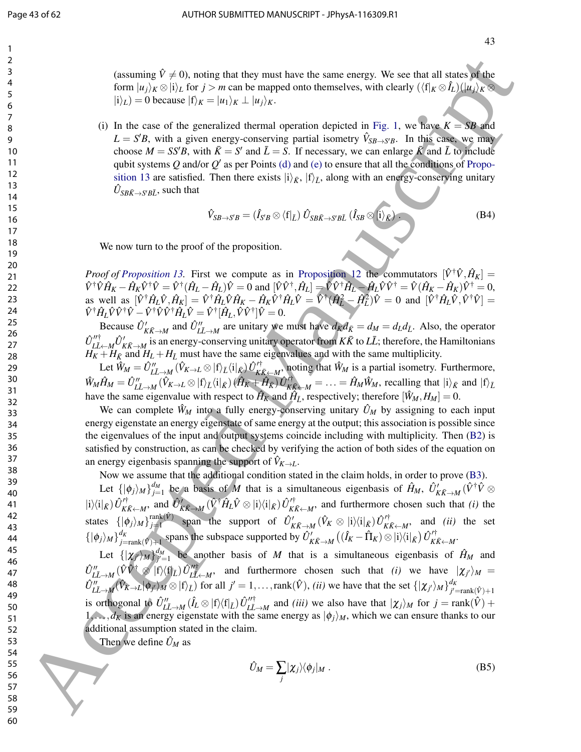(assuming  $\hat{V} \neq 0$ ), noting that they must have the same energy. We see that all states of the form  $|u_i\rangle_K \otimes |i\rangle_L$  for  $j > m$  can be mapped onto themselves, with clearly  $(\langle f|_K \otimes \hat{I}_L)(|u_j\rangle_K \otimes$  $|i\rangle_L$ ) = 0 because  $|f\rangle_K = |u_1\rangle_K \perp |u_j\rangle_K$ .

(i) In the case of the generalized thermal operation depicted in Fig. 1, we have  $K = SB$  and  $L = S'B$ , with a given energy-conserving partial isometry  $\hat{V}_{SB \rightarrow S'B}$ . In this case, we may choose  $M = SS'B$ , with  $\bar{K} = S'$  and  $\bar{L} = S$ . If necessary, we can enlarge  $\bar{K}$  and  $\bar{L}$  to include qubit systems  $Q$  and/or  $Q'$  as per Points (d) and (e) to ensure that all the conditions of Proposition 13 are satisfied. Then there exists  $|i\rangle_{\bar{K}}$ ,  $|f\rangle_{\bar{L}}$ , along with an energy-conserving unitary  $\hat{U}_{SB\bar{K}\rightarrow S'\bar{B}\bar{L}}$ , such that

$$
\hat{V}_{SB \to S'B} = (\hat{I}_{S'B} \otimes \langle f|_{\bar{L}}) \hat{U}_{SB\bar{K} \to S'B\bar{L}} (\hat{I}_{SB} \otimes |i\rangle_{\bar{K}}).
$$
 (B4)

We now turn to the proof of the proposition.

*Proof of Proposition 13.* First we compute as in Proposition 12 the commutators  $[\hat{V}^{\dagger}\hat{V}, \hat{H}_K] =$  $\hat{V}^{\dagger}\hat{V}\hat{H}_K - \hat{H}_K\hat{V}^{\dagger}\hat{V} = \hat{V}^{\dagger}(\hat{H}_L - \hat{H}_L)\hat{V} = 0$  and  $[\hat{V}\hat{V}^{\dagger}, \hat{H}_L] = \hat{V}\hat{V}^{\dagger}\hat{H}_L - \hat{H}_L\hat{V}\hat{V}^{\dagger} = \hat{V}(\hat{H}_K - \hat{H}_K)\hat{V}^{\dagger} = 0$ , as well as  $[\hat{V}^{\dagger} \hat{H}_L \hat{V}, \hat{H}_K] = \hat{V}^{\dagger} \hat{H}_L \hat{V} \hat{H}_K - \hat{H}_K \hat{V}^{\dagger} \hat{H}_L \hat{V} = \hat{V}^{\dagger} (\hat{H}_L^2 - \hat{H}_L^2) \hat{V} = 0$  and  $[\hat{V}^{\dagger} \hat{H}_L \hat{V}, \hat{V}^{\dagger} \hat{V}] =$  $\hat{V}^{\dagger} \hat{H}_{L} \hat{V} \hat{V}^{\dagger} \hat{V} - \hat{V}^{\dagger} \hat{V} \hat{V}^{\dagger} \hat{H}_{L} \hat{V} = \hat{V}^{\dagger} [\hat{H}_{L}, \hat{V} \hat{V}^{\dagger}] \hat{V} = 0.$ 

Because  $\hat{U}'_{K\bar{K}\to M}$  and  $\hat{U}''_{L\bar{L}\to M}$  are unitary we must have  $d_K d_{\bar{K}} = d_M = d_L d_{\bar{L}}$ . Also, the operator  $\hat{U}''^{\dagger}_{I\bar{I}}$  $\int_{L\bar{L}\leftarrow M}^{U^+} \hat{U}'_{K\bar{K}\to M}$  is an energy-conserving unitary operator from  $K\bar{K}$  to  $L\bar{L}$ ; therefore, the Hamiltonians  $H_K + H_{\bar{K}}$  and  $H_L + H_{\bar{L}}$  must have the same eigenvalues and with the same multiplicity.

 $\mathop{\rm Let}\nolimits \hat{W}_M = \hat{U}''_{L\bar{L}\to M}\,(\hat{V}_{K\to L}\otimes|{\rm f}\rangle_{\bar{L}}\langle{\rm i}|_{\bar{K}})\,\hat{U}^{\prime\dagger}_{K\bar{K}}$  $K_{K\bar{K} \leftarrow M}$ , noting that  $\hat{W}_M$  is a partial isometry. Furthermore,  $\hat{W}_M\hat{H}_M=\hat{U}''_{L\bar{L}\rightarrow M}(\hat{V}_{K\rightarrow L}\otimes\ket{\mathrm{f}}_{\bar{L}}\!\bra{\mathrm{i}}_{\bar{K}})(\hat{H}_K+\hat{H}_{\bar{K}})\hat{U}^{\prime\dagger}_{K\bar{K}}$  $K_{K\bar{K}}^{\dagger} \leftarrow M = \ldots = \hat{H}_M \hat{W}_M$ , recalling that  $|i\rangle_{\bar{K}}$  and  $|f\rangle_{\bar{L}}$ have the same eigenvalue with respect to  $\hat{H}_K$  and  $\hat{H}_{\bar{L}}$ , respectively; therefore  $[\hat{W}_M, H_M] = 0$ .

We can complete  $\hat{W}_M$  into a fully energy-conserving unitary  $\hat{U}_M$  by assigning to each input energy eigenstate an energy eigenstate of same energy at the output; this association is possible since the eigenvalues of the input and output systems coincide including with multiplicity. Then (B2) is satisfied by construction, as can be checked by verifying the action of both sides of the equation on an energy eigenbasis spanning the support of  $V_{K\to L}$ .

Now we assume that the additional condition stated in the claim holds, in order to prove (B3).

Let  $\{|\phi_j\rangle_M\}_{j=1}^{d_M}$  be a basis of *M* that is a simultaneous eigenbasis of  $\hat{H}_M$ ,  $\hat{U}'_{K\bar{K}\to M}(\hat{V}^\dagger\hat{V}\otimes \hat{V})$  $|i\rangle\langle i|_{\bar{K}}) \hat{U}^{\prime\dagger}_{\bar{K}i}$  $\hat{U}_{K\bar{K}\rightarrow M}^{\prime\dagger}$ , and  $\hat{U}_{K\bar{K}\rightarrow M}^{\prime}(\hat{V}^{\dagger}\hat{H}_{L}\hat{V}\otimes|i\rangle\langle i|_{\bar{K}})\hat{U}_{K\bar{K}}^{\prime\dagger}$  $K\bar{K}$  and furthermore chosen such that *(i)* the states  $\{|\phi_j\rangle_M\}_{j=1}^{\text{rank}(\hat{V})}$  $\hat{U}_{K\bar{K}\to M}^{\text{rank}(V)}$  span the support of  $\hat{U}_{K\bar{K}\to M}^{\prime}(\hat{V}_{K} \otimes |i\rangle\langle i|_{\bar{K}}) \hat{U}_{K\bar{K}}^{\prime\dagger}$  $K\bar{K} \leftarrow M$ , and *(ii)* the set  $\{|\phi_j\rangle_M\}_{j=1}^{d_K}$  $\frac{d_K}{d_{K_f}} = \frac{d_K}{d_K}$  spans the subspace supported by  $\hat{U}'_{K\bar{K}\to M} \left( (\hat{I}_K - \hat{\Pi}_K) \otimes |i\rangle\langle i|_{\bar{K}} \right) \hat{U}'^{\dagger}_{K\bar{K}}$ .<sub>/ҭ</sub><br>КЋ←М`

Let  $\{|\chi_j\rangle_M\}_{j'=1}^{\ell_M}$  be another basis of *M* that is a simultaneous eigenbasis of  $\hat{H}_M$  and  $\hat{U}''_{L\bar{L}\rightarrow M}\,(\hat{V}\hat{V}^\dagger\otimes\,|{\rm f}\rangle\langle{\rm f}|_{\bar{L}})\,\hat{U}''^{\dagger}_{L\bar{L}}$  $\frac{dV}{dL}$  and furthermore chosen such that *(i)* we have  $|\chi_{j'}\rangle_M =$  $\hat{U}''_{L\bar{L}\to M}(\hat{V}_{K\to L}|\phi_j\rangle_M \otimes |\mathbf{f}\rangle_{\bar{L}})$  for all  $j'=1,\ldots,\text{rank}(\hat{V}),$  *(ii)* we have that the set  $\{|\chi_{j'}\rangle_M\}^{d_K}_{j'=1}$  $j'$ =rank $(\hat{V})+1$ is orthogonal to  $\hat{U}''_{L\bar{L}\to M}(\hat{I}_L \otimes |f\rangle\langle f|_{\bar{L}}) \hat{U}''^{\dagger}_{L\bar{L}}$  $\sum_{L\bar{L}\rightarrow M}^{J/\dagger}$  and *(iii)* we also have that  $|\chi_j\rangle_M$  for  $j = \text{rank}(\hat{V}) + \hat{V}$  $1, \ldots, d_K$  is an energy eigenstate with the same energy as  $|\phi_j\rangle_M$ , which we can ensure thanks to our additional assumption stated in the claim. **Example 19**  $\mu$  20, coincide that they must have desired with some bottom. We see that also provide the signal continuous comparison in the signal continuous comparison in the signal continuous comparison in the signal

Then we define  $\hat{U}_M$  as

$$
\hat{U}_M = \sum_j |\chi_j\rangle\langle\phi_j|_M . \tag{B5}
$$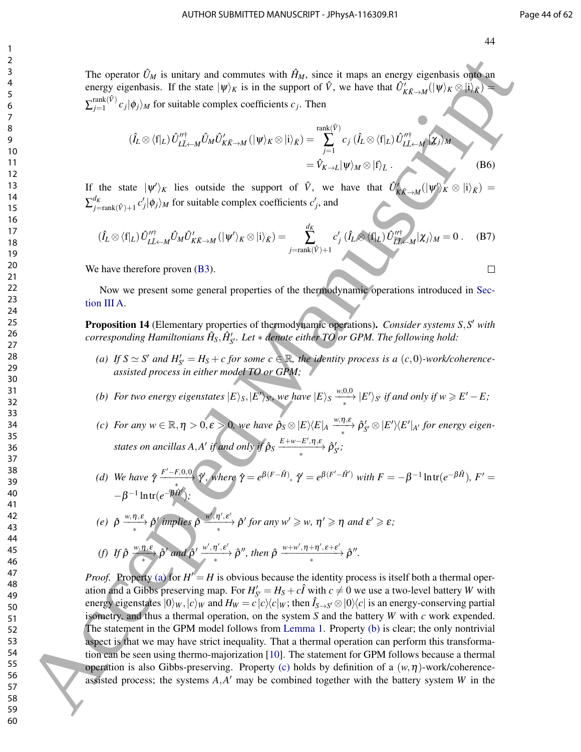The operator  $\hat{U}_M$  is unitary and commutes with  $\hat{H}_M$ , since it maps an energy eigenbasis onto an energy eigenbasis. If the state  $|\psi\rangle_K$  is in the support of  $\hat{V}$ , we have that  $\hat{U}'_{K\bar{K}\to M}(|\psi\rangle_K \otimes |i\rangle_{\bar{K}}) =$  $\sum_{j=1}^{\mathrm{rank}(\hat{V})}$  $c_j$   $| \phi_j \rangle_M$  for suitable complex coefficients  $c_j$ . Then

$$
(\hat{I}_L \otimes \langle f|_L) \hat{U}_{L\bar{L} \leftarrow M}^{\prime\prime \dagger} \hat{U}_M \hat{U}_{K\bar{K} \rightarrow M}^{\prime} (\vert \psi \rangle_K \otimes \vert i \rangle_{\bar{K}}) = \sum_{j=1}^{\text{rank}(\hat{V})} c_j (\hat{I}_L \otimes \langle f|_L) \hat{U}_{L\bar{L} \leftarrow M}^{\prime\prime \dagger} \vert \chi_j \rangle_M
$$
  
=  $\hat{V}_{K \rightarrow L} \vert \psi \rangle_M \otimes \vert f \rangle_{\bar{L}}.$  (B6)

If the state  $|\psi'\rangle_K$  lies outside the support of  $\hat{V}$ , we have that  $\hat{U}'_{K\bar{K}\to M}(|\psi'\rangle_K \otimes |i\rangle_{\bar{K}}) =$  $\sum_{j=\text{rank}(\hat{V})+1}^{V} c'_{j} |\phi_{j}\rangle_{M}$  for suitable complex coefficients  $c'_{j}$  $\frac{dK}{dt}$ <sub>*i*-rank( $\hat{v}$ )+1</sub>  $c'$ <sub>*j*</sub> $|\phi_j\rangle_M$  for suitable complex coefficients  $c'_j$ , and

$$
(\hat{I}_L \otimes \langle f|_L) \hat{U}_{L\bar{L} \leftarrow M}^{\prime\prime \dagger} \hat{U}_M \hat{U}_{K\bar{K} \rightarrow M}^{\prime} (\vert \psi^{\prime} \rangle_K \otimes \vert i \rangle_{\bar{K}}) = \sum_{j=\text{rank}(\hat{V})+1}^{d_K} c_j^{\prime} (\hat{I}_L \otimes \langle f|_L) \hat{U}_{L\bar{L} \leftarrow M}^{\prime\prime \dagger} \vert \chi_j \rangle_M = 0 \ . \tag{B7}
$$

We have therefore proven  $(B3)$ .

Now we present some general properties of the thermodynamic operations introduced in Section III A.

Proposition 14 (Elementary properties of thermodynamic operations). *Consider systems S,S' with*  $corresponding$  Hamiltonians  $\hat{H}_S, \hat{H}'_{S'}$ . Let  $*$  denote either TO or GPM. The following hold:

- (a) If  $S \simeq S'$  and  $H'_{S'} = H_S + c$  for some  $c \in \mathbb{R}$ , the identity process is a  $(c,0)$ *-work/coherenceassisted process in either model TO or GPM;*
- *(b)* For two energy eigenstates  $|E\rangle_S$ ,  $|E'\rangle_S$ , we have  $|E\rangle_S \xrightarrow{*} |E'\rangle_{S'}$  if and only if  $w \ge E'-E$ ;
- *(c)* For any  $w \in \mathbb{R}, \eta > 0, \varepsilon > 0$ , we have  $\hat{\rho}_S \otimes |E\rangle\langle E|_A \xrightarrow{\omega, \eta, \varepsilon} \hat{\rho}'_{S'} \otimes |E'\rangle\langle E'|_{A'}$  for energy eigenstates on ancillas  $A, A'$  if and only if  $\hat{\rho}_S \xrightarrow{\text{$E+w-E',\eta,\varepsilon$}} \hat{\rho}'_{S'}$ ;
- *(d)* We have  $\hat{\gamma} \xrightarrow{F'-F,0,0} \hat{\gamma}$ , where  $\hat{\gamma} = e^{\beta(F-\hat{H})}$ ,  $\hat{\gamma} = e^{\beta(F'-\hat{H}')}$  with  $F = -\beta^{-1} \ln \text{tr}(e^{-\beta \hat{H}})$ ,  $F' =$  $-β^{-1}$  ln tr( $e^{-β \hat{H}'}$ );

(e) 
$$
\hat{\rho} \xrightarrow{\text{w}, \eta, \varepsilon} \hat{\rho}'
$$
 implies  $\hat{\rho} \xrightarrow{\text{w}', \eta', \varepsilon'} \hat{\rho}'$  for any  $\text{w}' \geq \text{w}, \eta' \geq \eta$  and  $\varepsilon' \geq \varepsilon$ ;

(f) If 
$$
\hat{\rho}
$$
  $\xrightarrow{w,\eta,\varepsilon}$   $\hat{\rho}'$  and  $\hat{\rho}' \xrightarrow{w',\eta',\varepsilon'}$   $\hat{\rho}''$ , then  $\hat{\rho}$   $\xrightarrow{w+w',\eta+\eta',\varepsilon+\varepsilon'}$   $\hat{\rho}''$ .

*Proof.* Property (a) for  $H'' = H$  is obvious because the identity process is itself both a thermal operation and a Gibbs preserving map. For  $H'_{S'} = H_S + c\hat{I}$  with  $c \neq 0$  we use a two-level battery *W* with energy eigenstates  $|0\rangle_W,|c\rangle_W$  and  $H_W=c|c\rangle\langle c|_W$ ; then  $\hat{I}_{S\to S'}\otimes|0\rangle\langle c|$  is an energy-conserving partial isometry, and thus a thermal operation, on the system *S* and the battery *W* with *c* work expended. The statement in the GPM model follows from Lemma 1. Property (b) is clear; the only nontrivial aspect is that we may have strict inequality. That a thermal operation can perform this transformation can be seen using thermo-majorization [10]. The statement for GPM follows because a thermal operation is also Gibbs-preserving. Property (c) holds by definition of a  $(w, \eta)$ -work/coherenceassisted process; the systems  $A$ , $A'$  may be combined together with the battery system  $W$  in the The operator  $Q_F$  is validary and concurrence with  $R_{\ell K}$  since it maps in concret operator of  $\theta$ . So that the since  $\theta$  is the sequent of  $\theta$ , we have  $\sum_{i=1}^n C_i \phi_i Q_{\ell K}$  is the since  $\sum_{i=1}^n C_i \phi_i Q_{\ell K}$  is t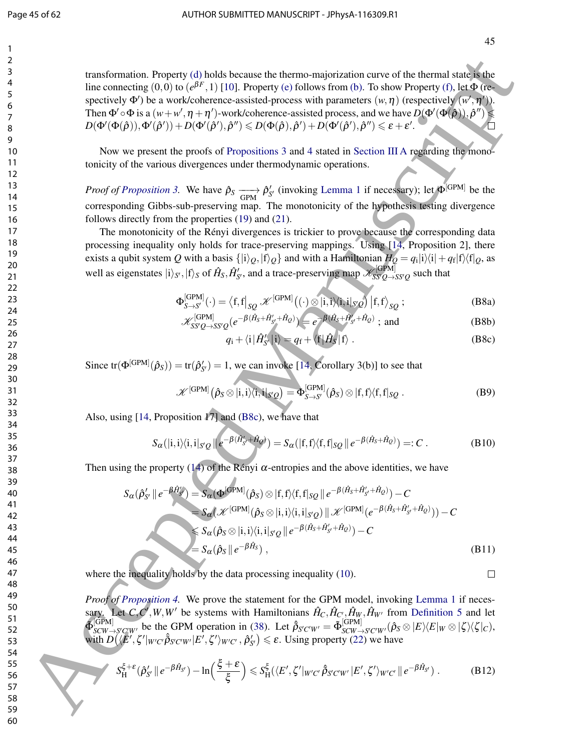45

transformation. Property (d) holds because the thermo-majorization curve of the thermal state is the line connecting  $(0,0)$  to  $(e^{\beta F},1)$  [10]. Property (e) follows from (b). To show Property (f), let  $\Phi$  (respectively  $\Phi'$ ) be a work/coherence-assisted-process with parameters  $(w, \eta)$  (respectively  $(w', \eta')$ ). Then  $\Phi' \circ \Phi$  is a  $(w+w', \eta + \eta')$ -work/coherence-assisted process, and we have  $D(\Phi'(\Phi(\hat{\rho})), \hat{\rho}'') \leq$  $D(\Phi'(\Phi(\hat{\rho})), \Phi'(\hat{\rho}')) + D(\Phi'(\hat{\rho}'), \hat{\rho}'') \leqslant D(\Phi(\hat{\rho}), \hat{\rho}') + D(\Phi'(\hat{\rho}'), \hat{\rho}'') \leqslant \varepsilon + \varepsilon'.$ **2**<br> **Solution** School (a) (a)  $\frac{1}{2}$  (b) (b)  $\frac{1}{2}$  (b)  $\frac{1}{2}$  (b)  $\frac{1}{2}$  (b)  $\frac{1}{2}$  (b)  $\frac{1}{2}$  (b)  $\frac{1}{2}$  (b)  $\frac{1}{2}$  (b)  $\frac{1}{2}$  (b)  $\frac{1}{2}$  (b)  $\frac{1}{2}$  (b)  $\frac{1}{2}$  (b)  $\frac{1}{2}$  (b)  $\frac{$ 

Now we present the proofs of Propositions 3 and 4 stated in Section III A regarding the monotonicity of the various divergences under thermodynamic operations.

*Proof of Proposition 3.* We have  $\hat{\rho}_S \longrightarrow \hat{\rho}'_S$  (invoking Lemma 1 if necessary); let  $\Phi^{[\text{GPM}]}$  be the corresponding Gibbs-sub-preserving map. The monotonicity of the hypothesis testing divergence follows directly from the properties (19) and (21).

The monotonicity of the Rényi divergences is trickier to prove because the corresponding data processing inequality only holds for trace-preserving mappings. Using [14, Proposition 2], there exists a qubit system  $Q$  with a basis  $\{|i\rangle_{Q},|f\rangle_{Q}\}$  and with a Hamiltonian  $H_Q=q_i|i\rangle\langle i|+q_f|f\rangle\langle f|_{Q}$ , as well as eigenstates  $|i\rangle_{S'}, |f\rangle_S$  of  $\hat{H}_S, \hat{H}'_{S'}$ , and a trace-preserving map  $\mathscr{K}_{SS'Q\to S}^{[GPM]}$  $\frac{S[S^{\prime}Q \rightarrow SS^{\prime}Q}_{S}$  such that

$$
\Phi_{S \to S'}^{[GPM]}(\cdot) = \left\langle f, f \right|_{SQ} \mathscr{K}^{[GPM]}((\cdot) \otimes |i, i \rangle \langle i, i |_{S'Q}) |f, f \rangle_{SQ} ;
$$
 (B8a)

$$
\mathcal{K}_{SS'Q \to SS'}^{[\text{GPM}]}(e^{-\beta(\hat{H}_S + \hat{H}'_{S'} + \hat{H}_Q)}) = e^{-\beta(\hat{H}_S + \hat{H}'_{S'} + \hat{H}_Q)}; \text{ and } (B8b)
$$

$$
q_{i} + \langle i | \hat{H}'_{S'} | i \rangle = q_{f} + \langle f | \hat{H}_{S} | f \rangle . \qquad (B8c)
$$

Since  $tr(\Phi^{[GPM]}(\hat{\rho}_S)) = tr(\hat{\rho}'_{S'}) = 1$ , we can invoke [14, Corollary 3(b)] to see that

$$
\mathscr{K}^{[\text{GPM}]}(\hat{\rho}_S \otimes |i,i\rangle \langle i,i|_{S'Q}) = \Phi_{S \to S'}^{[\text{GPM}]}(\hat{\rho}_S) \otimes |f,f\rangle \langle f,f|_{SQ}.
$$
 (B9)

Also, using [14, Proposition 17] and (B8c), we have that

$$
S_{\alpha}(|i,i\rangle\langle i,i|_{S'Q} \|e^{-\beta(\hat{H}'_{S'}+\hat{H}_{Q})}) = S_{\alpha}(|f,f\rangle\langle f,f|_{SQ} \|e^{-\beta(\hat{H}_{S}+\hat{H}_{Q})}) =: C.
$$
 (B10)

Then using the property (14) of the Rényi  $\alpha$ -entropies and the above identities, we have

$$
S_{\alpha}(\hat{\rho}_{S'} || e^{-\hat{\beta}\hat{H}'_{S'}}) = S_{\alpha}(\Phi^{[\text{CPM}]}(\hat{\rho}_{S}) \otimes |f, f\rangle\langle f, f|_{SQ} || e^{-\beta(\hat{H}_{S} + \hat{H}'_{S'} + \hat{H}_{Q})}) - C
$$
  
\n
$$
= S_{\alpha}(\mathscr{K}^{[\text{CPM}]}(\hat{\rho}_{S} \otimes |i, i\rangle\langle i, i|_{S'Q}) || \mathscr{K}^{[\text{CPM}]}(e^{-\beta(\hat{H}_{S} + \hat{H}'_{S'} + \hat{H}_{Q})}) - C
$$
  
\n
$$
\leq S_{\alpha}(\hat{\rho}_{S} \otimes |i, i\rangle\langle i, i|_{S'Q} || e^{-\beta(\hat{H}_{S} + \hat{H}'_{S'} + \hat{H}_{Q})}) - C
$$
  
\n
$$
= S_{\alpha}(\hat{\rho}_{S} || e^{-\beta\hat{H}_{S}}), \qquad (B11)
$$

where the inequality holds by the data processing inequality (10).

*Proof of Proposition 4.* We prove the statement for the GPM model, invoking Lemma 1 if necessary. Let *C*,*C*<sup>*'*</sup>,*W*,*W*<sup>*'*</sup> be systems with Hamiltonians  $\hat{H}_C, \hat{H}_{C'}$ , $\hat{H}_W, \hat{H}_{W'}$  from Definition 5 and let  $\tilde{\Phi}_{SCW-}^{[\text{GPM}]}$  $\frac{S_CPM}{SCW \rightarrow S'C'W'}$  be the GPM operation in (38). Let  $\hat{\beta}_{S'C'W'} = \tilde{\Phi}_{SCW}^{[GPM]}$  $\int_{\mathcal{S} \times \mathcal{W} \rightarrow \mathcal{S}' \mathcal{C}' \mathcal{W}'}(\hat{\rho}_S \otimes |E\rangle\langle E|_W \otimes |\zeta\rangle\langle \zeta|_C),$ with  $D(\langle E', \zeta' |_{W'C'} \hat{\beta}_{S'C'W'} | E', \zeta' \rangle_{W'C'} , \hat{\beta}'_{S'} ) \le \varepsilon$ . Using property (22) we have

$$
\int_{H}^{z} S_{H}^{\xi+\varepsilon}(\hat{\rho}_{S'}' || e^{-\beta \hat{H}_{S'}}) - \ln\left(\frac{\xi+\varepsilon}{\xi}\right) \leqslant S_{H}^{\xi}(\langle E', \zeta' |_{W'C'} \hat{\beta}_{S'C'W'} | E', \zeta' \rangle_{W'C'} || e^{-\beta \hat{H}_{S'}}).
$$
(B12)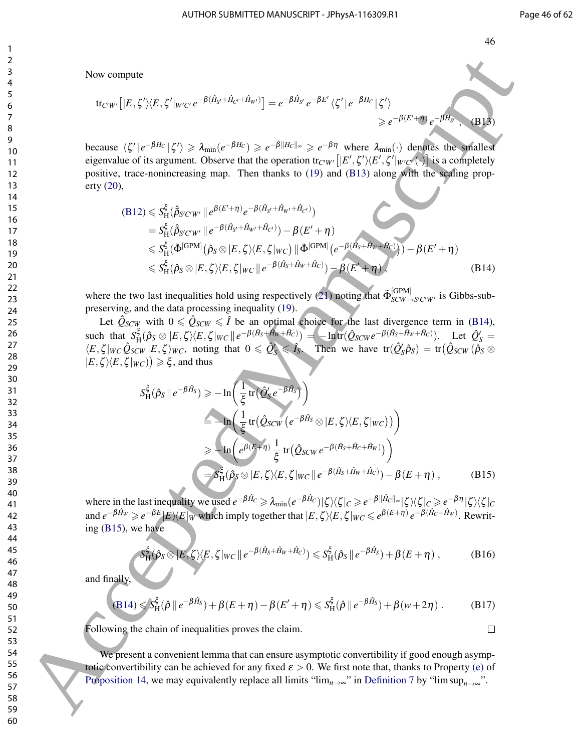Now compute

$$
\text{tr}_{C'W'}\big[|E,\zeta'\rangle\langle E,\zeta'|_{W'C'}e^{-\beta(\hat{H}_{S'}+\hat{H}_{C'}+\hat{H}_{W'})}\big] = e^{-\beta\hat{H}_{S'}}e^{-\beta E'}\langle\zeta'|e^{-\beta H_C}|\zeta'\rangle
$$
  
\n
$$
\geq e^{-\beta(E'+\eta)}e^{-\beta\hat{H}_{S'}}, \quad (B13)
$$

because  $\langle \zeta' | e^{-\beta H_C} | \zeta' \rangle \geq \lambda_{\min}(e^{-\beta H_C}) \geq e^{-\beta ||H_C||_{\infty}} \geq e^{-\beta \eta}$  where  $\lambda_{\min}(\cdot)$  denotes the smallest eigenvalue of its argument. Observe that the operation tr<sub>C'W'</sub>  $[E', \zeta'\rangle\langle E', \zeta'|_{W'C'}(\cdot)]$  is a completely positive, trace-nonincreasing map. Then thanks to (19) and (B13) along with the scaling property (20),

$$
(B12) \leq S_{H}^{\xi}(\hat{\beta}_{S'CW'} || e^{\beta(E'+\eta)} e^{-\beta(\hat{H}_{S'} + \hat{H}_{W'} + \hat{H}_{C'})})
$$
  
\n
$$
= S_{H}^{\xi}(\hat{\beta}_{S'CW'} || e^{-\beta(\hat{H}_{S'} + \hat{H}_{W'} + \hat{H}_{C'})}) - \beta(E' + \eta)
$$
  
\n
$$
\leq S_{H}^{\xi}(\tilde{\Phi}^{[\text{GPM}]}(\hat{\rho}_{S} \otimes | E, \zeta) \langle E, \zeta | w_{C}) || \tilde{\Phi}^{[\text{GPM}]}(e^{-\beta(\hat{H}_{S} + \hat{H}_{W} + \hat{H}_{C})})) - \beta(E' + \eta)
$$
  
\n
$$
\leq S_{H}^{\xi}(\hat{\rho}_{S} \otimes | E, \zeta) \langle E, \zeta | w_{C} || e^{-\beta(\hat{H}_{S} + \hat{H}_{W} + \hat{H}_{C})}) - \beta(E' + \eta),
$$
  
\n(B14)

where the two last inequalities hold using respectively (21) noting that  $\tilde{\Phi}_{SCW-}^{[GPM]}$  $SCW \rightarrow S'C'W'$  is Gibbs-subpreserving, and the data processing inequality (19).

Let  $\hat{Q}_{SCW}$  with  $0 \le \hat{Q}_{SCW} \le \hat{I}$  be an optimal choice for the last divergence term in (B14), such that *S* ξ  $\frac{\xi}{H}(\hat{\rho}_S \otimes |E,\zeta\rangle\langle E,\zeta|_{WC}\|e^{-\beta(\hat{H}_S+\hat{H}_W+\hat{H}_C)}) = -\ln \text{tr}(\hat{Q}_{SCW}e^{-\beta(\hat{H}_S+\hat{H}_W+\hat{H}_C)}).$  Let  $\hat{Q}'_S =$  $\langle E, \zeta | w_C \hat{Q}_{SCW} | E, \zeta \rangle_{WC}$ , noting that  $0 \le \hat{Q}'_S \le \hat{I}_S$ . Then we have  $tr(\hat{Q}'_S \hat{\rho}_S) = tr(\hat{Q}_{SCW} (\hat{\rho}_S \otimes \hat{I}_S))$  $|E,\zeta\rangle\langle E,\zeta|_{WC})\geq \xi$ , and thus

Now compute  
\n
$$
\begin{aligned}\n&\text{Now compute} \\
&\text{for } \langle f |_{\mathcal{C}}, f' \rangle \langle E, \zeta' |_{W'C'} e^{-\beta (H_{\mathcal{U}} + H_{\mathcal{U}})} \rangle = e^{-\beta H_{\mathcal{U}}} e^{-\beta E'} \langle \zeta' | e^{-\beta H_{\mathcal{U}}} | \zeta' \rangle \\
&\text{because } \langle \zeta' |_{\mathcal{C}} = \beta H_{\mathcal{U}} | \zeta' \rangle &\text{where } \langle \zeta' |_{\mathcal{C}} = \beta H_{\mathcal{U}} | \zeta' \rangle &\text{where } \langle \zeta' |_{\mathcal{C}} = \beta H_{\mathcal{U}} |_{\mathcal{C}} = \langle \zeta' |_{\mathcal{C}} = \beta H_{\mathcal{U}} |_{\mathcal{C}} = \langle \zeta' |_{\mathcal{C}} = \beta H_{\mathcal{U}} |_{\mathcal{C}} = \langle \zeta' |_{\mathcal{C}} = \beta H_{\mathcal{U}} |_{\mathcal{C}} = \langle \zeta' |_{\mathcal{C}} = \langle \zeta' |_{\mathcal{C}} = \langle \zeta' |_{\mathcal{C}} = \langle \zeta' |_{\mathcal{C}} = \langle \zeta' |_{\mathcal{C}} = \langle \zeta' |_{\mathcal{C}} = \langle \zeta' |_{\mathcal{C}} = \langle \zeta' |_{\mathcal{C}} = \langle \zeta' |_{\mathcal{C}} = \langle \zeta' |_{\mathcal{C}} = \langle \zeta' |_{\mathcal{C}} = \langle \zeta' |_{\mathcal{C}} = \langle \zeta' |_{\mathcal{C}} = \langle \zeta' |_{\mathcal{C}} = \langle \zeta' |_{\mathcal{C}} = \langle \zeta' |_{\mathcal{C}} = \langle \zeta' |_{\mathcal{C}} = \langle \zeta' |_{\mathcal{C}} = \langle \zeta' |_{\mathcal{C}} = \langle \zeta' |_{\mathcal{C}} = \langle \zeta' |_{\mathcal{C}} = \langle \zeta' |_{\mathcal{C}} = \langle \zeta' |_{\mathcal{C}} = \langle \zeta' |_{\mathcal{C}} = \langle \zeta' |_{\mathcal{C}} = \langle \zeta' |_{\mathcal{C}} = \langle \zeta' |_{\mathcal{C}} = \langle \zeta' |_{\mathcal{C
$$

where in the last inequality we used  $e^{-\beta \hat{H}_C} \ge \lambda_{\min}(e^{-\beta \hat{H}_C}) |\zeta\rangle\langle\zeta|_C \ge e^{-\beta ||\hat{H}_C||_{\infty}} |\zeta\rangle\langle\zeta|_C \ge e^{-\beta \eta} |\zeta\rangle\langle\zeta|_C$ and  $e^{-\beta \hat{H}_W} \geq e^{-\beta E} |E\rangle\langle E|_W$  which imply together that  $|E,\zeta\rangle\langle E,\zeta|_{WC} \leq e^{\beta(E+\eta)} e^{-\beta(\hat{H}_C+\hat{H}_W)}$ . Rewriting (B15), we have

$$
S_{\mathrm{H}}^{\xi}(\hat{\rho}_S \otimes |E,\zeta\rangle\langle E,\zeta|_{WC} \|e^{-\beta(\hat{H}_S+\hat{H}_W+\hat{H}_C)}) \leqslant S_{\mathrm{H}}^{\xi}(\hat{\rho}_S \|e^{-\beta\hat{H}_S}) + \beta(E+\eta) ,\qquad \qquad \textbf{(B16)}
$$

and finally,

$$
(B14) \leqslant S_{\mathrm{H}}^{\xi}(\hat{\rho} \parallel e^{-\beta \hat{H}_S}) + \beta(E + \eta) - \beta(E' + \eta) \leqslant S_{\mathrm{H}}^{\xi}(\hat{\rho} \parallel e^{-\beta \hat{H}_S}) + \beta(w + 2\eta) . \tag{B17}
$$

Following the chain of inequalities proves the claim.

We present a convenient lemma that can ensure asymptotic convertibility if good enough asymptotic convertibility can be achieved for any fixed  $\varepsilon > 0$ . We first note that, thanks to Property (e) of Proposition 14, we may equivalently replace all limits "lim<sub>n→∞</sub>" in Definition 7 by "lim sup<sub>n→∞</sub>".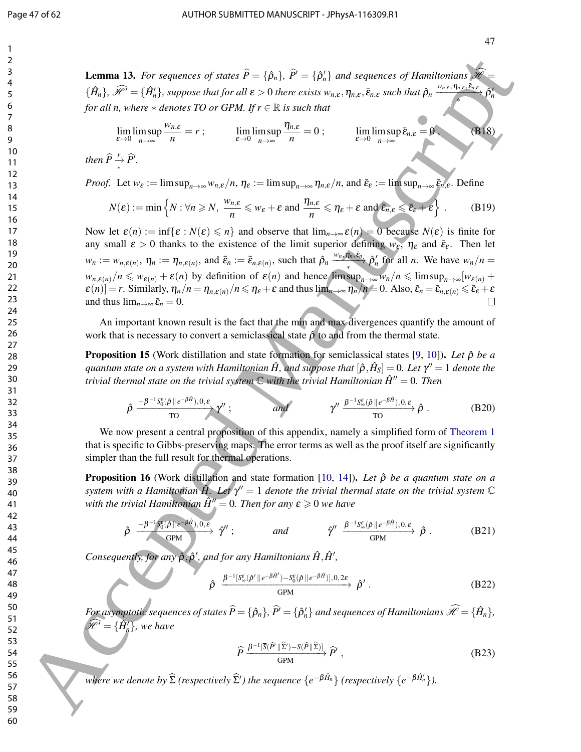**Lemma 13.** *For sequences of states*  $\widehat{P} = \{\widehat{\rho}_n\}$ ,  $\widehat{P}' = \{\widehat{\rho}'_n\}$  and sequences of Hamiltonians  $\widehat{\mathscr{H}} =$  $\{\hat{H}_n\},\,\hat{\mathscr{H}}^{\prime}=\{\hat{H}_n^{\prime}\},$  suppose that for all  $\varepsilon>0$  there exists  $w_{n,\varepsilon},\eta_{n,\varepsilon},\bar{\varepsilon}_{n,\varepsilon}$  such that  $\hat{\rho}_n\xrightarrow{w_{n,\varepsilon},\eta_{n,\varepsilon},\bar{\varepsilon}_{n,\varepsilon}}$  $\hat{\rho}$  $\overline{\phantom{a}}$ *n for all n, where*  $*$  *denotes TO or GPM. If*  $r \in \mathbb{R}$  *is such that* 

$$
\lim_{\varepsilon \to 0} \limsup_{n \to \infty} \frac{w_{n,\varepsilon}}{n} = r \; ; \qquad \lim_{\varepsilon \to 0} \limsup_{n \to \infty} \frac{\eta_{n,\varepsilon}}{n} = 0 \; ; \qquad \lim_{\varepsilon \to 0} \limsup_{n \to \infty} \bar{\varepsilon}_{n,\varepsilon} = 0 \; . \tag{B18}
$$

*then*  $\widehat{P} \overset{r}{\rightarrow} \widehat{P}'$ .

*Proof.* Let  $w_{\varepsilon} := \limsup_{n \to \infty} w_{n,\varepsilon}/n$ ,  $\eta_{\varepsilon} := \limsup_{n \to \infty} \eta_{n,\varepsilon}/n$ , and  $\bar{\varepsilon}_{\varepsilon} := \limsup_{n \to \infty} \bar{\varepsilon}_{n,\varepsilon}$ . Define

$$
N(\varepsilon) := \min\left\{N : \forall n \geqslant N, \ \frac{w_{n,\varepsilon}}{n} \leqslant w_{\varepsilon} + \varepsilon \text{ and } \frac{\eta_{n,\varepsilon}}{n} \leqslant \eta_{\varepsilon} + \varepsilon \text{ and } \bar{\varepsilon}_{n,\varepsilon} \leqslant \bar{\varepsilon}_{\varepsilon} + \varepsilon\right\}.
$$
 (B19)

Now let  $\varepsilon(n) := \inf\{\varepsilon : N(\varepsilon) \leq n\}$  and observe that  $\lim_{n\to\infty} \varepsilon(n) = 0$  because  $N(\varepsilon)$  is finite for any small  $\varepsilon > 0$  thanks to the existence of the limit superior defining  $w_{\varepsilon}$ ,  $\eta_{\varepsilon}$  and  $\bar{\varepsilon}_{\varepsilon}$ . Then let  $w_n := w_{n,\varepsilon(n)}, \eta_n := \eta_{n,\varepsilon(n)}$ , and  $\bar{\varepsilon}_n := \bar{\varepsilon}_{n,\varepsilon(n)}$ , such that  $\hat{\rho}_n \xrightarrow{w_n, \hat{\eta}_n, \bar{\varepsilon}_n} \hat{\rho}'_n$  for all *n*. We have  $w_n/n =$  $w_{n,\varepsilon(n)}/n \leq w_{\varepsilon(n)} + \varepsilon(n)$  by definition of  $\varepsilon(n)$  and hence  $\limsup_{n\to\infty} w_n/n \leq \limsup_{n\to\infty} [w_{\varepsilon(n)} +$  $\varepsilon(n)$ ] = *r*. Similarly,  $\eta_n/n = \eta_{n,\varepsilon(n)}/n \leq \eta_{\varepsilon} + \varepsilon$  and thus  $\lim_{n \to \infty} \eta_n/n = 0$ . Also,  $\bar{\varepsilon}_n = \bar{\varepsilon}_{n,\varepsilon(n)} \leq \bar{\varepsilon}_{\varepsilon} + \varepsilon$ and thus  $\lim_{n\to\infty} \bar{\varepsilon}_n = 0$ . **1. Earning 13.** For sequence of states  $\vec{P} = \{(\vec{a}_i), \vec{P} = (\vec{a}_i^*)\}$ . Of sequence  $\vec{M}$  for  $\vec{M}$ ,  $\vec{M} = \{(\vec{a}_i), \vec{P} = (\vec{a}_i^*)\}$ . (For sequence  $\vec{M}$ ),  $\vec{M} = \{(\vec{a}_i, \vec{P} = \vec{M})\}$ . (For  $\vec{M} = \{(\vec{a}_i, \$ 

An important known result is the fact that the min and max divergences quantify the amount of work that is necessary to convert a semiclassical state  $\hat{\rho}$  to and from the thermal state.

**Proposition 15** (Work distillation and state formation for semiclassical states [9, 10]). Let  $\hat{\rho}$  be a  $q$ uantum state on a system with Hamiltonian  $\hat{H}$ , and suppose that  $[\hat{\rho},\hat{H}_S]=0.$  Let  $\gamma''=1$  denote the *trivial thermal state on the trivial system*  $\mathbb C$  *with the trivial Hamiltonian*  $\hat{H}^{\prime\prime} = 0$ . Then

$$
\hat{\rho} \xrightarrow{-\beta^{-1}S_0^{\varepsilon}(\hat{\rho} \parallel e^{-\beta \hat{H}}), 0, \varepsilon} \gamma'' ; \qquad \text{and} \qquad \gamma'' \xrightarrow{\beta^{-1}S_{\infty}^{\varepsilon}(\hat{\rho} \parallel e^{-\beta \hat{H}}), 0, \varepsilon} \hat{\rho} .
$$
 (B20)

We now present a central proposition of this appendix, namely a simplified form of Theorem 1 that is specific to Gibbs-preserving maps. The error terms as well as the proof itself are significantly simpler than the full result for thermal operations.

Proposition 16 (Work distillation and state formation [10, 14]). *Let* ρˆ *be a quantum state on a system with a Hamiltonian*  $\hat{H}$ *. Let*  $\gamma'' = 1$  *denote the trivial thermal state on the trivial system*  $\mathbb C$ *with the trivial Hamiltonian*  $\hat{H}^{\prime\prime} = 0$ . Then for any  $\varepsilon \geq 0$  we have

$$
\hat{\rho} \xrightarrow{\quad -\beta^{-1}S_0^{\varepsilon}(\hat{\rho} \| e^{-\beta \hat{H}}), 0, \varepsilon} \hat{\rho}''; \qquad \text{and} \qquad \hat{\gamma}'' \xrightarrow{\beta^{-1}S_{\infty}^{\varepsilon}(\hat{\rho} \| e^{-\beta \hat{H}}), 0, \varepsilon} \hat{\rho}. \qquad (B21)
$$

*Consequently, for any*  $\hat{\rho}, \hat{\rho}'$ , and for any Hamiltonians  $\hat{H}, \hat{H}'$ ,

$$
\hat{\rho} \xrightarrow{\beta^{-1} [S_{\infty}^{\varepsilon}(\hat{\rho}' || e^{-\beta \hat{H}'}) - S_{0}^{\varepsilon}(\hat{\rho} || e^{-\beta \hat{H}})], 0, 2\varepsilon} \hat{\rho}'.
$$
 (B22)

*For asymptotic sequences of states*  $\widehat{P} = {\hat{\rho}_n}$ ,  $\widehat{P'} = {\hat{\rho}'_n}$  *and sequences of Hamiltonians*  $\widehat{\mathscr{H}} = {\hat{H}_n}$ ,  $\widehat{\mathscr{H}}^{\prime} = \{\hat{H}^{\prime}_{n}\}$ , we have

$$
\widehat{P} \xrightarrow{\beta^{-1} [\overline{S}(\widehat{P} \parallel \widehat{\Sigma}') - \underline{S}(\widehat{P} \parallel \widehat{\Sigma})]} \widehat{P}' ,
$$
\n(B23)

*where we denote by*  $\widehat{\Sigma}$  *(respectively*  $\widehat{\Sigma}'$ *) the sequence*  $\{e^{-\beta \hat{H}_n}\}$  *(respectively*  $\{e^{-\beta \hat{H}'_n}\}$ *).*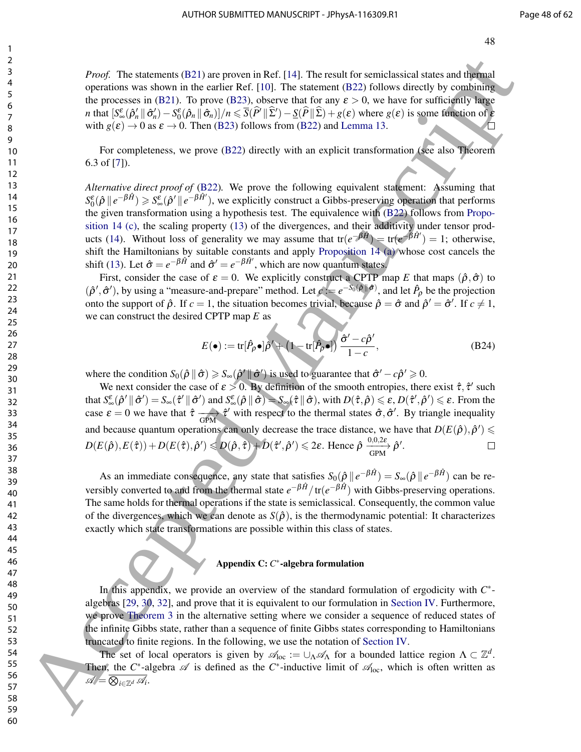*Proof.* The statements (B21) are proven in Ref. [14]. The result for semiclassical states and thermal operations was shown in the earlier Ref. [10]. The statement (B22) follows directly by combining the processes in (B21). To prove (B23), observe that for any  $\varepsilon > 0$ , we have for sufficiently large *n* that  $[S_{\infty}^{\varepsilon}(\hat{\rho}'_{n} || \hat{\sigma}'_{n}) - S_{0}^{\varepsilon}(\hat{\rho}_{n} || \hat{\sigma}_{n})]/n \leq \overline{S}(\hat{P}' || \hat{\Sigma}') - \underline{S}(\hat{P} || \hat{\Sigma}) + g(\varepsilon)$  where  $g(\varepsilon)$  is some function of  $\varepsilon$ with  $g(\varepsilon) \to 0$  as  $\varepsilon \to 0$ . Then (B23) follows from (B22) and Lemma 13.

For completeness, we prove (B22) directly with an explicit transformation (see also Theorem 6.3 of [7]).

*Alternative direct proof of* (B22)*.* We prove the following equivalent statement: Assuming that  $S_0^{\varepsilon}(\hat{\rho} \parallel e^{-\beta \hat{H}}) \geqslant S_{\infty}^{\varepsilon}(\hat{\rho}' \parallel e^{-\beta \hat{H}'})$ , we explicitly construct a Gibbs-preserving operation that performs the given transformation using a hypothesis test. The equivalence with (B22) follows from Proposition 14 (c), the scaling property (13) of the divergences, and their additivity under tensor products (14). Without loss of generality we may assume that  $tr(e^{-\beta \hat{H}}) = tr(e^{-\beta \hat{H}'} ) = 1$ ; otherwise, shift the Hamiltonians by suitable constants and apply Proposition 14 (a) whose cost cancels the shift (13). Let  $\hat{\sigma} = e^{-\beta \hat{H}}$  and  $\hat{\sigma}' = e^{-\beta \hat{H}'}$ , which are now quantum states. *Proof.* The smonton (32) are proved in Ref. [14]. The result for each distance such distance such as a specifically specified by contained by contained by contained by contained by contained by contained by contained by

First, consider the case of  $\varepsilon = 0$ . We explicitly construct a CPTP map *E* that maps  $(\hat{\rho}, \hat{\sigma})$  to  $(\hat{\rho}', \hat{\sigma}')$ , by using a "measure-and-prepare" method. Let  $c := e^{-S_0(\hat{\rho} \cdot \hat{\sigma}')}$ , and let  $\hat{P}_{\rho}$  be the projection onto the support of  $\hat{\rho}$ . If  $c = 1$ , the situation becomes trivial, because  $\hat{\rho} = \hat{\sigma}$  and  $\hat{\rho}' = \hat{\sigma}'$ . If  $c \neq 1$ , we can construct the desired CPTP map *E* as

$$
E(\bullet) := \text{tr}[\hat{P}_\rho \bullet] \hat{\rho}' + (1 - \text{tr}[\hat{P}_\rho \bullet]) \frac{\hat{\sigma}' - c\hat{\rho}'}{1 - c},
$$
(B24)

where the condition  $S_0(\hat{\rho} \parallel \hat{\sigma}) \ge S_\infty(\hat{\rho}' \parallel \hat{\sigma}')$  is used to guarantee that  $\hat{\sigma}' - c\hat{\rho}' \ge 0$ .

We next consider the case of  $\epsilon > 0$ . By definition of the smooth entropies, there exist  $\hat{\tau}$ ,  $\hat{\tau}'$  such that  $S_{\infty}^{\varepsilon}(\hat{\rho}^{\prime} \|\hat{\sigma}^{\prime}) = S_{\infty}(\hat{\tau}^{\prime} \|\hat{\sigma}^{\prime})$  and  $S_{\infty}^{\varepsilon}(\hat{\rho} \|\hat{\sigma}) = S_{\infty}(\hat{\tau} \|\hat{\sigma})$ , with  $D(\hat{\tau}, \hat{\rho}) \leqslant \varepsilon$ ,  $D(\hat{\tau}^{\prime}, \hat{\rho}^{\prime}) \leqslant \varepsilon$ . From the case  $\varepsilon = 0$  we have that  $\hat{\tau} \longrightarrow \hat{\tau}'$  with respect to the thermal states  $\hat{\sigma}, \hat{\sigma}'$ . By triangle inequality and because quantum operations can only decrease the trace distance, we have that  $D(E(\hat{\rho}), \hat{\rho}') \leq$  $D(E(\hat{\rho}), E(\hat{\tau})) + D(E(\hat{\tau}), \hat{\rho}') \leqslant D(\hat{\rho}, \hat{\tau}) + D(\hat{\tau}', \hat{\rho}') \leqslant 2\varepsilon$ . Hence  $\hat{\rho} \xrightarrow[{\rm GPM}]{0,0,2\varepsilon} \hat{\rho}'.$ 

As an immediate consequence, any state that satisfies  $S_0(\hat{\rho} \parallel e^{-\beta \hat{H}}) = S_{\infty}(\hat{\rho} \parallel e^{-\beta \hat{H}})$  can be reversibly converted to and from the thermal state  $e^{-\beta \hat{H}}/tr(e^{-\beta \hat{H}})$  with Gibbs-preserving operations. The same holds for thermal operations if the state is semiclassical. Consequently, the common value of the divergences, which we can denote as  $S(\hat{\rho})$ , is the thermodynamic potential: It characterizes exactly which state transformations are possible within this class of states.

#### Appendix C: *C* ∗ -algebra formulation

In this appendix, we provide an overview of the standard formulation of ergodicity with *C* ∗ algebras [29, 30, 32], and prove that it is equivalent to our formulation in Section IV. Furthermore, we prove Theorem 3 in the alternative setting where we consider a sequence of reduced states of the infinite Gibbs state, rather than a sequence of finite Gibbs states corresponding to Hamiltonians truncated to finite regions. In the following, we use the notation of Section IV.

The set of local operators is given by  $\mathscr{A}_{loc} := \cup_{\Lambda} \mathscr{A}_{\Lambda}$  for a bounded lattice region  $\Lambda \subset \mathbb{Z}^d$ . Then, the  $C^*$ -algebra  $\mathscr A$  is defined as the  $C^*$ -inductive limit of  $\mathscr A_{loc}$ , which is often written as A = N *<sup>i</sup>*∈Z*<sup>d</sup>* A*<sup>i</sup>* .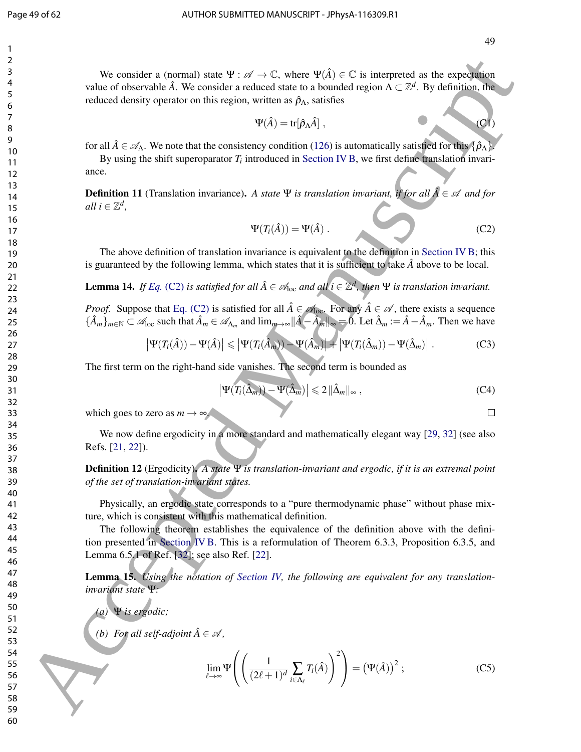We consider a (normal) state  $\Psi: \mathscr{A} \to \mathbb{C}$ , where  $\Psi(\hat{A}) \in \mathbb{C}$  is interpreted as the expectation value of observable  $\hat{A}$ . We consider a reduced state to a bounded region  $\Lambda \subset \mathbb{Z}^d$ . By definition, the reduced density operator on this region, written as  $\hat{\rho}_{\Lambda}$ , satisfies

$$
\Psi(\hat{A}) = \text{tr}[\hat{\rho}_\Lambda \hat{A}], \qquad (C1)
$$

for all  $\hat{A} \in \mathscr{A}_{\Lambda}$ . We note that the consistency condition (126) is automatically satisfied for this  $\{\hat{\rho}_{\Lambda}\}$ 

By using the shift superoparator  $T_i$  introduced in Section IV B, we first define translation invariance.

**Definition 11** (Translation invariance). A state  $\Psi$  is translation invariant, if for all  $\hat{A} \in \mathcal{A}$  and for  $all \ i \in \mathbb{Z}^d$ ,

$$
\Psi(T_i(\hat{A})) = \Psi(\hat{A}) . \tag{C2}
$$

The above definition of translation invariance is equivalent to the definition in Section IV B; this is guaranteed by the following lemma, which states that it is sufficient to take  $\hat{A}$  above to be local.

**Lemma 14.** If Eq. (C2) is satisfied for all  $\hat{A} \in \mathcal{A}_{loc}$  and all  $i \in \mathbb{Z}^d$ , then  $\Psi$  is translation invariant.

*Proof.* Suppose that Eq. (C2) is satisfied for all  $\hat{A} \in \mathcal{A}_{loc}$ . For any  $\hat{A} \in \mathcal{A}$ , there exists a sequence  ${\{\hat{A}_m\}}_{m \in \mathbb{N}} \subset \mathcal{A}_{loc}$  such that  $\hat{A}_m \in \mathcal{A}_{\Lambda_m}$  and  $\lim_{m \to \infty} ||\hat{A} - \hat{A}_m||_{\infty} \Rightarrow 0$ . Let  $\hat{\Delta}_m := \hat{A} - \hat{A}_m$ . Then we have

$$
\left|\Psi(T_i(\hat{A})) - \Psi(\hat{A})\right| \leq \left|\Psi(T_i(\hat{A}_m)) - \Psi(\hat{A}_m)\right| + \left|\Psi(T_i(\hat{\Delta}_m)) - \Psi(\hat{\Delta}_m)\right|.
$$
 (C3)

The first term on the right-hand side vanishes. The second term is bounded as

$$
\left|\Psi(T_i(\hat{\Delta}_m)) - \Psi(\hat{\Delta}_m)\right| \leq 2 \|\hat{\Delta}_m\|_{\infty},\tag{C4}
$$

which goes to zero as  $m \to \infty$ .

We now define ergodicity in a more standard and mathematically elegant way [29, 32] (see also Refs. [21, 22]).

Definition 12 (Ergodicity). *A state* Ψ *is translation-invariant and ergodic, if it is an extremal point of the set of translation-invariant states.*

Physically, an ergodic state corresponds to a "pure thermodynamic phase" without phase mixture, which is consistent with this mathematical definition.

The following theorem establishes the equivalence of the definition above with the definition presented in Section IV B. This is a reformulation of Theorem 6.3.3, Proposition 6.3.5, and Lemma 6.5.1 of Ref. [32]; see also Ref. [22]. We consider a constant) since  $\Psi : \mathcal{A} \rightarrow \mathbb{C}$ , where  $\Psi(A) = \mathbb{C}$  is interpreted as the expectation of the solution of the solution of the solution of the solution of the solution of the solution of the solution of t

Lemma 15. *Using the notation of Section IV, the following are equivalent for any translationinvariant state* Ψ*:*

*(a)* Ψ *is ergodic;*

*(b)* For all self-adjoint  $\hat{A} \in \mathcal{A}$ ,

$$
\lim_{\ell \to \infty} \Psi\left( \left( \frac{1}{(2\ell+1)^d} \sum_{i \in \Lambda_\ell} T_i(\hat{A}) \right)^2 \right) = \left( \Psi(\hat{A}) \right)^2 ; \tag{C5}
$$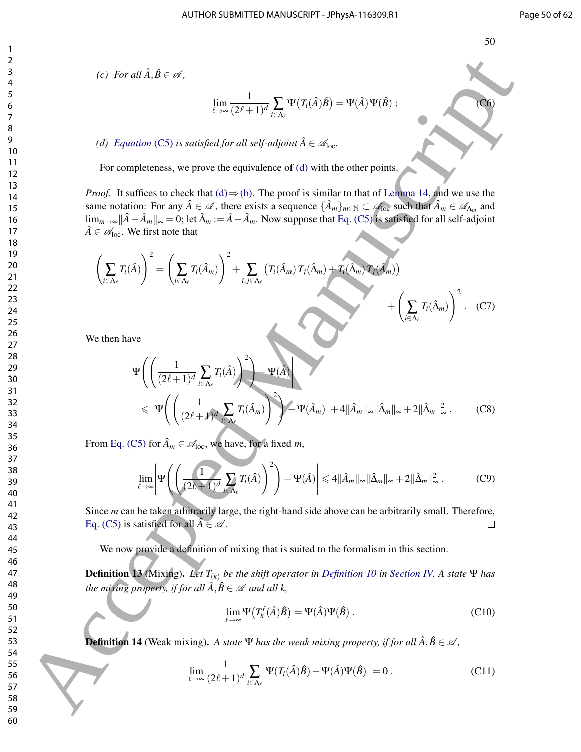*(c)* For all  $\hat{A}, \hat{B} \in \mathcal{A}$ ,

$$
\lim_{\ell \to \infty} \frac{1}{(2\ell+1)^d} \sum_{i \in \Lambda_{\ell}} \Psi(T_i(\hat{A})\hat{B}) = \Psi(\hat{A}) \Psi(\hat{B}) ;
$$
 (C6)

*(d) Equation* (C5) *is satisfied for all self-adjoint*  $\hat{A} \in \mathcal{A}_{loc}$ .

For completeness, we prove the equivalence of (d) with the other points.

*Proof.* It suffices to check that (d)  $\Rightarrow$  (b). The proof is similar to that of Lemma 14, and we use the same notation: For any  $\hat{A} \in \mathscr{A}$ , there exists a sequence  $\{\hat{A}_m\}_{m \in \mathbb{N}} \subset \mathscr{A}_{loc}$  such that  $\hat{A}_m \in \mathscr{A}_{\Lambda_m}$  and lim<sub>*m*→∞</sub> $\|\hat{A} - \hat{A}_m\|_{\infty} = 0$ ; let  $\hat{\Delta}_m := \hat{A} - \hat{A}_m$ . Now suppose that Eq. (C5) is satisfied for all self-adjoint  $\hat{A} \in \mathcal{A}_{loc}$ . We first note that

$$
\left(\sum_{i\in\Lambda_{\ell}}T_{i}(\hat{A})\right)^{2} = \left(\sum_{i\in\Lambda_{\ell}}T_{i}(\hat{A}_{m})\right)^{2} + \sum_{i,j\in\Lambda_{\ell}}\left(T_{i}(\hat{A}_{m})T_{j}(\hat{\Delta}_{m}) + T_{i}(\hat{\Delta}_{m})T_{j}(\hat{A}_{m})\right) + \left(\sum_{i\in\Lambda_{\ell}}T_{i}(\hat{\Delta}_{m})\right)^{2}.
$$
 (C7)

We then have

(c) For all 
$$
\hat{\lambda}, \hat{B} \in \mathcal{A}
$$
,  
\n
$$
\lim_{\lambda \to \infty} \frac{1}{(2\ell+1)^d} \sum_{\beta \in \Lambda} \Psi(T_i(\hat{A})\hat{B}) = \Psi(\hat{A}) \Psi(\hat{B})
$$
\n(d) *Equation* (CS) is satisfied for all self-adjoint  $\hat{A} \in \mathcal{A}_{loc}$ .  
\nFor completeness, we prove the equivalence of (d) with the other points.  
\n13  
\n14  
\n15  
\n16  
\n17  
\n18  
\n19  
\n10  
\n10  
\n11  
\n12  
\n13  
\n14  
\n15  
\n16  
\n17  
\n18  
\n19  
\n10  
\n10  
\n11  
\n12  
\n13  
\n14  
\n15  
\n16  
\n17  
\n18  
\n19  
\n10  
\n10  
\n11  
\n12  
\n13  
\n14  
\n15  
\n16  
\n17  
\n18  
\n19  
\n10  
\n10  
\n11  
\n12  
\n13  
\n14  
\n15  
\n16  
\n17  
\n18  
\n19  
\n10  
\n10  
\n11  
\n12  
\n13  
\n14  
\n15  
\n16  
\n17  
\n18  
\n19  
\n10  
\n10  
\n11  
\n12  
\n13  
\n14  
\n15  
\n16  
\n17  
\n18  
\n19  
\n10  
\n10  
\n11  
\n12  
\n13  
\n14  
\n15  
\n16  
\n17  
\n18  
\n19  
\n10  
\n10  
\n11  
\n12  
\n13  
\n14  
\n15  
\n16  
\n17  
\n18  
\n19  
\n10  
\n10  
\n11  
\n12  
\n13  
\n14  
\n15  
\n16  
\n17  
\n18  
\n19  
\n10  
\n10  
\n11  
\n12  
\n13  
\n14  
\n15  
\n16  
\n17  
\n18  
\n19  
\n10  
\n10  
\n11  
\

From Eq. (C5) for  $\hat{A}_m \in \mathcal{A}_{loc}$ , we have, for a fixed *m*,

$$
\lim_{\ell \to \infty} \left| \Psi \left( \left( \frac{1}{(2\ell+1)^d} \sum_{i \in \Lambda_{\ell}} T_i(\hat{A}) \right)^2 \right) - \Psi(\hat{A}) \right| \leq 4 \|\hat{A}_m\|_{\infty} \|\hat{\Delta}_m\|_{\infty} + 2 \|\hat{\Delta}_m\|_{\infty}^2. \tag{C9}
$$

Since *m* can be taken arbitrarily large, the right-hand side above can be arbitrarily small. Therefore, Eq. (C5) is satisfied for all  $\hat{A} \in \mathcal{A}$ .

We now provide a definition of mixing that is suited to the formalism in this section.

**Definition 13** (Mixing). Let  $T_{(k)}$  be the shift operator in Definition 10 in Section IV. A state  $\Psi$  has *the mixing property, if for all*  $\hat{A}, \hat{B} \in \mathcal{A}$  *and all*  $k$ ,

$$
\lim_{\ell \to \infty} \Psi \big( T_k^{\ell}(\hat{A}) \hat{B} \big) = \Psi(\hat{A}) \Psi(\hat{B}) .
$$
 (C10)

**Definition 14** (Weak mixing). A state  $\Psi$  has the weak mixing property, if for all  $\hat{A}$ ,  $\hat{B} \in \mathcal{A}$ ,

$$
\lim_{\ell \to \infty} \frac{1}{(2\ell+1)^d} \sum_{i \in \Lambda_\ell} \left| \Psi(T_i(\hat{A})\hat{B}) - \Psi(\hat{A})\Psi(\hat{B}) \right| = 0.
$$
 (C11)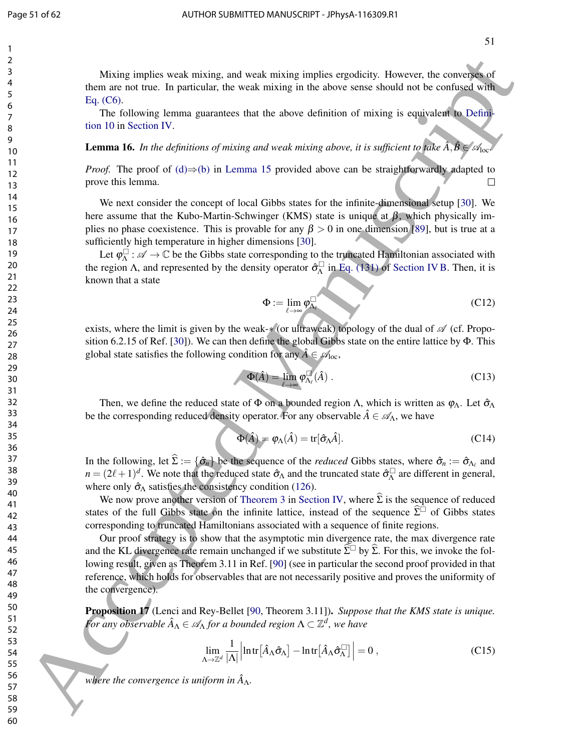Mixing implies weak mixing, and weak mixing implies ergodicity. However, the converses of them are not true. In particular, the weak mixing in the above sense should not be confused with Eq. (C6).

The following lemma guarantees that the above definition of mixing is equivalent to Definition 10 in Section IV.

**Lemma 16.** *In the definitions of mixing and weak mixing above, it is sufficient to take*  $\hat{A}$ ,  $\hat{B} \in \mathcal{A}_{loc}$ 

*Proof.* The proof of  $(d) \Rightarrow (b)$  in Lemma 15 provided above can be straightforwardly adapted to prove this lemma.

We next consider the concept of local Gibbs states for the infinite-dimensional setup [30]. We here assume that the Kubo-Martin-Schwinger (KMS) state is unique at  $\beta$ , which physically implies no phase coexistence. This is provable for any  $\beta > 0$  in one dimension [89], but is true at a sufficiently high temperature in higher dimensions [30].

Let  $\varphi_{\Lambda}^{\square}$  $\Lambda^{\square}$ :  $\mathscr{A} \to \mathbb{C}$  be the Gibbs state corresponding to the truncated Hamiltonian associated with the region Λ, and represented by the density operator  $\hat{\sigma}_{\Lambda}^{\square}$  $^{\square}_{\Lambda}$  in Eq. (131) of Section IV B. Then, it is known that a state

$$
\Phi := \lim_{\ell \to \infty} \varphi_{\Lambda_{\ell}}^{\square}
$$
 (C12)

exists, where the limit is given by the weak- $*(or$  ultraweak) topology of the dual of  $\mathscr A$  (cf. Proposition 6.2.15 of Ref. [30]). We can then define the global Gibbs state on the entire lattice by Φ. This global state satisfies the following condition for any  $\hat{A} \in \mathcal{A}_{loc}$ ,

$$
\Phi(\hat{A}) = \lim_{\ell \to \infty} \varphi_{\Lambda_{\ell}}^{\square}(\hat{A}) \ . \tag{C13}
$$

Then, we define the reduced state of  $\Phi$  on a bounded region Λ, which is written as  $\varphi_{\Lambda}$ . Let  $\hat{\sigma}_{\Lambda}$ be the corresponding reduced density operator. For any observable  $\hat{A} \in \mathscr{A}_{\Lambda}$ , we have

$$
\Phi(\hat{A}) = \varphi_{\Lambda}(\hat{A}) = \text{tr}[\hat{\sigma}_{\Lambda}\hat{A}].
$$
\n(C14)

In the following, let  $\Sigma := {\hat{\sigma}_n}$  be the sequence of the *reduced* Gibbs states, where  $\hat{\sigma}_n := \hat{\sigma}_{\Lambda_\ell}$  and  $n = (2\ell + 1)^d$ . We note that the reduced state  $\hat{\sigma}_{\Lambda}$  and the truncated state  $\hat{\sigma}_{\Lambda}$  $\Lambda$  are different in general, where only  $\hat{\sigma}_{\Lambda}$  satisfies the consistency condition (126).

We now prove another version of Theorem 3 in Section IV, where  $\hat{\Sigma}$  is the sequence of reduced states of the full Gibbs state on the infinite lattice, instead of the sequence  $\hat{\Sigma}$  of Gibbs states corresponding to truncated Hamiltonians associated with a sequence of finite regions.

Our proof strategy is to show that the asymptotic min divergence rate, the max divergence rate and the KL divergence rate remain unchanged if we substitute  $\hat{\Sigma}^{\Box}$  by  $\hat{\Sigma}$ . For this, we invoke the following result, given as Theorem 3.11 in Ref. [90] (see in particular the second proof provided in that reference, which holds for observables that are not necessarily positive and proves the uniformity of the convergence). Mixing implies weak mixing, and weak mixing inplies crosslation, However, the convertion of the sum sets of the sum sets of the subset of the sum sets of the sum sets of the sum sets of the sum sets of the sum sets of the

Proposition 17 (Lenci and Rey-Bellet [90, Theorem 3.11]). *Suppose that the KMS state is unique.* For any observable  $\hat{A}_{\Lambda} \in \mathscr{A}_{\Lambda}$  for a bounded region  $\Lambda \subset \mathbb{Z}^d$ , we have

$$
\lim_{\Lambda \to \mathbb{Z}^d} \frac{1}{|\Lambda|} \left| \ln \text{tr} \left[ \hat{A}_{\Lambda} \hat{\sigma}_{\Lambda} \right] - \ln \text{tr} \left[ \hat{A}_{\Lambda} \hat{\sigma}_{\Lambda}^{\Box} \right] \right| = 0 , \tag{C15}
$$

where the convergence is uniform in  $\hat{A}_{\Lambda}$ .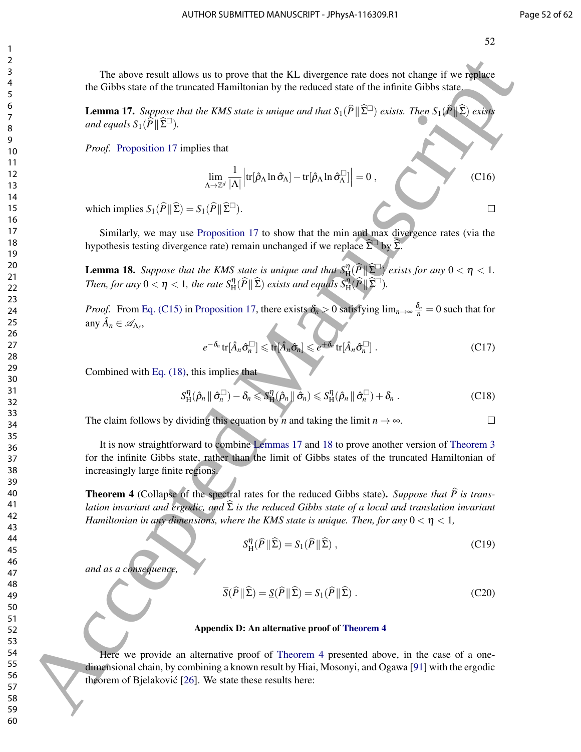The above result allows us to prove that the KL divergence rate does not change if we replace the Gibbs state of the truncated Hamiltonian by the reduced state of the infinite Gibbs state.

**Lemma 17.** *Suppose that the KMS state is unique and that*  $S_1(\widehat{P} \| \widehat{\Sigma}^{\square})$  *exists. Then*  $S_1(\widehat{P} \| \widehat{\Sigma})$  *exists and equals*  $S_1(\widehat{P} \|\widehat{\Sigma}^{\square})$ *.* 

*Proof.* Proposition 17 implies that

$$
\lim_{\Lambda \to \mathbb{Z}^d} \frac{1}{|\Lambda|} \left| \text{tr}[\hat{\rho}_{\Lambda} \ln \hat{\sigma}_{\Lambda}] - \text{tr}[\hat{\rho}_{\Lambda} \ln \hat{\sigma}_{\Lambda}^{\square}] \right| = 0 , \qquad (C16)
$$

which implies  $S_1(\hat{P} \| \hat{\Sigma}) = S_1(\hat{P} \| \hat{\Sigma}^{\square}).$ 

Similarly, we may use Proposition 17 to show that the min and max divergence rates (via the hypothesis testing divergence rate) remain unchanged if we replace  $\Sigma^{\Box}$  by  $\Sigma$ .

**Lemma 18.** Suppose that the KMS state is unique and that  $S_{\rm H}^{\eta}(\widehat{P} \| \widehat{\Sigma}^{\square})$  exists for any  $0 < \eta < 1$ . Then, for any  $0 < \eta < 1$ , the rate  $S_{\rm H}^{\eta}(\widehat{P} \| \widehat{\Sigma})$  exists and equals  $S_{\rm H}^{\eta}(\widehat{P} \| \widehat{\Sigma}^{\square})$ .

*Proof.* From Eq. (C15) in Proposition 17, there exists  $\delta_n > 0$  satisfying  $\lim_{n\to\infty} \frac{\delta_n}{n} = 0$  such that for any  $\hat{A}_n \in \mathscr{A}_{\Lambda_\ell},$ 

$$
e^{-\delta_n} \text{tr}[\hat{A}_n \hat{\sigma}_n^{\Box}] \leq \text{tr}[\hat{A}_n \hat{\sigma}_n] \leq e^{+\delta_n} \text{tr}[\hat{A}_n \hat{\sigma}_n^{\Box}]. \tag{C17}
$$

Combined with Eq. (18), this implies that

$$
S_{\mathrm{H}}^{\eta}(\hat{\rho}_n \|\hat{\sigma}_n^{\square}) - \delta_n \leqslant S_{\mathrm{H}}^{\eta}(\hat{\rho}_n \|\hat{\sigma}_n) \leqslant S_{\mathrm{H}}^{\eta}(\hat{\rho}_n \|\hat{\sigma}_n^{\square}) + \delta_n.
$$
 (C18)

The claim follows by dividing this equation by *n* and taking the limit  $n \to \infty$ .

It is now straightforward to combine Lemmas 17 and 18 to prove another version of Theorem 3 for the infinite Gibbs state, rather than the limit of Gibbs states of the truncated Hamiltonian of increasingly large finite regions. The above result allows us to prese that the U.S. divergence mue does not shape if we relate<br>
1. Given such via the simulation into the system and the system of the system of the system of the system of the system of the

**Theorem 4** (Collapse of the spectral rates for the reduced Gibbs state). *Suppose that*  $\hat{P}$  is trans*lation invariant and ergodic, and*  $\hat{\Sigma}$  *is the reduced Gibbs state of a local and translation invariant Hamiltonian in any dimensions, where the KMS state is unique. Then, for any*  $0 < \eta < 1$ ,

$$
S_{\rm H}^{\eta}(\widehat{P} \| \widehat{\Sigma}) = S_1(\widehat{P} \| \widehat{\Sigma}) \,, \tag{C19}
$$

*and as a consequence,*

$$
\overline{S}(\widehat{P} \| \widehat{\Sigma}) = \underline{S}(\widehat{P} \| \widehat{\Sigma}) = S_1(\widehat{P} \| \widehat{\Sigma}).
$$
 (C20)

#### Appendix D: An alternative proof of Theorem 4

Here we provide an alternative proof of Theorem 4 presented above, in the case of a onedimensional chain, by combining a known result by Hiai, Mosonyi, and Ogawa [91] with the ergodic theorem of Bjelaković [26]. We state these results here: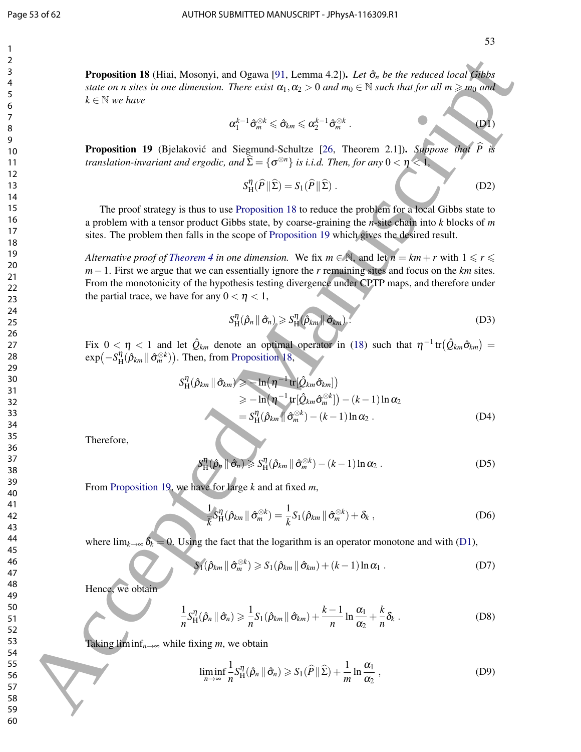Proposition 18 (Hiai, Mosonyi, and Ogawa [91, Lemma 4.2]). *Let* σˆ*<sup>n</sup> be the reduced local Gibbs state on n sites in one dimension. There exist*  $\alpha_1, \alpha_2 > 0$  *and*  $m_0 \in \mathbb{N}$  *such that for all*  $m \geq m_0$  *and*  $k \in \mathbb{N}$  *we have* 

$$
\alpha_1^{k-1} \hat{\sigma}_m^{\otimes k} \leq \hat{\sigma}_{km} \leq \alpha_2^{k-1} \hat{\sigma}_m^{\otimes k} .
$$
 (D1)

**Proposition 19** (Bjelaković and Siegmund-Schultze [26, Theorem 2.1]). *Suppose that P translation-invariant and ergodic, and*  $\widehat{\Sigma} = \{\sigma^{\otimes n}\}$  *is i.i.d. Then, for any*  $0 < \eta < 1$ ,

$$
S_H^{\eta}(\widehat{P} \| \widehat{\Sigma}) = S_1(\widehat{P} \| \widehat{\Sigma}).
$$
 (D2)

The proof strategy is thus to use Proposition 18 to reduce the problem for a local Gibbs state to a problem with a tensor product Gibbs state, by coarse-graining the *n*-site chain into *k* blocks of *m* sites. The problem then falls in the scope of Proposition 19 which gives the desired result.

*Alternative proof of Theorem 4 in one dimension.* We fix  $m \in \mathbb{N}$ , and let  $n = km + r$  with  $1 \leq r \leq$ *m*−1. First we argue that we can essentially ignore the *r* remaining sites and focus on the *km* sites. From the monotonicity of the hypothesis testing divergence under CPTP maps, and therefore under the partial trace, we have for any  $0 < \eta < 1$ , **Proposition 18 OHio)**<br> **For the control of the control of the control of the control of the control of the control of the control of the control of the control of the control of the control of the control of the control** 

$$
S_{\mathrm{H}}^{\eta}(\hat{\rho}_n \mid \hat{\sigma}_n) \geqslant S_{\mathrm{H}}^{\eta}(\hat{\rho}_{km} \mid \hat{\sigma}_{km}). \tag{D3}
$$

Fix  $0 < \eta < 1$  and let  $\hat{Q}_{km}$  denote an optimal operator in (18) such that  $\eta^{-1}$ tr $(\hat{Q}_{km}\hat{\sigma}_{km})$  =  $\exp(-S_{\rm H}^{\eta})$  $\lim_{\Omega}(\hat{\rho}_{km}\|\hat{\sigma}_{m}^{\otimes k}))$ . Then, from Proposition 18,

$$
S_{\mathrm{H}}^{\eta}(\hat{\rho}_{km} \| \hat{\sigma}_{km}) \ge -\ln(\eta^{-1} \mathrm{tr}[\hat{Q}_{km}\hat{\sigma}_{km}])
$$
  
\n
$$
\ge -\ln(\eta^{-1} \mathrm{tr}[\hat{Q}_{km}\hat{\sigma}_{m}^{\otimes k}]) - (k-1)\ln \alpha_{2}
$$
  
\n
$$
= S_{\mathrm{H}}^{\eta}(\hat{\rho}_{km} \| \hat{\sigma}_{m}^{\otimes k}) - (k-1)\ln \alpha_{2}.
$$
 (D4)

Therefore,

$$
S_{\mathrm{H}}^{\eta}(\hat{\rho}_n \|\hat{\sigma}_n) \geqslant S_{\mathrm{H}}^{\eta}(\hat{\rho}_{km} \|\hat{\sigma}_m^{\otimes k}) - (k-1)\ln \alpha_2 . \tag{D5}
$$

From Proposition 19, we have for large *k* and at fixed *m*,

$$
\frac{1}{k}S_H^{\eta}(\hat{\rho}_{km} \|\hat{\sigma}_m^{\otimes k}) = \frac{1}{k}S_1(\hat{\rho}_{km} \|\hat{\sigma}_m^{\otimes k}) + \delta_k , \qquad (D6)
$$

where  $\lim_{k\to\infty} \delta_k = 0$ . Using the fact that the logarithm is an operator monotone and with (D1),

$$
S_1(\hat{\rho}_{km} \|\hat{\sigma}_m^{\otimes k}) \geq S_1(\hat{\rho}_{km} \|\hat{\sigma}_{km}) + (k-1)\ln \alpha_1 .
$$
 (D7)

Hence, we obtain

$$
\frac{1}{n}S_{\mathrm{H}}^{\eta}(\hat{\rho}_n \|\hat{\sigma}_n) \geq \frac{1}{n}S_1(\hat{\rho}_{km} \|\hat{\sigma}_{km}) + \frac{k-1}{n}\ln\frac{\alpha_1}{\alpha_2} + \frac{k}{n}\delta_k.
$$
 (D8)

Taking liminf $_{n\to\infty}$  while fixing *m*, we obtain

$$
\liminf_{n\to\infty}\frac{1}{n}S_H^{\eta}(\hat{\rho}_n\,\|\,\hat{\sigma}_n)\geqslant S_1(\widehat{P}\,\|\,\widehat{\Sigma})+\frac{1}{m}\ln\frac{\alpha_1}{\alpha_2}\,,\tag{D9}
$$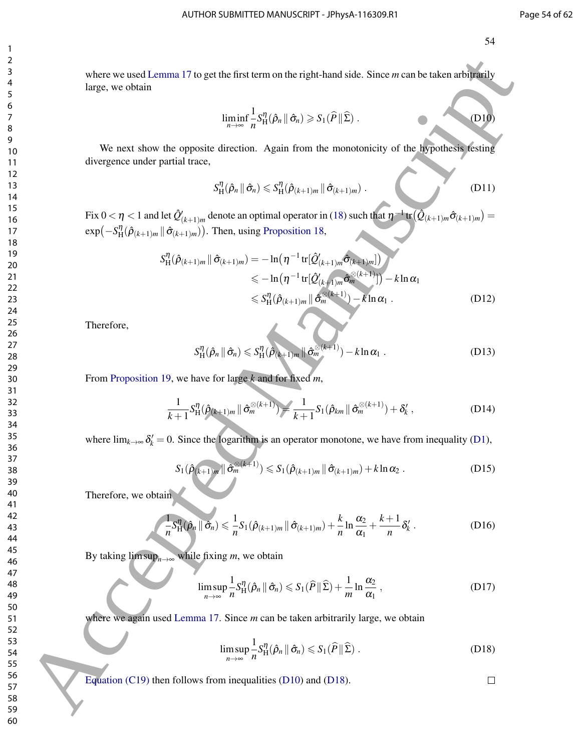where we used Lemma 17 to get the first term on the right-hand side. Since *m* can be taken arbitrarily large, we obtain

$$
\liminf_{n\to\infty}\frac{1}{n}S_H^{\eta}(\hat{\rho}_n\,\|\,\hat{\sigma}_n)\geqslant S_1(\widehat{P}\,\|\,\widehat{\Sigma})\;.
$$
 (D10)

We next show the opposite direction. Again from the monotonicity of the hypothesis testing divergence under partial trace,

$$
S_H^{\eta}(\hat{\rho}_n \mid \hat{\sigma}_n) \leqslant S_H^{\eta}(\hat{\rho}_{(k+1)m} \mid \hat{\sigma}_{(k+1)m}). \tag{D11}
$$

Fix  $0 < \eta < 1$  and let  $\hat{Q}_{(k+1)m}'$  denote an optimal operator in (18) such that  $\eta^{-1}\text{tr}(\hat{Q}_{(k+1)m}\hat{\sigma}_{(k+1)m}) =$  $\exp(-S_H^{\eta}(\hat{\rho}_{(k+1)m}||\hat{\sigma}_{(k+1)m}))$ . Then, using Proposition 18,  $\eta_{\mathbf{H}}(\hat{\rho}_{(k+1)m} \|\hat{\sigma}_{(k+1)m})$ 

*S* η H (ρˆ(*k*+1)*<sup>m</sup>* kσˆ(*k*+1)*m*) = −ln η −1 tr[*Q*ˆ 0 (*k*+1)*m*σˆ(*k*+1)*m*] 6 −ln η −1 tr[*Q*ˆ 0 (*k*+1)*m*σˆ ⊗(*k*+1) *<sup>m</sup>* ] −*k* lnα<sup>1</sup> 6 *S* η H (ρˆ(*k*+1)*<sup>m</sup>* kσˆ ⊗(*k*+1) *<sup>m</sup>* )−*k* lnα<sup>1</sup> . (D12) 60 Accepted Manuscript

Therefore,

$$
S_H^{\eta}(\hat{\rho}_n \parallel \hat{\sigma}_n) \leqslant S_H^{\eta}(\hat{\rho}_{(k+1)m} \parallel \hat{\sigma}_m^{\otimes (k+1)}) - k \ln \alpha_1 . \tag{D13}
$$

From Proposition 19, we have for large *k* and for fixed *m*,

$$
\frac{1}{k+1} S_H^{\eta}(\hat{\rho}_{(k+1)m} \| \hat{\sigma}_m^{\otimes (k+1)}) = \frac{1}{k+1} S_1(\hat{\rho}_{km} \| \hat{\sigma}_m^{\otimes (k+1)}) + \delta'_k , \qquad (D14)
$$

where  $\lim_{k\to\infty} \delta_k' = 0$ . Since the logarithm is an operator monotone, we have from inequality (D1),

$$
S_1(\hat{\rho}_{(k+1)m} \|\hat{\sigma}_m^{\otimes (k+1)}) \leq S_1(\hat{\rho}_{(k+1)m} \|\hat{\sigma}_{(k+1)m}) + k \ln \alpha_2.
$$
 (D15)

Therefore, we obtain

$$
\frac{1}{n}S_H^{\eta}(\hat{\rho}_n \parallel \hat{\sigma}_n) \leq \frac{1}{n}S_1(\hat{\rho}_{(k+1)m} \parallel \hat{\sigma}_{(k+1)m}) + \frac{k}{n}\ln\frac{\alpha_2}{\alpha_1} + \frac{k+1}{n}\delta'_k.
$$
 (D16)

By taking  $\limsup_{n\to\infty}$  while fixing *m*, we obtain

$$
\limsup_{n\to\infty}\frac{1}{n}S_H^{\eta}(\hat{\rho}_n\,\|\,\hat{\sigma}_n)\leqslant S_1(\hat{P}\,\|\,\hat{\Sigma})+\frac{1}{m}\ln\frac{\alpha_2}{\alpha_1}\,,\tag{D17}
$$

where we again used Lemma 17. Since *m* can be taken arbitrarily large, we obtain

$$
\limsup_{n\to\infty}\frac{1}{n}S_H^{\eta}(\hat{\rho}_n\,\|\,\hat{\sigma}_n)\leqslant S_1(\hat{P}\|\,\hat{\Sigma})\,.
$$
 (D18)

Equation (C19) then follows from inequalities (D10) and (D18).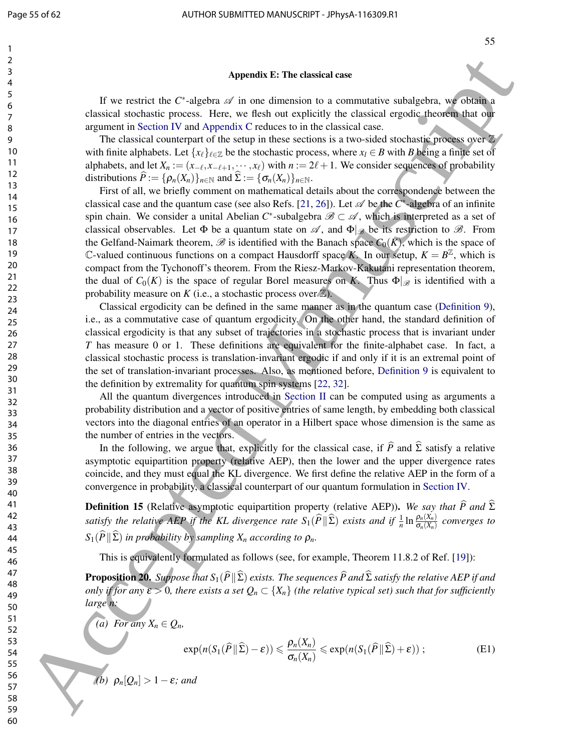#### Appendix E: The classical case

If we restrict the C<sup>\*</sup>-algebra  $\mathscr A$  in one dimension to a commutative subalgebra, we obtain a classical stochastic process. Here, we flesh out explicitly the classical ergodic theorem that our argument in Section IV and Appendix C reduces to in the classical case.

The classical counterpart of the setup in these sections is a two-sided stochastic process over  $\mathbb{Z}$ with finite alphabets. Let  $\{x_\ell\}_{\ell \in \mathbb{Z}}$  be the stochastic process, where  $x_\ell \in B$  with *B* being a finite set of alphabets, and let  $X_n := (x_{-\ell}, x_{-\ell+1}, \dots, x_{\ell})$  with  $n := 2\ell + 1$ . We consider sequences of probability distributions  $\widehat{P} := {\rho_n(X_n)}_{n \in \mathbb{N}}$  and  $\widehat{\Sigma} := {\sigma_n(X_n)}_{n \in \mathbb{N}}$ .

First of all, we briefly comment on mathematical details about the correspondence between the classical case and the quantum case (see also Refs. [21, 26]). Let  $\mathscr A$  be the  $C^*$ -algebra of an infinite spin chain. We consider a unital Abelian  $C^*$ -subalgebra  $\mathscr{B} \subset \mathscr{A}$ , which is interpreted as a set of classical observables. Let  $\Phi$  be a quantum state on  $\mathscr{A}$ , and  $\Phi|_{\mathscr{B}}$  be its restriction to  $\mathscr{B}$ . From the Gelfand-Naimark theorem,  $\mathscr B$  is identified with the Banach space  $C_0(K)$ , which is the space of C-valued continuous functions on a compact Hausdorff space *K*. In our setup,  $K = B^{\mathbb{Z}}$ , which is compact from the Tychonoff's theorem. From the Riesz-Markov-Kakutani representation theorem, the dual of  $C_0(K)$  is the space of regular Borel measures on *K*. Thus  $\Phi|_{\mathscr{B}}$  is identified with a probability measure on  $K$  (i.e., a stochastic process over  $\mathbb{Z}$ ). Associate the C algorithm is the classical content<br>of the C algorithm is commutative collegeing as some through the classical content of the content of the college of the college of the college of the college of the colle

Classical ergodicity can be defined in the same manner as in the quantum case (Definition 9), i.e., as a commutative case of quantum ergodicity. On the other hand, the standard definition of classical ergodicity is that any subset of trajectories in a stochastic process that is invariant under *T* has measure 0 or 1. These definitions are equivalent for the finite-alphabet case. In fact, a classical stochastic process is translation-invariant ergodic if and only if it is an extremal point of the set of translation-invariant processes. Also, as mentioned before, Definition 9 is equivalent to the definition by extremality for quantum spin systems [22, 32].

All the quantum divergences introduced in Section II can be computed using as arguments a probability distribution and a vector of positive entries of same length, by embedding both classical vectors into the diagonal entries of an operator in a Hilbert space whose dimension is the same as the number of entries in the vectors.

In the following, we argue that, explicitly for the classical case, if  $\hat{P}$  and  $\hat{\Sigma}$  satisfy a relative asymptotic equipartition property (relative AEP), then the lower and the upper divergence rates coincide, and they must equal the KL divergence. We first define the relative AEP in the form of a convergence in probability, a classical counterpart of our quantum formulation in Section IV.

**Definition 15** (Relative asymptotic equipartition property (relative AEP)). We say that  $\widehat{P}$  and  $\widehat{\Sigma}$ *satisfy the relative AEP if the KL divergence rate*  $S_1(\widehat{P} \|\widehat{\Sigma})$  *exists and if*  $\frac{1}{n} \ln \frac{\rho_n(X_n)}{\sigma_n(X_n)}$  *converges to*  $S_1(\widehat{P} \|\widehat{\Sigma})$  *in probability by sampling X<sub>n</sub> according to*  $\rho_n$ *.* 

This is equivalently formulated as follows (see, for example, Theorem 11.8.2 of Ref. [19]):

**Proposition 20.** *Suppose that*  $S_1(\widehat{P}||\widehat{\Sigma})$  *exists. The sequences*  $\widehat{P}$  *and*  $\widehat{\Sigma}$  *satisfy the relative AEP if and only if for any*  $\varepsilon > 0$ , there exists a set  $Q_n \subset \{X_n\}$  (the relative typical set) such that for sufficiently *large n:*

*(a)* For any  $X_n \in Q_n$ ,

$$
\exp(n(S_1(\widehat{P} \|\widehat{\Sigma}) - \varepsilon)) \leq \frac{\rho_n(X_n)}{\sigma_n(X_n)} \leq \exp(n(S_1(\widehat{P} \|\widehat{\Sigma}) + \varepsilon));
$$
\n(E1)

*(b)*  $\rho_n[Q_n] > 1 - \varepsilon$ *; and*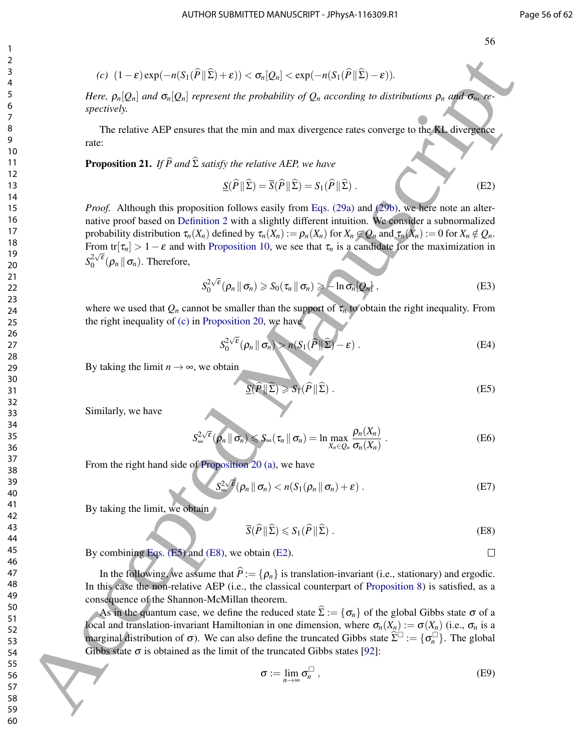$$
(c) \ \ (1-\varepsilon)\exp(-n(S_1(\widehat{P} \|\Sigma)+\varepsilon)) < \sigma_n[Q_n] < \exp(-n(S_1(\widehat{P} \|\Sigma)-\varepsilon)).
$$

*Here,*  $\rho_n[Q_n]$  *and*  $\sigma_n[Q_n]$  *represent the probability of*  $Q_n$  *according to distributions*  $\rho_n$  *and*  $\sigma_n$ *, respectively.*

The relative AEP ensures that the min and max divergence rates converge to the KL divergence rate:

**Proposition 21.** *If*  $\widehat{P}$  *and*  $\widehat{\Sigma}$  *satisfy the relative AEP, we have* 

$$
\underline{S}(\widehat{P} \| \widehat{\Sigma}) = \overline{S}(\widehat{P} \| \widehat{\Sigma}) = S_1(\widehat{P} \| \widehat{\Sigma}).
$$
\n(E2)

*Proof.* Although this proposition follows easily from Eqs. (29a) and (29b), we here note an alternative proof based on Definition 2 with a slightly different intuition. We consider a subnormalized probability distribution  $\tau_n(X_n)$  defined by  $\tau_n(X_n) := \rho_n(X_n)$  for  $X_n \in \mathcal{Q}_n$  and  $\tau_n(X_n) := 0$  for  $X_n \notin \mathcal{Q}_n$ . From tr[ $\tau_n$ ] > 1 –  $\varepsilon$  and with Proposition 10, we see that  $\tau_n$  is a candidate for the maximization in  $S_0^{2\sqrt{\varepsilon}}$  $\int_0^{2\sqrt{\varepsilon}} (\rho_n \| \sigma_n)$ . Therefore, 60  $\mu$  (1 = 8 (say)  $-\pi/5$  ( $\mu$ )  $\geq 6$  ( $\mu$ )  $\geq 6$  ( $\mu$ )  $\geq 6$  ( $\mu$ )  $\geq 6$  ( $\mu$ )  $\geq 6$  ( $\mu$ )  $\geq 6$  ( $\mu$ )  $\geq 6$  ( $\mu$ )  $\geq 6$  ( $\mu$ )  $\geq 6$  ( $\mu$ )  $\geq 6$  ( $\mu$ )  $\geq 6$  ( $\mu$ )  $\geq 6$  ( $\mu$ )  $\geq 6$ 

$$
S_0^{2\sqrt{\varepsilon}}(\rho_n \|\sigma_n) \geqslant S_0(\tau_n \|\sigma_n) \geqslant +\ln \sigma_n[Q_n], \tag{E3}
$$

where we used that  $Q_n$  cannot be smaller than the support of  $\tau_n$  to obtain the right inequality. From the right inequality of (c) in Proposition 20, we have

$$
S_0^{2\sqrt{\varepsilon}}(\rho_n \|\sigma_n) > n(S_1(\widehat{P} \|\widehat{\Sigma}) - \varepsilon) .
$$
 (E4)

By taking the limit  $n \rightarrow \infty$ , we obtain

$$
\underline{S}(\widehat{P} \| \widehat{\Sigma}) \ge S_1(\widehat{P} \| \widehat{\Sigma}) . \tag{E5}
$$

Similarly, we have

$$
S_{\infty}^{2\sqrt{\varepsilon}}(\rho_n \|\sigma_n) \leq S_{\infty}(\tau_n \|\sigma_n) = \ln \max_{X_n \in Q_n} \frac{\rho_n(X_n)}{\sigma_n(X_n)}.
$$
 (E6)

From the right hand side of Proposition 20 (a), we have

$$
S_{\infty}^{2\sqrt{\epsilon}}(\rho_n \|\sigma_n) < n(S_1(\rho_n \|\sigma_n) + \epsilon) . \tag{E7}
$$

By taking the limit, we obtain

$$
\overline{S}(\widehat{P} \| \widehat{\Sigma}) \leqslant S_1(\widehat{P} \| \widehat{\Sigma}) . \tag{E8}
$$

By combining Eqs. (E5) and (E8), we obtain (E2).

In the following, we assume that  $\hat{P} := \{ \rho_n \}$  is translation-invariant (i.e., stationary) and ergodic. In this case the non-relative AEP (i.e., the classical counterpart of Proposition 8) is satisfied, as a consequence of the Shannon-McMillan theorem.

As in the quantum case, we define the reduced state  $\Sigma := {\sigma_n}$  of the global Gibbs state  $\sigma$  of a local and translation-invariant Hamiltonian in one dimension, where  $\sigma_n(X_n) := \sigma(X_n)$  (i.e.,  $\sigma_n$  is a marginal distribution of  $\sigma$ ). We can also define the truncated Gibbs state  $\hat{\Sigma}^{\Box} := {\sigma_n^{\Box}}$ . The global Gibbs state  $\sigma$  is obtained as the limit of the truncated Gibbs states [92]:

$$
\sigma := \lim_{n \to \infty} \sigma_n^{\square} , \tag{E9}
$$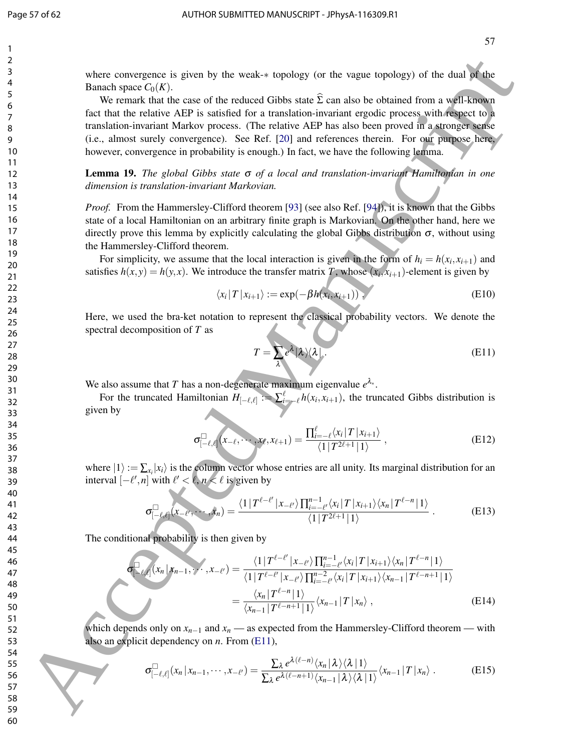where convergence is given by the weak-∗ topology (or the vague topology) of the dual of the Banach space  $C_0(K)$ .

We remark that the case of the reduced Gibbs state  $\hat{\Sigma}$  can also be obtained from a well-known fact that the relative AEP is satisfied for a translation-invariant ergodic process with respect to a translation-invariant Markov process. (The relative AEP has also been proved in a stronger sense (i.e., almost surely convergence). See Ref. [20] and references therein. For our purpose here, however, convergence in probability is enough.) In fact, we have the following lemma. where convergence is given by the weaker topology (or the value topology) of the dual with<br> **Example 200** Accepted Manuscription (18th consistent Gallery and the time and the simulation of the simulation of the simulation

Lemma 19. *The global Gibbs state* σ *of a local and translation-invariant Hamiltonian in one dimension is translation-invariant Markovian.*

*Proof.* From the Hammersley-Clifford theorem [93] (see also Ref. [94]), it is known that the Gibbs state of a local Hamiltonian on an arbitrary finite graph is Markovian. On the other hand, here we directly prove this lemma by explicitly calculating the global Gibbs distribution  $\sigma$ , without using the Hammersley-Clifford theorem.

For simplicity, we assume that the local interaction is given in the form of  $h_i = h(x_i, x_{i+1})$  and satisfies  $h(x, y) = h(y, x)$ . We introduce the transfer matrix *T*, whose  $(x_i, x_{i+1})$ -element is given by

$$
\langle x_i | T | x_{i+1} \rangle := \exp(-\beta h(x_i, x_{i+1})) \tag{E10}
$$

Here, we used the bra-ket notation to represent the classical probability vectors. We denote the spectral decomposition of *T* as

$$
T = \sum_{\lambda} e^{\lambda} |\lambda \rangle \langle \lambda | \tag{E11}
$$

We also assume that *T* has a non-degenerate maximum eigenvalue  $e^{\lambda_*}$ .

For the truncated Hamiltonian  $H_{[-\ell,\ell]} := \sum_{i=-\ell}^{\ell} h(x_i, x_{i+1})$ , the truncated Gibbs distribution is given by

$$
\sigma_{[-\ell,\ell]}^{\square}(x_{-\ell},\cdots,x_{\ell},x_{\ell+1})=\frac{\prod_{i=-\ell}^{\ell}\langle x_i | T | x_{i+1} \rangle}{\langle 1 | T^{2\ell+1} | 1 \rangle},
$$
\n(E12)

where  $|1\rangle := \sum_{x_i} |x_i\rangle$  is the column vector whose entries are all unity. Its marginal distribution for an interval  $[-\ell', n]$  with  $\ell' < \ell, n' < \ell$  is given by

$$
\sigma_{[-\ell,\ell]}^{\square}(x_{-\ell'},\cdots,x_n)=\frac{\langle 1|T^{\ell-\ell'}|x_{-\ell'}\rangle\prod_{i=-\ell'}^{n-1}\langle x_i|T|x_{i+1}\rangle\langle x_n|T^{\ell-n}|1\rangle}{\langle 1|T^{2\ell+1}|1\rangle}.
$$
 (E13)

The conditional probability is then given by

$$
\sigma_{\ell,\ell}^{[1]}(x_n|x_{n-1},\gamma,\mathbf{x}_{-\ell'}) = \frac{\langle 1 | T^{\ell-\ell'} | x_{-\ell'} \rangle \prod_{i=-\ell'}^{n-1} \langle x_i | T | x_{i+1} \rangle \langle x_n | T^{\ell-n} | 1 \rangle}{\langle 1 | T^{\ell-\ell'} | x_{-\ell'} \rangle \prod_{i=-\ell'}^{n-2} \langle x_i | T | x_{i+1} \rangle \langle x_{n-1} | T^{\ell-n+1} | 1 \rangle}
$$

$$
= \frac{\langle x_n | T^{\ell-n} | 1 \rangle}{\langle x_{n-1} | T^{\ell-n+1} | 1 \rangle} \langle x_{n-1} | T | x_n \rangle , \qquad (E14)
$$

which depends only on  $x_{n-1}$  and  $x_n$  — as expected from the Hammersley-Clifford theorem — with also an explicit dependency on *n*. From (E11),

$$
\sigma_{[-\ell,\ell]}^{\square}(x_n|x_{n-1},\cdots,x_{-\ell'})=\frac{\sum_{\lambda}e^{\lambda(\ell-n)}\langle x_n|\lambda\rangle\langle\lambda|1\rangle}{\sum_{\lambda}e^{\lambda(\ell-n+1)}\langle x_{n-1}|\lambda\rangle\langle\lambda|1\rangle}\langle x_{n-1}|T|x_n\rangle.
$$
 (E15)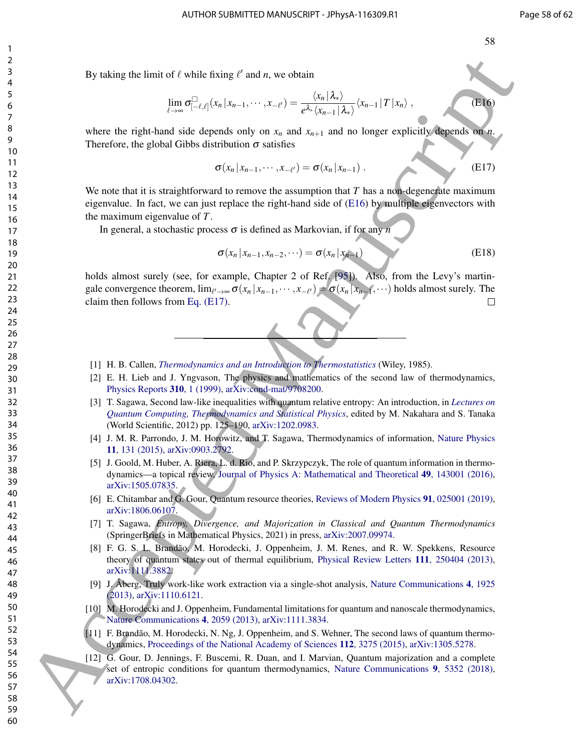h*xn*−<sup>1</sup> |*T* |*xn*i , (E16)

By taking the limit of  $\ell$  while fixing  $\ell'$  and *n*, we obtain

$$
\lim_{\ell\to\infty}\sigma_{[-\ell,\ell]}^{\square}(x_n\,|\,x_{n-1},\cdots,x_{-\ell'})=\frac{\langle x_n\,|\,\lambda_*\rangle}{e^{\lambda_*}\langle x_{n-1}\,|\,\lambda_*\rangle}\langle x_{n-1}\,|\,T\,|\,x_n\rangle\;,
$$

where the right-hand side depends only on  $x_n$  and  $x_{n+1}$  and no longer explicitly depends on *n*. Therefore, the global Gibbs distribution  $\sigma$  satisfies

$$
\sigma(x_n | x_{n-1}, \cdots, x_{-\ell'}) = \sigma(x_n | x_{n-1}). \tag{E17}
$$

We note that it is straightforward to remove the assumption that *T* has a non-degenerate maximum eigenvalue. In fact, we can just replace the right-hand side of (E16) by multiple eigenvectors with the maximum eigenvalue of *T*. By [t](https://arxiv.org/abs/1505.07835)aking th[e](https://doi.org/10.1088/1751-8113/49/14/143001)limit of  $\ell$  which there is a solution  $\ell_{\text{min}}$ . (54,  $\lambda_0$  $\lambda_0$  $\lambda_0$ )<br>
So  $\ell_{\text{min}}$  there are in Figure III and the d[ep](https://arxiv.org/abs/1111.3882)endent of  $\ell_{\text{min}}$  and  $\ell_{\text{min}}$  (11 and 11 and 11 and 11 and 11 and 11 and 11 and 11 and

In general, a stochastic process σ is defined as Markovian, if for any *n*

$$
\sigma(x_n | x_{n-1}, x_{n-2}, \cdots) = \sigma(x_n | x_{n-1})
$$
\n(E18)

holds almost surely (see, for example, Chapter 2 of Ref. [95]). Also, from the Levy's martingale convergence theorem,  $\lim_{\ell' \to \infty} \sigma(x_n | x_{n-1}, \dots, x_{-\ell'}) = \sigma(x_n | x_{n-1}, \dots)$  holds almost surely. The claim then follows from Eq. (E17).

- [1] H. B. Callen, *Thermodynamics and an Introduction to Thermostatistics* (Wiley, 1985).
- [2] E. H. Lieb and J. Yngvason, The physics and mathematics of the second law of thermodynamics, Physics Reports 310, 1 (1999), arXiv:cond-mat/9708200.
- [3] T. Sagawa, Second law-like inequalities with quantum relative entropy: An introduction, in *Lectures on Quantum Computing, Thermodynamics and Statistical Physics*, edited by M. Nakahara and S. Tanaka (World Scientific, 2012) pp. 125–190, arXiv:1202.0983.
- [4] J. M. R. Parrondo, J. M. Horowitz, and T. Sagawa, Thermodynamics of information, Nature Physics 11, 131 (2015), arXiv:0903.2792.
- [5] J. Goold, M. Huber, A. Riera, L. d. Rio, and P. Skrzypczyk, The role of quantum information in thermodynamics—a topical review, Journal of Physics A: Mathematical and Theoretical 49, 143001 (2016), arXiv:1505.07835.
- [6] E. Chitambar and G. Gour, Quantum resource theories, Reviews of Modern Physics 91, 025001 (2019), arXiv:1806.06107.
- [7] T. Sagawa, *Entropy, Divergence, and Majorization in Classical and Quantum Thermodynamics* (SpringerBriefs in Mathematical Physics, 2021) in press, arXiv:2007.09974.
- [8] F. G. S. L. Brandão, M. Horodecki, J. Oppenheim, J. M. Renes, and R. W. Spekkens, Resource theory of quantum states out of thermal equilibrium, Physical Review Letters 111, 250404 (2013), arXiv:1111.3882.
- [9] J. Åberg, Truly work-like work extraction via a single-shot analysis, Nature Communications 4, 1925 (2013), arXiv:1110.6121.
- [10] M. Horodecki and J. Oppenheim, Fundamental limitations for quantum and nanoscale thermodynamics, Nature Communications 4, 2059 (2013), arXiv:1111.3834.
- [11] F. Brandão, M. Horodecki, N. Ng, J. Oppenheim, and S. Wehner, The second laws of quantum thermodynamics, Proceedings of the National Academy of Sciences 112, 3275 (2015), arXiv:1305.5278.
- [12] G. Gour, D. Jennings, F. Buscemi, R. Duan, and I. Marvian, Quantum majorization and a complete set of entropic conditions for quantum thermodynamics, Nature Communications 9, 5352 (2018), arXiv:1708.04302.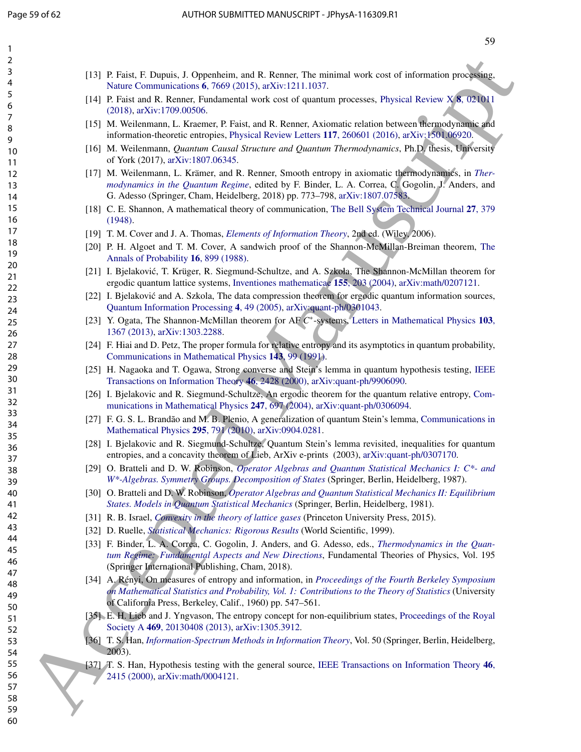| 1                    |                                                                                                                                                                                                                                                                                      |  |
|----------------------|--------------------------------------------------------------------------------------------------------------------------------------------------------------------------------------------------------------------------------------------------------------------------------------|--|
| 2                    |                                                                                                                                                                                                                                                                                      |  |
| 3<br>4               | [13] P. Faist, F. Dupuis, J. Oppenheim, and R. Renner, The minimal work cost of information processing,<br>Nature Communications 6, 7669 (2015), arXiv:1211.1037.                                                                                                                    |  |
| 5<br>6               | [14] P. Faist and R. Renner, Fundamental work cost of quantum processes, Physical Review X 8, 021011<br>(2018), arXiv:1709.00506.                                                                                                                                                    |  |
| 7<br>8<br>9          | [15] M. Weilenmann, L. Kraemer, P. Faist, and R. Renner, Axiomatic relation between thermodynamic and<br>information-theoretic entropies, Physical Review Letters 117, 260601 (2016), arXiv:1501.06920.                                                                              |  |
| 10                   | [16] M. Weilenmann, Quantum Causal Structure and Quantum Thermodynamics, Ph.D. thesis, University<br>of York (2017), arXiv:1807.06345.                                                                                                                                               |  |
| 11<br>12<br>13<br>14 | [17] M. Weilenmann, L. Krämer, and R. Renner, Smooth entropy in axiomatic thermodynamics, in Ther-<br>modynamics in the Quantum Regime, edited by F. Binder, L. A. Correa, C. Gogolin, J. Anders, and<br>G. Adesso (Springer, Cham, Heidelberg, 2018) pp. 773-798, arXiv:1807.07583. |  |
| 15<br>16             | [18] C. E. Shannon, A mathematical theory of communication, The Bell System Technical Journal 27, 379<br>(1948).                                                                                                                                                                     |  |
| 17                   | [19] T. M. Cover and J. A. Thomas, <i>Elements of Information Theory</i> , 2nd ed. (Wiley, 2006).                                                                                                                                                                                    |  |
| 18                   | [20] P. H. Algoet and T. M. Cover, A sandwich proof of the Shannon-McMillan-Breiman theorem, The                                                                                                                                                                                     |  |
| 19                   | Annals of Probability 16, 899 (1988).                                                                                                                                                                                                                                                |  |
| 20<br>21<br>22       | [21] I. Bjelaković, T. Krüger, R. Siegmund-Schultze, and A. Szkoła, The Shannon-McMillan theorem for<br>ergodic quantum lattice systems, Inventiones mathematicae 155, 203 (2004), arXiv:math/0207121.                                                                               |  |
| 23<br>24             | [22] I. Bjelaković and A. Szkola, The data compression theorem for ergodic quantum information sources,<br>Quantum Information Processing 4, 49 (2005), arXiv:quant-ph/0301043.                                                                                                      |  |
| 25<br>26             | [23] Y. Ogata, The Shannon-McMillan theorem for AF C*-systems, Letters in Mathematical Physics 103,<br>1367 (2013), arXiv:1303.2288.                                                                                                                                                 |  |
| 27<br>28             | [24] F. Hiai and D. Petz, The proper formula for relative entropy and its asymptotics in quantum probability,<br>Communications in Mathematical Physics 143, 99 (1991).                                                                                                              |  |
| 29<br>30             | [25] H. Nagaoka and T. Ogawa, Strong converse and Stein's lemma in quantum hypothesis testing, IEEE<br>Transactions on Information Theory 46, 2428 (2000), arXiv:quant-ph/9906090.                                                                                                   |  |
| 31<br>32             | [26] I. Bjelakovic and R. Siegmund-Schultze, An ergodic theorem for the quantum relative entropy, Com-<br>munications in Mathematical Physics 247, 697 (2004), arXiv:quant-ph/0306094.                                                                                               |  |
| 33<br>34             | [27] F. G. S. L. Brandão and M. B. Plenio, A generalization of quantum Stein's lemma, Communications in<br>Mathematical Physics 295, 791 (2010), arXiv:0904.0281.                                                                                                                    |  |
| 35<br>36<br>37       | [28] I. Bjelakovic and R. Siegmund-Schultze, Quantum Stein's lemma revisited, inequalities for quantum<br>entropies, and a concavity theorem of Lieb, ArXiv e-prints (2003), arXiv:quant-ph/0307170.                                                                                 |  |
| 38<br>39             | [29] O. Bratteli and D. W. Robinson, Operator Algebras and Quantum Statistical Mechanics I: C*- and<br>W*-Algebras. Symmetry Groups, Decomposition of States (Springer, Berlin, Heidelberg, 1987).                                                                                   |  |
| 40<br>41             | [30] O. Bratteli and D. W. Robinson, Operator Algebras and Quantum Statistical Mechanics II: Equilibrium<br>States. Models in Quantum Statistical Mechanics (Springer, Berlin, Heidelberg, 1981).                                                                                    |  |
| 42                   | [31] R. B. Israel, <i>Convexity in the theory of lattice gases</i> (Princeton University Press, 2015).                                                                                                                                                                               |  |
| 43                   | [32] D. Ruelle, Statistical Mechanics: Rigorous Results (World Scientific, 1999).                                                                                                                                                                                                    |  |
| 44<br>45<br>46       | [33] F. Binder, L. A. Correa, C. Gogolin, J. Anders, and G. Adesso, eds., Thermodynamics in the Quan-<br>tum Regime: Fundamental Aspects and New Directions, Fundamental Theories of Physics, Vol. 195<br>(Springer International Publishing, Cham, 2018).                           |  |
| 47<br>48<br>49       | [34] A. Rényi, On measures of entropy and information, in Proceedings of the Fourth Berkeley Symposium<br>on Mathematical Statistics and Probability, Vol. 1: Contributions to the Theory of Statistics (University<br>of California Press, Berkeley, Calif., 1960) pp. 547–561.     |  |
| 50<br>51<br>52       | [35] E. H. Lieb and J. Yngvason, The entropy concept for non-equilibrium states, Proceedings of the Royal<br>Society A 469, 20130408 (2013), arXiv:1305.3912.                                                                                                                        |  |
| 53<br>54             | [36] T. S. Han, Information-Spectrum Methods in Information Theory, Vol. 50 (Springer, Berlin, Heidelberg,<br>2003).                                                                                                                                                                 |  |
| 55<br>56             | [37] T. S. Han, Hypothesis testing with the general source, IEEE Transactions on Information Theory 46,<br>2415 (2000), arXiv:math/0004121.                                                                                                                                          |  |
| 57                   |                                                                                                                                                                                                                                                                                      |  |
| 58                   |                                                                                                                                                                                                                                                                                      |  |
| 59<br>60             |                                                                                                                                                                                                                                                                                      |  |

| [13] P. Faist, F. Dupuis, J. Oppenheim, and R. Renner, The minimal work cost of information processing, |  |
|---------------------------------------------------------------------------------------------------------|--|
| Nature Communications 6, 7669 (2015), arXiv:1211.1037.                                                  |  |

- [14] P. Faist and R. Renner, Fundamental work cost of quantum processes, Physical Review  $X_1$  8, 021011 (2018), arXiv:1709.00506.
- [15] M. Weilenmann, L. Kraemer, P. Faist, and R. Renner, Axiomatic relation between thermodynamic and information-theoretic entropies, Physical Review Letters 117, 260601 (2016), arXiv:1501.06920.
- [16] M. Weilenmann, *Quantum Causal Structure and Quantum Thermodynamics*, Ph.D. thesis, University of York (2017), arXiv:1807.06345.
- [17] M. Weilenmann, L. Krämer, and R. Renner, Smooth entropy in axiomatic thermodynamics, in *Thermodynamics in the Quantum Regime*, edited by F. Binder, L. A. Correa, C. Gogolin, J. Anders, and G. Adesso (Springer, Cham, Heidelberg, 2018) pp. 773–798, arXiv:1807.07583.
- [1] C. E. Shannon, A mathematical theory of communication, The Bell System Technical Journal 27, 379 (1948).
- [19] T. M. Cover and J. A. Thomas, *Elements of Information Theory*, 2nd ed. (Wiley, 2006).
- [20] P. H. Algoet and T. M. Cover, A sandwich proof of the Shannon-McMillan-Breiman theorem, The Annals of Probability 16, 899 (1988).
- [21] I. Bjelaković, T. Krüger, R. Siegmund-Schultze, and A. Szkoła, The Shannon-McMillan theorem for ergodic quantum lattice systems, Inventiones mathematicae 155, 203 (2004), arXiv:math/0207121.
- [22] I. Bjelakovic and A. Szkola, The data compression theorem for ergodic quantum information sources, ´ Quantum Information Processing 4, 49 (2005), arXiv:quant-ph/0301043.
- [23] Y. Ogata, The Shannon-McMillan theorem for AF C<sup>\*</sup>-systems, Letters in Mathematical Physics 103, 1367 (2013), arXiv:1303.2288.
- [24] F. Hiai and D. Petz, The proper formula for relative entropy and its asymptotics in quantum probability, Communications in Mathematical Physics 143, 99 (1991).
- [25] H. Nagaoka and T. Ogawa, Strong converse and Stein's lemma in quantum hypothesis testing, IEEE Transactions on Information Theory 46, 2428 (2000), arXiv:quant-ph/9906090.
- [26] I. Bjelakovic and R. Siegmund-Schultze, An ergodic theorem for the quantum relative entropy, Communications in Mathematical Physics 247, 697 (2004), arXiv:quant-ph/0306094.
- [27] F. G. S. L. Brandão and M. B. Plenio, A generalization of quantum Stein's lemma, Communications in Mathematical Physics 295, 791 (2010), arXiv:0904.0281.
- [28] I. Bjelakovic and R. Siegmund-Schultze, Quantum Stein's lemma revisited, inequalities for quantum entropies, and a concavity theorem of Lieb, ArXiv e-prints (2003), arXiv:quant-ph/0307170.
- [29] O. Bratteli and D. W. Robinson, *Operator Algebras and Quantum Statistical Mechanics I: C\*- and W\*-Algebras. Symmetry Groups. Decomposition of States* (Springer, Berlin, Heidelberg, 1987).
- [30] O. Bratteli and D. W. Robinson, *Operator Algebras and Quantum Statistical Mechanics II: Equilibrium States. Models in Quantum Statistical Mechanics* (Springer, Berlin, Heidelberg, 1981).
- [31] R. B. Israel, *Convexity in the theory of lattice gases* (Princeton University Press, 2015).
- [32] D. Ruelle, *Statistical Mechanics: Rigorous Results* (World Scientific, 1999).
- [33] F. Binder, L. A. Correa, C. Gogolin, J. Anders, and G. Adesso, eds., *Thermodynamics in the Quantum Regime: Fundamental Aspects and New Directions*, Fundamental Theories of Physics, Vol. 195 (Springer International Publishing, Cham, 2018).
- [34] A. Rényi, On measures of entropy and information, in *Proceedings of the Fourth Berkeley Symposium on Mathematical Statistics and Probability, Vol. 1: Contributions to the Theory of Statistics* (University of California Press, Berkeley, Calif., 1960) pp. 547–561.
- [35] E. H. Lieb and J. Yngvason, The entropy concept for non-equilibrium states, Proceedings of the Royal Society A 469, 20130408 (2013), arXiv:1305.3912.
- [36] T. S. Han, *Information-Spectrum Methods in Information Theory*, Vol. 50 (Springer, Berlin, Heidelberg, 2003).
- [47] T. S. Han, Hypothesis testing with the general source, IEEE Transactions on Information Theory 46, 2415 (2000), arXiv:math/0004121.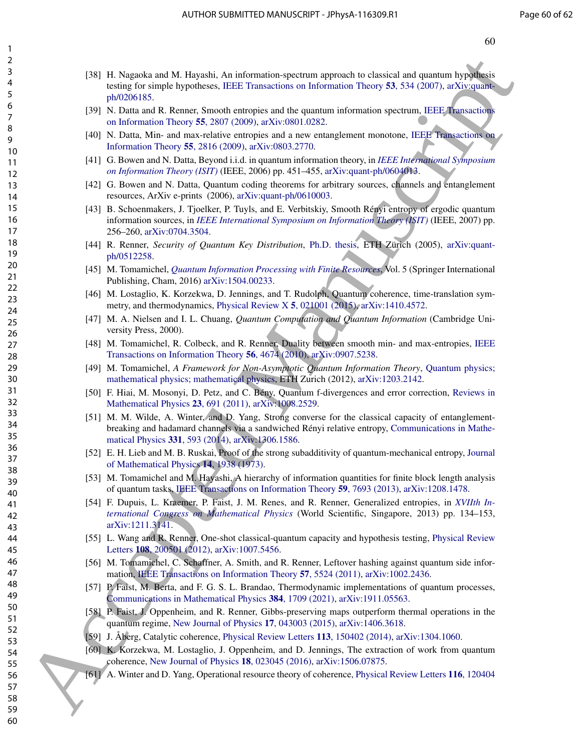- [38] H. Nagaoka and M. Hayashi, An information-spectrum approach to classical and quantum hypothesis testing for simple hypotheses, IEEE Transactions on Information Theory 53, 534 (2007), arXiv:quantph/0206185. 13 A Kemetek mit M. Hayashi, An internetis[c](https://arxiv.org/abs/quant-ph/0604013)[e](https://doi.org/10.1103/PhysRevLett.108.200501)-system inprovide to characterize (system layer)<br>
60 Acce[pt](https://doi.org/10.1142/9789814449243_0008)[ed](https://doi.org/10.1063/1.1666274)[M](https://doi.org/10.1109/TIT.2010.2054130)[a](https://doi.org/10.1103/PhysRevX.5.021001)[nu](https://doi.org/10.1007/978-3-319-21891-5)[s](https://doi.org/10.1109/ISIT.2007.4557235)c[r](https://doi.org/10.1109/ISIT.2006.261709)[i](https://doi.org/10.1109/TIT.2009.2018325)[p](https://doi.org/10.1109/TIT.2009.2018340)[t](https://arxiv.org/abs/quant-ph/0206185) (system and the control of the control of the control of the control of the control of the control of th
	- [39] N. Datta and R. Renner, Smooth entropies and the quantum information spectrum, IEEE Transactions on Information Theory 55, 2807 (2009), arXiv:0801.0282.
	- [40] N. Datta, Min- and max-relative entropies and a new entanglement monotone, IEEE Transactions on Information Theory 55, 2816 (2009), arXiv:0803.2770.
	- [41] G. Bowen and N. Datta, Beyond i.i.d. in quantum information theory, in *IEEE International Symposium on Information Theory (ISIT)* (IEEE, 2006) pp. 451–455, arXiv:quant-ph/0604013.
	- [42] G. Bowen and N. Datta, Quantum coding theorems for arbitrary sources, channels and entanglement resources, ArXiv e-prints (2006), arXiv:quant-ph/0610003.
	- [43] B. Schoenmakers, J. Tjoelker, P. Tuyls, and E. Verbitskiy, Smooth Rényi entropy of ergodic quantum information sources, in *IEEE International Symposium on Information Theory (ISIT)* (IEEE, 2007) pp. 256–260, arXiv:0704.3504.
	- [44] R. Renner, *Security of Quantum Key Distribution*, Ph.D. thesis, ETH Zürich (2005), arXiv:quantph/0512258.
	- [45] M. Tomamichel, *Quantum Information Processing with Finite Resources*, Vol. 5 (Springer International Publishing, Cham, 2016) arXiv:1504.00233.
	- [46] M. Lostaglio, K. Korzekwa, D. Jennings, and T. Rudolph, Quantum coherence, time-translation symmetry, and thermodynamics, Physical Review X 5, 021001 (2015), arXiv:1410.4572.
	- [47] M. A. Nielsen and I. L. Chuang, *Quantum Computation and Quantum Information* (Cambridge University Press, 2000).
	- [48] M. Tomamichel, R. Colbeck, and R. Renner, Duality between smooth min- and max-entropies, IEEE Transactions on Information Theory 56, 4674 (2010), arXiv:0907.5238.
	- [49] M. Tomamichel, *A Framework for Non-Asymptotic Quantum Information Theory*, Quantum physics; mathematical physics; mathematical physics, ETH Zurich (2012), arXiv:1203.2142.
	- [50] F. Hiai, M. Mosonyi, D. Petz, and C. Bény, Quantum f-divergences and error correction, Reviews in Mathematical Physics 23, 691 (2011), arXiv:1008.2529.
	- [51] M. M. Wilde, A. Winter, and D. Yang, Strong converse for the classical capacity of entanglementbreaking and hadamard channels via a sandwiched Rényi relative entropy, Communications in Mathematical Physics 331, 593 (2014), arXiv:1306.1586.
	- [52] E. H. Lieb and M. B. Ruskai, Proof of the strong subadditivity of quantum-mechanical entropy, Journal of Mathematical Physics 14, 1938 (1973).
	- [53] M. Tomamichel and M. Hayashi, A hierarchy of information quantities for finite block length analysis of quantum tasks, IEEE Transactions on Information Theory 59, 7693 (2013), arXiv:1208.1478.
	- [54] F. Dupuis, L. Kraemer, P. Faist, J. M. Renes, and R. Renner, Generalized entropies, in *XVIIth International Congress on Mathematical Physics* (World Scientific, Singapore, 2013) pp. 134–153, arXiv:1211.3141.
	- [55] L. Wang and R. Renner, One-shot classical-quantum capacity and hypothesis testing, Physical Review Letters 108, 200501 (2012), arXiv:1007.5456.
	- [56] M. Tomamichel, C. Schaffner, A. Smith, and R. Renner, Leftover hashing against quantum side information, IEEE Transactions on Information Theory 57, 5524 (2011), arXiv:1002.2436.
	- [57] P. Faist, M. Berta, and F. G. S. L. Brandao, Thermodynamic implementations of quantum processes, Communications in Mathematical Physics 384, 1709 (2021), arXiv:1911.05563.
	- [58] P. Faist, J. Oppenheim, and R. Renner, Gibbs-preserving maps outperform thermal operations in the quantum regime, New Journal of Physics 17, 043003 (2015), arXiv:1406.3618.
	- [59] J. Åberg, Catalytic coherence, Physical Review Letters 113, 150402 (2014), arXiv:1304.1060.
	- [60] K. Korzekwa, M. Lostaglio, J. Oppenheim, and D. Jennings, The extraction of work from quantum coherence, New Journal of Physics 18, 023045 (2016), arXiv:1506.07875.
	- [61] A. Winter and D. Yang, Operational resource theory of coherence, Physical Review Letters 116, 120404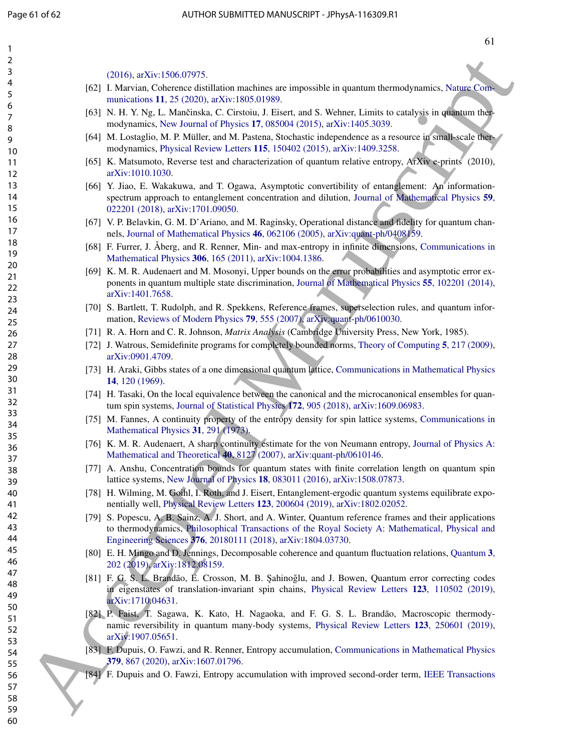| $\overline{c}$ |                                                                                                                                                                                                                                                                               |
|----------------|-------------------------------------------------------------------------------------------------------------------------------------------------------------------------------------------------------------------------------------------------------------------------------|
| 3              | $(2016)$ , arXiv:1506.07975.                                                                                                                                                                                                                                                  |
| 4              | [62] I. Marvian, Coherence distillation machines are impossible in quantum thermodynamics, Nature Com-                                                                                                                                                                        |
| 5              | munications 11, 25 (2020), arXiv:1805.01989.                                                                                                                                                                                                                                  |
| 6<br>7<br>8    | [63] N. H. Y. Ng, L. Mančinska, C. Cirstoiu, J. Eisert, and S. Wehner, Limits to catalysis in quantum ther-<br>modynamics, New Journal of Physics 17, 085004 (2015), arXiv:1405.3039.                                                                                         |
| 9<br>10        | [64] M. Lostaglio, M. P. Müller, and M. Pastena, Stochastic independence as a resource in small-scale ther-<br>modynamics, Physical Review Letters 115, 150402 (2015), arXiv:1409.3258.                                                                                       |
| 11<br>12       | [65] K. Matsumoto, Reverse test and characterization of quantum relative entropy, ArXiv e-prints (2010),<br>arXiv:1010.1030.                                                                                                                                                  |
| 13             | [66] Y. Jiao, E. Wakakuwa, and T. Ogawa, Asymptotic convertibility of entanglement: An'information-                                                                                                                                                                           |
| 14<br>15       | spectrum approach to entanglement concentration and dilution, Journal of Mathematical Physics 59,<br>022201 (2018), arXiv:1701.09050.                                                                                                                                         |
| 16<br>17       | [67] V. P. Belavkin, G. M. D'Ariano, and M. Raginsky, Operational distance and fidelity for quantum chan-<br>nels, Journal of Mathematical Physics 46, 062106 (2005), arXiv:quant-ph/0408159.                                                                                 |
| 18<br>19       | [68] F. Furrer, J. Åberg, and R. Renner, Min- and max-entropy in infinite dimensions, Communications in                                                                                                                                                                       |
| 20             | Mathematical Physics 306, 165 (2011), arXiv:1004.1386.                                                                                                                                                                                                                        |
| 21<br>22       | [69] K. M. R. Audenaert and M. Mosonyi, Upper bounds on the error probabilities and asymptotic error ex-<br>ponents in quantum multiple state discrimination, Journal of Mathematical Physics 55, 102201 (2014),                                                              |
| 23             | arXiv:1401.7658.                                                                                                                                                                                                                                                              |
| 24<br>25       | [70] S. Bartlett, T. Rudolph, and R. Spekkens, Reference frames, superselection rules, and quantum infor-<br>mation, Reviews of Modern Physics 79, 555 (2007), arXiv:quant-ph/0610030.                                                                                        |
| 26             | [71] R. A. Horn and C. R. Johnson, <i>Matrix Analysis</i> (Cambridge University Press, New York, 1985).                                                                                                                                                                       |
| 27<br>28       | [72] J. Watrous, Semidefinite programs for completely bounded norms, Theory of Computing 5, 217 (2009),<br>arXiv:0901.4709.                                                                                                                                                   |
| 29<br>30       | [73] H. Araki, Gibbs states of a one dimensional quantum lattice, Communications in Mathematical Physics<br>14, 120 (1969).                                                                                                                                                   |
| 31<br>32       | [74] H. Tasaki, On the local equivalence between the canonical and the microcanonical ensembles for quan-<br>tum spin systems, Journal of Statistical Physics 172, 905 (2018), arXiv:1609.06983.                                                                              |
| 33<br>34       | [75] M. Fannes, A continuity property of the entropy density for spin lattice systems, Communications in<br>Mathematical Physics 31, 291 (1973).                                                                                                                              |
| 35<br>36       | [76] K. M. R. Audenaert, A sharp continuity estimate for the von Neumann entropy, Journal of Physics A:                                                                                                                                                                       |
| 37<br>38       | Mathematical and Theoretical 40, 8127 (2007), arXiv:quant-ph/0610146.<br>[77] A. Anshu, Concentration bounds for quantum states with finite correlation length on quantum spin                                                                                                |
| 39<br>40       | lattice systems, New Journal of Physics 18, 083011 (2016), arXiv:1508.07873.<br>[78] H. Wilming, M. Goihl, I. Roth, and J. Eisert, Entanglement-ergodic quantum systems equilibrate expo-                                                                                     |
| 41<br>42       | nentially well, Physical Review Letters 123, 200604 (2019), arXiv:1802.02052.                                                                                                                                                                                                 |
| 43<br>44       | [79] S. Popescu, A. B. Sainz, A. J. Short, and A. Winter, Quantum reference frames and their applications<br>to thermodynamics, Philosophical Transactions of the Royal Society A: Mathematical, Physical and<br>Engineering Sciences 376, 20180111 (2018), arXiv:1804.03730. |
| 45             | [80] E. H. Mingo and D. Jennings, Decomposable coherence and quantum fluctuation relations, Quantum 3,                                                                                                                                                                        |
| 46             | 202 (2019), arXiv:1812.08159.                                                                                                                                                                                                                                                 |
| 47<br>48<br>49 | [81] F. G. S. L. Brandão, E. Crosson, M. B. Şahinoğlu, and J. Bowen, Quantum error correcting codes<br>in eigenstates of translation-invariant spin chains, Physical Review Letters 123, 110502 (2019),<br>arXiv:1710.04631.                                                  |
| 50             | [82] P. Faist, T. Sagawa, K. Kato, H. Nagaoka, and F. G. S. L. Brandão, Macroscopic thermody-                                                                                                                                                                                 |
| 51<br>52       | namic reversibility in quantum many-body systems, Physical Review Letters 123, 250601 (2019),<br>arXiv:1907.05651.                                                                                                                                                            |
| 53<br>54       | [83] F. Dupuis, O. Fawzi, and R. Renner, Entropy accumulation, Communications in Mathematical Physics<br>379, 867 (2020), arXiv:1607.01796.                                                                                                                                   |
| 55<br>56       | [84] F. Dupuis and O. Fawzi, Entropy accumulation with improved second-order term, IEEE Transactions                                                                                                                                                                          |
| 57             |                                                                                                                                                                                                                                                                               |
| 58             |                                                                                                                                                                                                                                                                               |
| 59             |                                                                                                                                                                                                                                                                               |
| 60             |                                                                                                                                                                                                                                                                               |

- [62] I. Marvian, Coherence distillation machines are impossible in quantum thermodynamics, Nature Communications 11, 25 (2020), arXiv:1805.01989.
- [63] N. H. Y. Ng, L. Mančinska, C. Cirstoiu, J. Eisert, and S. Wehner, Limits to catalysis in quantum thermodynamics, New Journal of Physics 17, 085004 (2015), arXiv:1405.3039.
- [64] M. Lostaglio, M. P. Müller, and M. Pastena, Stochastic independence as a resource in small-scale thermodynamics, Physical Review Letters 115, 150402 (2015), arXiv:1409.3258.
- [65] K. Matsumoto, Reverse test and characterization of quantum relative entropy, ArXiv e-prints (2010), arXiv:1010.1030.
- [66] Y. Jiao, E. Wakakuwa, and T. Ogawa, Asymptotic convertibility of entanglement: An informationspectrum approach to entanglement concentration and dilution, Journal of Mathematical Physics 59, 022201 (2018), arXiv:1701.09050.
- [67] V. P. Belavkin, G. M. D'Ariano, and M. Raginsky, Operational distance and fidelity for quantum channels, Journal of Mathematical Physics 46, 062106 (2005), arXiv:quant-ph/0408159.
- [68] F. Furrer, J. Åberg, and R. Renner, Min- and max-entropy in infinite dimensions, Communications in Mathematical Physics 306, 165 (2011), arXiv:1004.1386.
- [69] K. M. R. Audenaert and M. Mosonyi, Upper bounds on the error probabilities and asymptotic error exponents in quantum multiple state discrimination, Journal of Mathematical Physics 55, 102201 (2014), arXiv:1401.7658.
- [70] S. Bartlett, T. Rudolph, and R. Spekkens, Reference frames, superselection rules, and quantum information, Reviews of Modern Physics 79, 555 (2007), arXiv:quant-ph/0610030.
- [71] R. A. Horn and C. R. Johnson, *Matrix Analysis* (Cambridge University Press, New York, 1985).
- [72] J. Watrous, Semidefinite programs for completely bounded norms, Theory of Computing 5, 217 (2009), arXiv:0901.4709.
- [73] H. Araki, Gibbs states of a one dimensional quantum lattice, Communications in Mathematical Physics 14, 120 (1969).
- [74] H. Tasaki, On the local equivalence between the canonical and the microcanonical ensembles for quantum spin systems, Journal of Statistical Physics 172, 905 (2018), arXiv:1609.06983.
- [75] M. Fannes, A continuity property of the entropy density for spin lattice systems, Communications in Mathematical Physics 31, 291 (1973).
- [76] K. M. R. Audenaert, A sharp continuity estimate for the von Neumann entropy, Journal of Physics A: Mathematical and Theoretical 40, 8127 (2007), arXiv:quant-ph/0610146.
- [77] A. Anshu, Concentration bounds for quantum states with finite correlation length on quantum spin lattice systems, New Journal of Physics 18, 083011 (2016), arXiv:1508.07873.
- [78] H. Wilming, M. Goihl, I. Roth, and J. Eisert, Entanglement-ergodic quantum systems equilibrate exponentially well, Physical Review Letters 123, 200604 (2019), arXiv:1802.02052.
- [79] S. Popescu, A. B. Sainz, A. J. Short, and A. Winter, Quantum reference frames and their applications to thermodynamics, Philosophical Transactions of the Royal Society A: Mathematical, Physical and Engineering Sciences 376, 20180111 (2018), arXiv:1804.03730.
- [80] E. H. Mingo and D. Jennings, Decomposable coherence and quantum fluctuation relations, Quantum 3, 202 (2019), arXiv:1812.08159.
- [81] F. G. S. L. Brandão, E. Crosson, M. B. Şahinoğlu, and J. Bowen, Quantum error correcting codes in eigenstates of translation-invariant spin chains, Physical Review Letters 123, 110502 (2019), arXiv:1710.04631.
- [82] P. Faist, T. Sagawa, K. Kato, H. Nagaoka, and F. G. S. L. Brandão, Macroscopic thermodynamic reversibility in quantum many-body systems, Physical Review Letters 123, 250601 (2019), arXiv:1907.05651.
- [83] F. Dupuis, O. Fawzi, and R. Renner, Entropy accumulation, Communications in Mathematical Physics 379, 867 (2020), arXiv:1607.01796.
- [84] F. Dupuis and O. Fawzi, Entropy accumulation with improved second-order term, IEEE Transactions